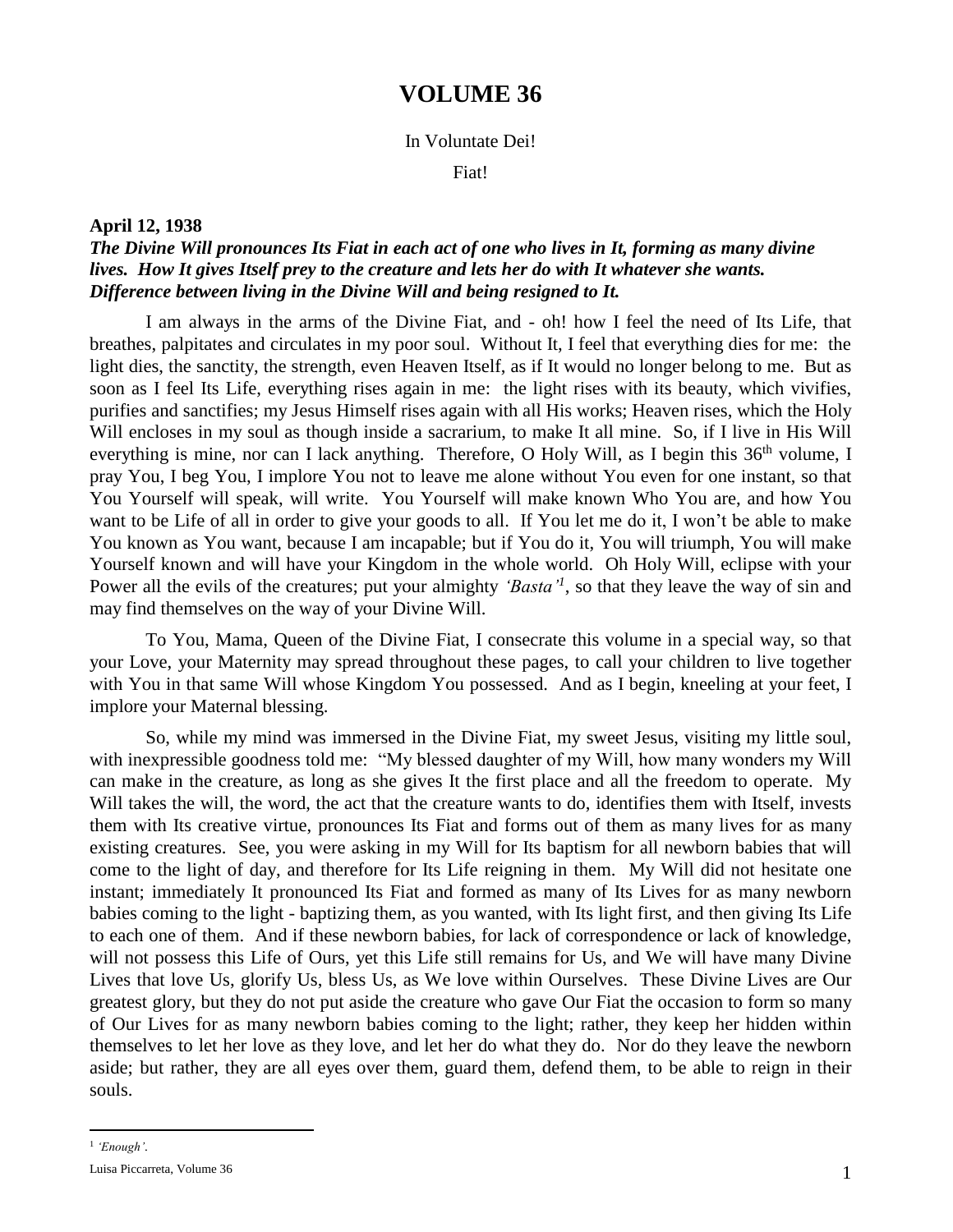# **VOLUME 36**

### In Voluntate Dei!

Fiat!

### **April 12, 1938**

## *The Divine Will pronounces Its Fiat in each act of one who lives in It, forming as many divine*  lives. How It gives Itself prey to the creature and lets her do with It whatever she wants. *Difference between living in the Divine Will and being resigned to It.*

I am always in the arms of the Divine Fiat, and - oh! how I feel the need of Its Life, that breathes, palpitates and circulates in my poor soul. Without It, I feel that everything dies for me: the light dies, the sanctity, the strength, even Heaven Itself, as if It would no longer belong to me. But as soon as I feel Its Life, everything rises again in me: the light rises with its beauty, which vivifies, purifies and sanctifies; my Jesus Himself rises again with all His works; Heaven rises, which the Holy Will encloses in my soul as though inside a sacrarium, to make It all mine. So, if I live in His Will everything is mine, nor can I lack anything. Therefore, O Holy Will, as I begin this  $36<sup>th</sup>$  volume, I pray You, I beg You, I implore You not to leave me alone without You even for one instant, so that You Yourself will speak, will write. You Yourself will make known Who You are, and how You want to be Life of all in order to give your goods to all. If You let me do it, I won't be able to make You known as You want, because I am incapable; but if You do it, You will triumph, You will make Yourself known and will have your Kingdom in the whole world. Oh Holy Will, eclipse with your Power all the evils of the creatures; put your almighty *'Basta'<sup>1</sup>*, so that they leave the way of sin and may find themselves on the way of your Divine Will.

To You, Mama, Queen of the Divine Fiat, I consecrate this volume in a special way, so that your Love, your Maternity may spread throughout these pages, to call your children to live together with You in that same Will whose Kingdom You possessed. And as I begin, kneeling at your feet, I implore your Maternal blessing.

So, while my mind was immersed in the Divine Fiat, my sweet Jesus, visiting my little soul, with inexpressible goodness told me: "My blessed daughter of my Will, how many wonders my Will can make in the creature, as long as she gives It the first place and all the freedom to operate. My Will takes the will, the word, the act that the creature wants to do, identifies them with Itself, invests them with Its creative virtue, pronounces Its Fiat and forms out of them as many lives for as many existing creatures. See, you were asking in my Will for Its baptism for all newborn babies that will come to the light of day, and therefore for Its Life reigning in them. My Will did not hesitate one instant; immediately It pronounced Its Fiat and formed as many of Its Lives for as many newborn babies coming to the light - baptizing them, as you wanted, with Its light first, and then giving Its Life to each one of them. And if these newborn babies, for lack of correspondence or lack of knowledge, will not possess this Life of Ours, yet this Life still remains for Us, and We will have many Divine Lives that love Us, glorify Us, bless Us, as We love within Ourselves. These Divine Lives are Our greatest glory, but they do not put aside the creature who gave Our Fiat the occasion to form so many of Our Lives for as many newborn babies coming to the light; rather, they keep her hidden within themselves to let her love as they love, and let her do what they do. Nor do they leave the newborn aside; but rather, they are all eyes over them, guard them, defend them, to be able to reign in their souls.

 $\overline{a}$ 

<sup>1</sup> *'Enough'*.

Luisa Piccarreta, Volume 36 1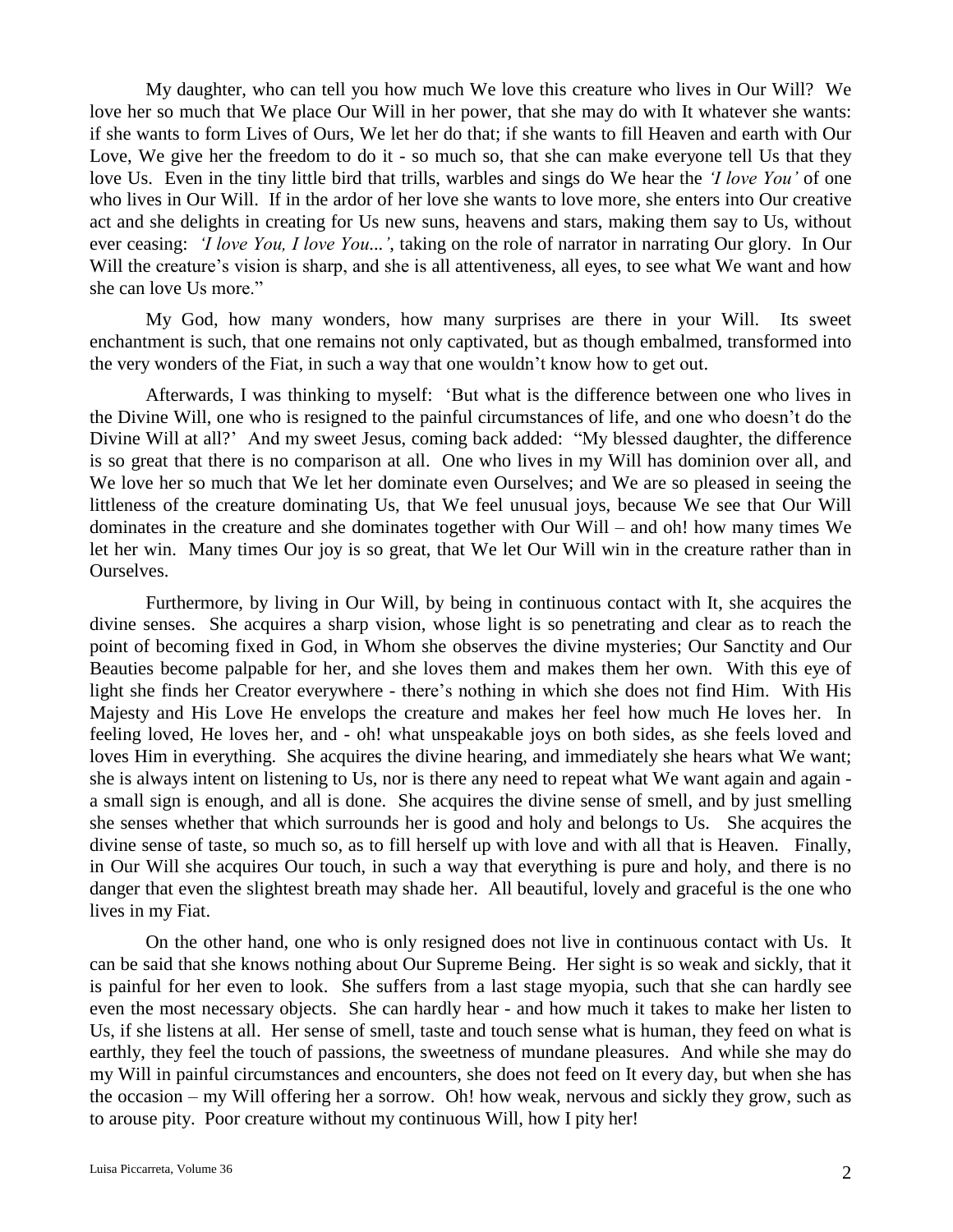My daughter, who can tell you how much We love this creature who lives in Our Will? We love her so much that We place Our Will in her power, that she may do with It whatever she wants: if she wants to form Lives of Ours, We let her do that; if she wants to fill Heaven and earth with Our Love, We give her the freedom to do it - so much so, that she can make everyone tell Us that they love Us. Even in the tiny little bird that trills, warbles and sings do We hear the *'I love You'* of one who lives in Our Will. If in the ardor of her love she wants to love more, she enters into Our creative act and she delights in creating for Us new suns, heavens and stars, making them say to Us, without ever ceasing: *'I love You, I love You...'*, taking on the role of narrator in narrating Our glory. In Our Will the creature's vision is sharp, and she is all attentiveness, all eyes, to see what We want and how she can love Us more."

My God, how many wonders, how many surprises are there in your Will. Its sweet enchantment is such, that one remains not only captivated, but as though embalmed, transformed into the very wonders of the Fiat, in such a way that one wouldn't know how to get out.

Afterwards, I was thinking to myself: 'But what is the difference between one who lives in the Divine Will, one who is resigned to the painful circumstances of life, and one who doesn't do the Divine Will at all?' And my sweet Jesus, coming back added: "My blessed daughter, the difference is so great that there is no comparison at all. One who lives in my Will has dominion over all, and We love her so much that We let her dominate even Ourselves; and We are so pleased in seeing the littleness of the creature dominating Us, that We feel unusual joys, because We see that Our Will dominates in the creature and she dominates together with Our Will – and oh! how many times We let her win. Many times Our joy is so great, that We let Our Will win in the creature rather than in Ourselves.

Furthermore, by living in Our Will, by being in continuous contact with It, she acquires the divine senses. She acquires a sharp vision, whose light is so penetrating and clear as to reach the point of becoming fixed in God, in Whom she observes the divine mysteries; Our Sanctity and Our Beauties become palpable for her, and she loves them and makes them her own. With this eye of light she finds her Creator everywhere - there's nothing in which she does not find Him. With His Majesty and His Love He envelops the creature and makes her feel how much He loves her. In feeling loved, He loves her, and - oh! what unspeakable joys on both sides, as she feels loved and loves Him in everything. She acquires the divine hearing, and immediately she hears what We want; she is always intent on listening to Us, nor is there any need to repeat what We want again and again a small sign is enough, and all is done. She acquires the divine sense of smell, and by just smelling she senses whether that which surrounds her is good and holy and belongs to Us. She acquires the divine sense of taste, so much so, as to fill herself up with love and with all that is Heaven. Finally, in Our Will she acquires Our touch, in such a way that everything is pure and holy, and there is no danger that even the slightest breath may shade her. All beautiful, lovely and graceful is the one who lives in my Fiat.

On the other hand, one who is only resigned does not live in continuous contact with Us. It can be said that she knows nothing about Our Supreme Being. Her sight is so weak and sickly, that it is painful for her even to look. She suffers from a last stage myopia, such that she can hardly see even the most necessary objects. She can hardly hear - and how much it takes to make her listen to Us, if she listens at all. Her sense of smell, taste and touch sense what is human, they feed on what is earthly, they feel the touch of passions, the sweetness of mundane pleasures. And while she may do my Will in painful circumstances and encounters, she does not feed on It every day, but when she has the occasion – my Will offering her a sorrow. Oh! how weak, nervous and sickly they grow, such as to arouse pity. Poor creature without my continuous Will, how I pity her!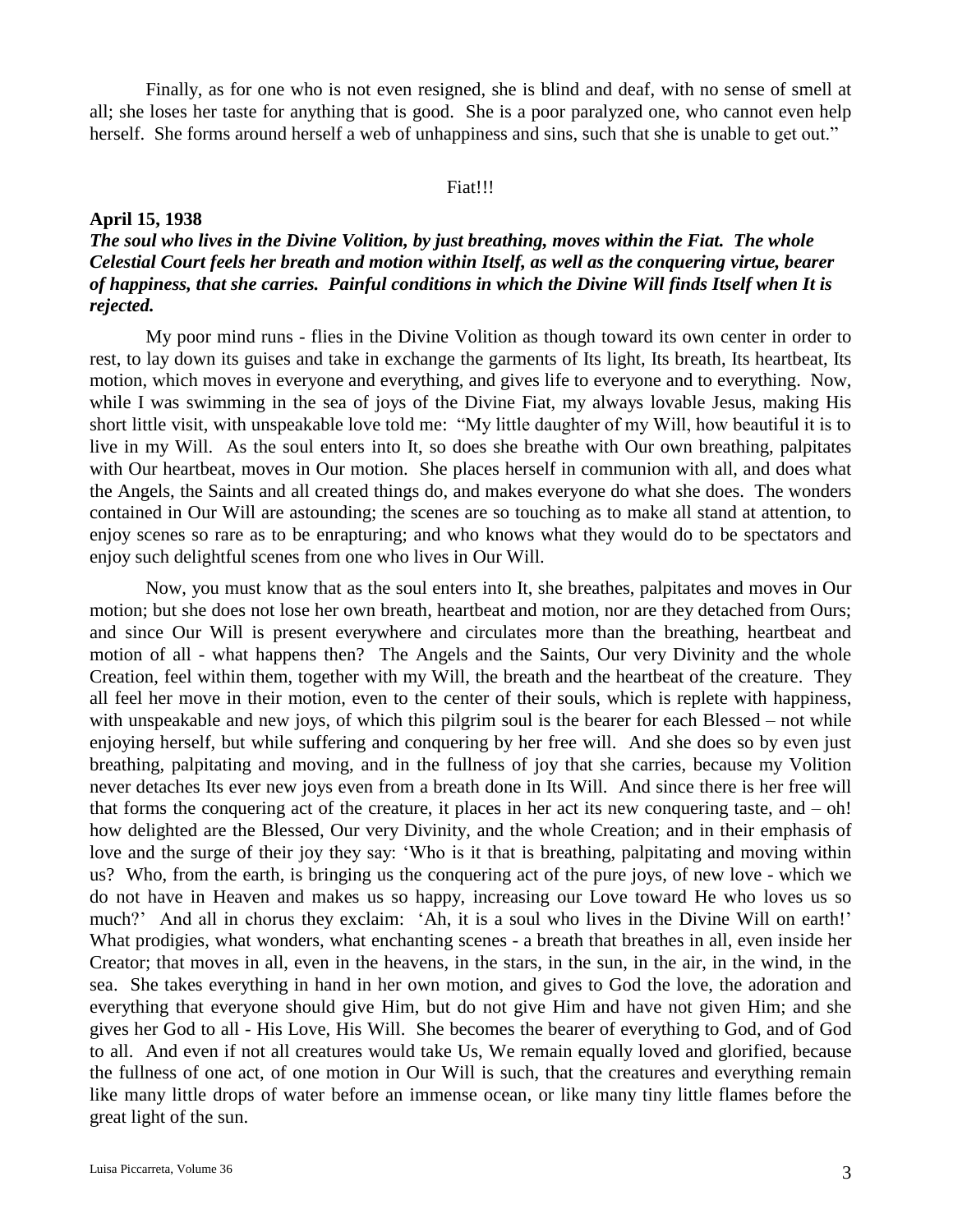Finally, as for one who is not even resigned, she is blind and deaf, with no sense of smell at all; she loses her taste for anything that is good. She is a poor paralyzed one, who cannot even help herself. She forms around herself a web of unhappiness and sins, such that she is unable to get out."

#### Fiat!!!

### **April 15, 1938**

# *The soul who lives in the Divine Volition, by just breathing, moves within the Fiat. The whole Celestial Court feels her breath and motion within Itself, as well as the conquering virtue, bearer of happiness, that she carries. Painful conditions in which the Divine Will finds Itself when It is rejected.*

My poor mind runs - flies in the Divine Volition as though toward its own center in order to rest, to lay down its guises and take in exchange the garments of Its light, Its breath, Its heartbeat, Its motion, which moves in everyone and everything, and gives life to everyone and to everything. Now, while I was swimming in the sea of joys of the Divine Fiat, my always lovable Jesus, making His short little visit, with unspeakable love told me: "My little daughter of my Will, how beautiful it is to live in my Will. As the soul enters into It, so does she breathe with Our own breathing, palpitates with Our heartbeat, moves in Our motion. She places herself in communion with all, and does what the Angels, the Saints and all created things do, and makes everyone do what she does. The wonders contained in Our Will are astounding; the scenes are so touching as to make all stand at attention, to enjoy scenes so rare as to be enrapturing; and who knows what they would do to be spectators and enjoy such delightful scenes from one who lives in Our Will.

Now, you must know that as the soul enters into It, she breathes, palpitates and moves in Our motion; but she does not lose her own breath, heartbeat and motion, nor are they detached from Ours; and since Our Will is present everywhere and circulates more than the breathing, heartbeat and motion of all - what happens then? The Angels and the Saints, Our very Divinity and the whole Creation, feel within them, together with my Will, the breath and the heartbeat of the creature. They all feel her move in their motion, even to the center of their souls, which is replete with happiness, with unspeakable and new joys, of which this pilgrim soul is the bearer for each Blessed – not while enjoying herself, but while suffering and conquering by her free will. And she does so by even just breathing, palpitating and moving, and in the fullness of joy that she carries, because my Volition never detaches Its ever new joys even from a breath done in Its Will. And since there is her free will that forms the conquering act of the creature, it places in her act its new conquering taste, and – oh! how delighted are the Blessed, Our very Divinity, and the whole Creation; and in their emphasis of love and the surge of their joy they say: 'Who is it that is breathing, palpitating and moving within us? Who, from the earth, is bringing us the conquering act of the pure joys, of new love - which we do not have in Heaven and makes us so happy, increasing our Love toward He who loves us so much?' And all in chorus they exclaim: 'Ah, it is a soul who lives in the Divine Will on earth!' What prodigies, what wonders, what enchanting scenes - a breath that breathes in all, even inside her Creator; that moves in all, even in the heavens, in the stars, in the sun, in the air, in the wind, in the sea. She takes everything in hand in her own motion, and gives to God the love, the adoration and everything that everyone should give Him, but do not give Him and have not given Him; and she gives her God to all - His Love, His Will. She becomes the bearer of everything to God, and of God to all. And even if not all creatures would take Us, We remain equally loved and glorified, because the fullness of one act, of one motion in Our Will is such, that the creatures and everything remain like many little drops of water before an immense ocean, or like many tiny little flames before the great light of the sun.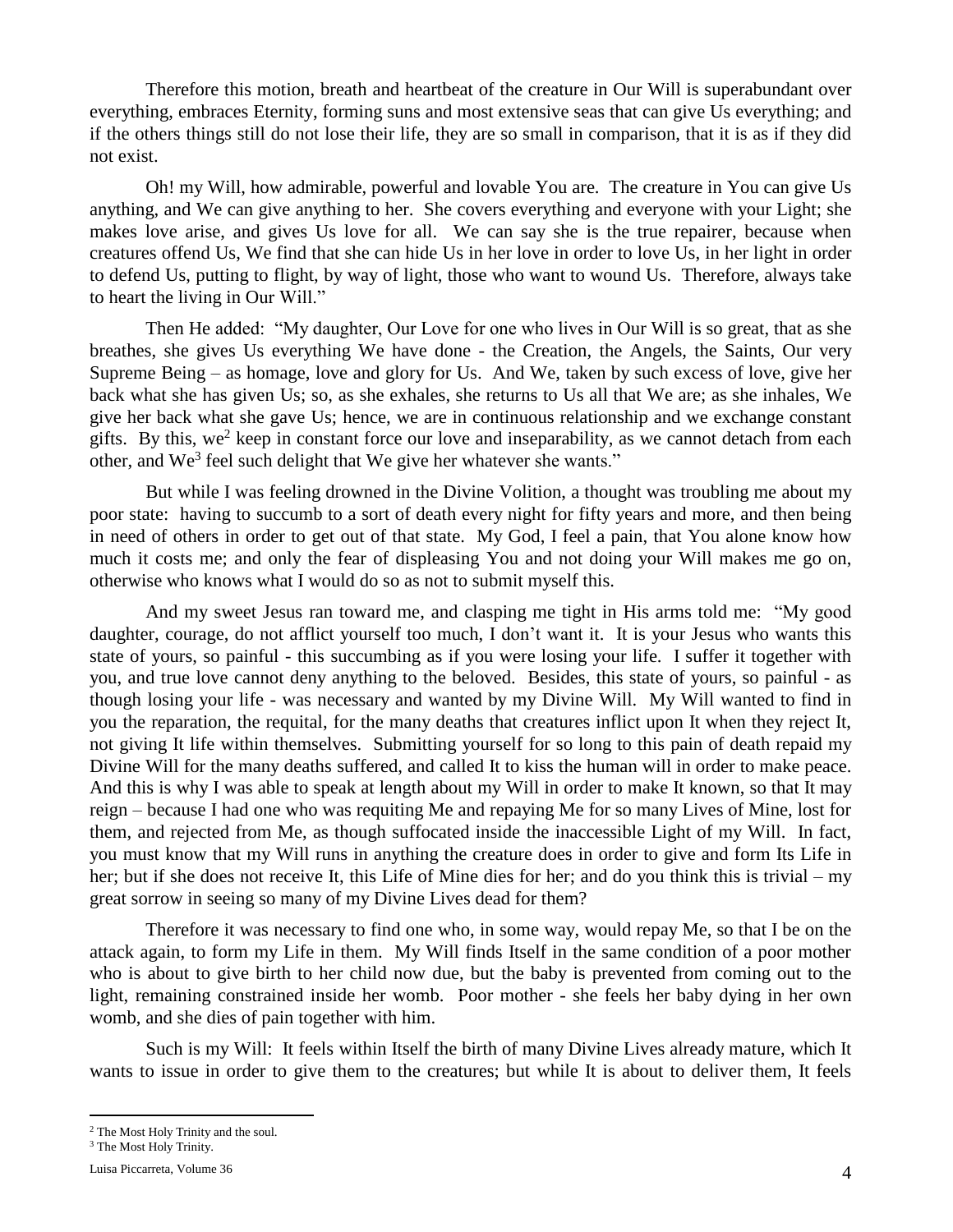Therefore this motion, breath and heartbeat of the creature in Our Will is superabundant over everything, embraces Eternity, forming suns and most extensive seas that can give Us everything; and if the others things still do not lose their life, they are so small in comparison, that it is as if they did not exist.

Oh! my Will, how admirable, powerful and lovable You are. The creature in You can give Us anything, and We can give anything to her. She covers everything and everyone with your Light; she makes love arise, and gives Us love for all. We can say she is the true repairer, because when creatures offend Us, We find that she can hide Us in her love in order to love Us, in her light in order to defend Us, putting to flight, by way of light, those who want to wound Us. Therefore, always take to heart the living in Our Will."

Then He added: "My daughter, Our Love for one who lives in Our Will is so great, that as she breathes, she gives Us everything We have done - the Creation, the Angels, the Saints, Our very Supreme Being – as homage, love and glory for Us. And We, taken by such excess of love, give her back what she has given Us; so, as she exhales, she returns to Us all that We are; as she inhales, We give her back what she gave Us; hence, we are in continuous relationship and we exchange constant gifts. By this, we<sup>2</sup> keep in constant force our love and inseparability, as we cannot detach from each other, and We<sup>3</sup> feel such delight that We give her whatever she wants."

But while I was feeling drowned in the Divine Volition, a thought was troubling me about my poor state: having to succumb to a sort of death every night for fifty years and more, and then being in need of others in order to get out of that state. My God, I feel a pain, that You alone know how much it costs me; and only the fear of displeasing You and not doing your Will makes me go on, otherwise who knows what I would do so as not to submit myself this.

And my sweet Jesus ran toward me, and clasping me tight in His arms told me: "My good daughter, courage, do not afflict yourself too much, I don't want it. It is your Jesus who wants this state of yours, so painful - this succumbing as if you were losing your life. I suffer it together with you, and true love cannot deny anything to the beloved. Besides, this state of yours, so painful - as though losing your life - was necessary and wanted by my Divine Will. My Will wanted to find in you the reparation, the requital, for the many deaths that creatures inflict upon It when they reject It, not giving It life within themselves. Submitting yourself for so long to this pain of death repaid my Divine Will for the many deaths suffered, and called It to kiss the human will in order to make peace. And this is why I was able to speak at length about my Will in order to make It known, so that It may reign – because I had one who was requiting Me and repaying Me for so many Lives of Mine, lost for them, and rejected from Me, as though suffocated inside the inaccessible Light of my Will. In fact, you must know that my Will runs in anything the creature does in order to give and form Its Life in her; but if she does not receive It, this Life of Mine dies for her; and do you think this is trivial – my great sorrow in seeing so many of my Divine Lives dead for them?

Therefore it was necessary to find one who, in some way, would repay Me, so that I be on the attack again, to form my Life in them. My Will finds Itself in the same condition of a poor mother who is about to give birth to her child now due, but the baby is prevented from coming out to the light, remaining constrained inside her womb. Poor mother - she feels her baby dying in her own womb, and she dies of pain together with him.

Such is my Will: It feels within Itself the birth of many Divine Lives already mature, which It wants to issue in order to give them to the creatures; but while It is about to deliver them, It feels

 $\overline{a}$ 

<sup>2</sup> The Most Holy Trinity and the soul.

<sup>&</sup>lt;sup>3</sup> The Most Holy Trinity.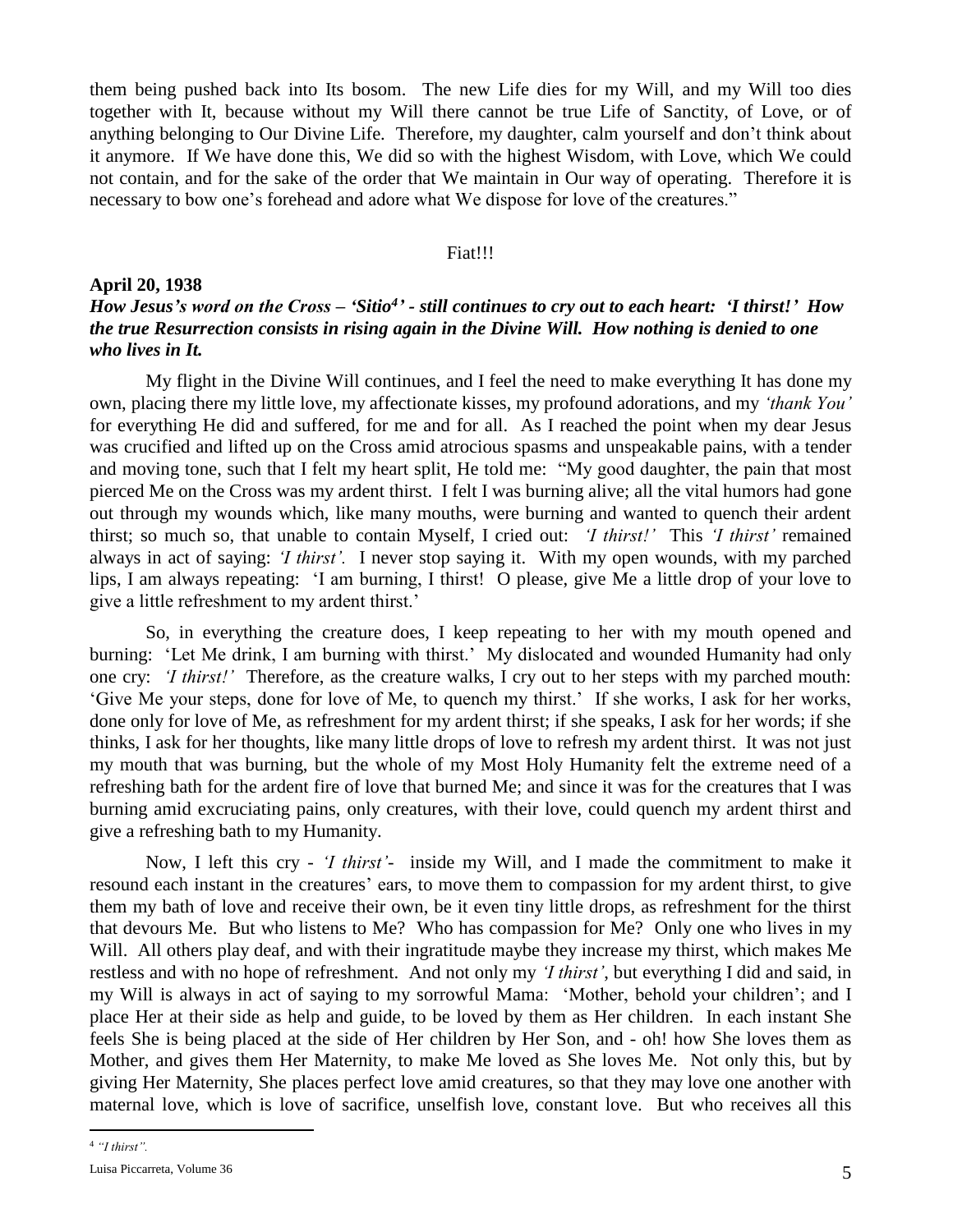them being pushed back into Its bosom. The new Life dies for my Will, and my Will too dies together with It, because without my Will there cannot be true Life of Sanctity, of Love, or of anything belonging to Our Divine Life. Therefore, my daughter, calm yourself and don't think about it anymore. If We have done this, We did so with the highest Wisdom, with Love, which We could not contain, and for the sake of the order that We maintain in Our way of operating. Therefore it is necessary to bow one's forehead and adore what We dispose for love of the creatures."

### Fiat!!!

## **April 20, 1938**

## *How Jesus's word on the Cross – 'Sitio<sup>4</sup> ' - still continues to cry out to each heart: 'I thirst!' How the true Resurrection consists in rising again in the Divine Will. How nothing is denied to one who lives in It.*

My flight in the Divine Will continues, and I feel the need to make everything It has done my own, placing there my little love, my affectionate kisses, my profound adorations, and my *'thank You'*  for everything He did and suffered, for me and for all. As I reached the point when my dear Jesus was crucified and lifted up on the Cross amid atrocious spasms and unspeakable pains, with a tender and moving tone, such that I felt my heart split, He told me: "My good daughter, the pain that most pierced Me on the Cross was my ardent thirst. I felt I was burning alive; all the vital humors had gone out through my wounds which, like many mouths, were burning and wanted to quench their ardent thirst; so much so, that unable to contain Myself, I cried out: *'I thirst!'* This *'I thirst'* remained always in act of saying: *'I thirst'.* I never stop saying it. With my open wounds, with my parched lips, I am always repeating: 'I am burning, I thirst! O please, give Me a little drop of your love to give a little refreshment to my ardent thirst.'

So, in everything the creature does, I keep repeating to her with my mouth opened and burning: 'Let Me drink, I am burning with thirst.' My dislocated and wounded Humanity had only one cry: *'I thirst!'* Therefore, as the creature walks, I cry out to her steps with my parched mouth: 'Give Me your steps, done for love of Me, to quench my thirst.' If she works, I ask for her works, done only for love of Me, as refreshment for my ardent thirst; if she speaks, I ask for her words; if she thinks, I ask for her thoughts, like many little drops of love to refresh my ardent thirst. It was not just my mouth that was burning, but the whole of my Most Holy Humanity felt the extreme need of a refreshing bath for the ardent fire of love that burned Me; and since it was for the creatures that I was burning amid excruciating pains, only creatures, with their love, could quench my ardent thirst and give a refreshing bath to my Humanity.

Now, I left this cry - *'I thirst'-* inside my Will, and I made the commitment to make it resound each instant in the creatures' ears, to move them to compassion for my ardent thirst, to give them my bath of love and receive their own, be it even tiny little drops, as refreshment for the thirst that devours Me. But who listens to Me? Who has compassion for Me? Only one who lives in my Will. All others play deaf, and with their ingratitude maybe they increase my thirst, which makes Me restless and with no hope of refreshment. And not only my *'I thirst'*, but everything I did and said, in my Will is always in act of saying to my sorrowful Mama: 'Mother, behold your children'; and I place Her at their side as help and guide, to be loved by them as Her children. In each instant She feels She is being placed at the side of Her children by Her Son, and - oh! how She loves them as Mother, and gives them Her Maternity, to make Me loved as She loves Me. Not only this, but by giving Her Maternity, She places perfect love amid creatures, so that they may love one another with maternal love, which is love of sacrifice, unselfish love, constant love. But who receives all this

 $\overline{a}$ 

<sup>4</sup> *"I thirst".*

Luisa Piccarreta, Volume 36 5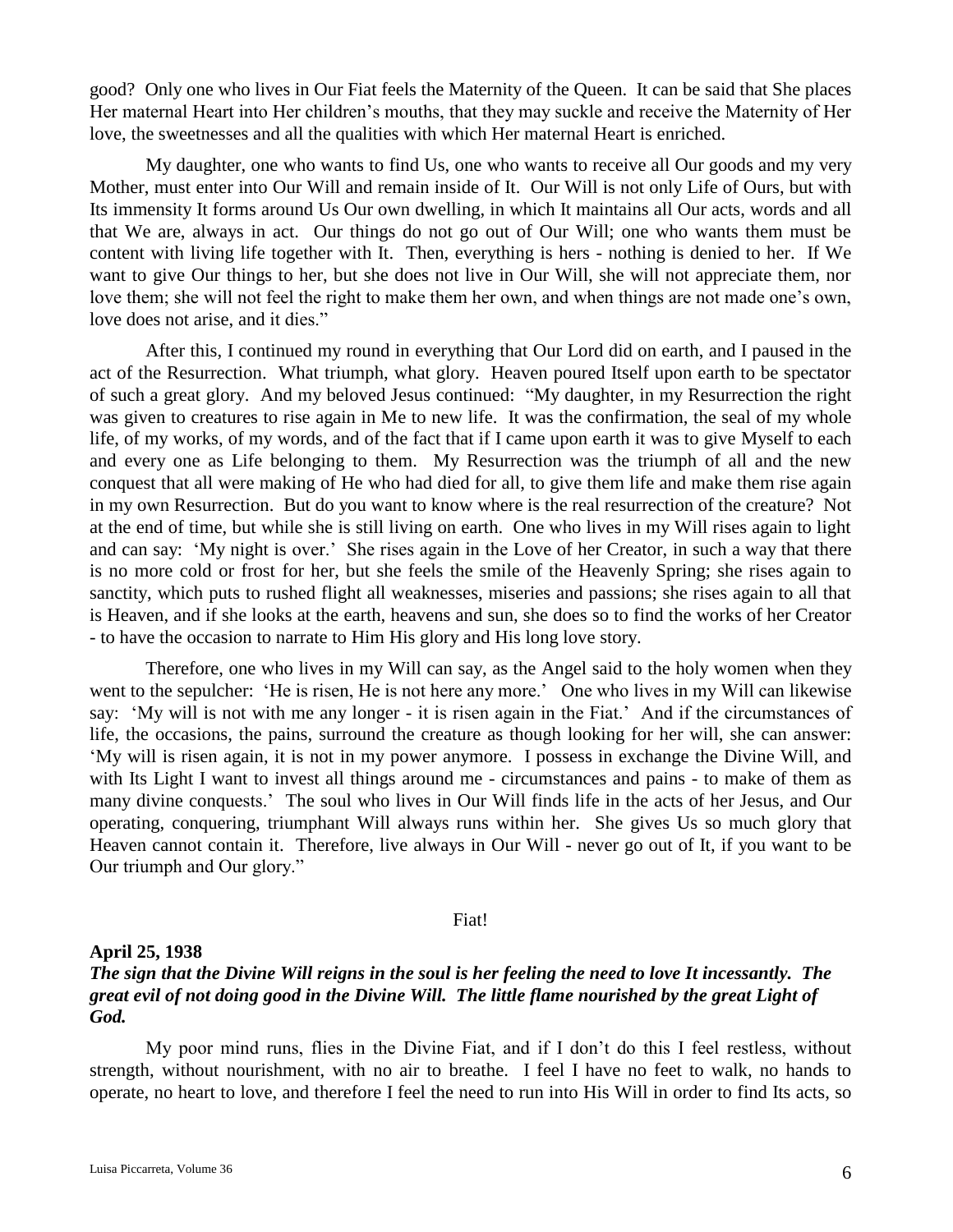good? Only one who lives in Our Fiat feels the Maternity of the Queen. It can be said that She places Her maternal Heart into Her children's mouths, that they may suckle and receive the Maternity of Her love, the sweetnesses and all the qualities with which Her maternal Heart is enriched.

My daughter, one who wants to find Us, one who wants to receive all Our goods and my very Mother, must enter into Our Will and remain inside of It. Our Will is not only Life of Ours, but with Its immensity It forms around Us Our own dwelling, in which It maintains all Our acts, words and all that We are, always in act. Our things do not go out of Our Will; one who wants them must be content with living life together with It. Then, everything is hers - nothing is denied to her. If We want to give Our things to her, but she does not live in Our Will, she will not appreciate them, nor love them; she will not feel the right to make them her own, and when things are not made one's own, love does not arise, and it dies."

After this, I continued my round in everything that Our Lord did on earth, and I paused in the act of the Resurrection. What triumph, what glory. Heaven poured Itself upon earth to be spectator of such a great glory. And my beloved Jesus continued: "My daughter, in my Resurrection the right was given to creatures to rise again in Me to new life. It was the confirmation, the seal of my whole life, of my works, of my words, and of the fact that if I came upon earth it was to give Myself to each and every one as Life belonging to them. My Resurrection was the triumph of all and the new conquest that all were making of He who had died for all, to give them life and make them rise again in my own Resurrection. But do you want to know where is the real resurrection of the creature? Not at the end of time, but while she is still living on earth. One who lives in my Will rises again to light and can say: 'My night is over.' She rises again in the Love of her Creator, in such a way that there is no more cold or frost for her, but she feels the smile of the Heavenly Spring; she rises again to sanctity, which puts to rushed flight all weaknesses, miseries and passions; she rises again to all that is Heaven, and if she looks at the earth, heavens and sun, she does so to find the works of her Creator - to have the occasion to narrate to Him His glory and His long love story.

Therefore, one who lives in my Will can say, as the Angel said to the holy women when they went to the sepulcher: 'He is risen, He is not here any more.' One who lives in my Will can likewise say: 'My will is not with me any longer - it is risen again in the Fiat.' And if the circumstances of life, the occasions, the pains, surround the creature as though looking for her will, she can answer: 'My will is risen again, it is not in my power anymore. I possess in exchange the Divine Will, and with Its Light I want to invest all things around me - circumstances and pains - to make of them as many divine conquests.' The soul who lives in Our Will finds life in the acts of her Jesus, and Our operating, conquering, triumphant Will always runs within her. She gives Us so much glory that Heaven cannot contain it. Therefore, live always in Our Will - never go out of It, if you want to be Our triumph and Our glory."

Fiat!

## **April 25, 1938**

## *The sign that the Divine Will reigns in the soul is her feeling the need to love It incessantly. The great evil of not doing good in the Divine Will. The little flame nourished by the great Light of God.*

My poor mind runs, flies in the Divine Fiat, and if I don't do this I feel restless, without strength, without nourishment, with no air to breathe. I feel I have no feet to walk, no hands to operate, no heart to love, and therefore I feel the need to run into His Will in order to find Its acts, so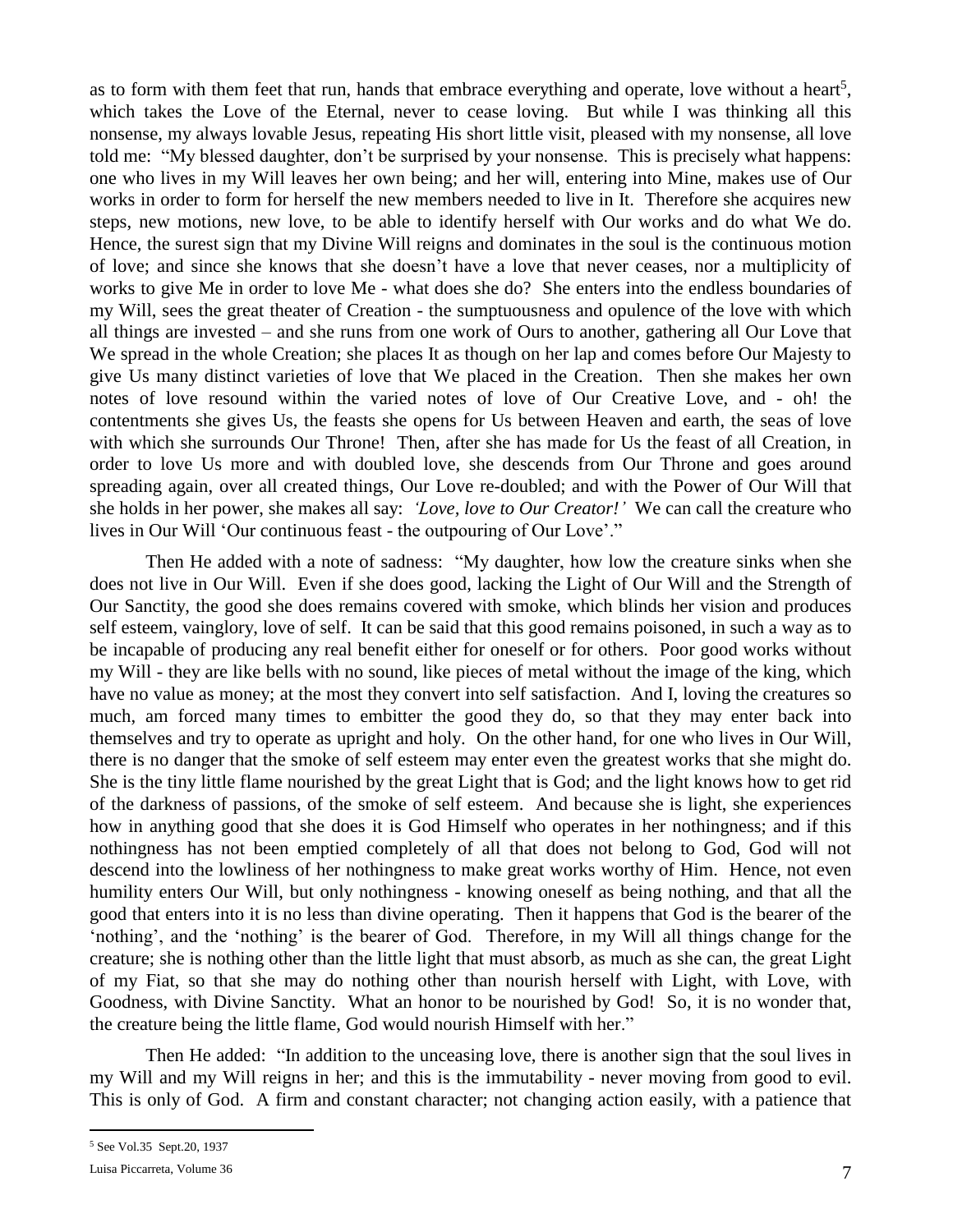as to form with them feet that run, hands that embrace everything and operate, love without a heart<sup>5</sup>, which takes the Love of the Eternal, never to cease loving. But while I was thinking all this nonsense, my always lovable Jesus, repeating His short little visit, pleased with my nonsense, all love told me: "My blessed daughter, don't be surprised by your nonsense. This is precisely what happens: one who lives in my Will leaves her own being; and her will, entering into Mine, makes use of Our works in order to form for herself the new members needed to live in It. Therefore she acquires new steps, new motions, new love, to be able to identify herself with Our works and do what We do. Hence, the surest sign that my Divine Will reigns and dominates in the soul is the continuous motion of love; and since she knows that she doesn't have a love that never ceases, nor a multiplicity of works to give Me in order to love Me - what does she do? She enters into the endless boundaries of my Will, sees the great theater of Creation - the sumptuousness and opulence of the love with which all things are invested – and she runs from one work of Ours to another, gathering all Our Love that We spread in the whole Creation; she places It as though on her lap and comes before Our Majesty to give Us many distinct varieties of love that We placed in the Creation. Then she makes her own notes of love resound within the varied notes of love of Our Creative Love, and - oh! the contentments she gives Us, the feasts she opens for Us between Heaven and earth, the seas of love with which she surrounds Our Throne! Then, after she has made for Us the feast of all Creation, in order to love Us more and with doubled love, she descends from Our Throne and goes around spreading again, over all created things, Our Love re-doubled; and with the Power of Our Will that she holds in her power, she makes all say: *'Love, love to Our Creator!'* We can call the creature who lives in Our Will 'Our continuous feast - the outpouring of Our Love'."

Then He added with a note of sadness: "My daughter, how low the creature sinks when she does not live in Our Will. Even if she does good, lacking the Light of Our Will and the Strength of Our Sanctity, the good she does remains covered with smoke, which blinds her vision and produces self esteem, vainglory, love of self. It can be said that this good remains poisoned, in such a way as to be incapable of producing any real benefit either for oneself or for others. Poor good works without my Will - they are like bells with no sound, like pieces of metal without the image of the king, which have no value as money; at the most they convert into self satisfaction. And I, loving the creatures so much, am forced many times to embitter the good they do, so that they may enter back into themselves and try to operate as upright and holy. On the other hand, for one who lives in Our Will, there is no danger that the smoke of self esteem may enter even the greatest works that she might do. She is the tiny little flame nourished by the great Light that is God; and the light knows how to get rid of the darkness of passions, of the smoke of self esteem. And because she is light, she experiences how in anything good that she does it is God Himself who operates in her nothingness; and if this nothingness has not been emptied completely of all that does not belong to God, God will not descend into the lowliness of her nothingness to make great works worthy of Him. Hence, not even humility enters Our Will, but only nothingness - knowing oneself as being nothing, and that all the good that enters into it is no less than divine operating. Then it happens that God is the bearer of the 'nothing', and the 'nothing' is the bearer of God. Therefore, in my Will all things change for the creature; she is nothing other than the little light that must absorb, as much as she can, the great Light of my Fiat, so that she may do nothing other than nourish herself with Light, with Love, with Goodness, with Divine Sanctity. What an honor to be nourished by God! So, it is no wonder that, the creature being the little flame, God would nourish Himself with her."

Then He added: "In addition to the unceasing love, there is another sign that the soul lives in my Will and my Will reigns in her; and this is the immutability - never moving from good to evil. This is only of God. A firm and constant character; not changing action easily, with a patience that

 $\overline{a}$ 

<sup>5</sup> See Vol.35 Sept.20, 1937

Luisa Piccarreta, Volume 36 7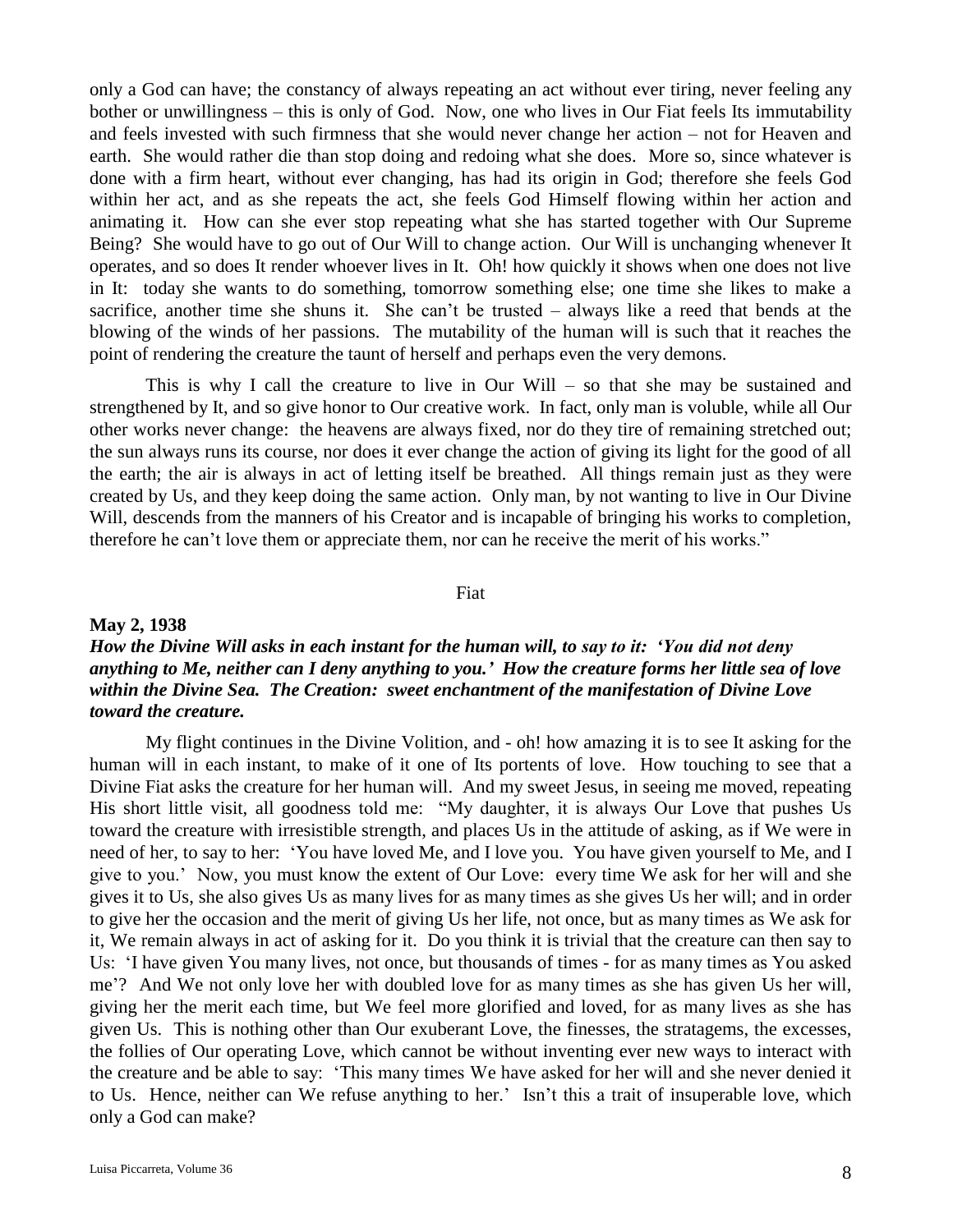only a God can have; the constancy of always repeating an act without ever tiring, never feeling any bother or unwillingness – this is only of God. Now, one who lives in Our Fiat feels Its immutability and feels invested with such firmness that she would never change her action – not for Heaven and earth. She would rather die than stop doing and redoing what she does. More so, since whatever is done with a firm heart, without ever changing, has had its origin in God; therefore she feels God within her act, and as she repeats the act, she feels God Himself flowing within her action and animating it. How can she ever stop repeating what she has started together with Our Supreme Being? She would have to go out of Our Will to change action. Our Will is unchanging whenever It operates, and so does It render whoever lives in It. Oh! how quickly it shows when one does not live in It: today she wants to do something, tomorrow something else; one time she likes to make a sacrifice, another time she shuns it. She can't be trusted – always like a reed that bends at the blowing of the winds of her passions. The mutability of the human will is such that it reaches the point of rendering the creature the taunt of herself and perhaps even the very demons.

This is why I call the creature to live in Our Will – so that she may be sustained and strengthened by It, and so give honor to Our creative work. In fact, only man is voluble, while all Our other works never change: the heavens are always fixed, nor do they tire of remaining stretched out; the sun always runs its course, nor does it ever change the action of giving its light for the good of all the earth; the air is always in act of letting itself be breathed. All things remain just as they were created by Us, and they keep doing the same action. Only man, by not wanting to live in Our Divine Will, descends from the manners of his Creator and is incapable of bringing his works to completion, therefore he can't love them or appreciate them, nor can he receive the merit of his works."

## Fiat

### **May 2, 1938**

## *How the Divine Will asks in each instant for the human will, to say to it: 'You did not deny anything to Me, neither can I deny anything to you.' How the creature forms her little sea of love within the Divine Sea. The Creation: sweet enchantment of the manifestation of Divine Love toward the creature.*

My flight continues in the Divine Volition, and - oh! how amazing it is to see It asking for the human will in each instant, to make of it one of Its portents of love. How touching to see that a Divine Fiat asks the creature for her human will. And my sweet Jesus, in seeing me moved, repeating His short little visit, all goodness told me: "My daughter, it is always Our Love that pushes Us toward the creature with irresistible strength, and places Us in the attitude of asking, as if We were in need of her, to say to her: 'You have loved Me, and I love you. You have given yourself to Me, and I give to you.' Now, you must know the extent of Our Love: every time We ask for her will and she gives it to Us, she also gives Us as many lives for as many times as she gives Us her will; and in order to give her the occasion and the merit of giving Us her life, not once, but as many times as We ask for it, We remain always in act of asking for it. Do you think it is trivial that the creature can then say to Us: 'I have given You many lives, not once, but thousands of times - for as many times as You asked me'? And We not only love her with doubled love for as many times as she has given Us her will, giving her the merit each time, but We feel more glorified and loved, for as many lives as she has given Us. This is nothing other than Our exuberant Love, the finesses, the stratagems, the excesses, the follies of Our operating Love, which cannot be without inventing ever new ways to interact with the creature and be able to say: 'This many times We have asked for her will and she never denied it to Us. Hence, neither can We refuse anything to her.' Isn't this a trait of insuperable love, which only a God can make?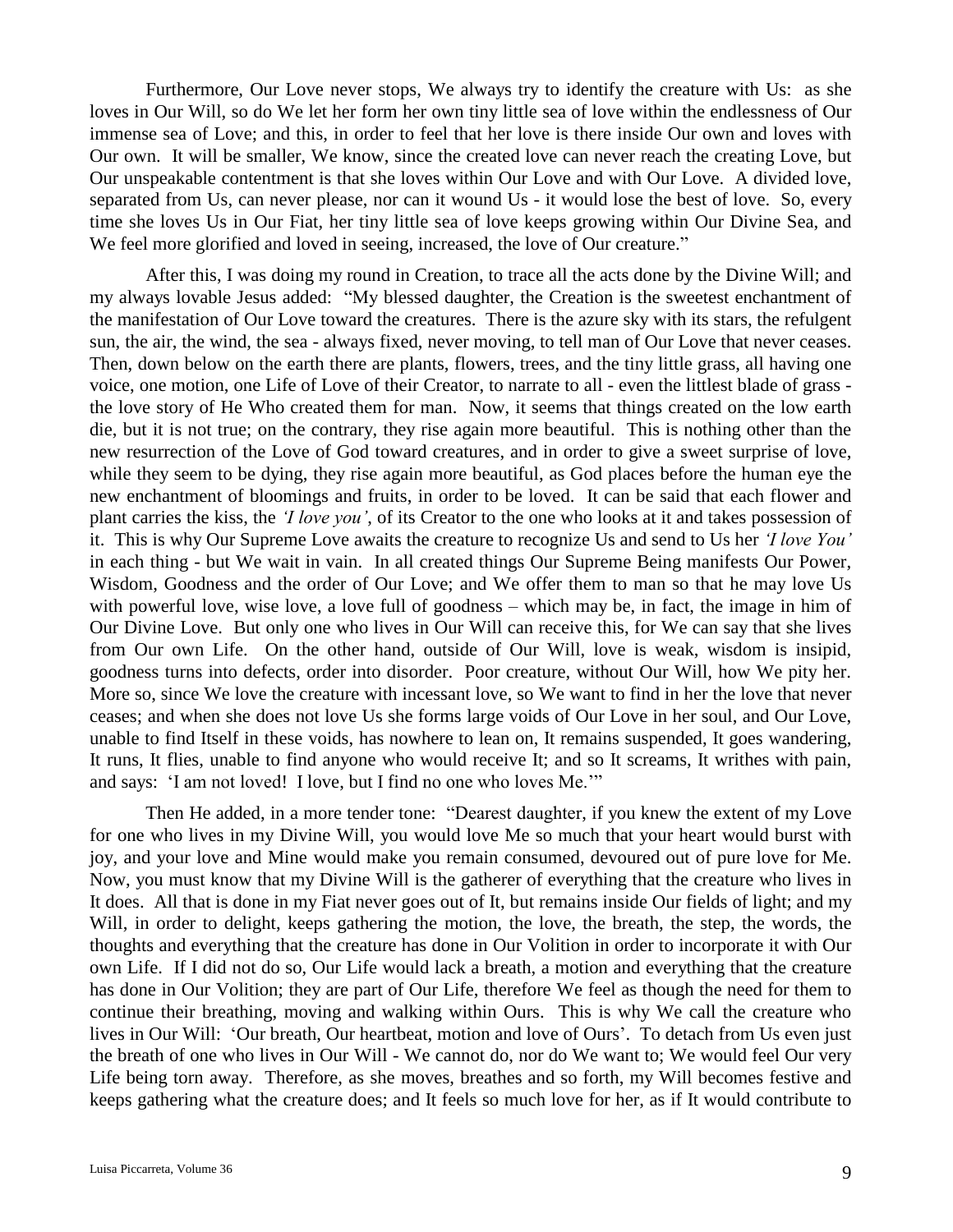Furthermore, Our Love never stops, We always try to identify the creature with Us: as she loves in Our Will, so do We let her form her own tiny little sea of love within the endlessness of Our immense sea of Love; and this, in order to feel that her love is there inside Our own and loves with Our own. It will be smaller, We know, since the created love can never reach the creating Love, but Our unspeakable contentment is that she loves within Our Love and with Our Love. A divided love, separated from Us, can never please, nor can it wound Us - it would lose the best of love. So, every time she loves Us in Our Fiat, her tiny little sea of love keeps growing within Our Divine Sea, and We feel more glorified and loved in seeing, increased, the love of Our creature."

After this, I was doing my round in Creation, to trace all the acts done by the Divine Will; and my always lovable Jesus added: "My blessed daughter, the Creation is the sweetest enchantment of the manifestation of Our Love toward the creatures. There is the azure sky with its stars, the refulgent sun, the air, the wind, the sea - always fixed, never moving, to tell man of Our Love that never ceases. Then, down below on the earth there are plants, flowers, trees, and the tiny little grass, all having one voice, one motion, one Life of Love of their Creator, to narrate to all - even the littlest blade of grass the love story of He Who created them for man. Now, it seems that things created on the low earth die, but it is not true; on the contrary, they rise again more beautiful. This is nothing other than the new resurrection of the Love of God toward creatures, and in order to give a sweet surprise of love, while they seem to be dying, they rise again more beautiful, as God places before the human eye the new enchantment of bloomings and fruits, in order to be loved. It can be said that each flower and plant carries the kiss, the *'I love you'*, of its Creator to the one who looks at it and takes possession of it. This is why Our Supreme Love awaits the creature to recognize Us and send to Us her *'I love You'* in each thing - but We wait in vain. In all created things Our Supreme Being manifests Our Power, Wisdom, Goodness and the order of Our Love; and We offer them to man so that he may love Us with powerful love, wise love, a love full of goodness – which may be, in fact, the image in him of Our Divine Love. But only one who lives in Our Will can receive this, for We can say that she lives from Our own Life. On the other hand, outside of Our Will, love is weak, wisdom is insipid, goodness turns into defects, order into disorder. Poor creature, without Our Will, how We pity her. More so, since We love the creature with incessant love, so We want to find in her the love that never ceases; and when she does not love Us she forms large voids of Our Love in her soul, and Our Love, unable to find Itself in these voids, has nowhere to lean on, It remains suspended, It goes wandering, It runs, It flies, unable to find anyone who would receive It; and so It screams, It writhes with pain, and says: 'I am not loved! I love, but I find no one who loves Me.'"

Then He added, in a more tender tone: "Dearest daughter, if you knew the extent of my Love for one who lives in my Divine Will, you would love Me so much that your heart would burst with joy, and your love and Mine would make you remain consumed, devoured out of pure love for Me. Now, you must know that my Divine Will is the gatherer of everything that the creature who lives in It does. All that is done in my Fiat never goes out of It, but remains inside Our fields of light; and my Will, in order to delight, keeps gathering the motion, the love, the breath, the step, the words, the thoughts and everything that the creature has done in Our Volition in order to incorporate it with Our own Life. If I did not do so, Our Life would lack a breath, a motion and everything that the creature has done in Our Volition; they are part of Our Life, therefore We feel as though the need for them to continue their breathing, moving and walking within Ours. This is why We call the creature who lives in Our Will: 'Our breath, Our heartbeat, motion and love of Ours'. To detach from Us even just the breath of one who lives in Our Will - We cannot do, nor do We want to; We would feel Our very Life being torn away. Therefore, as she moves, breathes and so forth, my Will becomes festive and keeps gathering what the creature does; and It feels so much love for her, as if It would contribute to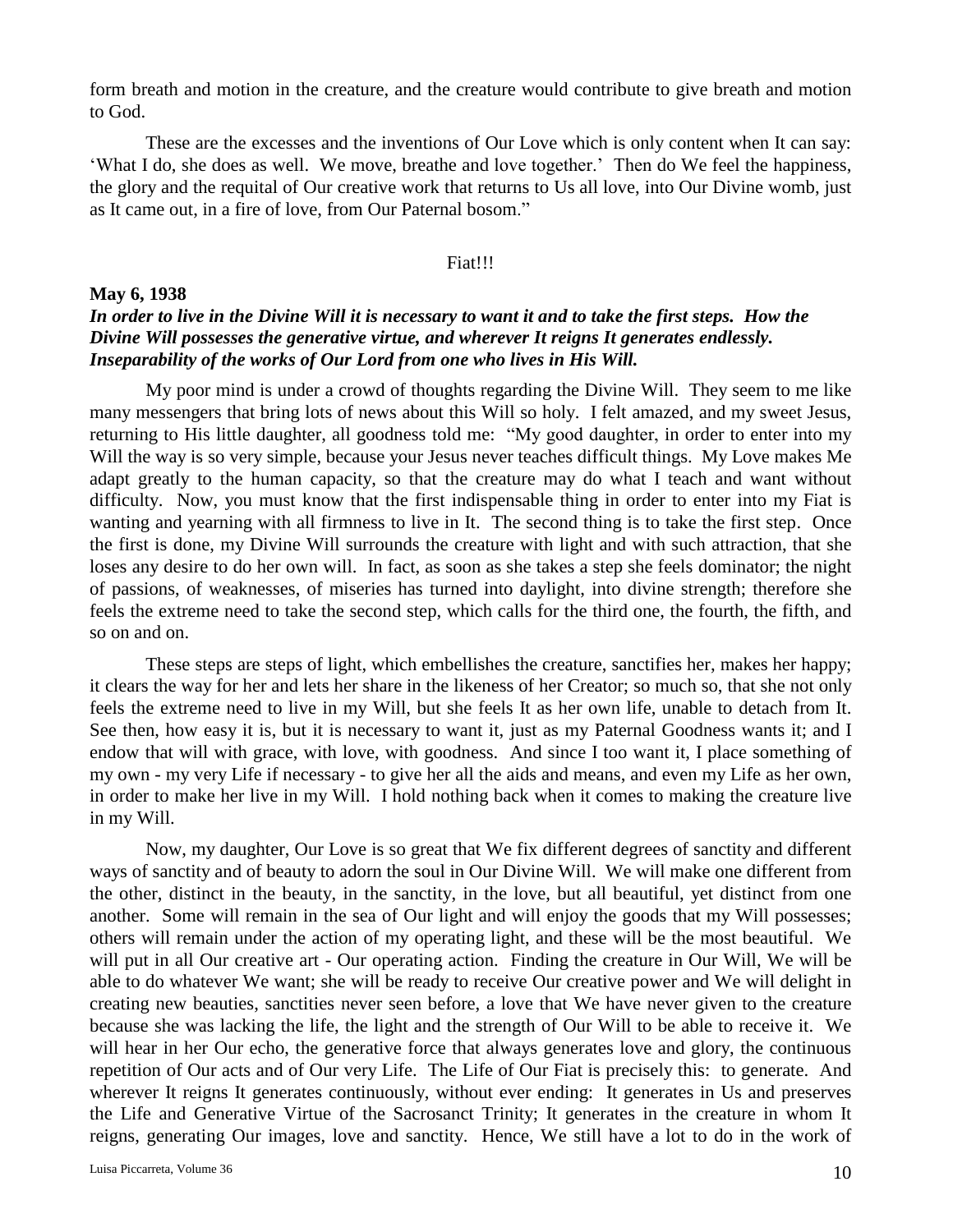form breath and motion in the creature, and the creature would contribute to give breath and motion to God.

These are the excesses and the inventions of Our Love which is only content when It can say: 'What I do, she does as well. We move, breathe and love together.' Then do We feel the happiness, the glory and the requital of Our creative work that returns to Us all love, into Our Divine womb, just as It came out, in a fire of love, from Our Paternal bosom."

#### Fiat!!!

## **May 6, 1938** *In order to live in the Divine Will it is necessary to want it and to take the first steps. How the Divine Will possesses the generative virtue, and wherever It reigns It generates endlessly. Inseparability of the works of Our Lord from one who lives in His Will.*

My poor mind is under a crowd of thoughts regarding the Divine Will. They seem to me like many messengers that bring lots of news about this Will so holy. I felt amazed, and my sweet Jesus, returning to His little daughter, all goodness told me: "My good daughter, in order to enter into my Will the way is so very simple, because your Jesus never teaches difficult things. My Love makes Me adapt greatly to the human capacity, so that the creature may do what I teach and want without difficulty. Now, you must know that the first indispensable thing in order to enter into my Fiat is wanting and yearning with all firmness to live in It. The second thing is to take the first step. Once the first is done, my Divine Will surrounds the creature with light and with such attraction, that she loses any desire to do her own will. In fact, as soon as she takes a step she feels dominator; the night of passions, of weaknesses, of miseries has turned into daylight, into divine strength; therefore she feels the extreme need to take the second step, which calls for the third one, the fourth, the fifth, and so on and on.

These steps are steps of light, which embellishes the creature, sanctifies her, makes her happy; it clears the way for her and lets her share in the likeness of her Creator; so much so, that she not only feels the extreme need to live in my Will, but she feels It as her own life, unable to detach from It. See then, how easy it is, but it is necessary to want it, just as my Paternal Goodness wants it; and I endow that will with grace, with love, with goodness. And since I too want it, I place something of my own - my very Life if necessary - to give her all the aids and means, and even my Life as her own, in order to make her live in my Will. I hold nothing back when it comes to making the creature live in my Will.

Now, my daughter, Our Love is so great that We fix different degrees of sanctity and different ways of sanctity and of beauty to adorn the soul in Our Divine Will. We will make one different from the other, distinct in the beauty, in the sanctity, in the love, but all beautiful, yet distinct from one another. Some will remain in the sea of Our light and will enjoy the goods that my Will possesses; others will remain under the action of my operating light, and these will be the most beautiful. We will put in all Our creative art - Our operating action. Finding the creature in Our Will, We will be able to do whatever We want; she will be ready to receive Our creative power and We will delight in creating new beauties, sanctities never seen before, a love that We have never given to the creature because she was lacking the life, the light and the strength of Our Will to be able to receive it. We will hear in her Our echo, the generative force that always generates love and glory, the continuous repetition of Our acts and of Our very Life. The Life of Our Fiat is precisely this: to generate. And wherever It reigns It generates continuously, without ever ending: It generates in Us and preserves the Life and Generative Virtue of the Sacrosanct Trinity; It generates in the creature in whom It reigns, generating Our images, love and sanctity. Hence, We still have a lot to do in the work of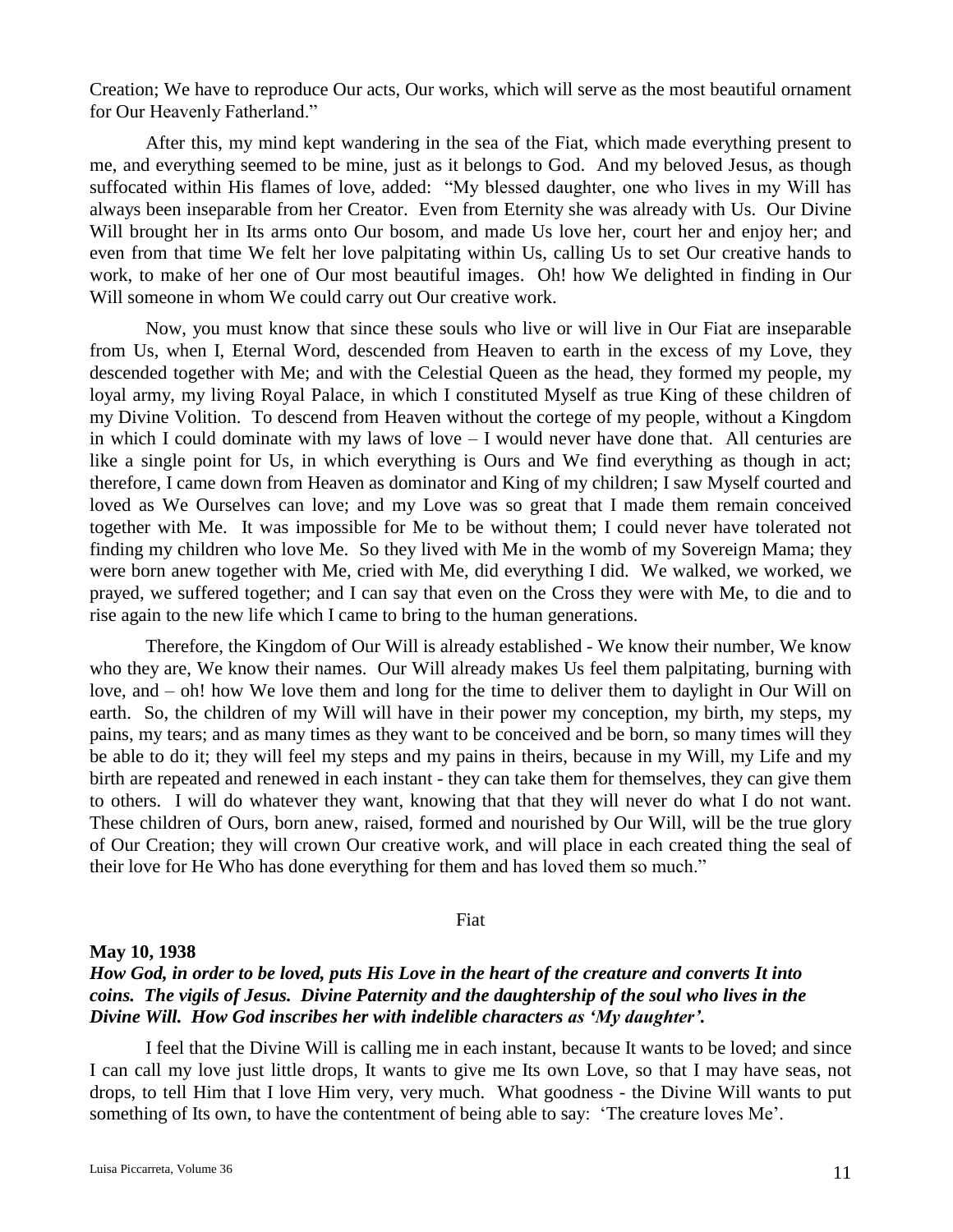Creation; We have to reproduce Our acts, Our works, which will serve as the most beautiful ornament for Our Heavenly Fatherland."

After this, my mind kept wandering in the sea of the Fiat, which made everything present to me, and everything seemed to be mine, just as it belongs to God. And my beloved Jesus, as though suffocated within His flames of love, added: "My blessed daughter, one who lives in my Will has always been inseparable from her Creator. Even from Eternity she was already with Us. Our Divine Will brought her in Its arms onto Our bosom, and made Us love her, court her and enjoy her; and even from that time We felt her love palpitating within Us, calling Us to set Our creative hands to work, to make of her one of Our most beautiful images. Oh! how We delighted in finding in Our Will someone in whom We could carry out Our creative work.

Now, you must know that since these souls who live or will live in Our Fiat are inseparable from Us, when I, Eternal Word, descended from Heaven to earth in the excess of my Love, they descended together with Me; and with the Celestial Queen as the head, they formed my people, my loyal army, my living Royal Palace, in which I constituted Myself as true King of these children of my Divine Volition. To descend from Heaven without the cortege of my people, without a Kingdom in which I could dominate with my laws of love  $-$  I would never have done that. All centuries are like a single point for Us, in which everything is Ours and We find everything as though in act; therefore, I came down from Heaven as dominator and King of my children; I saw Myself courted and loved as We Ourselves can love; and my Love was so great that I made them remain conceived together with Me. It was impossible for Me to be without them; I could never have tolerated not finding my children who love Me. So they lived with Me in the womb of my Sovereign Mama; they were born anew together with Me, cried with Me, did everything I did. We walked, we worked, we prayed, we suffered together; and I can say that even on the Cross they were with Me, to die and to rise again to the new life which I came to bring to the human generations.

Therefore, the Kingdom of Our Will is already established - We know their number, We know who they are, We know their names. Our Will already makes Us feel them palpitating, burning with love, and – oh! how We love them and long for the time to deliver them to daylight in Our Will on earth. So, the children of my Will will have in their power my conception, my birth, my steps, my pains, my tears; and as many times as they want to be conceived and be born, so many times will they be able to do it; they will feel my steps and my pains in theirs, because in my Will, my Life and my birth are repeated and renewed in each instant - they can take them for themselves, they can give them to others. I will do whatever they want, knowing that that they will never do what I do not want. These children of Ours, born anew, raised, formed and nourished by Our Will, will be the true glory of Our Creation; they will crown Our creative work, and will place in each created thing the seal of their love for He Who has done everything for them and has loved them so much."

Fiat

### **May 10, 1938**

## *How God, in order to be loved, puts His Love in the heart of the creature and converts It into coins. The vigils of Jesus. Divine Paternity and the daughtership of the soul who lives in the Divine Will. How God inscribes her with indelible characters as 'My daughter'.*

I feel that the Divine Will is calling me in each instant, because It wants to be loved; and since I can call my love just little drops, It wants to give me Its own Love, so that I may have seas, not drops, to tell Him that I love Him very, very much. What goodness - the Divine Will wants to put something of Its own, to have the contentment of being able to say: 'The creature loves Me'.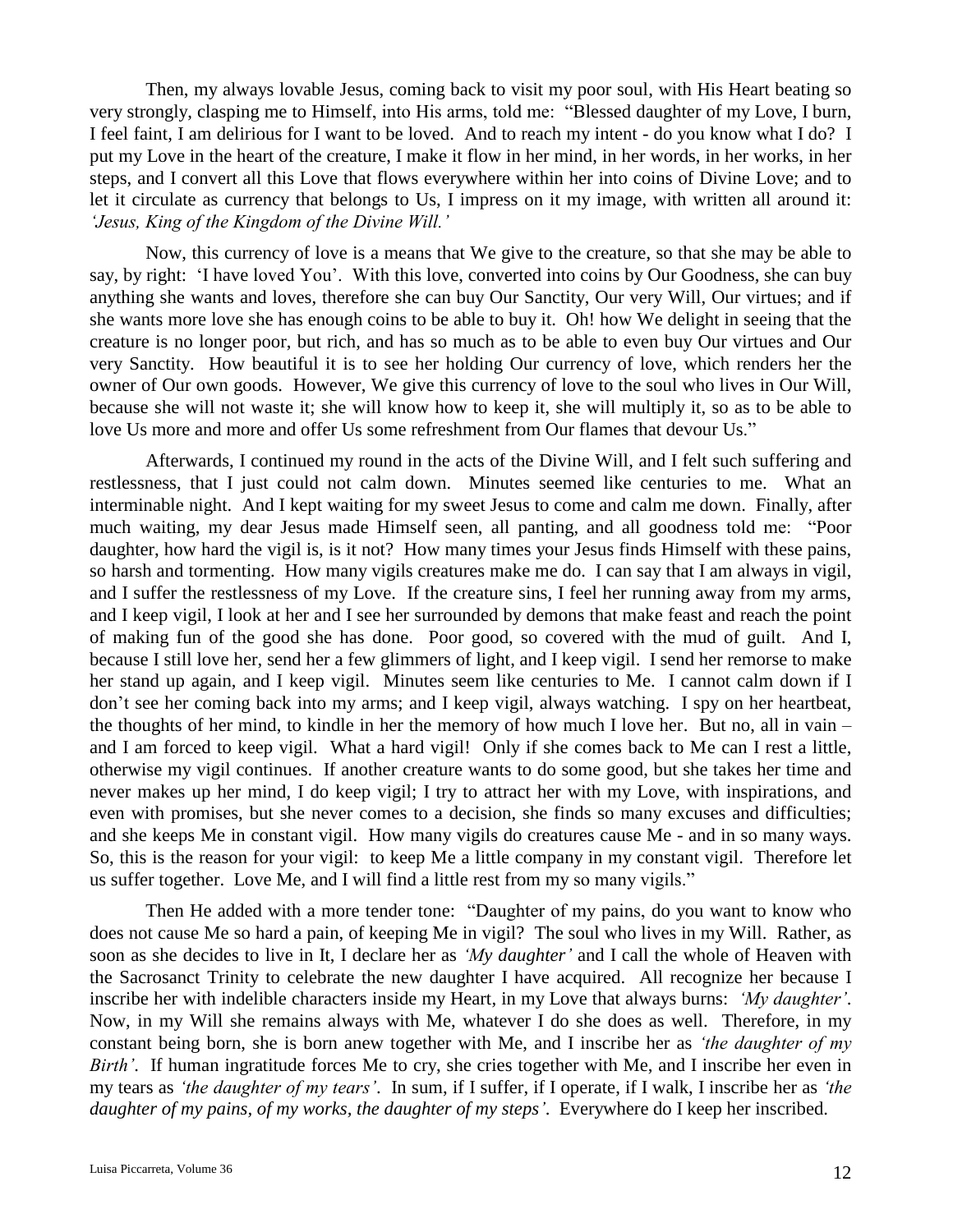Then, my always lovable Jesus, coming back to visit my poor soul, with His Heart beating so very strongly, clasping me to Himself, into His arms, told me: "Blessed daughter of my Love, I burn, I feel faint, I am delirious for I want to be loved. And to reach my intent - do you know what I do? I put my Love in the heart of the creature, I make it flow in her mind, in her words, in her works, in her steps, and I convert all this Love that flows everywhere within her into coins of Divine Love; and to let it circulate as currency that belongs to Us, I impress on it my image, with written all around it: *'Jesus, King of the Kingdom of the Divine Will.'*

Now, this currency of love is a means that We give to the creature, so that she may be able to say, by right: 'I have loved You'. With this love, converted into coins by Our Goodness, she can buy anything she wants and loves, therefore she can buy Our Sanctity, Our very Will, Our virtues; and if she wants more love she has enough coins to be able to buy it. Oh! how We delight in seeing that the creature is no longer poor, but rich, and has so much as to be able to even buy Our virtues and Our very Sanctity. How beautiful it is to see her holding Our currency of love, which renders her the owner of Our own goods. However, We give this currency of love to the soul who lives in Our Will, because she will not waste it; she will know how to keep it, she will multiply it, so as to be able to love Us more and more and offer Us some refreshment from Our flames that devour Us."

Afterwards, I continued my round in the acts of the Divine Will, and I felt such suffering and restlessness, that I just could not calm down. Minutes seemed like centuries to me. What an interminable night. And I kept waiting for my sweet Jesus to come and calm me down. Finally, after much waiting, my dear Jesus made Himself seen, all panting, and all goodness told me: "Poor daughter, how hard the vigil is, is it not? How many times your Jesus finds Himself with these pains, so harsh and tormenting. How many vigils creatures make me do. I can say that I am always in vigil, and I suffer the restlessness of my Love. If the creature sins, I feel her running away from my arms, and I keep vigil, I look at her and I see her surrounded by demons that make feast and reach the point of making fun of the good she has done. Poor good, so covered with the mud of guilt. And I, because I still love her, send her a few glimmers of light, and I keep vigil. I send her remorse to make her stand up again, and I keep vigil. Minutes seem like centuries to Me. I cannot calm down if I don't see her coming back into my arms; and I keep vigil, always watching. I spy on her heartbeat, the thoughts of her mind, to kindle in her the memory of how much I love her. But no, all in vain – and I am forced to keep vigil. What a hard vigil! Only if she comes back to Me can I rest a little, otherwise my vigil continues. If another creature wants to do some good, but she takes her time and never makes up her mind, I do keep vigil; I try to attract her with my Love, with inspirations, and even with promises, but she never comes to a decision, she finds so many excuses and difficulties; and she keeps Me in constant vigil. How many vigils do creatures cause Me - and in so many ways. So, this is the reason for your vigil: to keep Me a little company in my constant vigil. Therefore let us suffer together. Love Me, and I will find a little rest from my so many vigils."

Then He added with a more tender tone: "Daughter of my pains, do you want to know who does not cause Me so hard a pain, of keeping Me in vigil? The soul who lives in my Will. Rather, as soon as she decides to live in It, I declare her as *'My daughter'* and I call the whole of Heaven with the Sacrosanct Trinity to celebrate the new daughter I have acquired. All recognize her because I inscribe her with indelible characters inside my Heart, in my Love that always burns: *'My daughter'*. Now, in my Will she remains always with Me, whatever I do she does as well. Therefore, in my constant being born, she is born anew together with Me, and I inscribe her as *'the daughter of my Birth'*. If human ingratitude forces Me to cry, she cries together with Me, and I inscribe her even in my tears as *'the daughter of my tears'*. In sum, if I suffer, if I operate, if I walk, I inscribe her as *'the daughter of my pains, of my works, the daughter of my steps'*. Everywhere do I keep her inscribed.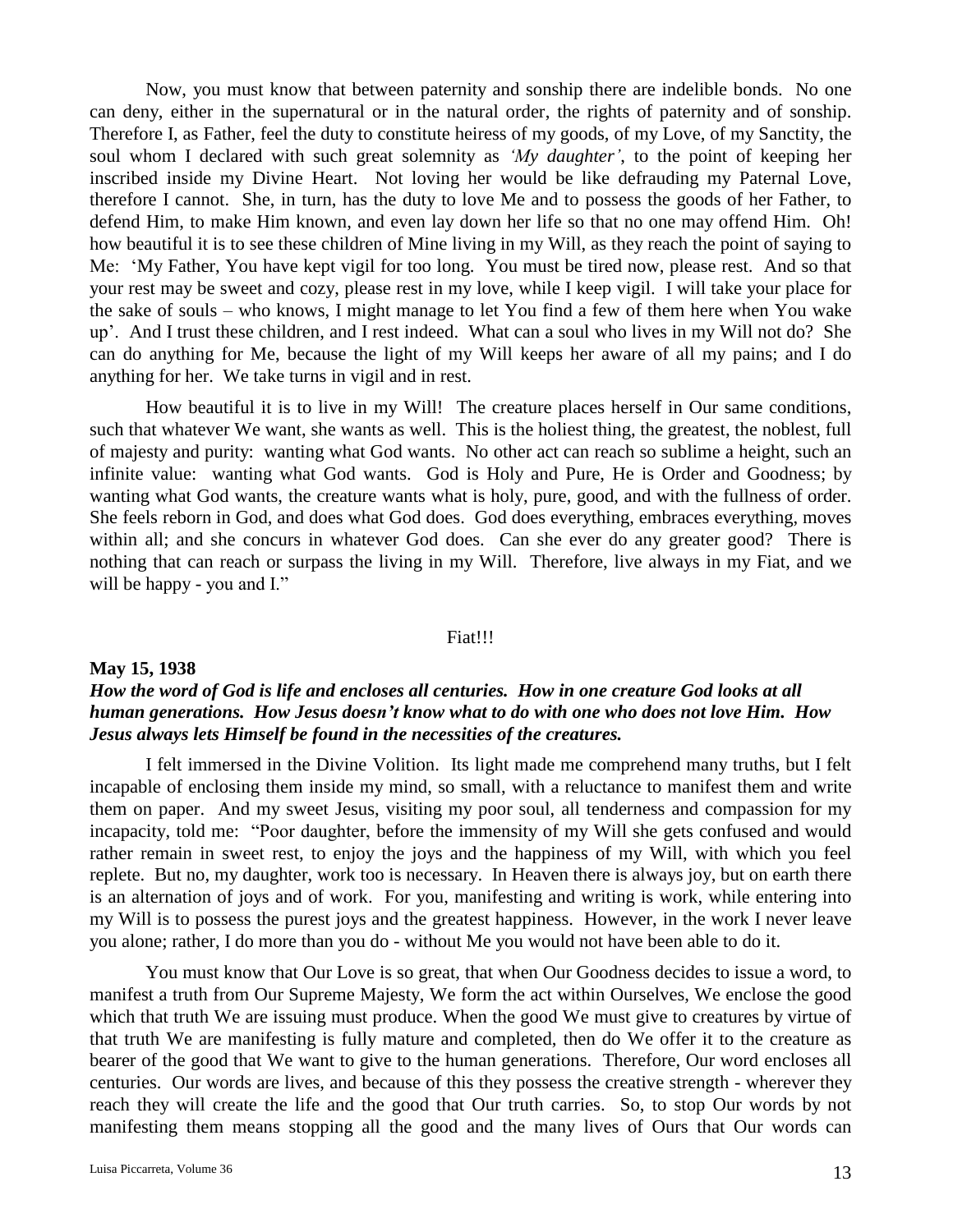Now, you must know that between paternity and sonship there are indelible bonds. No one can deny, either in the supernatural or in the natural order, the rights of paternity and of sonship. Therefore I, as Father, feel the duty to constitute heiress of my goods, of my Love, of my Sanctity, the soul whom I declared with such great solemnity as *'My daughter'*, to the point of keeping her inscribed inside my Divine Heart. Not loving her would be like defrauding my Paternal Love, therefore I cannot. She, in turn, has the duty to love Me and to possess the goods of her Father, to defend Him, to make Him known, and even lay down her life so that no one may offend Him. Oh! how beautiful it is to see these children of Mine living in my Will, as they reach the point of saying to Me: 'My Father, You have kept vigil for too long. You must be tired now, please rest. And so that your rest may be sweet and cozy, please rest in my love, while I keep vigil. I will take your place for the sake of souls – who knows, I might manage to let You find a few of them here when You wake up'. And I trust these children, and I rest indeed. What can a soul who lives in my Will not do? She can do anything for Me, because the light of my Will keeps her aware of all my pains; and I do anything for her. We take turns in vigil and in rest.

How beautiful it is to live in my Will! The creature places herself in Our same conditions, such that whatever We want, she wants as well. This is the holiest thing, the greatest, the noblest, full of majesty and purity: wanting what God wants. No other act can reach so sublime a height, such an infinite value: wanting what God wants. God is Holy and Pure, He is Order and Goodness; by wanting what God wants, the creature wants what is holy, pure, good, and with the fullness of order. She feels reborn in God, and does what God does. God does everything, embraces everything, moves within all; and she concurs in whatever God does. Can she ever do any greater good? There is nothing that can reach or surpass the living in my Will. Therefore, live always in my Fiat, and we will be happy - you and I."

#### Fiat!!!

## **May 15, 1938** *How the word of God is life and encloses all centuries. How in one creature God looks at all human generations. How Jesus doesn't know what to do with one who does not love Him. How Jesus always lets Himself be found in the necessities of the creatures.*

I felt immersed in the Divine Volition. Its light made me comprehend many truths, but I felt incapable of enclosing them inside my mind, so small, with a reluctance to manifest them and write them on paper. And my sweet Jesus, visiting my poor soul, all tenderness and compassion for my incapacity, told me: "Poor daughter, before the immensity of my Will she gets confused and would rather remain in sweet rest, to enjoy the joys and the happiness of my Will, with which you feel replete. But no, my daughter, work too is necessary. In Heaven there is always joy, but on earth there is an alternation of joys and of work. For you, manifesting and writing is work, while entering into my Will is to possess the purest joys and the greatest happiness. However, in the work I never leave you alone; rather, I do more than you do - without Me you would not have been able to do it.

You must know that Our Love is so great, that when Our Goodness decides to issue a word, to manifest a truth from Our Supreme Majesty, We form the act within Ourselves, We enclose the good which that truth We are issuing must produce. When the good We must give to creatures by virtue of that truth We are manifesting is fully mature and completed, then do We offer it to the creature as bearer of the good that We want to give to the human generations. Therefore, Our word encloses all centuries. Our words are lives, and because of this they possess the creative strength - wherever they reach they will create the life and the good that Our truth carries. So, to stop Our words by not manifesting them means stopping all the good and the many lives of Ours that Our words can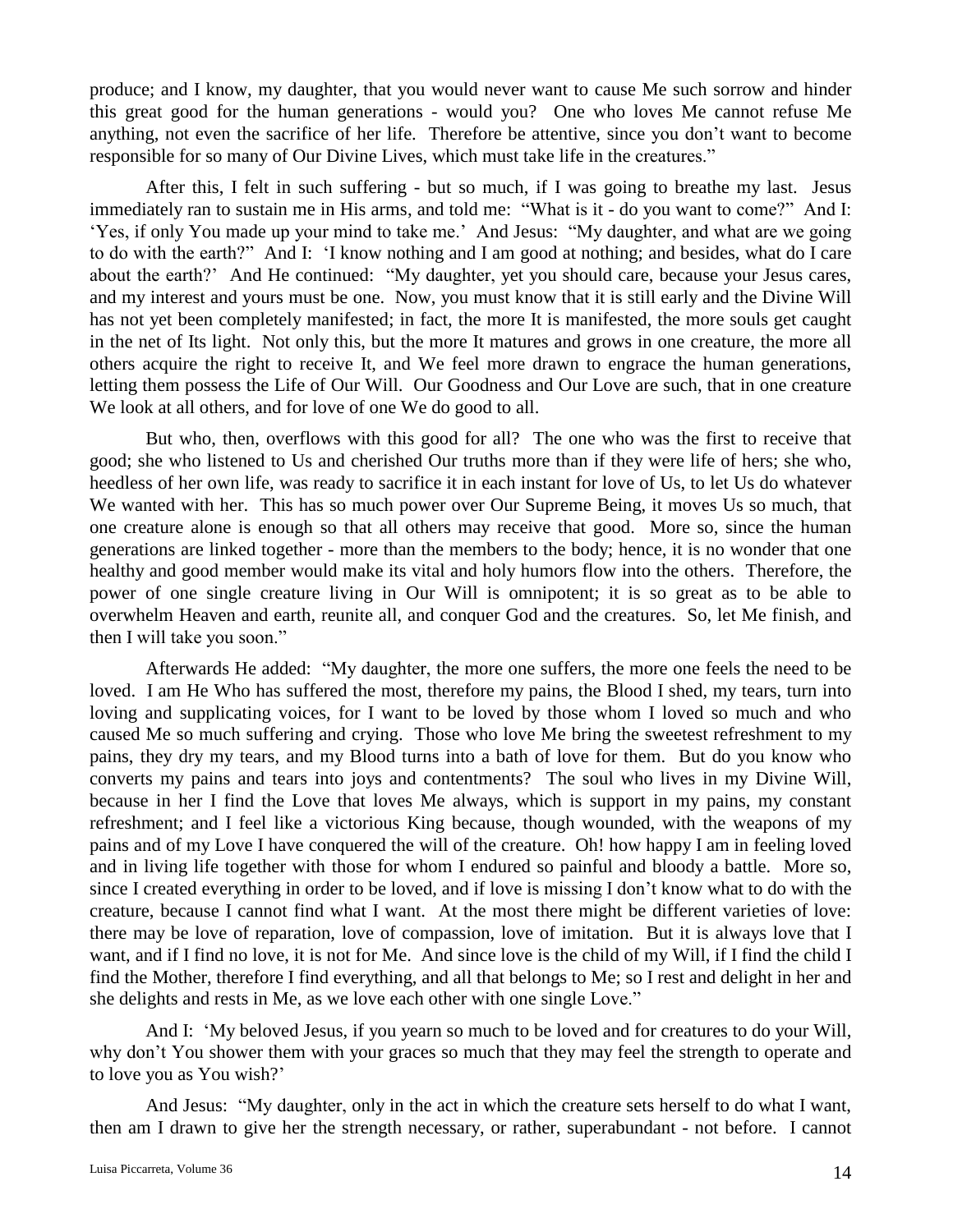produce; and I know, my daughter, that you would never want to cause Me such sorrow and hinder this great good for the human generations - would you? One who loves Me cannot refuse Me anything, not even the sacrifice of her life. Therefore be attentive, since you don't want to become responsible for so many of Our Divine Lives, which must take life in the creatures."

After this, I felt in such suffering - but so much, if I was going to breathe my last. Jesus immediately ran to sustain me in His arms, and told me: "What is it - do you want to come?" And I: 'Yes, if only You made up your mind to take me.' And Jesus: "My daughter, and what are we going to do with the earth?" And I: 'I know nothing and I am good at nothing; and besides, what do I care about the earth?' And He continued: "My daughter, yet you should care, because your Jesus cares, and my interest and yours must be one. Now, you must know that it is still early and the Divine Will has not yet been completely manifested; in fact, the more It is manifested, the more souls get caught in the net of Its light. Not only this, but the more It matures and grows in one creature, the more all others acquire the right to receive It, and We feel more drawn to engrace the human generations, letting them possess the Life of Our Will. Our Goodness and Our Love are such, that in one creature We look at all others, and for love of one We do good to all.

But who, then, overflows with this good for all? The one who was the first to receive that good; she who listened to Us and cherished Our truths more than if they were life of hers; she who, heedless of her own life, was ready to sacrifice it in each instant for love of Us, to let Us do whatever We wanted with her. This has so much power over Our Supreme Being, it moves Us so much, that one creature alone is enough so that all others may receive that good. More so, since the human generations are linked together - more than the members to the body; hence, it is no wonder that one healthy and good member would make its vital and holy humors flow into the others. Therefore, the power of one single creature living in Our Will is omnipotent; it is so great as to be able to overwhelm Heaven and earth, reunite all, and conquer God and the creatures. So, let Me finish, and then I will take you soon."

Afterwards He added: "My daughter, the more one suffers, the more one feels the need to be loved. I am He Who has suffered the most, therefore my pains, the Blood I shed, my tears, turn into loving and supplicating voices, for I want to be loved by those whom I loved so much and who caused Me so much suffering and crying. Those who love Me bring the sweetest refreshment to my pains, they dry my tears, and my Blood turns into a bath of love for them. But do you know who converts my pains and tears into joys and contentments? The soul who lives in my Divine Will, because in her I find the Love that loves Me always, which is support in my pains, my constant refreshment; and I feel like a victorious King because, though wounded, with the weapons of my pains and of my Love I have conquered the will of the creature. Oh! how happy I am in feeling loved and in living life together with those for whom I endured so painful and bloody a battle. More so, since I created everything in order to be loved, and if love is missing I don't know what to do with the creature, because I cannot find what I want. At the most there might be different varieties of love: there may be love of reparation, love of compassion, love of imitation. But it is always love that I want, and if I find no love, it is not for Me. And since love is the child of my Will, if I find the child I find the Mother, therefore I find everything, and all that belongs to Me; so I rest and delight in her and she delights and rests in Me, as we love each other with one single Love."

And I: 'My beloved Jesus, if you yearn so much to be loved and for creatures to do your Will, why don't You shower them with your graces so much that they may feel the strength to operate and to love you as You wish?'

And Jesus: "My daughter, only in the act in which the creature sets herself to do what I want, then am I drawn to give her the strength necessary, or rather, superabundant - not before. I cannot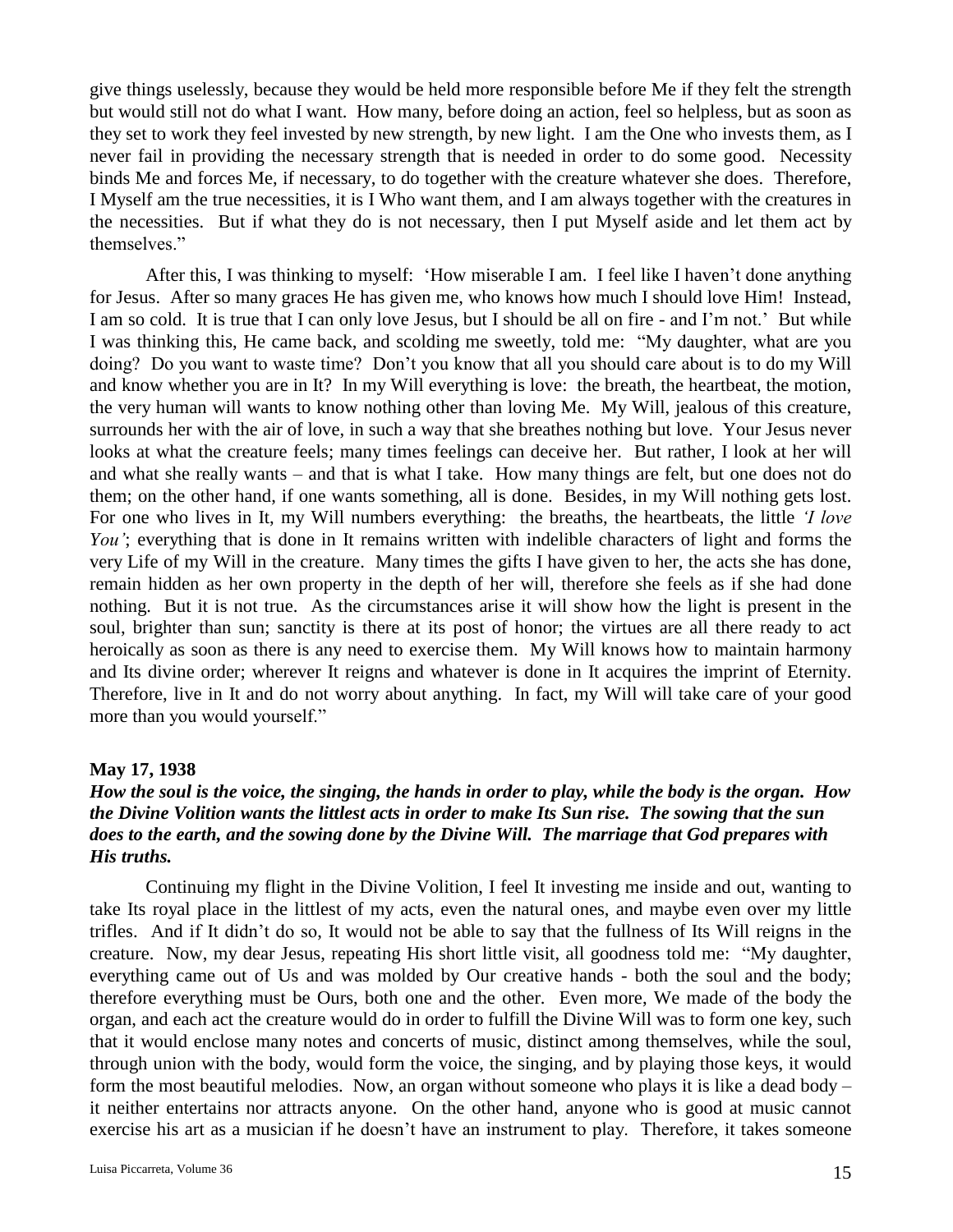give things uselessly, because they would be held more responsible before Me if they felt the strength but would still not do what I want. How many, before doing an action, feel so helpless, but as soon as they set to work they feel invested by new strength, by new light. I am the One who invests them, as I never fail in providing the necessary strength that is needed in order to do some good. Necessity binds Me and forces Me, if necessary, to do together with the creature whatever she does. Therefore, I Myself am the true necessities, it is I Who want them, and I am always together with the creatures in the necessities. But if what they do is not necessary, then I put Myself aside and let them act by themselves."

After this, I was thinking to myself: 'How miserable I am. I feel like I haven't done anything for Jesus. After so many graces He has given me, who knows how much I should love Him! Instead, I am so cold. It is true that I can only love Jesus, but I should be all on fire - and I'm not.' But while I was thinking this, He came back, and scolding me sweetly, told me: "My daughter, what are you doing? Do you want to waste time? Don't you know that all you should care about is to do my Will and know whether you are in It? In my Will everything is love: the breath, the heartbeat, the motion, the very human will wants to know nothing other than loving Me. My Will, jealous of this creature, surrounds her with the air of love, in such a way that she breathes nothing but love. Your Jesus never looks at what the creature feels; many times feelings can deceive her. But rather, I look at her will and what she really wants – and that is what I take. How many things are felt, but one does not do them; on the other hand, if one wants something, all is done. Besides, in my Will nothing gets lost. For one who lives in It, my Will numbers everything: the breaths, the heartbeats, the little *'I love You'*; everything that is done in It remains written with indelible characters of light and forms the very Life of my Will in the creature. Many times the gifts I have given to her, the acts she has done, remain hidden as her own property in the depth of her will, therefore she feels as if she had done nothing. But it is not true. As the circumstances arise it will show how the light is present in the soul, brighter than sun; sanctity is there at its post of honor; the virtues are all there ready to act heroically as soon as there is any need to exercise them. My Will knows how to maintain harmony and Its divine order; wherever It reigns and whatever is done in It acquires the imprint of Eternity. Therefore, live in It and do not worry about anything. In fact, my Will will take care of your good more than you would yourself."

## **May 17, 1938**

## *How the soul is the voice, the singing, the hands in order to play, while the body is the organ. How the Divine Volition wants the littlest acts in order to make Its Sun rise. The sowing that the sun does to the earth, and the sowing done by the Divine Will. The marriage that God prepares with His truths.*

Continuing my flight in the Divine Volition, I feel It investing me inside and out, wanting to take Its royal place in the littlest of my acts, even the natural ones, and maybe even over my little trifles. And if It didn't do so, It would not be able to say that the fullness of Its Will reigns in the creature. Now, my dear Jesus, repeating His short little visit, all goodness told me: "My daughter, everything came out of Us and was molded by Our creative hands - both the soul and the body; therefore everything must be Ours, both one and the other. Even more, We made of the body the organ, and each act the creature would do in order to fulfill the Divine Will was to form one key, such that it would enclose many notes and concerts of music, distinct among themselves, while the soul, through union with the body, would form the voice, the singing, and by playing those keys, it would form the most beautiful melodies. Now, an organ without someone who plays it is like a dead body – it neither entertains nor attracts anyone. On the other hand, anyone who is good at music cannot exercise his art as a musician if he doesn't have an instrument to play. Therefore, it takes someone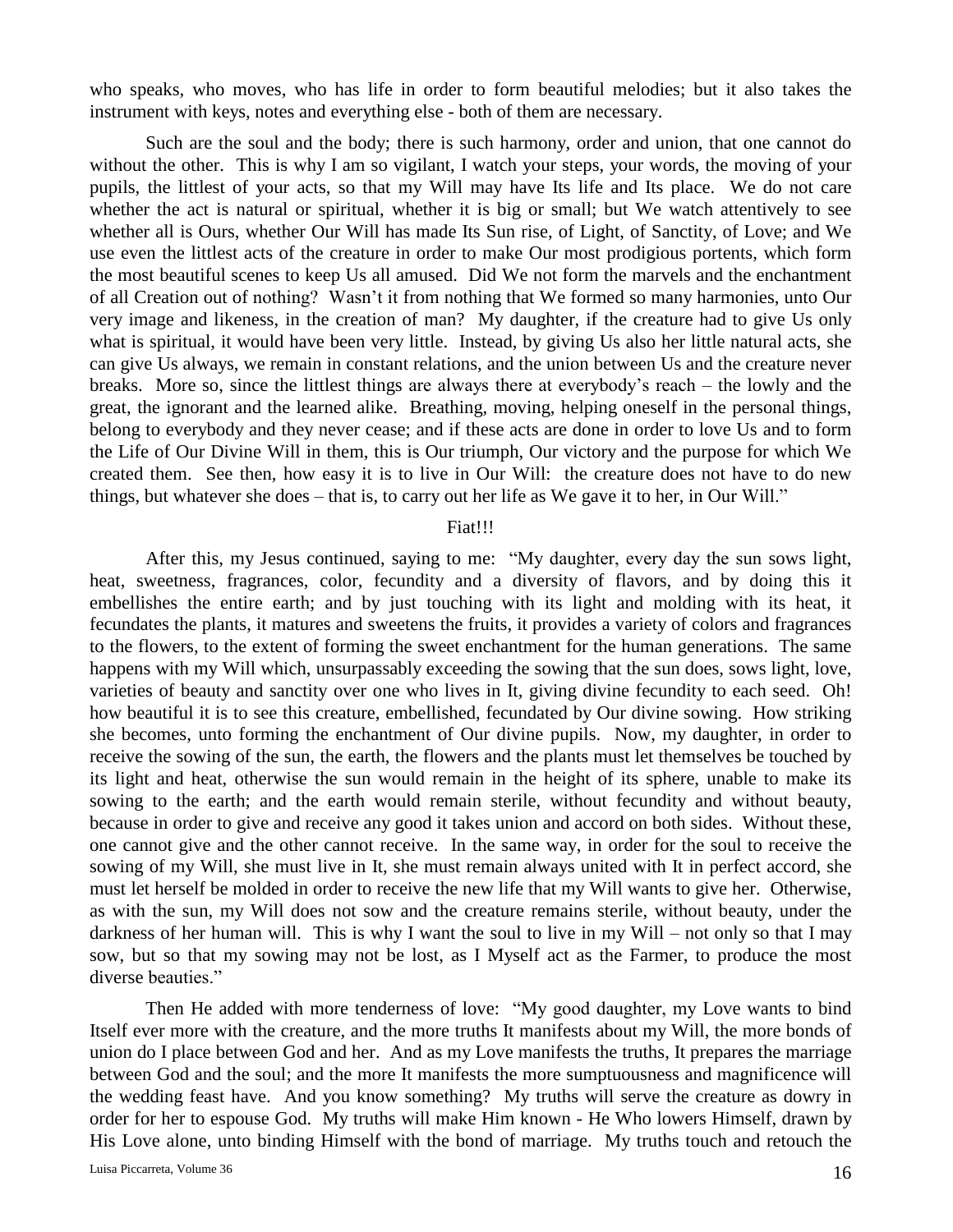who speaks, who moves, who has life in order to form beautiful melodies; but it also takes the instrument with keys, notes and everything else - both of them are necessary.

Such are the soul and the body; there is such harmony, order and union, that one cannot do without the other. This is why I am so vigilant, I watch your steps, your words, the moving of your pupils, the littlest of your acts, so that my Will may have Its life and Its place. We do not care whether the act is natural or spiritual, whether it is big or small; but We watch attentively to see whether all is Ours, whether Our Will has made Its Sun rise, of Light, of Sanctity, of Love; and We use even the littlest acts of the creature in order to make Our most prodigious portents, which form the most beautiful scenes to keep Us all amused. Did We not form the marvels and the enchantment of all Creation out of nothing? Wasn't it from nothing that We formed so many harmonies, unto Our very image and likeness, in the creation of man? My daughter, if the creature had to give Us only what is spiritual, it would have been very little. Instead, by giving Us also her little natural acts, she can give Us always, we remain in constant relations, and the union between Us and the creature never breaks. More so, since the littlest things are always there at everybody's reach – the lowly and the great, the ignorant and the learned alike. Breathing, moving, helping oneself in the personal things, belong to everybody and they never cease; and if these acts are done in order to love Us and to form the Life of Our Divine Will in them, this is Our triumph, Our victory and the purpose for which We created them. See then, how easy it is to live in Our Will: the creature does not have to do new things, but whatever she does – that is, to carry out her life as We gave it to her, in Our Will."

### Fiat!!!

After this, my Jesus continued, saying to me: "My daughter, every day the sun sows light, heat, sweetness, fragrances, color, fecundity and a diversity of flavors, and by doing this it embellishes the entire earth; and by just touching with its light and molding with its heat, it fecundates the plants, it matures and sweetens the fruits, it provides a variety of colors and fragrances to the flowers, to the extent of forming the sweet enchantment for the human generations. The same happens with my Will which, unsurpassably exceeding the sowing that the sun does, sows light, love, varieties of beauty and sanctity over one who lives in It, giving divine fecundity to each seed. Oh! how beautiful it is to see this creature, embellished, fecundated by Our divine sowing. How striking she becomes, unto forming the enchantment of Our divine pupils. Now, my daughter, in order to receive the sowing of the sun, the earth, the flowers and the plants must let themselves be touched by its light and heat, otherwise the sun would remain in the height of its sphere, unable to make its sowing to the earth; and the earth would remain sterile, without fecundity and without beauty, because in order to give and receive any good it takes union and accord on both sides. Without these, one cannot give and the other cannot receive. In the same way, in order for the soul to receive the sowing of my Will, she must live in It, she must remain always united with It in perfect accord, she must let herself be molded in order to receive the new life that my Will wants to give her. Otherwise, as with the sun, my Will does not sow and the creature remains sterile, without beauty, under the darkness of her human will. This is why I want the soul to live in my Will – not only so that I may sow, but so that my sowing may not be lost, as I Myself act as the Farmer, to produce the most diverse beauties."

Then He added with more tenderness of love: "My good daughter, my Love wants to bind Itself ever more with the creature, and the more truths It manifests about my Will, the more bonds of union do I place between God and her. And as my Love manifests the truths, It prepares the marriage between God and the soul; and the more It manifests the more sumptuousness and magnificence will the wedding feast have. And you know something? My truths will serve the creature as dowry in order for her to espouse God. My truths will make Him known - He Who lowers Himself, drawn by His Love alone, unto binding Himself with the bond of marriage. My truths touch and retouch the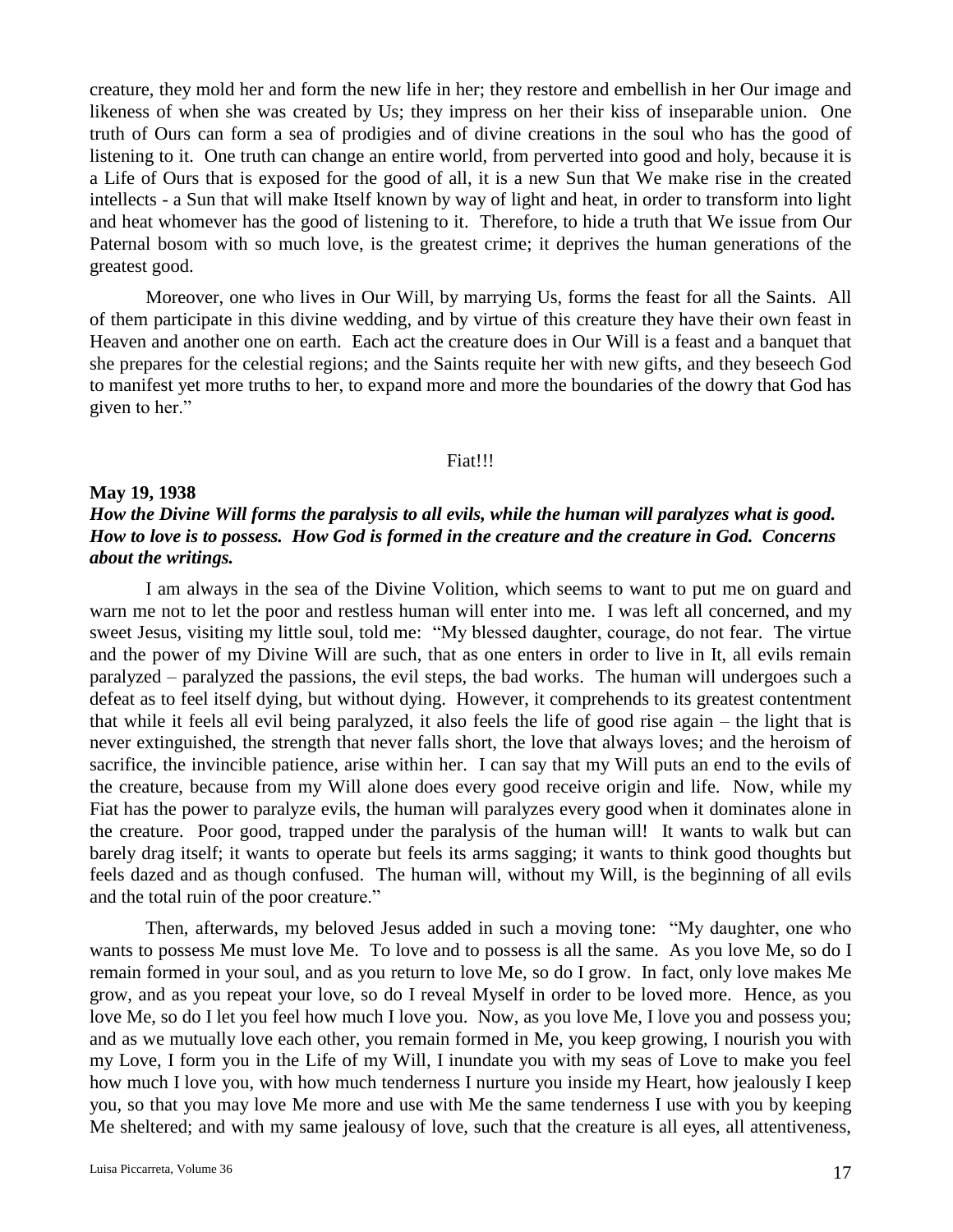creature, they mold her and form the new life in her; they restore and embellish in her Our image and likeness of when she was created by Us; they impress on her their kiss of inseparable union. One truth of Ours can form a sea of prodigies and of divine creations in the soul who has the good of listening to it. One truth can change an entire world, from perverted into good and holy, because it is a Life of Ours that is exposed for the good of all, it is a new Sun that We make rise in the created intellects - a Sun that will make Itself known by way of light and heat, in order to transform into light and heat whomever has the good of listening to it. Therefore, to hide a truth that We issue from Our Paternal bosom with so much love, is the greatest crime; it deprives the human generations of the greatest good.

Moreover, one who lives in Our Will, by marrying Us, forms the feast for all the Saints. All of them participate in this divine wedding, and by virtue of this creature they have their own feast in Heaven and another one on earth. Each act the creature does in Our Will is a feast and a banquet that she prepares for the celestial regions; and the Saints requite her with new gifts, and they beseech God to manifest yet more truths to her, to expand more and more the boundaries of the dowry that God has given to her."

### Fiat!!!

### **May 19, 1938**

## *How the Divine Will forms the paralysis to all evils, while the human will paralyzes what is good. How to love is to possess. How God is formed in the creature and the creature in God. Concerns about the writings.*

I am always in the sea of the Divine Volition, which seems to want to put me on guard and warn me not to let the poor and restless human will enter into me. I was left all concerned, and my sweet Jesus, visiting my little soul, told me: "My blessed daughter, courage, do not fear. The virtue and the power of my Divine Will are such, that as one enters in order to live in It, all evils remain paralyzed – paralyzed the passions, the evil steps, the bad works. The human will undergoes such a defeat as to feel itself dying, but without dying. However, it comprehends to its greatest contentment that while it feels all evil being paralyzed, it also feels the life of good rise again – the light that is never extinguished, the strength that never falls short, the love that always loves; and the heroism of sacrifice, the invincible patience, arise within her. I can say that my Will puts an end to the evils of the creature, because from my Will alone does every good receive origin and life. Now, while my Fiat has the power to paralyze evils, the human will paralyzes every good when it dominates alone in the creature. Poor good, trapped under the paralysis of the human will! It wants to walk but can barely drag itself; it wants to operate but feels its arms sagging; it wants to think good thoughts but feels dazed and as though confused. The human will, without my Will, is the beginning of all evils and the total ruin of the poor creature."

Then, afterwards, my beloved Jesus added in such a moving tone: "My daughter, one who wants to possess Me must love Me. To love and to possess is all the same. As you love Me, so do I remain formed in your soul, and as you return to love Me, so do I grow. In fact, only love makes Me grow, and as you repeat your love, so do I reveal Myself in order to be loved more. Hence, as you love Me, so do I let you feel how much I love you. Now, as you love Me, I love you and possess you; and as we mutually love each other, you remain formed in Me, you keep growing, I nourish you with my Love, I form you in the Life of my Will, I inundate you with my seas of Love to make you feel how much I love you, with how much tenderness I nurture you inside my Heart, how jealously I keep you, so that you may love Me more and use with Me the same tenderness I use with you by keeping Me sheltered; and with my same jealousy of love, such that the creature is all eyes, all attentiveness,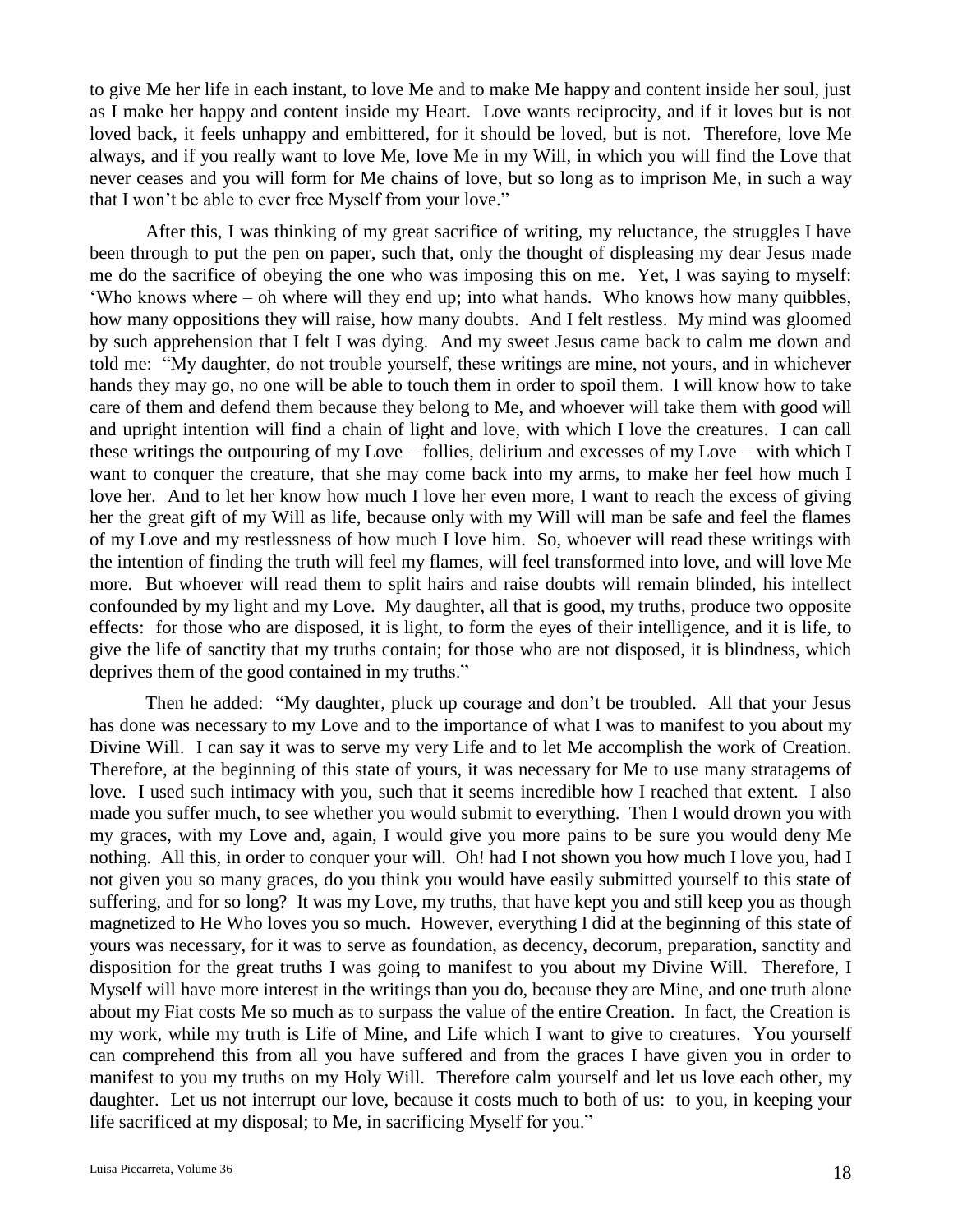to give Me her life in each instant, to love Me and to make Me happy and content inside her soul, just as I make her happy and content inside my Heart. Love wants reciprocity, and if it loves but is not loved back, it feels unhappy and embittered, for it should be loved, but is not. Therefore, love Me always, and if you really want to love Me, love Me in my Will, in which you will find the Love that never ceases and you will form for Me chains of love, but so long as to imprison Me, in such a way that I won't be able to ever free Myself from your love."

After this, I was thinking of my great sacrifice of writing, my reluctance, the struggles I have been through to put the pen on paper, such that, only the thought of displeasing my dear Jesus made me do the sacrifice of obeying the one who was imposing this on me. Yet, I was saying to myself: 'Who knows where – oh where will they end up; into what hands. Who knows how many quibbles, how many oppositions they will raise, how many doubts. And I felt restless. My mind was gloomed by such apprehension that I felt I was dying. And my sweet Jesus came back to calm me down and told me: "My daughter, do not trouble yourself, these writings are mine, not yours, and in whichever hands they may go, no one will be able to touch them in order to spoil them. I will know how to take care of them and defend them because they belong to Me, and whoever will take them with good will and upright intention will find a chain of light and love, with which I love the creatures. I can call these writings the outpouring of my Love – follies, delirium and excesses of my Love – with which I want to conquer the creature, that she may come back into my arms, to make her feel how much I love her. And to let her know how much I love her even more, I want to reach the excess of giving her the great gift of my Will as life, because only with my Will will man be safe and feel the flames of my Love and my restlessness of how much I love him. So, whoever will read these writings with the intention of finding the truth will feel my flames, will feel transformed into love, and will love Me more. But whoever will read them to split hairs and raise doubts will remain blinded, his intellect confounded by my light and my Love. My daughter, all that is good, my truths, produce two opposite effects: for those who are disposed, it is light, to form the eyes of their intelligence, and it is life, to give the life of sanctity that my truths contain; for those who are not disposed, it is blindness, which deprives them of the good contained in my truths."

Then he added: "My daughter, pluck up courage and don't be troubled. All that your Jesus has done was necessary to my Love and to the importance of what I was to manifest to you about my Divine Will. I can say it was to serve my very Life and to let Me accomplish the work of Creation. Therefore, at the beginning of this state of yours, it was necessary for Me to use many stratagems of love. I used such intimacy with you, such that it seems incredible how I reached that extent. I also made you suffer much, to see whether you would submit to everything. Then I would drown you with my graces, with my Love and, again, I would give you more pains to be sure you would deny Me nothing. All this, in order to conquer your will. Oh! had I not shown you how much I love you, had I not given you so many graces, do you think you would have easily submitted yourself to this state of suffering, and for so long? It was my Love, my truths, that have kept you and still keep you as though magnetized to He Who loves you so much. However, everything I did at the beginning of this state of yours was necessary, for it was to serve as foundation, as decency, decorum, preparation, sanctity and disposition for the great truths I was going to manifest to you about my Divine Will. Therefore, I Myself will have more interest in the writings than you do, because they are Mine, and one truth alone about my Fiat costs Me so much as to surpass the value of the entire Creation. In fact, the Creation is my work, while my truth is Life of Mine, and Life which I want to give to creatures. You yourself can comprehend this from all you have suffered and from the graces I have given you in order to manifest to you my truths on my Holy Will. Therefore calm yourself and let us love each other, my daughter. Let us not interrupt our love, because it costs much to both of us: to you, in keeping your life sacrificed at my disposal; to Me, in sacrificing Myself for you."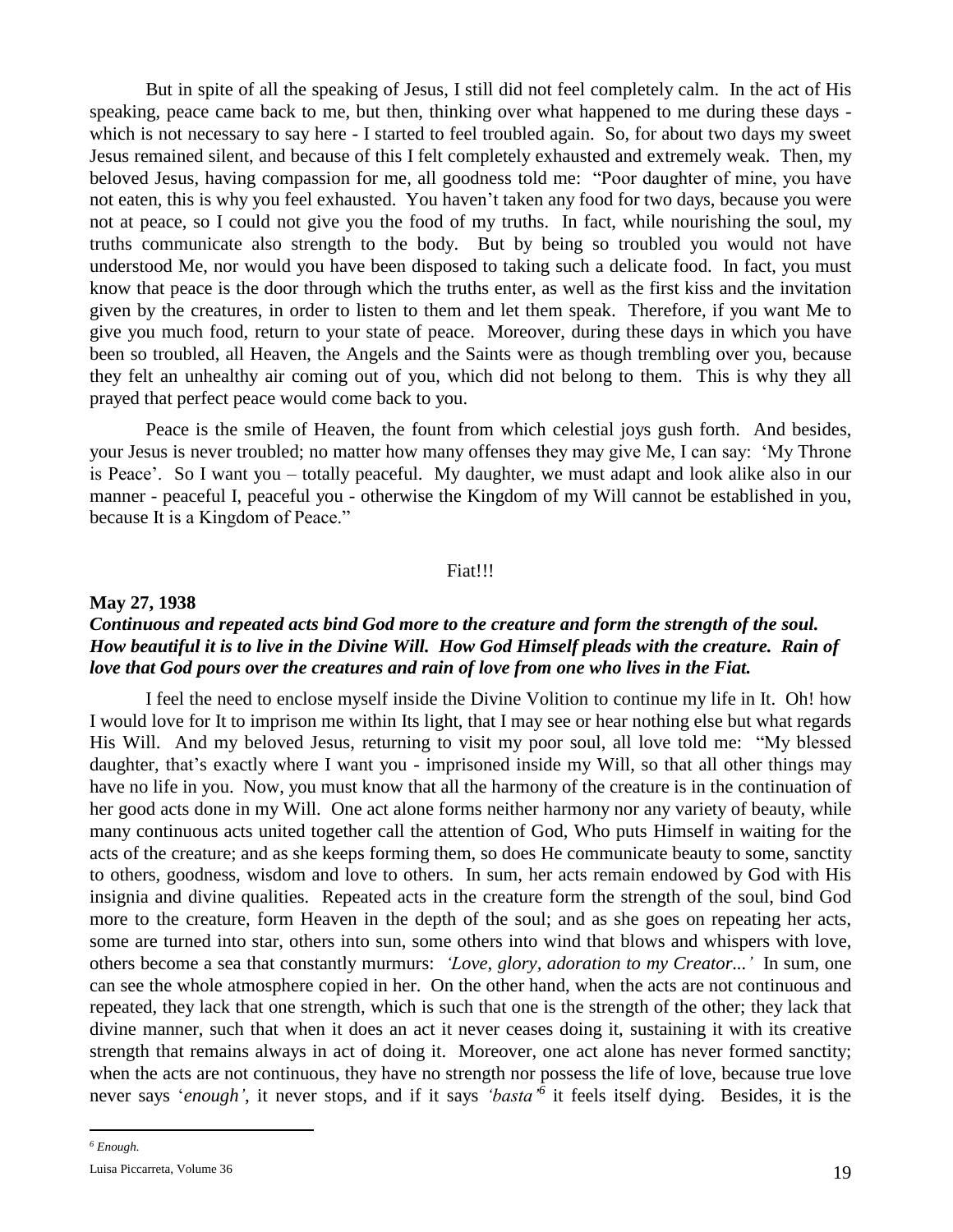But in spite of all the speaking of Jesus, I still did not feel completely calm. In the act of His speaking, peace came back to me, but then, thinking over what happened to me during these days which is not necessary to say here - I started to feel troubled again. So, for about two days my sweet Jesus remained silent, and because of this I felt completely exhausted and extremely weak. Then, my beloved Jesus, having compassion for me, all goodness told me: "Poor daughter of mine, you have not eaten, this is why you feel exhausted. You haven't taken any food for two days, because you were not at peace, so I could not give you the food of my truths. In fact, while nourishing the soul, my truths communicate also strength to the body. But by being so troubled you would not have understood Me, nor would you have been disposed to taking such a delicate food. In fact, you must know that peace is the door through which the truths enter, as well as the first kiss and the invitation given by the creatures, in order to listen to them and let them speak. Therefore, if you want Me to give you much food, return to your state of peace. Moreover, during these days in which you have been so troubled, all Heaven, the Angels and the Saints were as though trembling over you, because they felt an unhealthy air coming out of you, which did not belong to them. This is why they all prayed that perfect peace would come back to you.

Peace is the smile of Heaven, the fount from which celestial joys gush forth. And besides, your Jesus is never troubled; no matter how many offenses they may give Me, I can say: 'My Throne is Peace'. So I want you – totally peaceful. My daughter, we must adapt and look alike also in our manner - peaceful I, peaceful you - otherwise the Kingdom of my Will cannot be established in you, because It is a Kingdom of Peace."

#### Fiat!!!

### **May 27, 1938**

## *Continuous and repeated acts bind God more to the creature and form the strength of the soul. How beautiful it is to live in the Divine Will. How God Himself pleads with the creature. Rain of love that God pours over the creatures and rain of love from one who lives in the Fiat.*

I feel the need to enclose myself inside the Divine Volition to continue my life in It. Oh! how I would love for It to imprison me within Its light, that I may see or hear nothing else but what regards His Will. And my beloved Jesus, returning to visit my poor soul, all love told me: "My blessed daughter, that's exactly where I want you - imprisoned inside my Will, so that all other things may have no life in you. Now, you must know that all the harmony of the creature is in the continuation of her good acts done in my Will. One act alone forms neither harmony nor any variety of beauty, while many continuous acts united together call the attention of God, Who puts Himself in waiting for the acts of the creature; and as she keeps forming them, so does He communicate beauty to some, sanctity to others, goodness, wisdom and love to others. In sum, her acts remain endowed by God with His insignia and divine qualities. Repeated acts in the creature form the strength of the soul, bind God more to the creature, form Heaven in the depth of the soul; and as she goes on repeating her acts, some are turned into star, others into sun, some others into wind that blows and whispers with love, others become a sea that constantly murmurs: *'Love, glory, adoration to my Creator...'* In sum, one can see the whole atmosphere copied in her. On the other hand, when the acts are not continuous and repeated, they lack that one strength, which is such that one is the strength of the other; they lack that divine manner, such that when it does an act it never ceases doing it, sustaining it with its creative strength that remains always in act of doing it. Moreover, one act alone has never formed sanctity; when the acts are not continuous, they have no strength nor possess the life of love, because true love never says '*enough'*, it never stops, and if it says *'basta'<sup>6</sup>* it feels itself dying. Besides, it is the

 $\overline{a}$ 

*<sup>6</sup> Enough.*

Luisa Piccarreta, Volume 36 19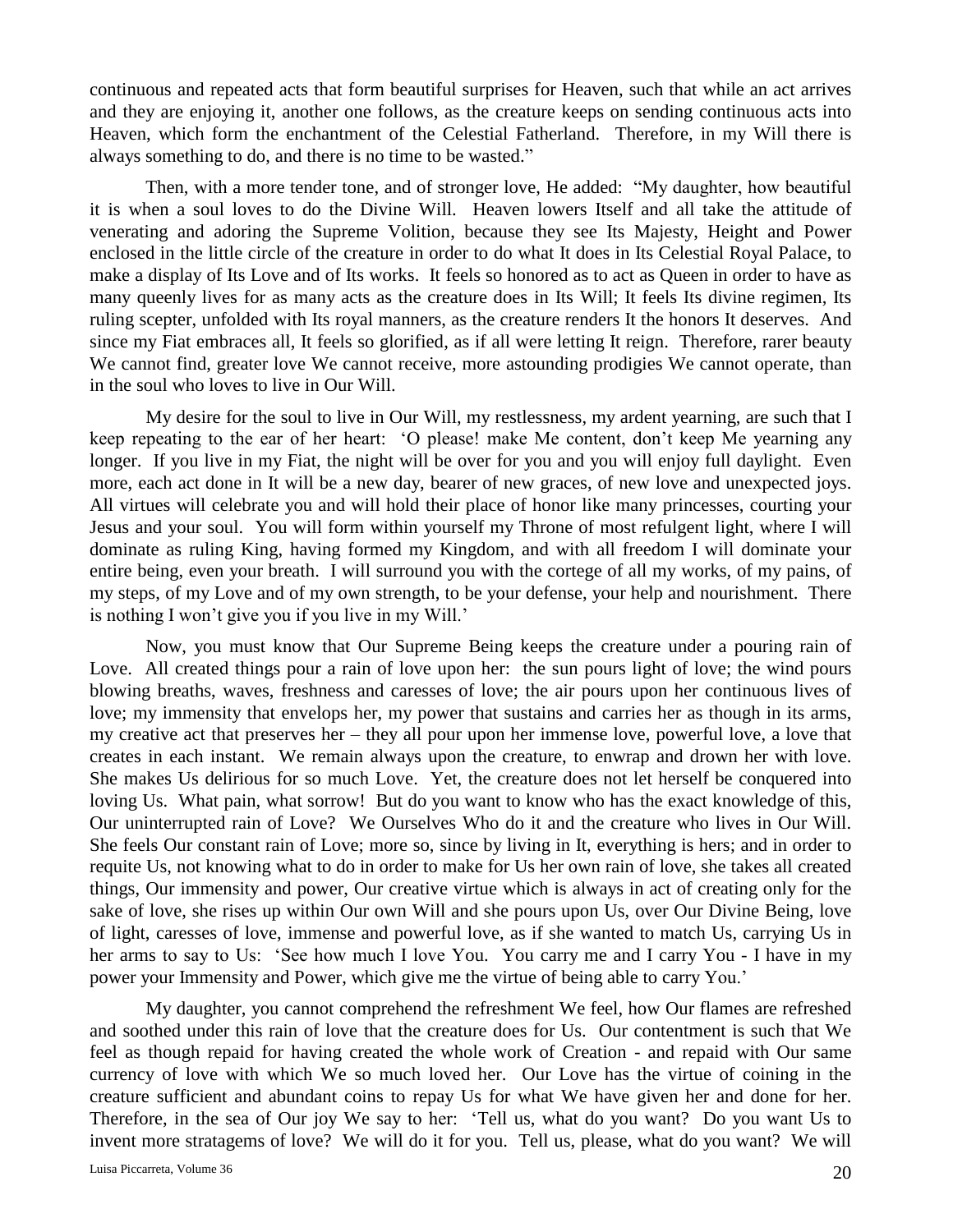continuous and repeated acts that form beautiful surprises for Heaven, such that while an act arrives and they are enjoying it, another one follows, as the creature keeps on sending continuous acts into Heaven, which form the enchantment of the Celestial Fatherland. Therefore, in my Will there is always something to do, and there is no time to be wasted."

Then, with a more tender tone, and of stronger love, He added: "My daughter, how beautiful it is when a soul loves to do the Divine Will. Heaven lowers Itself and all take the attitude of venerating and adoring the Supreme Volition, because they see Its Majesty, Height and Power enclosed in the little circle of the creature in order to do what It does in Its Celestial Royal Palace, to make a display of Its Love and of Its works. It feels so honored as to act as Queen in order to have as many queenly lives for as many acts as the creature does in Its Will; It feels Its divine regimen, Its ruling scepter, unfolded with Its royal manners, as the creature renders It the honors It deserves. And since my Fiat embraces all, It feels so glorified, as if all were letting It reign. Therefore, rarer beauty We cannot find, greater love We cannot receive, more astounding prodigies We cannot operate, than in the soul who loves to live in Our Will.

My desire for the soul to live in Our Will, my restlessness, my ardent yearning, are such that I keep repeating to the ear of her heart: 'O please! make Me content, don't keep Me yearning any longer. If you live in my Fiat, the night will be over for you and you will enjoy full daylight. Even more, each act done in It will be a new day, bearer of new graces, of new love and unexpected joys. All virtues will celebrate you and will hold their place of honor like many princesses, courting your Jesus and your soul. You will form within yourself my Throne of most refulgent light, where I will dominate as ruling King, having formed my Kingdom, and with all freedom I will dominate your entire being, even your breath. I will surround you with the cortege of all my works, of my pains, of my steps, of my Love and of my own strength, to be your defense, your help and nourishment. There is nothing I won't give you if you live in my Will.'

Now, you must know that Our Supreme Being keeps the creature under a pouring rain of Love. All created things pour a rain of love upon her: the sun pours light of love; the wind pours blowing breaths, waves, freshness and caresses of love; the air pours upon her continuous lives of love; my immensity that envelops her, my power that sustains and carries her as though in its arms, my creative act that preserves her – they all pour upon her immense love, powerful love, a love that creates in each instant. We remain always upon the creature, to enwrap and drown her with love. She makes Us delirious for so much Love. Yet, the creature does not let herself be conquered into loving Us. What pain, what sorrow! But do you want to know who has the exact knowledge of this, Our uninterrupted rain of Love? We Ourselves Who do it and the creature who lives in Our Will. She feels Our constant rain of Love; more so, since by living in It, everything is hers; and in order to requite Us, not knowing what to do in order to make for Us her own rain of love, she takes all created things, Our immensity and power, Our creative virtue which is always in act of creating only for the sake of love, she rises up within Our own Will and she pours upon Us, over Our Divine Being, love of light, caresses of love, immense and powerful love, as if she wanted to match Us, carrying Us in her arms to say to Us: 'See how much I love You. You carry me and I carry You - I have in my power your Immensity and Power, which give me the virtue of being able to carry You.'

My daughter, you cannot comprehend the refreshment We feel, how Our flames are refreshed and soothed under this rain of love that the creature does for Us. Our contentment is such that We feel as though repaid for having created the whole work of Creation - and repaid with Our same currency of love with which We so much loved her. Our Love has the virtue of coining in the creature sufficient and abundant coins to repay Us for what We have given her and done for her. Therefore, in the sea of Our joy We say to her: 'Tell us, what do you want? Do you want Us to invent more stratagems of love? We will do it for you. Tell us, please, what do you want? We will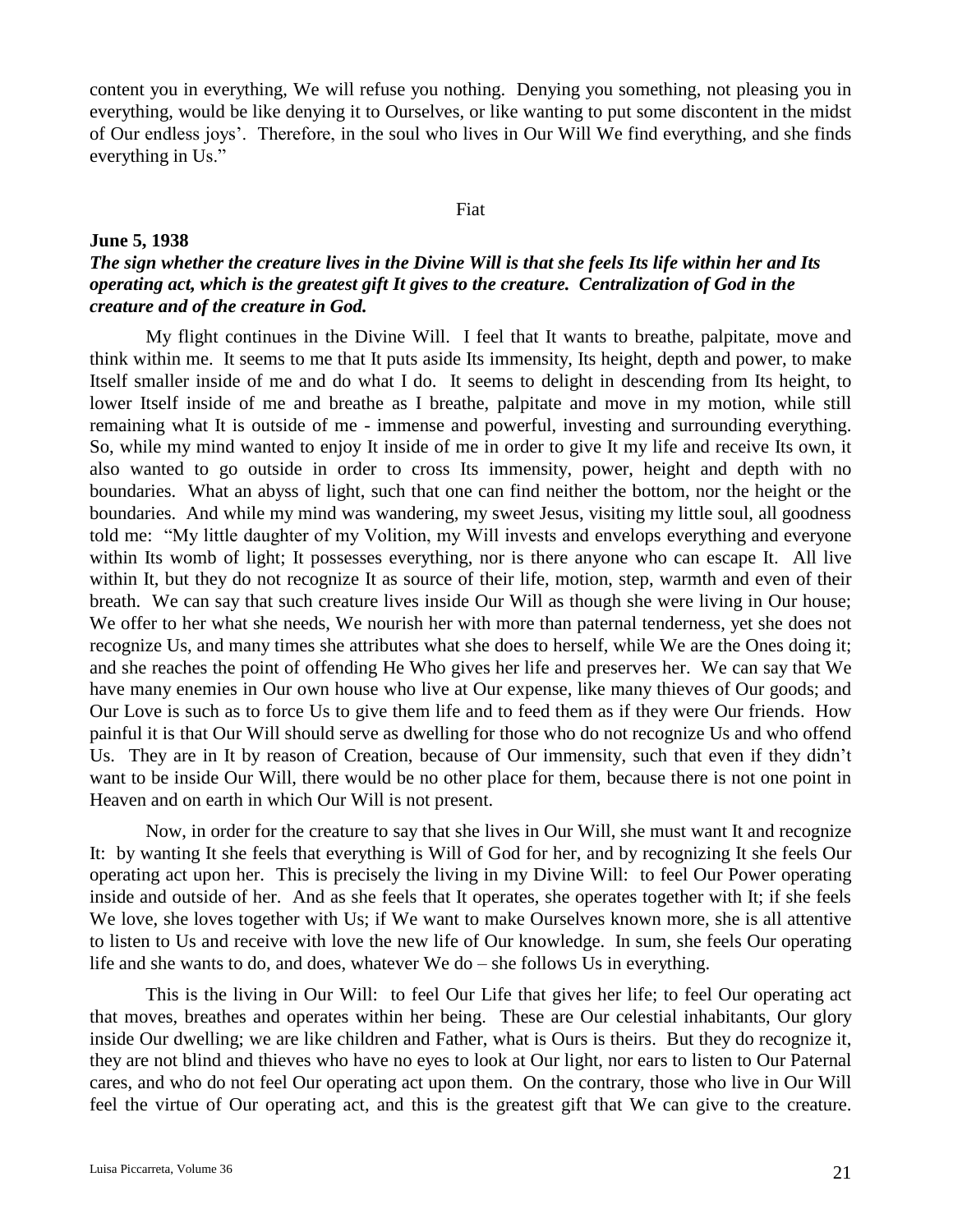content you in everything, We will refuse you nothing. Denying you something, not pleasing you in everything, would be like denying it to Ourselves, or like wanting to put some discontent in the midst of Our endless joys'. Therefore, in the soul who lives in Our Will We find everything, and she finds everything in Us."

#### Fiat

### **June 5, 1938**

# *The sign whether the creature lives in the Divine Will is that she feels Its life within her and Its operating act, which is the greatest gift It gives to the creature. Centralization of God in the creature and of the creature in God.*

My flight continues in the Divine Will. I feel that It wants to breathe, palpitate, move and think within me. It seems to me that It puts aside Its immensity, Its height, depth and power, to make Itself smaller inside of me and do what I do. It seems to delight in descending from Its height, to lower Itself inside of me and breathe as I breathe, palpitate and move in my motion, while still remaining what It is outside of me - immense and powerful, investing and surrounding everything. So, while my mind wanted to enjoy It inside of me in order to give It my life and receive Its own, it also wanted to go outside in order to cross Its immensity, power, height and depth with no boundaries. What an abyss of light, such that one can find neither the bottom, nor the height or the boundaries. And while my mind was wandering, my sweet Jesus, visiting my little soul, all goodness told me: "My little daughter of my Volition, my Will invests and envelops everything and everyone within Its womb of light; It possesses everything, nor is there anyone who can escape It. All live within It, but they do not recognize It as source of their life, motion, step, warmth and even of their breath. We can say that such creature lives inside Our Will as though she were living in Our house; We offer to her what she needs, We nourish her with more than paternal tenderness, yet she does not recognize Us, and many times she attributes what she does to herself, while We are the Ones doing it; and she reaches the point of offending He Who gives her life and preserves her. We can say that We have many enemies in Our own house who live at Our expense, like many thieves of Our goods; and Our Love is such as to force Us to give them life and to feed them as if they were Our friends. How painful it is that Our Will should serve as dwelling for those who do not recognize Us and who offend Us. They are in It by reason of Creation, because of Our immensity, such that even if they didn't want to be inside Our Will, there would be no other place for them, because there is not one point in Heaven and on earth in which Our Will is not present.

Now, in order for the creature to say that she lives in Our Will, she must want It and recognize It: by wanting It she feels that everything is Will of God for her, and by recognizing It she feels Our operating act upon her. This is precisely the living in my Divine Will: to feel Our Power operating inside and outside of her. And as she feels that It operates, she operates together with It; if she feels We love, she loves together with Us; if We want to make Ourselves known more, she is all attentive to listen to Us and receive with love the new life of Our knowledge. In sum, she feels Our operating life and she wants to do, and does, whatever We do – she follows Us in everything.

This is the living in Our Will: to feel Our Life that gives her life; to feel Our operating act that moves, breathes and operates within her being. These are Our celestial inhabitants, Our glory inside Our dwelling; we are like children and Father, what is Ours is theirs. But they do recognize it, they are not blind and thieves who have no eyes to look at Our light, nor ears to listen to Our Paternal cares, and who do not feel Our operating act upon them. On the contrary, those who live in Our Will feel the virtue of Our operating act, and this is the greatest gift that We can give to the creature.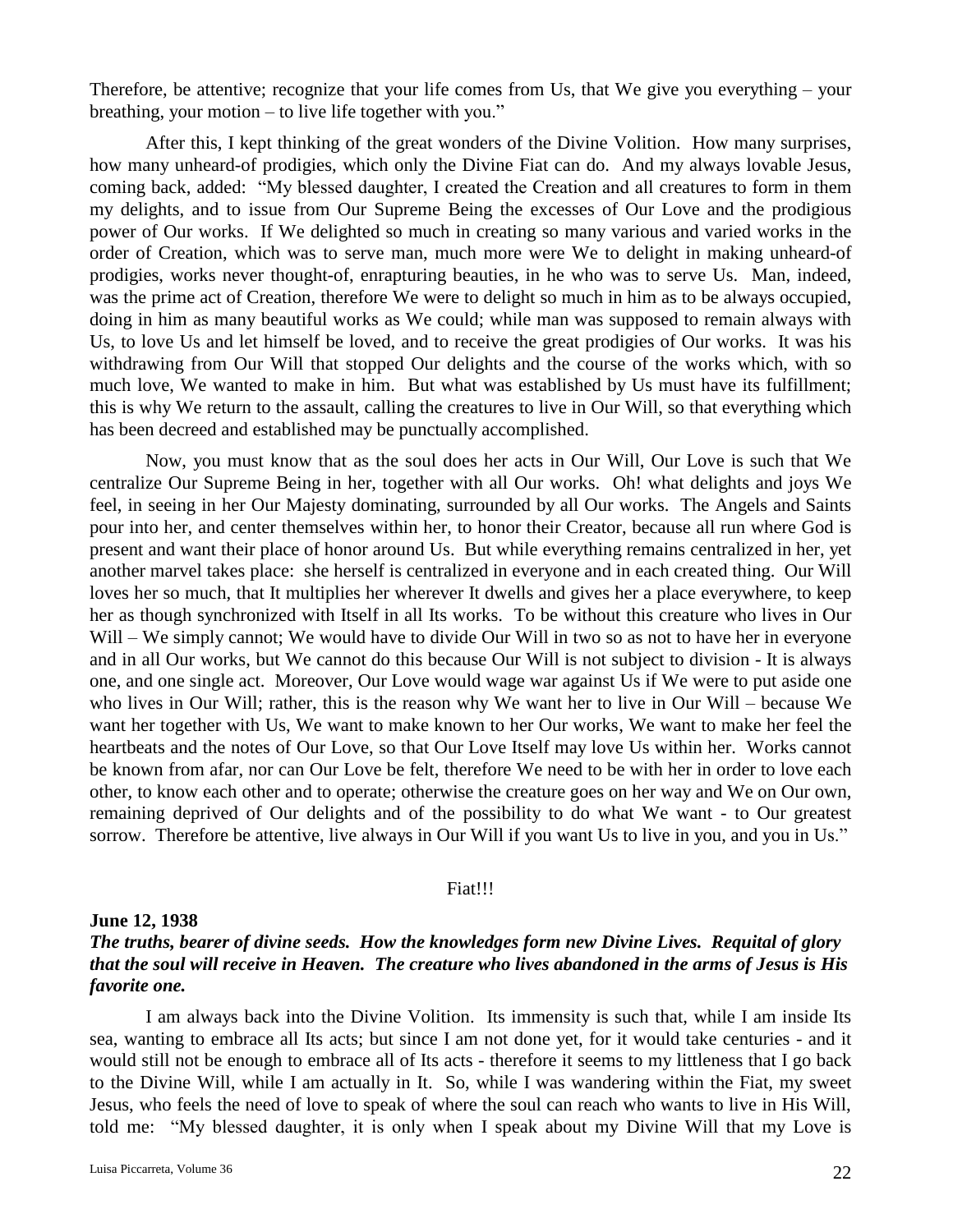Therefore, be attentive; recognize that your life comes from Us, that We give you everything – your breathing, your motion – to live life together with you."

After this, I kept thinking of the great wonders of the Divine Volition. How many surprises, how many unheard-of prodigies, which only the Divine Fiat can do. And my always lovable Jesus, coming back, added: "My blessed daughter, I created the Creation and all creatures to form in them my delights, and to issue from Our Supreme Being the excesses of Our Love and the prodigious power of Our works. If We delighted so much in creating so many various and varied works in the order of Creation, which was to serve man, much more were We to delight in making unheard-of prodigies, works never thought-of, enrapturing beauties, in he who was to serve Us. Man, indeed, was the prime act of Creation, therefore We were to delight so much in him as to be always occupied, doing in him as many beautiful works as We could; while man was supposed to remain always with Us, to love Us and let himself be loved, and to receive the great prodigies of Our works. It was his withdrawing from Our Will that stopped Our delights and the course of the works which, with so much love, We wanted to make in him. But what was established by Us must have its fulfillment; this is why We return to the assault, calling the creatures to live in Our Will, so that everything which has been decreed and established may be punctually accomplished.

Now, you must know that as the soul does her acts in Our Will, Our Love is such that We centralize Our Supreme Being in her, together with all Our works. Oh! what delights and joys We feel, in seeing in her Our Majesty dominating, surrounded by all Our works. The Angels and Saints pour into her, and center themselves within her, to honor their Creator, because all run where God is present and want their place of honor around Us. But while everything remains centralized in her, yet another marvel takes place: she herself is centralized in everyone and in each created thing. Our Will loves her so much, that It multiplies her wherever It dwells and gives her a place everywhere, to keep her as though synchronized with Itself in all Its works. To be without this creature who lives in Our Will – We simply cannot; We would have to divide Our Will in two so as not to have her in everyone and in all Our works, but We cannot do this because Our Will is not subject to division - It is always one, and one single act. Moreover, Our Love would wage war against Us if We were to put aside one who lives in Our Will; rather, this is the reason why We want her to live in Our Will – because We want her together with Us, We want to make known to her Our works, We want to make her feel the heartbeats and the notes of Our Love, so that Our Love Itself may love Us within her. Works cannot be known from afar, nor can Our Love be felt, therefore We need to be with her in order to love each other, to know each other and to operate; otherwise the creature goes on her way and We on Our own, remaining deprived of Our delights and of the possibility to do what We want - to Our greatest sorrow. Therefore be attentive, live always in Our Will if you want Us to live in you, and you in Us."

## Fiat!!!

## **June 12, 1938**

## *The truths, bearer of divine seeds. How the knowledges form new Divine Lives. Requital of glory that the soul will receive in Heaven. The creature who lives abandoned in the arms of Jesus is His favorite one.*

I am always back into the Divine Volition. Its immensity is such that, while I am inside Its sea, wanting to embrace all Its acts; but since I am not done yet, for it would take centuries - and it would still not be enough to embrace all of Its acts - therefore it seems to my littleness that I go back to the Divine Will, while I am actually in It. So, while I was wandering within the Fiat, my sweet Jesus, who feels the need of love to speak of where the soul can reach who wants to live in His Will, told me: "My blessed daughter, it is only when I speak about my Divine Will that my Love is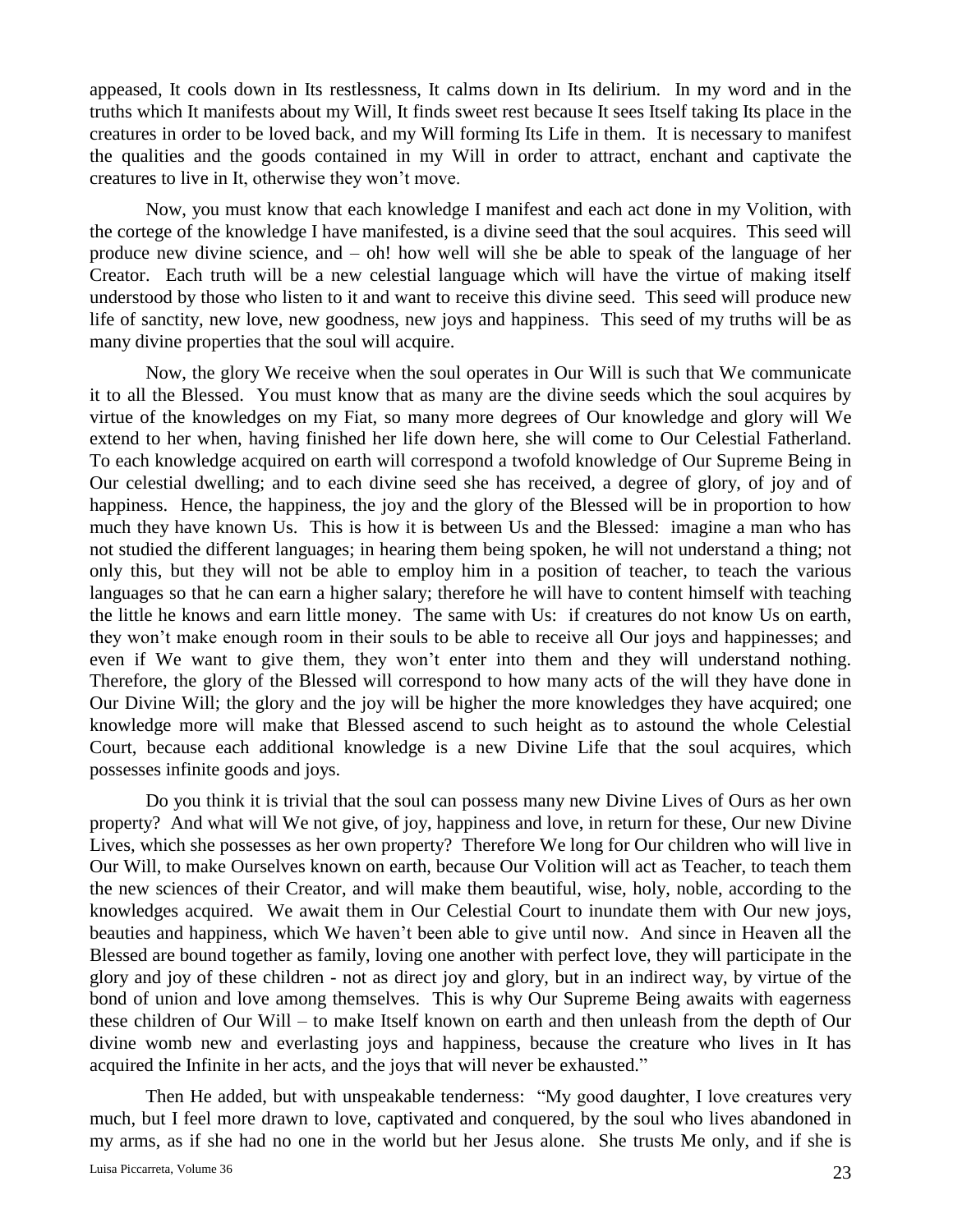appeased, It cools down in Its restlessness, It calms down in Its delirium. In my word and in the truths which It manifests about my Will, It finds sweet rest because It sees Itself taking Its place in the creatures in order to be loved back, and my Will forming Its Life in them. It is necessary to manifest the qualities and the goods contained in my Will in order to attract, enchant and captivate the creatures to live in It, otherwise they won't move.

Now, you must know that each knowledge I manifest and each act done in my Volition, with the cortege of the knowledge I have manifested, is a divine seed that the soul acquires. This seed will produce new divine science, and – oh! how well will she be able to speak of the language of her Creator. Each truth will be a new celestial language which will have the virtue of making itself understood by those who listen to it and want to receive this divine seed. This seed will produce new life of sanctity, new love, new goodness, new joys and happiness. This seed of my truths will be as many divine properties that the soul will acquire.

Now, the glory We receive when the soul operates in Our Will is such that We communicate it to all the Blessed. You must know that as many are the divine seeds which the soul acquires by virtue of the knowledges on my Fiat, so many more degrees of Our knowledge and glory will We extend to her when, having finished her life down here, she will come to Our Celestial Fatherland. To each knowledge acquired on earth will correspond a twofold knowledge of Our Supreme Being in Our celestial dwelling; and to each divine seed she has received, a degree of glory, of joy and of happiness. Hence, the happiness, the joy and the glory of the Blessed will be in proportion to how much they have known Us. This is how it is between Us and the Blessed: imagine a man who has not studied the different languages; in hearing them being spoken, he will not understand a thing; not only this, but they will not be able to employ him in a position of teacher, to teach the various languages so that he can earn a higher salary; therefore he will have to content himself with teaching the little he knows and earn little money. The same with Us: if creatures do not know Us on earth, they won't make enough room in their souls to be able to receive all Our joys and happinesses; and even if We want to give them, they won't enter into them and they will understand nothing. Therefore, the glory of the Blessed will correspond to how many acts of the will they have done in Our Divine Will; the glory and the joy will be higher the more knowledges they have acquired; one knowledge more will make that Blessed ascend to such height as to astound the whole Celestial Court, because each additional knowledge is a new Divine Life that the soul acquires, which possesses infinite goods and joys.

Do you think it is trivial that the soul can possess many new Divine Lives of Ours as her own property? And what will We not give, of joy, happiness and love, in return for these, Our new Divine Lives, which she possesses as her own property? Therefore We long for Our children who will live in Our Will, to make Ourselves known on earth, because Our Volition will act as Teacher, to teach them the new sciences of their Creator, and will make them beautiful, wise, holy, noble, according to the knowledges acquired. We await them in Our Celestial Court to inundate them with Our new joys, beauties and happiness, which We haven't been able to give until now. And since in Heaven all the Blessed are bound together as family, loving one another with perfect love, they will participate in the glory and joy of these children - not as direct joy and glory, but in an indirect way, by virtue of the bond of union and love among themselves. This is why Our Supreme Being awaits with eagerness these children of Our Will – to make Itself known on earth and then unleash from the depth of Our divine womb new and everlasting joys and happiness, because the creature who lives in It has acquired the Infinite in her acts, and the joys that will never be exhausted."

Then He added, but with unspeakable tenderness: "My good daughter, I love creatures very much, but I feel more drawn to love, captivated and conquered, by the soul who lives abandoned in my arms, as if she had no one in the world but her Jesus alone. She trusts Me only, and if she is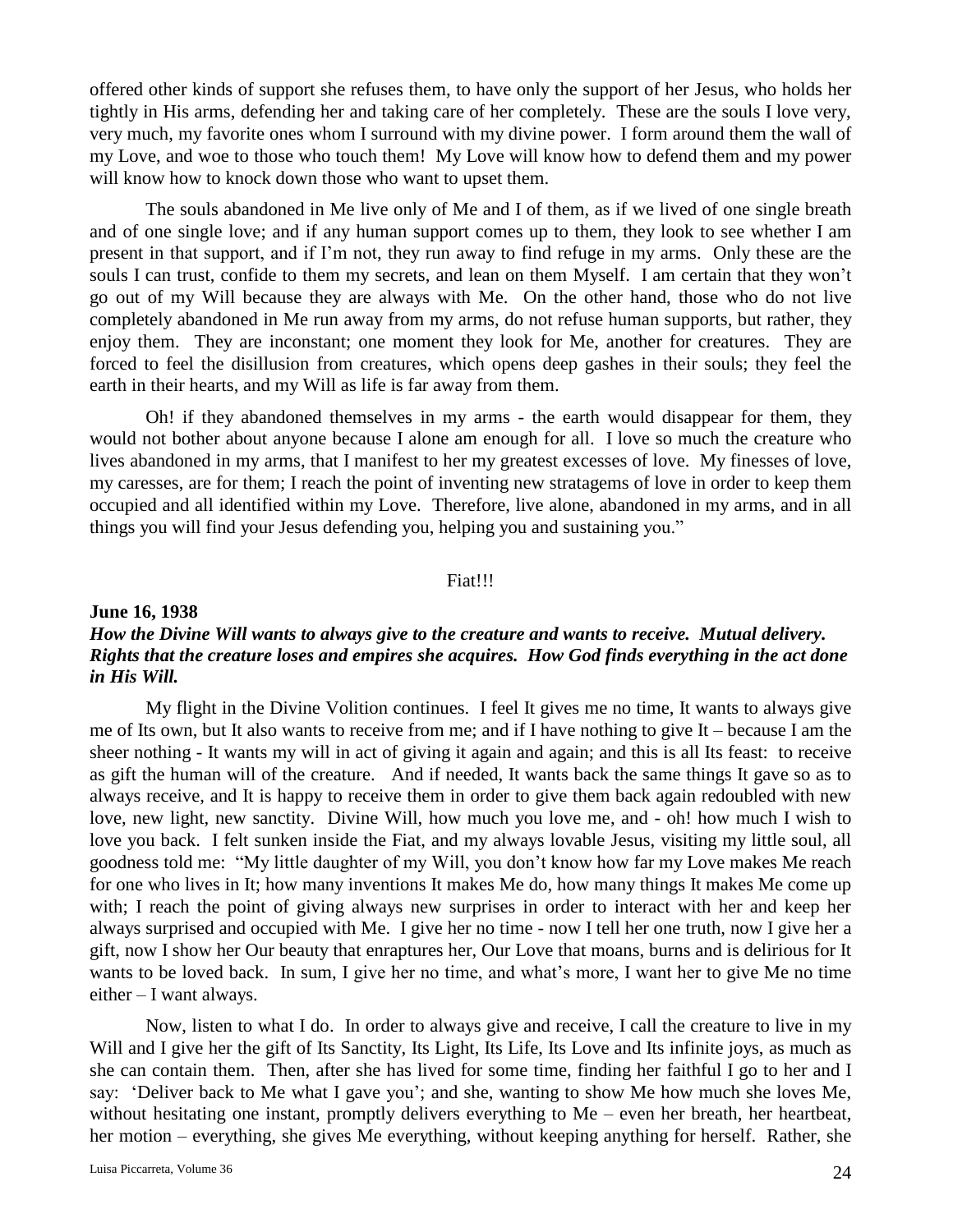offered other kinds of support she refuses them, to have only the support of her Jesus, who holds her tightly in His arms, defending her and taking care of her completely. These are the souls I love very, very much, my favorite ones whom I surround with my divine power. I form around them the wall of my Love, and woe to those who touch them! My Love will know how to defend them and my power will know how to knock down those who want to upset them.

The souls abandoned in Me live only of Me and I of them, as if we lived of one single breath and of one single love; and if any human support comes up to them, they look to see whether I am present in that support, and if I'm not, they run away to find refuge in my arms. Only these are the souls I can trust, confide to them my secrets, and lean on them Myself. I am certain that they won't go out of my Will because they are always with Me. On the other hand, those who do not live completely abandoned in Me run away from my arms, do not refuse human supports, but rather, they enjoy them. They are inconstant; one moment they look for Me, another for creatures. They are forced to feel the disillusion from creatures, which opens deep gashes in their souls; they feel the earth in their hearts, and my Will as life is far away from them.

Oh! if they abandoned themselves in my arms - the earth would disappear for them, they would not bother about anyone because I alone am enough for all. I love so much the creature who lives abandoned in my arms, that I manifest to her my greatest excesses of love. My finesses of love, my caresses, are for them; I reach the point of inventing new stratagems of love in order to keep them occupied and all identified within my Love. Therefore, live alone, abandoned in my arms, and in all things you will find your Jesus defending you, helping you and sustaining you."

## Fiat!!!

## **June 16, 1938** *How the Divine Will wants to always give to the creature and wants to receive. Mutual delivery. Rights that the creature loses and empires she acquires. How God finds everything in the act done in His Will.*

My flight in the Divine Volition continues. I feel It gives me no time, It wants to always give me of Its own, but It also wants to receive from me; and if I have nothing to give It – because I am the sheer nothing - It wants my will in act of giving it again and again; and this is all Its feast: to receive as gift the human will of the creature. And if needed, It wants back the same things It gave so as to always receive, and It is happy to receive them in order to give them back again redoubled with new love, new light, new sanctity. Divine Will, how much you love me, and - oh! how much I wish to love you back. I felt sunken inside the Fiat, and my always lovable Jesus, visiting my little soul, all goodness told me: "My little daughter of my Will, you don't know how far my Love makes Me reach for one who lives in It; how many inventions It makes Me do, how many things It makes Me come up with; I reach the point of giving always new surprises in order to interact with her and keep her always surprised and occupied with Me. I give her no time - now I tell her one truth, now I give her a gift, now I show her Our beauty that enraptures her, Our Love that moans, burns and is delirious for It wants to be loved back. In sum, I give her no time, and what's more, I want her to give Me no time either – I want always.

Now, listen to what I do. In order to always give and receive, I call the creature to live in my Will and I give her the gift of Its Sanctity, Its Light, Its Life, Its Love and Its infinite joys, as much as she can contain them. Then, after she has lived for some time, finding her faithful I go to her and I say: 'Deliver back to Me what I gave you'; and she, wanting to show Me how much she loves Me, without hesitating one instant, promptly delivers everything to Me – even her breath, her heartbeat, her motion – everything, she gives Me everything, without keeping anything for herself. Rather, she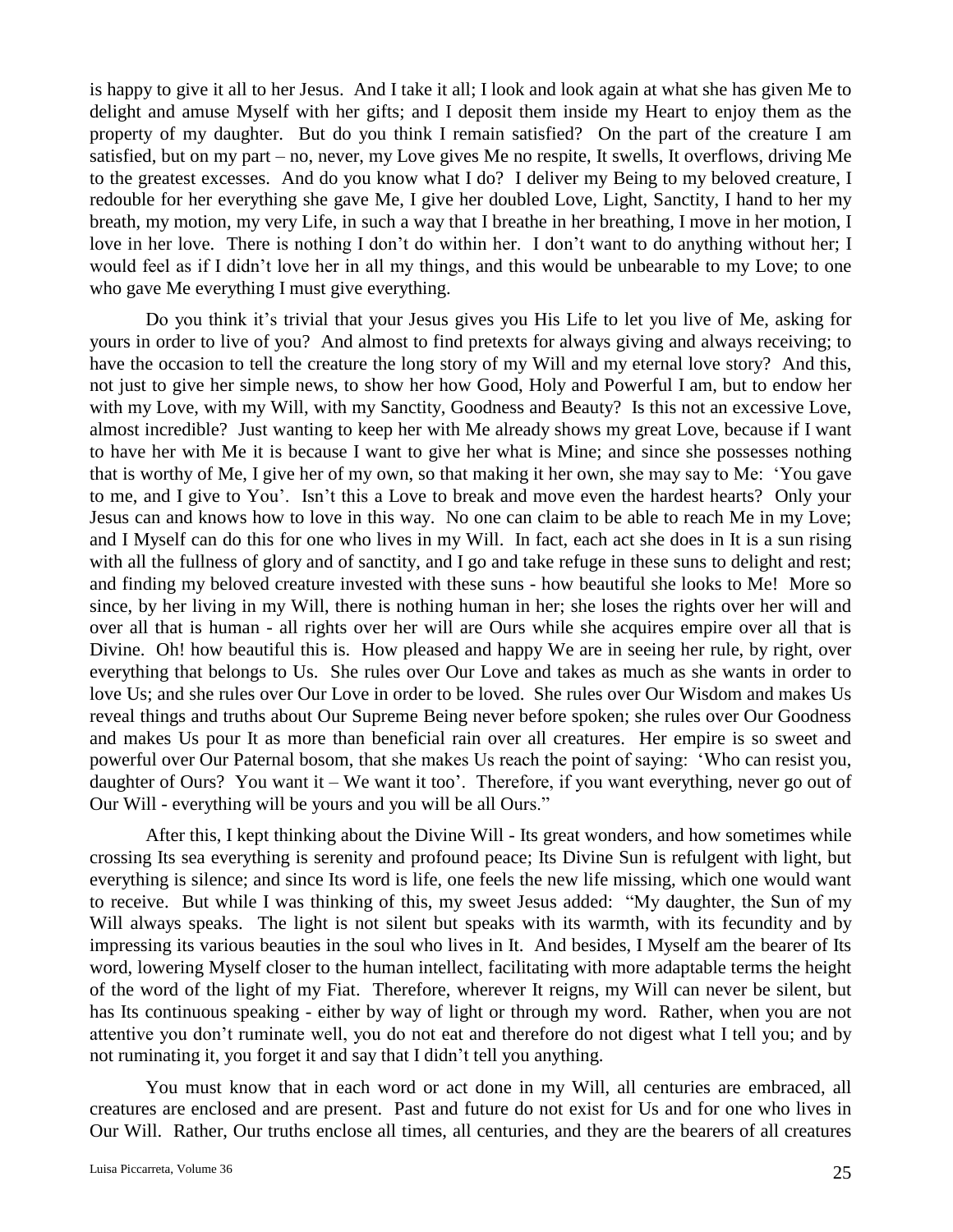is happy to give it all to her Jesus. And I take it all; I look and look again at what she has given Me to delight and amuse Myself with her gifts; and I deposit them inside my Heart to enjoy them as the property of my daughter. But do you think I remain satisfied? On the part of the creature I am satisfied, but on my part – no, never, my Love gives Me no respite, It swells, It overflows, driving Me to the greatest excesses. And do you know what I do? I deliver my Being to my beloved creature, I redouble for her everything she gave Me, I give her doubled Love, Light, Sanctity, I hand to her my breath, my motion, my very Life, in such a way that I breathe in her breathing, I move in her motion, I love in her love. There is nothing I don't do within her. I don't want to do anything without her; I would feel as if I didn't love her in all my things, and this would be unbearable to my Love; to one who gave Me everything I must give everything.

Do you think it's trivial that your Jesus gives you His Life to let you live of Me, asking for yours in order to live of you? And almost to find pretexts for always giving and always receiving; to have the occasion to tell the creature the long story of my Will and my eternal love story? And this, not just to give her simple news, to show her how Good, Holy and Powerful I am, but to endow her with my Love, with my Will, with my Sanctity, Goodness and Beauty? Is this not an excessive Love, almost incredible? Just wanting to keep her with Me already shows my great Love, because if I want to have her with Me it is because I want to give her what is Mine; and since she possesses nothing that is worthy of Me, I give her of my own, so that making it her own, she may say to Me: 'You gave to me, and I give to You'. Isn't this a Love to break and move even the hardest hearts? Only your Jesus can and knows how to love in this way. No one can claim to be able to reach Me in my Love; and I Myself can do this for one who lives in my Will. In fact, each act she does in It is a sun rising with all the fullness of glory and of sanctity, and I go and take refuge in these suns to delight and rest; and finding my beloved creature invested with these suns - how beautiful she looks to Me! More so since, by her living in my Will, there is nothing human in her; she loses the rights over her will and over all that is human - all rights over her will are Ours while she acquires empire over all that is Divine. Oh! how beautiful this is. How pleased and happy We are in seeing her rule, by right, over everything that belongs to Us. She rules over Our Love and takes as much as she wants in order to love Us; and she rules over Our Love in order to be loved. She rules over Our Wisdom and makes Us reveal things and truths about Our Supreme Being never before spoken; she rules over Our Goodness and makes Us pour It as more than beneficial rain over all creatures. Her empire is so sweet and powerful over Our Paternal bosom, that she makes Us reach the point of saying: 'Who can resist you, daughter of Ours? You want it – We want it too'. Therefore, if you want everything, never go out of Our Will - everything will be yours and you will be all Ours."

After this, I kept thinking about the Divine Will - Its great wonders, and how sometimes while crossing Its sea everything is serenity and profound peace; Its Divine Sun is refulgent with light, but everything is silence; and since Its word is life, one feels the new life missing, which one would want to receive. But while I was thinking of this, my sweet Jesus added: "My daughter, the Sun of my Will always speaks. The light is not silent but speaks with its warmth, with its fecundity and by impressing its various beauties in the soul who lives in It. And besides, I Myself am the bearer of Its word, lowering Myself closer to the human intellect, facilitating with more adaptable terms the height of the word of the light of my Fiat. Therefore, wherever It reigns, my Will can never be silent, but has Its continuous speaking - either by way of light or through my word. Rather, when you are not attentive you don't ruminate well, you do not eat and therefore do not digest what I tell you; and by not ruminating it, you forget it and say that I didn't tell you anything.

You must know that in each word or act done in my Will, all centuries are embraced, all creatures are enclosed and are present. Past and future do not exist for Us and for one who lives in Our Will. Rather, Our truths enclose all times, all centuries, and they are the bearers of all creatures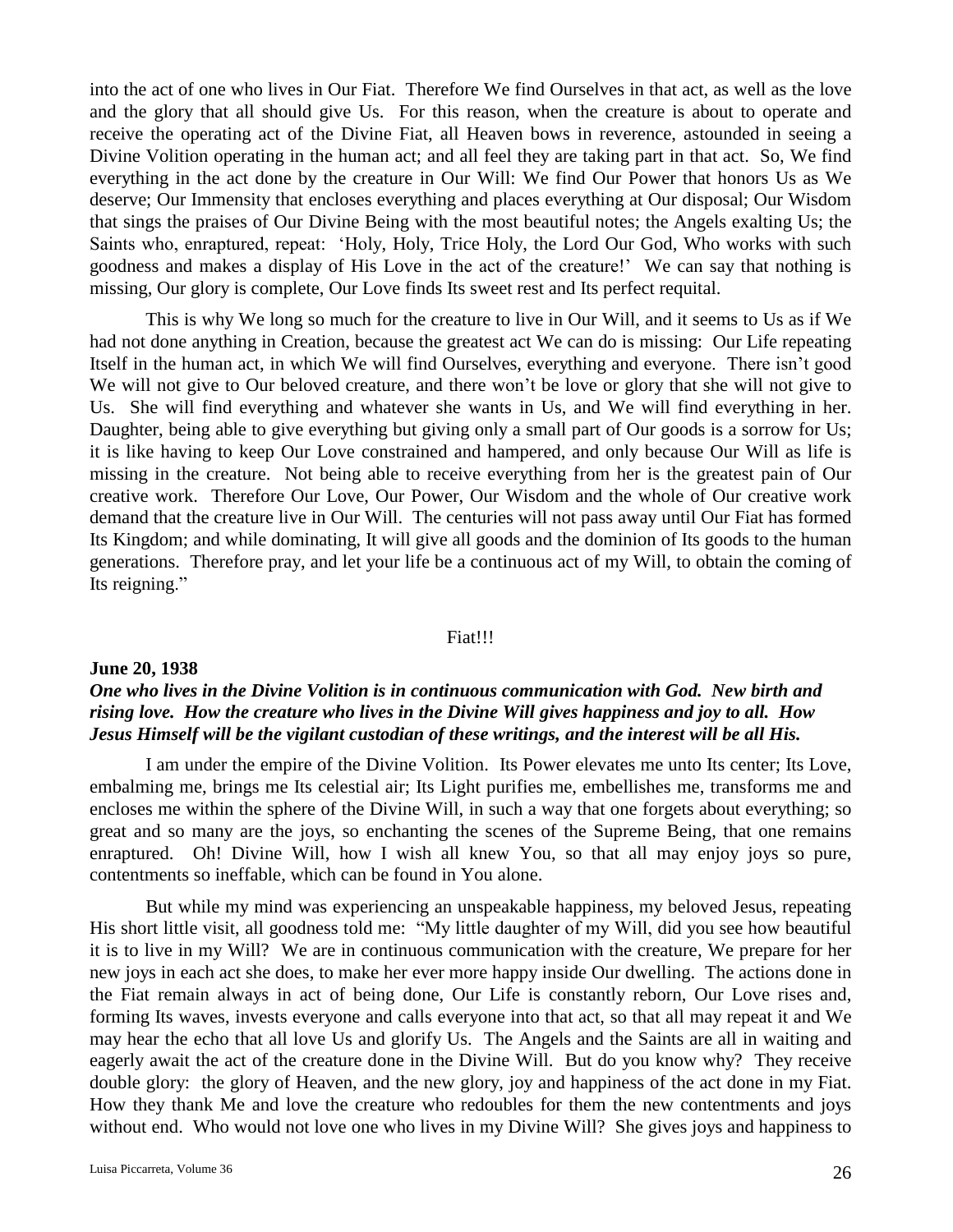into the act of one who lives in Our Fiat. Therefore We find Ourselves in that act, as well as the love and the glory that all should give Us. For this reason, when the creature is about to operate and receive the operating act of the Divine Fiat, all Heaven bows in reverence, astounded in seeing a Divine Volition operating in the human act; and all feel they are taking part in that act. So, We find everything in the act done by the creature in Our Will: We find Our Power that honors Us as We deserve; Our Immensity that encloses everything and places everything at Our disposal; Our Wisdom that sings the praises of Our Divine Being with the most beautiful notes; the Angels exalting Us; the Saints who, enraptured, repeat: 'Holy, Holy, Trice Holy, the Lord Our God, Who works with such goodness and makes a display of His Love in the act of the creature!' We can say that nothing is missing, Our glory is complete, Our Love finds Its sweet rest and Its perfect requital.

This is why We long so much for the creature to live in Our Will, and it seems to Us as if We had not done anything in Creation, because the greatest act We can do is missing: Our Life repeating Itself in the human act, in which We will find Ourselves, everything and everyone. There isn't good We will not give to Our beloved creature, and there won't be love or glory that she will not give to Us. She will find everything and whatever she wants in Us, and We will find everything in her. Daughter, being able to give everything but giving only a small part of Our goods is a sorrow for Us; it is like having to keep Our Love constrained and hampered, and only because Our Will as life is missing in the creature. Not being able to receive everything from her is the greatest pain of Our creative work. Therefore Our Love, Our Power, Our Wisdom and the whole of Our creative work demand that the creature live in Our Will. The centuries will not pass away until Our Fiat has formed Its Kingdom; and while dominating, It will give all goods and the dominion of Its goods to the human generations. Therefore pray, and let your life be a continuous act of my Will, to obtain the coming of Its reigning."

### Fiat!!!

## **June 20, 1938**

## *One who lives in the Divine Volition is in continuous communication with God. New birth and rising love. How the creature who lives in the Divine Will gives happiness and joy to all. How Jesus Himself will be the vigilant custodian of these writings, and the interest will be all His.*

I am under the empire of the Divine Volition. Its Power elevates me unto Its center; Its Love, embalming me, brings me Its celestial air; Its Light purifies me, embellishes me, transforms me and encloses me within the sphere of the Divine Will, in such a way that one forgets about everything; so great and so many are the joys, so enchanting the scenes of the Supreme Being, that one remains enraptured. Oh! Divine Will, how I wish all knew You, so that all may enjoy joys so pure, contentments so ineffable, which can be found in You alone.

But while my mind was experiencing an unspeakable happiness, my beloved Jesus, repeating His short little visit, all goodness told me: "My little daughter of my Will, did you see how beautiful it is to live in my Will? We are in continuous communication with the creature, We prepare for her new joys in each act she does, to make her ever more happy inside Our dwelling. The actions done in the Fiat remain always in act of being done, Our Life is constantly reborn, Our Love rises and, forming Its waves, invests everyone and calls everyone into that act, so that all may repeat it and We may hear the echo that all love Us and glorify Us. The Angels and the Saints are all in waiting and eagerly await the act of the creature done in the Divine Will. But do you know why? They receive double glory: the glory of Heaven, and the new glory, joy and happiness of the act done in my Fiat. How they thank Me and love the creature who redoubles for them the new contentments and joys without end. Who would not love one who lives in my Divine Will? She gives joys and happiness to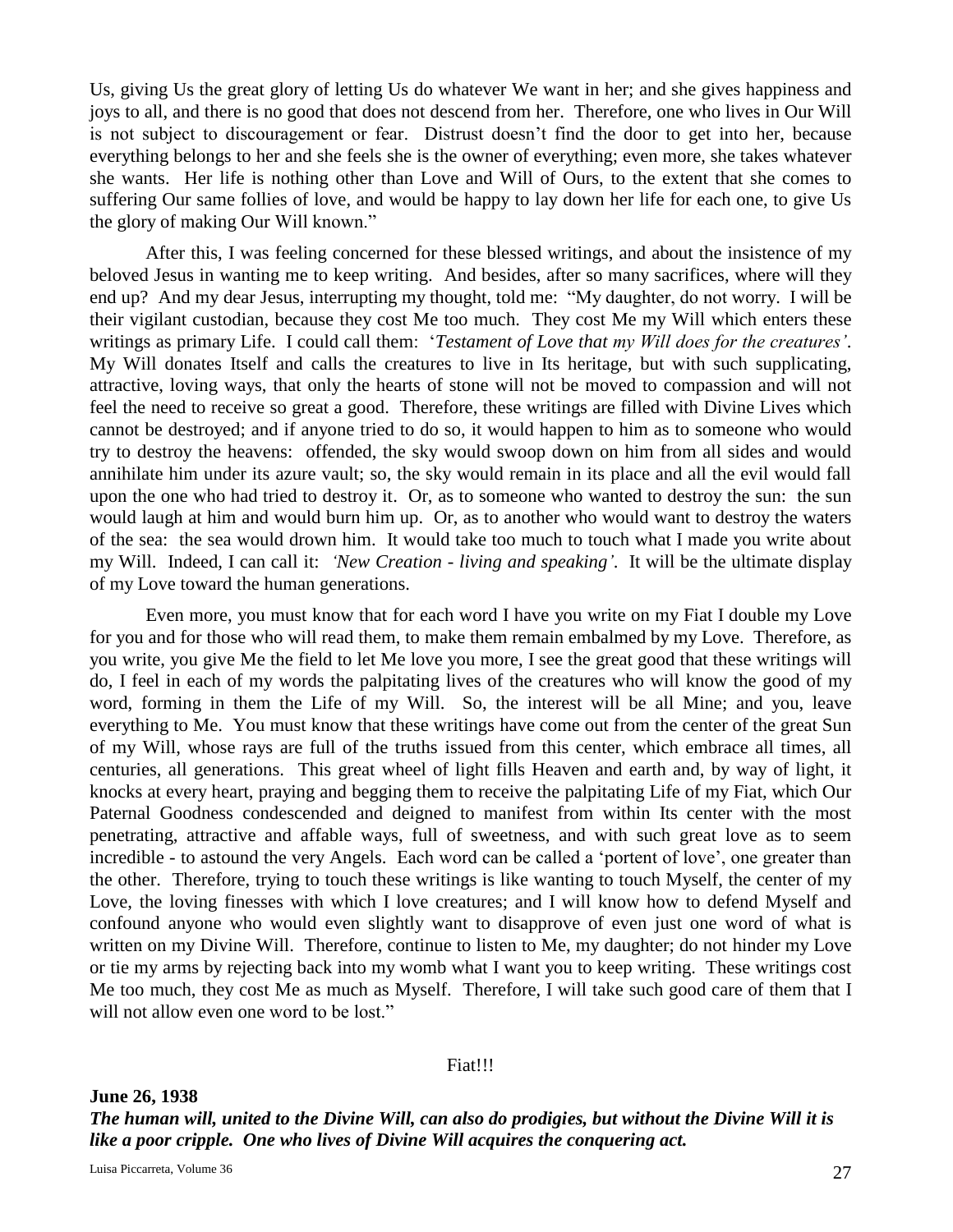Us, giving Us the great glory of letting Us do whatever We want in her; and she gives happiness and joys to all, and there is no good that does not descend from her. Therefore, one who lives in Our Will is not subject to discouragement or fear. Distrust doesn't find the door to get into her, because everything belongs to her and she feels she is the owner of everything; even more, she takes whatever she wants. Her life is nothing other than Love and Will of Ours, to the extent that she comes to suffering Our same follies of love, and would be happy to lay down her life for each one, to give Us the glory of making Our Will known."

After this, I was feeling concerned for these blessed writings, and about the insistence of my beloved Jesus in wanting me to keep writing. And besides, after so many sacrifices, where will they end up? And my dear Jesus, interrupting my thought, told me: "My daughter, do not worry. I will be their vigilant custodian, because they cost Me too much. They cost Me my Will which enters these writings as primary Life. I could call them: '*Testament of Love that my Will does for the creatures'*. My Will donates Itself and calls the creatures to live in Its heritage, but with such supplicating, attractive, loving ways, that only the hearts of stone will not be moved to compassion and will not feel the need to receive so great a good. Therefore, these writings are filled with Divine Lives which cannot be destroyed; and if anyone tried to do so, it would happen to him as to someone who would try to destroy the heavens: offended, the sky would swoop down on him from all sides and would annihilate him under its azure vault; so, the sky would remain in its place and all the evil would fall upon the one who had tried to destroy it. Or, as to someone who wanted to destroy the sun: the sun would laugh at him and would burn him up. Or, as to another who would want to destroy the waters of the sea: the sea would drown him. It would take too much to touch what I made you write about my Will. Indeed, I can call it: *'New Creation - living and speaking'*. It will be the ultimate display of my Love toward the human generations.

Even more, you must know that for each word I have you write on my Fiat I double my Love for you and for those who will read them, to make them remain embalmed by my Love. Therefore, as you write, you give Me the field to let Me love you more, I see the great good that these writings will do, I feel in each of my words the palpitating lives of the creatures who will know the good of my word, forming in them the Life of my Will. So, the interest will be all Mine; and you, leave everything to Me. You must know that these writings have come out from the center of the great Sun of my Will, whose rays are full of the truths issued from this center, which embrace all times, all centuries, all generations. This great wheel of light fills Heaven and earth and, by way of light, it knocks at every heart, praying and begging them to receive the palpitating Life of my Fiat, which Our Paternal Goodness condescended and deigned to manifest from within Its center with the most penetrating, attractive and affable ways, full of sweetness, and with such great love as to seem incredible - to astound the very Angels. Each word can be called a 'portent of love', one greater than the other. Therefore, trying to touch these writings is like wanting to touch Myself, the center of my Love, the loving finesses with which I love creatures; and I will know how to defend Myself and confound anyone who would even slightly want to disapprove of even just one word of what is written on my Divine Will. Therefore, continue to listen to Me, my daughter; do not hinder my Love or tie my arms by rejecting back into my womb what I want you to keep writing. These writings cost Me too much, they cost Me as much as Myself. Therefore, I will take such good care of them that I will not allow even one word to be lost."

### Fiat!!!

**June 26, 1938** *The human will, united to the Divine Will, can also do prodigies, but without the Divine Will it is like a poor cripple. One who lives of Divine Will acquires the conquering act.*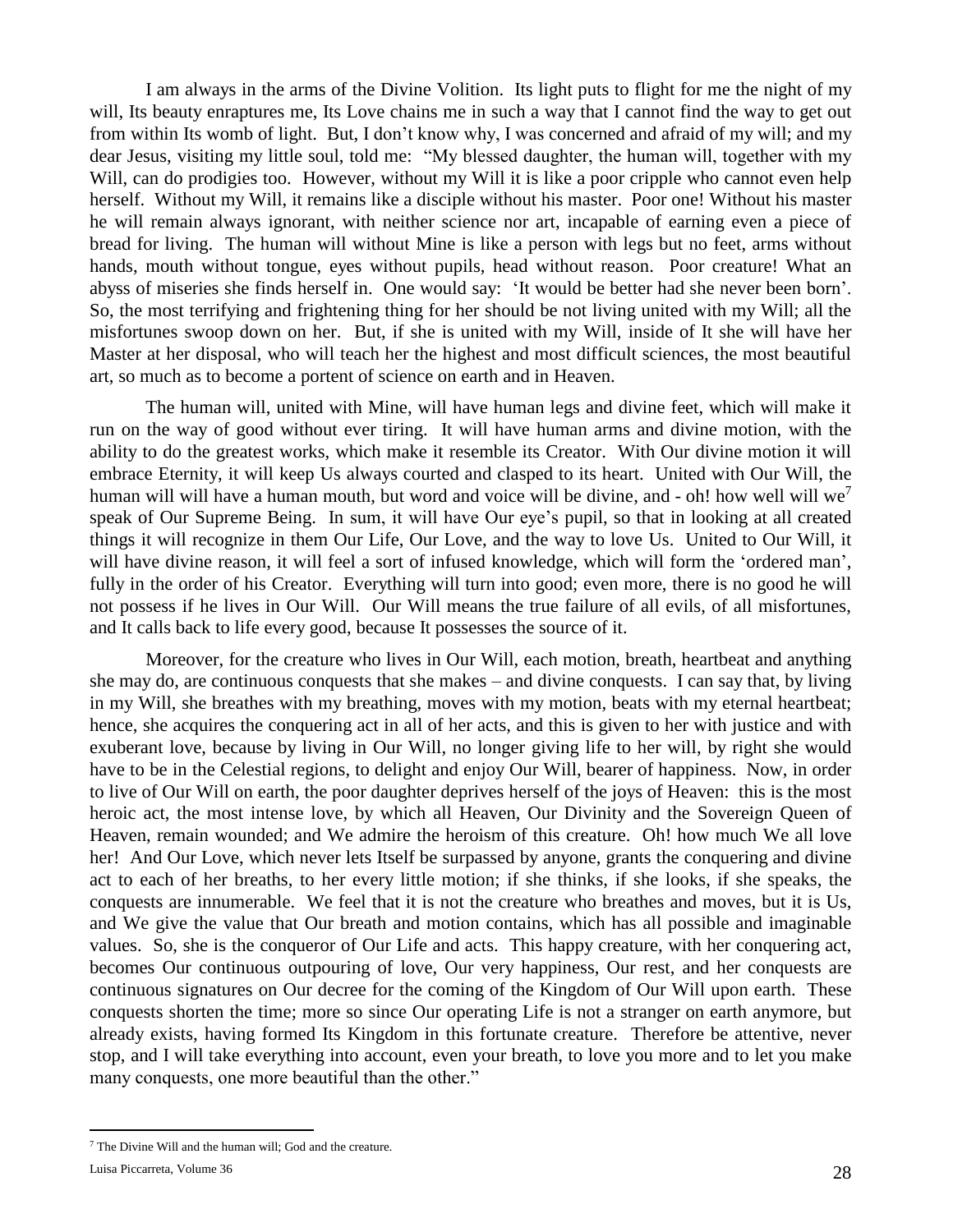I am always in the arms of the Divine Volition. Its light puts to flight for me the night of my will, Its beauty enraptures me, Its Love chains me in such a way that I cannot find the way to get out from within Its womb of light. But, I don't know why, I was concerned and afraid of my will; and my dear Jesus, visiting my little soul, told me: "My blessed daughter, the human will, together with my Will, can do prodigies too. However, without my Will it is like a poor cripple who cannot even help herself. Without my Will, it remains like a disciple without his master. Poor one! Without his master he will remain always ignorant, with neither science nor art, incapable of earning even a piece of bread for living. The human will without Mine is like a person with legs but no feet, arms without hands, mouth without tongue, eyes without pupils, head without reason. Poor creature! What an abyss of miseries she finds herself in. One would say: 'It would be better had she never been born'. So, the most terrifying and frightening thing for her should be not living united with my Will; all the misfortunes swoop down on her. But, if she is united with my Will, inside of It she will have her Master at her disposal, who will teach her the highest and most difficult sciences, the most beautiful art, so much as to become a portent of science on earth and in Heaven.

The human will, united with Mine, will have human legs and divine feet, which will make it run on the way of good without ever tiring. It will have human arms and divine motion, with the ability to do the greatest works, which make it resemble its Creator. With Our divine motion it will embrace Eternity, it will keep Us always courted and clasped to its heart. United with Our Will, the human will will have a human mouth, but word and voice will be divine, and - oh! how well will we<sup>7</sup> speak of Our Supreme Being. In sum, it will have Our eye's pupil, so that in looking at all created things it will recognize in them Our Life, Our Love, and the way to love Us. United to Our Will, it will have divine reason, it will feel a sort of infused knowledge, which will form the 'ordered man', fully in the order of his Creator. Everything will turn into good; even more, there is no good he will not possess if he lives in Our Will. Our Will means the true failure of all evils, of all misfortunes, and It calls back to life every good, because It possesses the source of it.

Moreover, for the creature who lives in Our Will, each motion, breath, heartbeat and anything she may do, are continuous conquests that she makes – and divine conquests. I can say that, by living in my Will, she breathes with my breathing, moves with my motion, beats with my eternal heartbeat; hence, she acquires the conquering act in all of her acts, and this is given to her with justice and with exuberant love, because by living in Our Will, no longer giving life to her will, by right she would have to be in the Celestial regions, to delight and enjoy Our Will, bearer of happiness. Now, in order to live of Our Will on earth, the poor daughter deprives herself of the joys of Heaven: this is the most heroic act, the most intense love, by which all Heaven, Our Divinity and the Sovereign Queen of Heaven, remain wounded; and We admire the heroism of this creature. Oh! how much We all love her! And Our Love, which never lets Itself be surpassed by anyone, grants the conquering and divine act to each of her breaths, to her every little motion; if she thinks, if she looks, if she speaks, the conquests are innumerable. We feel that it is not the creature who breathes and moves, but it is Us, and We give the value that Our breath and motion contains, which has all possible and imaginable values. So, she is the conqueror of Our Life and acts. This happy creature, with her conquering act, becomes Our continuous outpouring of love, Our very happiness, Our rest, and her conquests are continuous signatures on Our decree for the coming of the Kingdom of Our Will upon earth. These conquests shorten the time; more so since Our operating Life is not a stranger on earth anymore, but already exists, having formed Its Kingdom in this fortunate creature. Therefore be attentive, never stop, and I will take everything into account, even your breath, to love you more and to let you make many conquests, one more beautiful than the other."

 $\overline{a}$ 

<sup>7</sup> The Divine Will and the human will; God and the creature.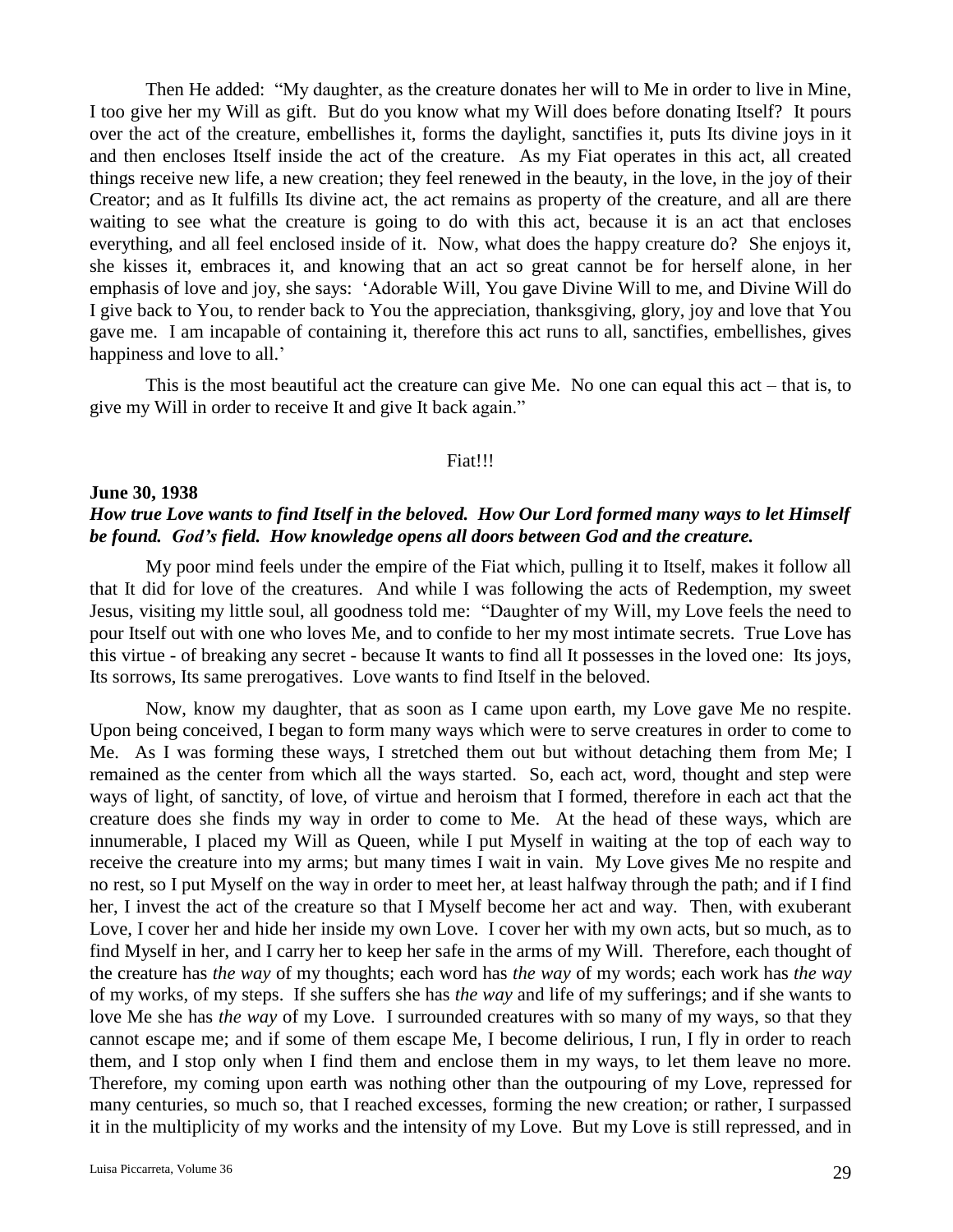Then He added: "My daughter, as the creature donates her will to Me in order to live in Mine, I too give her my Will as gift. But do you know what my Will does before donating Itself? It pours over the act of the creature, embellishes it, forms the daylight, sanctifies it, puts Its divine joys in it and then encloses Itself inside the act of the creature. As my Fiat operates in this act, all created things receive new life, a new creation; they feel renewed in the beauty, in the love, in the joy of their Creator; and as It fulfills Its divine act, the act remains as property of the creature, and all are there waiting to see what the creature is going to do with this act, because it is an act that encloses everything, and all feel enclosed inside of it. Now, what does the happy creature do? She enjoys it, she kisses it, embraces it, and knowing that an act so great cannot be for herself alone, in her emphasis of love and joy, she says: 'Adorable Will, You gave Divine Will to me, and Divine Will do I give back to You, to render back to You the appreciation, thanksgiving, glory, joy and love that You gave me. I am incapable of containing it, therefore this act runs to all, sanctifies, embellishes, gives happiness and love to all.'

This is the most beautiful act the creature can give Me. No one can equal this act – that is, to give my Will in order to receive It and give It back again."

### Fiat!!!

## **June 30, 1938** *How true Love wants to find Itself in the beloved. How Our Lord formed many ways to let Himself be found. God's field. How knowledge opens all doors between God and the creature.*

My poor mind feels under the empire of the Fiat which, pulling it to Itself, makes it follow all that It did for love of the creatures. And while I was following the acts of Redemption, my sweet Jesus, visiting my little soul, all goodness told me: "Daughter of my Will, my Love feels the need to pour Itself out with one who loves Me, and to confide to her my most intimate secrets. True Love has this virtue - of breaking any secret - because It wants to find all It possesses in the loved one: Its joys, Its sorrows, Its same prerogatives. Love wants to find Itself in the beloved.

Now, know my daughter, that as soon as I came upon earth, my Love gave Me no respite. Upon being conceived, I began to form many ways which were to serve creatures in order to come to Me. As I was forming these ways, I stretched them out but without detaching them from Me; I remained as the center from which all the ways started. So, each act, word, thought and step were ways of light, of sanctity, of love, of virtue and heroism that I formed, therefore in each act that the creature does she finds my way in order to come to Me. At the head of these ways, which are innumerable, I placed my Will as Queen, while I put Myself in waiting at the top of each way to receive the creature into my arms; but many times I wait in vain. My Love gives Me no respite and no rest, so I put Myself on the way in order to meet her, at least halfway through the path; and if I find her, I invest the act of the creature so that I Myself become her act and way. Then, with exuberant Love, I cover her and hide her inside my own Love. I cover her with my own acts, but so much, as to find Myself in her, and I carry her to keep her safe in the arms of my Will. Therefore, each thought of the creature has *the way* of my thoughts; each word has *the way* of my words; each work has *the way* of my works, of my steps. If she suffers she has *the way* and life of my sufferings; and if she wants to love Me she has *the way* of my Love. I surrounded creatures with so many of my ways, so that they cannot escape me; and if some of them escape Me, I become delirious, I run, I fly in order to reach them, and I stop only when I find them and enclose them in my ways, to let them leave no more. Therefore, my coming upon earth was nothing other than the outpouring of my Love, repressed for many centuries, so much so, that I reached excesses, forming the new creation; or rather, I surpassed it in the multiplicity of my works and the intensity of my Love. But my Love is still repressed, and in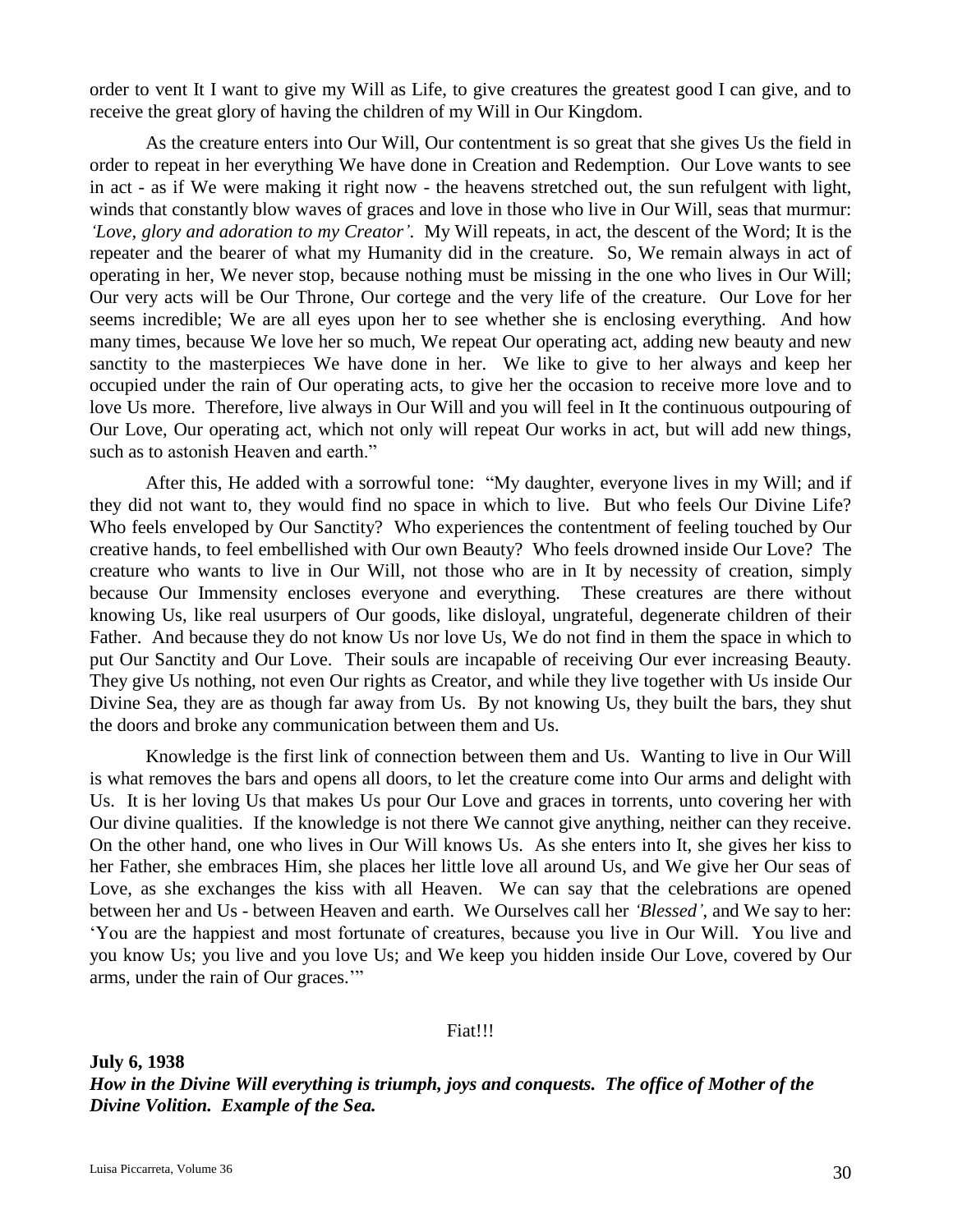order to vent It I want to give my Will as Life, to give creatures the greatest good I can give, and to receive the great glory of having the children of my Will in Our Kingdom.

As the creature enters into Our Will, Our contentment is so great that she gives Us the field in order to repeat in her everything We have done in Creation and Redemption. Our Love wants to see in act - as if We were making it right now - the heavens stretched out, the sun refulgent with light, winds that constantly blow waves of graces and love in those who live in Our Will, seas that murmur: *'Love, glory and adoration to my Creator'*. My Will repeats, in act, the descent of the Word; It is the repeater and the bearer of what my Humanity did in the creature. So, We remain always in act of operating in her, We never stop, because nothing must be missing in the one who lives in Our Will; Our very acts will be Our Throne, Our cortege and the very life of the creature. Our Love for her seems incredible; We are all eyes upon her to see whether she is enclosing everything. And how many times, because We love her so much, We repeat Our operating act, adding new beauty and new sanctity to the masterpieces We have done in her. We like to give to her always and keep her occupied under the rain of Our operating acts, to give her the occasion to receive more love and to love Us more. Therefore, live always in Our Will and you will feel in It the continuous outpouring of Our Love, Our operating act, which not only will repeat Our works in act, but will add new things, such as to astonish Heaven and earth."

After this, He added with a sorrowful tone: "My daughter, everyone lives in my Will; and if they did not want to, they would find no space in which to live. But who feels Our Divine Life? Who feels enveloped by Our Sanctity? Who experiences the contentment of feeling touched by Our creative hands, to feel embellished with Our own Beauty? Who feels drowned inside Our Love? The creature who wants to live in Our Will, not those who are in It by necessity of creation, simply because Our Immensity encloses everyone and everything. These creatures are there without knowing Us, like real usurpers of Our goods, like disloyal, ungrateful, degenerate children of their Father. And because they do not know Us nor love Us, We do not find in them the space in which to put Our Sanctity and Our Love. Their souls are incapable of receiving Our ever increasing Beauty. They give Us nothing, not even Our rights as Creator, and while they live together with Us inside Our Divine Sea, they are as though far away from Us. By not knowing Us, they built the bars, they shut the doors and broke any communication between them and Us.

Knowledge is the first link of connection between them and Us. Wanting to live in Our Will is what removes the bars and opens all doors, to let the creature come into Our arms and delight with Us. It is her loving Us that makes Us pour Our Love and graces in torrents, unto covering her with Our divine qualities. If the knowledge is not there We cannot give anything, neither can they receive. On the other hand, one who lives in Our Will knows Us. As she enters into It, she gives her kiss to her Father, she embraces Him, she places her little love all around Us, and We give her Our seas of Love, as she exchanges the kiss with all Heaven. We can say that the celebrations are opened between her and Us - between Heaven and earth. We Ourselves call her *'Blessed'*, and We say to her: 'You are the happiest and most fortunate of creatures, because you live in Our Will. You live and you know Us; you live and you love Us; and We keep you hidden inside Our Love, covered by Our arms, under the rain of Our graces.'"

Fiat!!!

**July 6, 1938**

*How in the Divine Will everything is triumph, joys and conquests. The office of Mother of the Divine Volition. Example of the Sea.*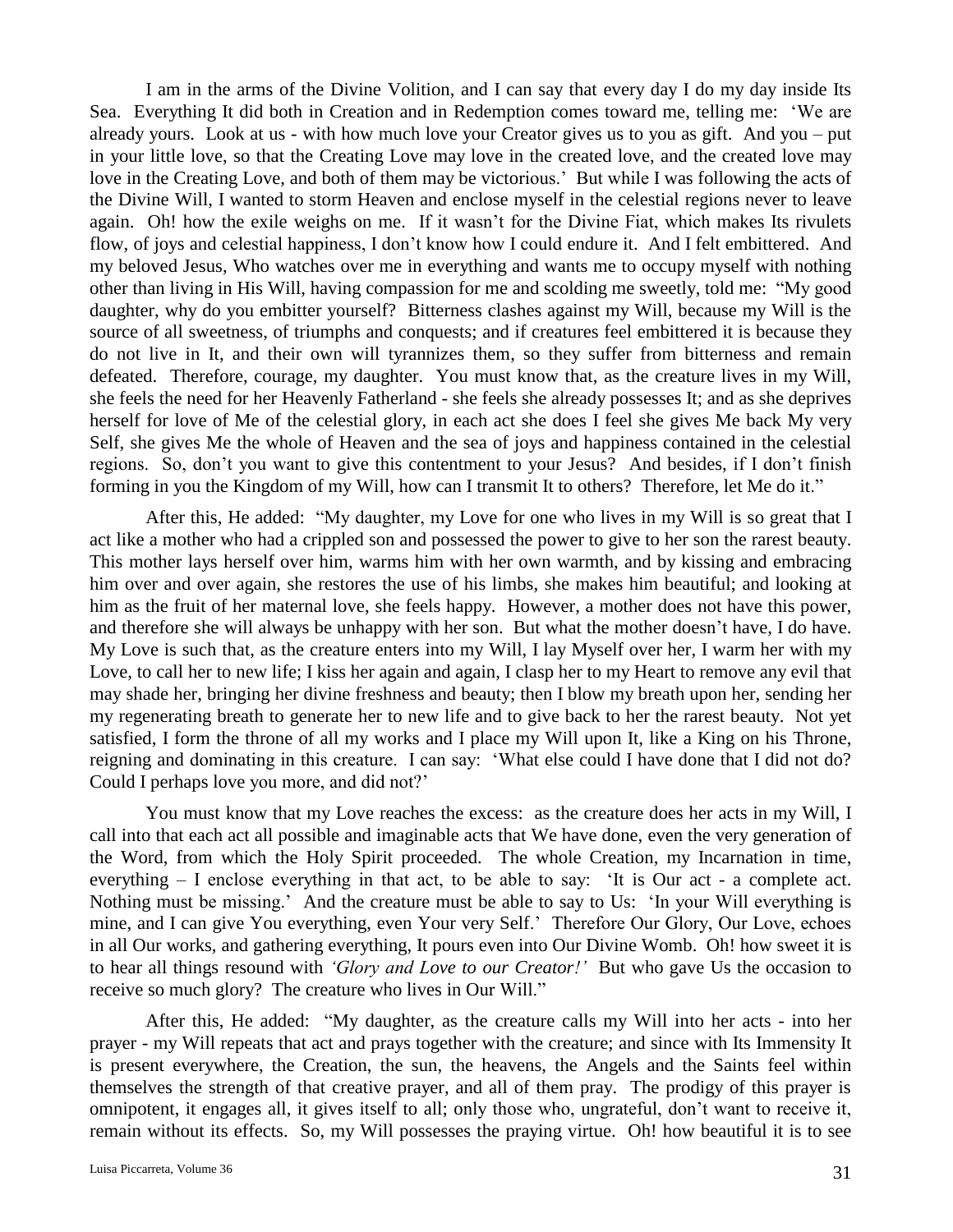I am in the arms of the Divine Volition, and I can say that every day I do my day inside Its Sea. Everything It did both in Creation and in Redemption comes toward me, telling me: 'We are already yours. Look at us - with how much love your Creator gives us to you as gift. And you – put in your little love, so that the Creating Love may love in the created love, and the created love may love in the Creating Love, and both of them may be victorious.' But while I was following the acts of the Divine Will, I wanted to storm Heaven and enclose myself in the celestial regions never to leave again. Oh! how the exile weighs on me. If it wasn't for the Divine Fiat, which makes Its rivulets flow, of joys and celestial happiness, I don't know how I could endure it. And I felt embittered. And my beloved Jesus, Who watches over me in everything and wants me to occupy myself with nothing other than living in His Will, having compassion for me and scolding me sweetly, told me: "My good daughter, why do you embitter yourself? Bitterness clashes against my Will, because my Will is the source of all sweetness, of triumphs and conquests; and if creatures feel embittered it is because they do not live in It, and their own will tyrannizes them, so they suffer from bitterness and remain defeated. Therefore, courage, my daughter. You must know that, as the creature lives in my Will, she feels the need for her Heavenly Fatherland - she feels she already possesses It; and as she deprives herself for love of Me of the celestial glory, in each act she does I feel she gives Me back My very Self, she gives Me the whole of Heaven and the sea of joys and happiness contained in the celestial regions. So, don't you want to give this contentment to your Jesus? And besides, if I don't finish forming in you the Kingdom of my Will, how can I transmit It to others? Therefore, let Me do it."

After this, He added: "My daughter, my Love for one who lives in my Will is so great that I act like a mother who had a crippled son and possessed the power to give to her son the rarest beauty. This mother lays herself over him, warms him with her own warmth, and by kissing and embracing him over and over again, she restores the use of his limbs, she makes him beautiful; and looking at him as the fruit of her maternal love, she feels happy. However, a mother does not have this power, and therefore she will always be unhappy with her son. But what the mother doesn't have, I do have. My Love is such that, as the creature enters into my Will, I lay Myself over her, I warm her with my Love, to call her to new life; I kiss her again and again, I clasp her to my Heart to remove any evil that may shade her, bringing her divine freshness and beauty; then I blow my breath upon her, sending her my regenerating breath to generate her to new life and to give back to her the rarest beauty. Not yet satisfied, I form the throne of all my works and I place my Will upon It, like a King on his Throne, reigning and dominating in this creature. I can say: 'What else could I have done that I did not do? Could I perhaps love you more, and did not?'

You must know that my Love reaches the excess: as the creature does her acts in my Will, I call into that each act all possible and imaginable acts that We have done, even the very generation of the Word, from which the Holy Spirit proceeded. The whole Creation, my Incarnation in time, everything – I enclose everything in that act, to be able to say: 'It is Our act - a complete act. Nothing must be missing.' And the creature must be able to say to Us: 'In your Will everything is mine, and I can give You everything, even Your very Self.' Therefore Our Glory, Our Love, echoes in all Our works, and gathering everything, It pours even into Our Divine Womb. Oh! how sweet it is to hear all things resound with *'Glory and Love to our Creator!'* But who gave Us the occasion to receive so much glory? The creature who lives in Our Will."

After this, He added: "My daughter, as the creature calls my Will into her acts - into her prayer - my Will repeats that act and prays together with the creature; and since with Its Immensity It is present everywhere, the Creation, the sun, the heavens, the Angels and the Saints feel within themselves the strength of that creative prayer, and all of them pray. The prodigy of this prayer is omnipotent, it engages all, it gives itself to all; only those who, ungrateful, don't want to receive it, remain without its effects. So, my Will possesses the praying virtue. Oh! how beautiful it is to see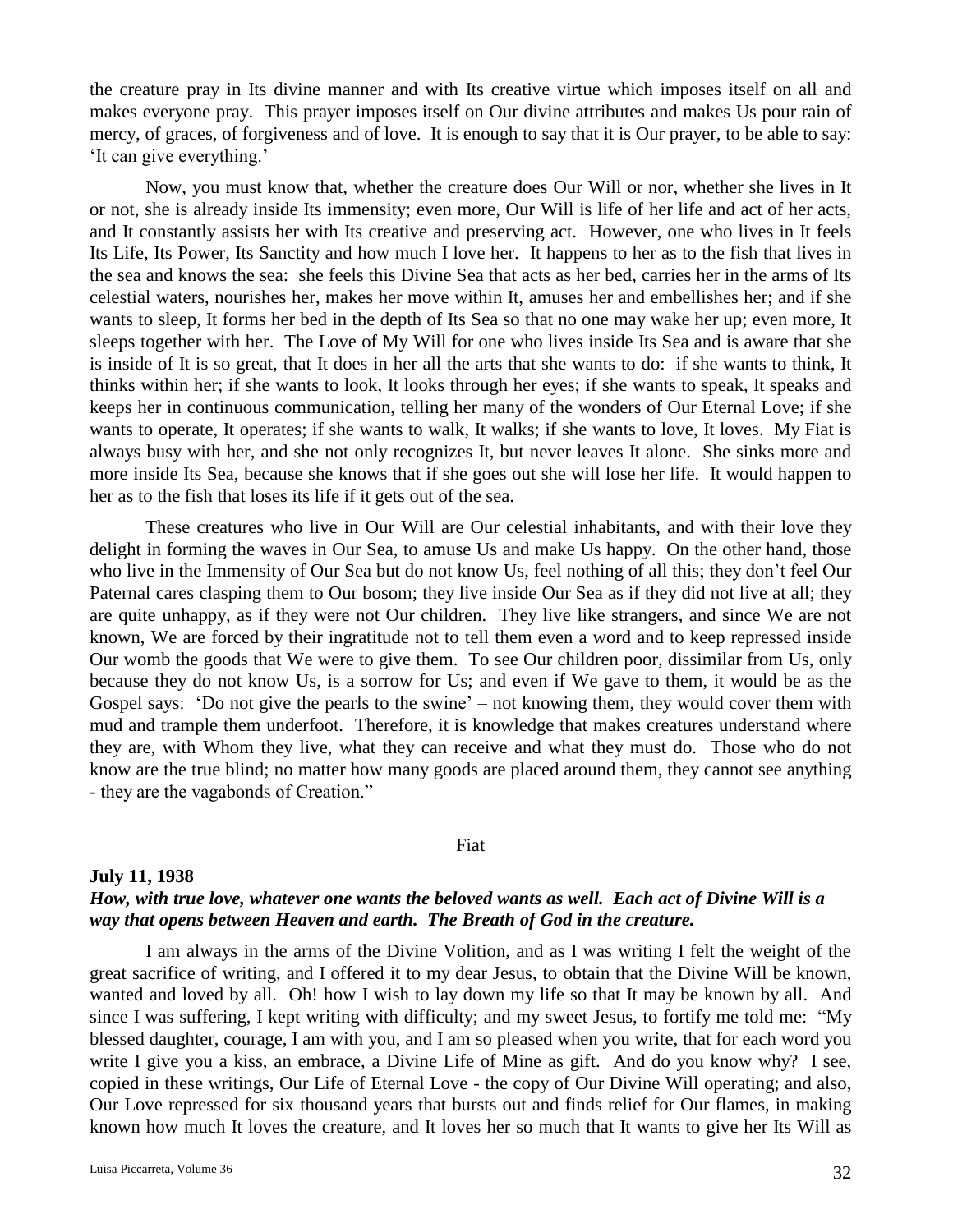the creature pray in Its divine manner and with Its creative virtue which imposes itself on all and makes everyone pray. This prayer imposes itself on Our divine attributes and makes Us pour rain of mercy, of graces, of forgiveness and of love. It is enough to say that it is Our prayer, to be able to say: 'It can give everything.'

Now, you must know that, whether the creature does Our Will or nor, whether she lives in It or not, she is already inside Its immensity; even more, Our Will is life of her life and act of her acts, and It constantly assists her with Its creative and preserving act. However, one who lives in It feels Its Life, Its Power, Its Sanctity and how much I love her. It happens to her as to the fish that lives in the sea and knows the sea: she feels this Divine Sea that acts as her bed, carries her in the arms of Its celestial waters, nourishes her, makes her move within It, amuses her and embellishes her; and if she wants to sleep, It forms her bed in the depth of Its Sea so that no one may wake her up; even more, It sleeps together with her. The Love of My Will for one who lives inside Its Sea and is aware that she is inside of It is so great, that It does in her all the arts that she wants to do: if she wants to think, It thinks within her; if she wants to look, It looks through her eyes; if she wants to speak, It speaks and keeps her in continuous communication, telling her many of the wonders of Our Eternal Love; if she wants to operate, It operates; if she wants to walk, It walks; if she wants to love, It loves. My Fiat is always busy with her, and she not only recognizes It, but never leaves It alone. She sinks more and more inside Its Sea, because she knows that if she goes out she will lose her life. It would happen to her as to the fish that loses its life if it gets out of the sea.

These creatures who live in Our Will are Our celestial inhabitants, and with their love they delight in forming the waves in Our Sea, to amuse Us and make Us happy. On the other hand, those who live in the Immensity of Our Sea but do not know Us, feel nothing of all this; they don't feel Our Paternal cares clasping them to Our bosom; they live inside Our Sea as if they did not live at all; they are quite unhappy, as if they were not Our children. They live like strangers, and since We are not known, We are forced by their ingratitude not to tell them even a word and to keep repressed inside Our womb the goods that We were to give them. To see Our children poor, dissimilar from Us, only because they do not know Us, is a sorrow for Us; and even if We gave to them, it would be as the Gospel says: 'Do not give the pearls to the swine' – not knowing them, they would cover them with mud and trample them underfoot. Therefore, it is knowledge that makes creatures understand where they are, with Whom they live, what they can receive and what they must do. Those who do not know are the true blind; no matter how many goods are placed around them, they cannot see anything - they are the vagabonds of Creation."

#### Fiat

## **July 11, 1938** *How, with true love, whatever one wants the beloved wants as well. Each act of Divine Will is a way that opens between Heaven and earth. The Breath of God in the creature.*

I am always in the arms of the Divine Volition, and as I was writing I felt the weight of the great sacrifice of writing, and I offered it to my dear Jesus, to obtain that the Divine Will be known, wanted and loved by all. Oh! how I wish to lay down my life so that It may be known by all. And since I was suffering, I kept writing with difficulty; and my sweet Jesus, to fortify me told me: "My blessed daughter, courage, I am with you, and I am so pleased when you write, that for each word you write I give you a kiss, an embrace, a Divine Life of Mine as gift. And do you know why? I see, copied in these writings, Our Life of Eternal Love - the copy of Our Divine Will operating; and also, Our Love repressed for six thousand years that bursts out and finds relief for Our flames, in making known how much It loves the creature, and It loves her so much that It wants to give her Its Will as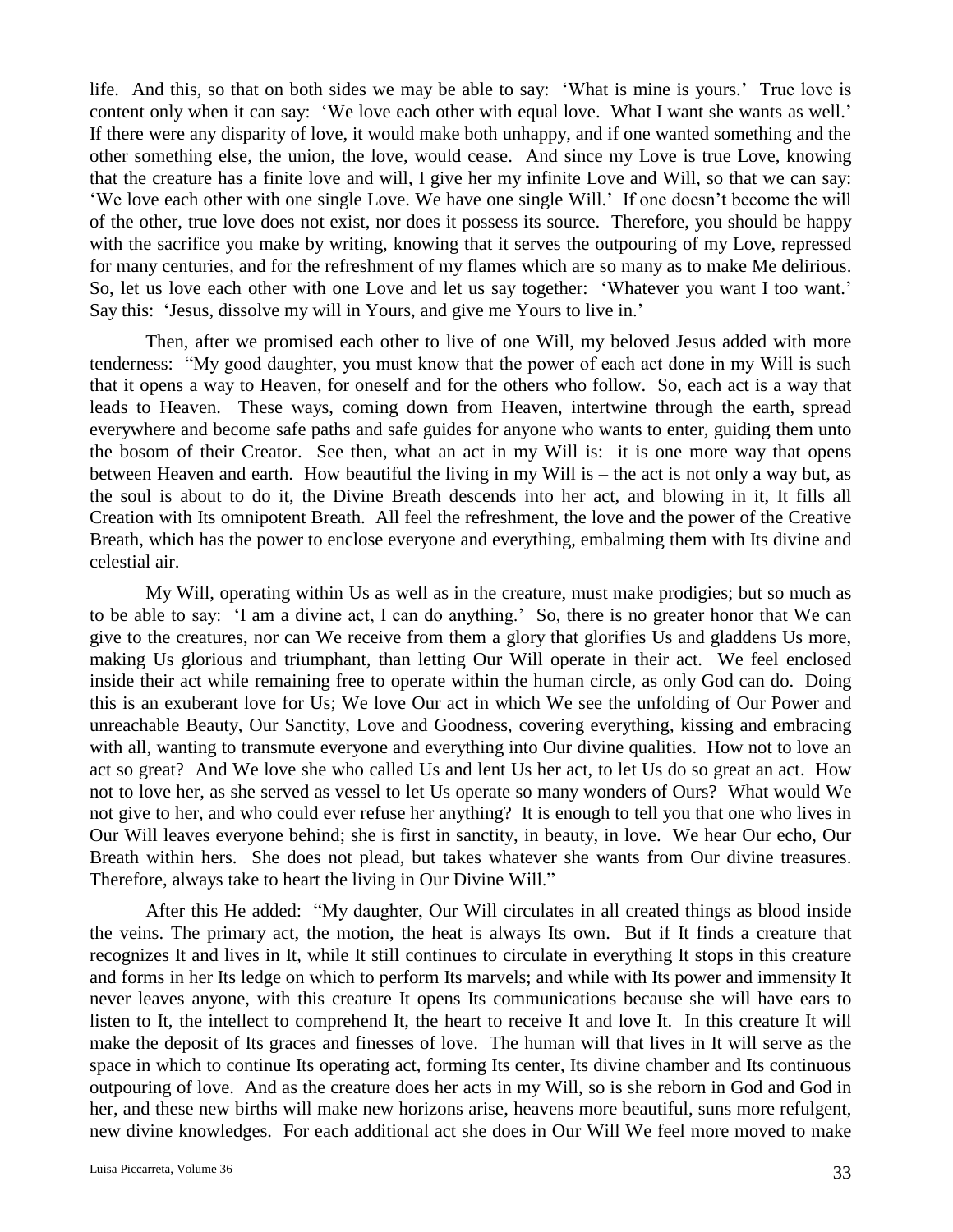life. And this, so that on both sides we may be able to say: 'What is mine is yours.' True love is content only when it can say: 'We love each other with equal love. What I want she wants as well.' If there were any disparity of love, it would make both unhappy, and if one wanted something and the other something else, the union, the love, would cease. And since my Love is true Love, knowing that the creature has a finite love and will, I give her my infinite Love and Will, so that we can say: 'We love each other with one single Love. We have one single Will.' If one doesn't become the will of the other, true love does not exist, nor does it possess its source. Therefore, you should be happy with the sacrifice you make by writing, knowing that it serves the outpouring of my Love, repressed for many centuries, and for the refreshment of my flames which are so many as to make Me delirious. So, let us love each other with one Love and let us say together: 'Whatever you want I too want.' Say this: 'Jesus, dissolve my will in Yours, and give me Yours to live in.'

Then, after we promised each other to live of one Will, my beloved Jesus added with more tenderness: "My good daughter, you must know that the power of each act done in my Will is such that it opens a way to Heaven, for oneself and for the others who follow. So, each act is a way that leads to Heaven. These ways, coming down from Heaven, intertwine through the earth, spread everywhere and become safe paths and safe guides for anyone who wants to enter, guiding them unto the bosom of their Creator. See then, what an act in my Will is: it is one more way that opens between Heaven and earth. How beautiful the living in my Will is – the act is not only a way but, as the soul is about to do it, the Divine Breath descends into her act, and blowing in it, It fills all Creation with Its omnipotent Breath. All feel the refreshment, the love and the power of the Creative Breath, which has the power to enclose everyone and everything, embalming them with Its divine and celestial air.

My Will, operating within Us as well as in the creature, must make prodigies; but so much as to be able to say: 'I am a divine act, I can do anything.' So, there is no greater honor that We can give to the creatures, nor can We receive from them a glory that glorifies Us and gladdens Us more, making Us glorious and triumphant, than letting Our Will operate in their act. We feel enclosed inside their act while remaining free to operate within the human circle, as only God can do. Doing this is an exuberant love for Us; We love Our act in which We see the unfolding of Our Power and unreachable Beauty, Our Sanctity, Love and Goodness, covering everything, kissing and embracing with all, wanting to transmute everyone and everything into Our divine qualities. How not to love an act so great? And We love she who called Us and lent Us her act, to let Us do so great an act. How not to love her, as she served as vessel to let Us operate so many wonders of Ours? What would We not give to her, and who could ever refuse her anything? It is enough to tell you that one who lives in Our Will leaves everyone behind; she is first in sanctity, in beauty, in love. We hear Our echo, Our Breath within hers. She does not plead, but takes whatever she wants from Our divine treasures. Therefore, always take to heart the living in Our Divine Will."

After this He added: "My daughter, Our Will circulates in all created things as blood inside the veins. The primary act, the motion, the heat is always Its own. But if It finds a creature that recognizes It and lives in It, while It still continues to circulate in everything It stops in this creature and forms in her Its ledge on which to perform Its marvels; and while with Its power and immensity It never leaves anyone, with this creature It opens Its communications because she will have ears to listen to It, the intellect to comprehend It, the heart to receive It and love It. In this creature It will make the deposit of Its graces and finesses of love. The human will that lives in It will serve as the space in which to continue Its operating act, forming Its center, Its divine chamber and Its continuous outpouring of love. And as the creature does her acts in my Will, so is she reborn in God and God in her, and these new births will make new horizons arise, heavens more beautiful, suns more refulgent, new divine knowledges. For each additional act she does in Our Will We feel more moved to make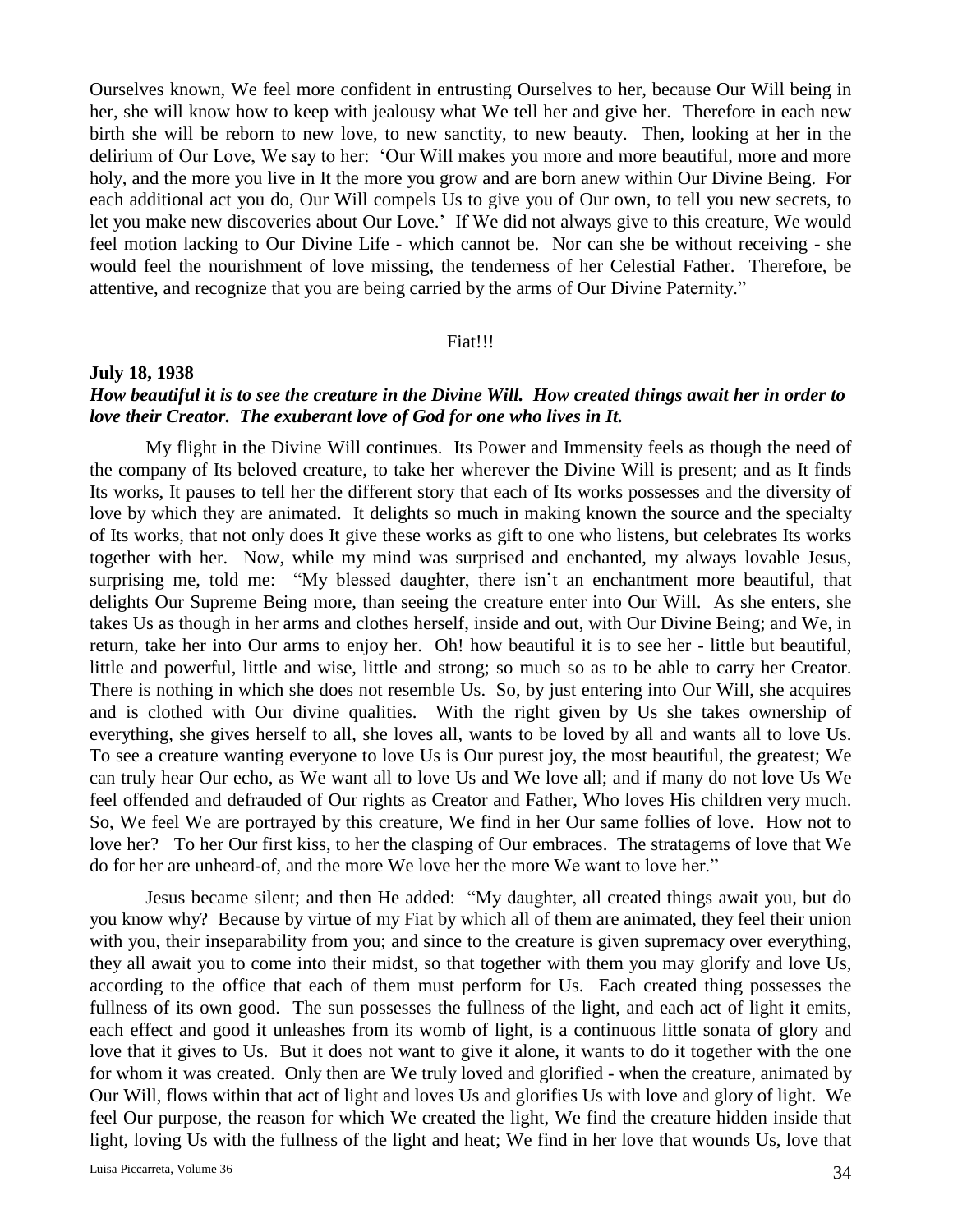Ourselves known, We feel more confident in entrusting Ourselves to her, because Our Will being in her, she will know how to keep with jealousy what We tell her and give her. Therefore in each new birth she will be reborn to new love, to new sanctity, to new beauty. Then, looking at her in the delirium of Our Love, We say to her: 'Our Will makes you more and more beautiful, more and more holy, and the more you live in It the more you grow and are born anew within Our Divine Being. For each additional act you do, Our Will compels Us to give you of Our own, to tell you new secrets, to let you make new discoveries about Our Love.' If We did not always give to this creature, We would feel motion lacking to Our Divine Life - which cannot be. Nor can she be without receiving - she would feel the nourishment of love missing, the tenderness of her Celestial Father. Therefore, be attentive, and recognize that you are being carried by the arms of Our Divine Paternity."

### Fiat!!!

### **July 18, 1938**

## *How beautiful it is to see the creature in the Divine Will. How created things await her in order to love their Creator. The exuberant love of God for one who lives in It.*

My flight in the Divine Will continues. Its Power and Immensity feels as though the need of the company of Its beloved creature, to take her wherever the Divine Will is present; and as It finds Its works, It pauses to tell her the different story that each of Its works possesses and the diversity of love by which they are animated. It delights so much in making known the source and the specialty of Its works, that not only does It give these works as gift to one who listens, but celebrates Its works together with her. Now, while my mind was surprised and enchanted, my always lovable Jesus, surprising me, told me: "My blessed daughter, there isn't an enchantment more beautiful, that delights Our Supreme Being more, than seeing the creature enter into Our Will. As she enters, she takes Us as though in her arms and clothes herself, inside and out, with Our Divine Being; and We, in return, take her into Our arms to enjoy her. Oh! how beautiful it is to see her - little but beautiful, little and powerful, little and wise, little and strong; so much so as to be able to carry her Creator. There is nothing in which she does not resemble Us. So, by just entering into Our Will, she acquires and is clothed with Our divine qualities. With the right given by Us she takes ownership of everything, she gives herself to all, she loves all, wants to be loved by all and wants all to love Us. To see a creature wanting everyone to love Us is Our purest joy, the most beautiful, the greatest; We can truly hear Our echo, as We want all to love Us and We love all; and if many do not love Us We feel offended and defrauded of Our rights as Creator and Father, Who loves His children very much. So, We feel We are portrayed by this creature, We find in her Our same follies of love. How not to love her? To her Our first kiss, to her the clasping of Our embraces. The stratagems of love that We do for her are unheard-of, and the more We love her the more We want to love her."

Jesus became silent; and then He added: "My daughter, all created things await you, but do you know why? Because by virtue of my Fiat by which all of them are animated, they feel their union with you, their inseparability from you; and since to the creature is given supremacy over everything, they all await you to come into their midst, so that together with them you may glorify and love Us, according to the office that each of them must perform for Us. Each created thing possesses the fullness of its own good. The sun possesses the fullness of the light, and each act of light it emits, each effect and good it unleashes from its womb of light, is a continuous little sonata of glory and love that it gives to Us. But it does not want to give it alone, it wants to do it together with the one for whom it was created. Only then are We truly loved and glorified - when the creature, animated by Our Will, flows within that act of light and loves Us and glorifies Us with love and glory of light. We feel Our purpose, the reason for which We created the light, We find the creature hidden inside that light, loving Us with the fullness of the light and heat; We find in her love that wounds Us, love that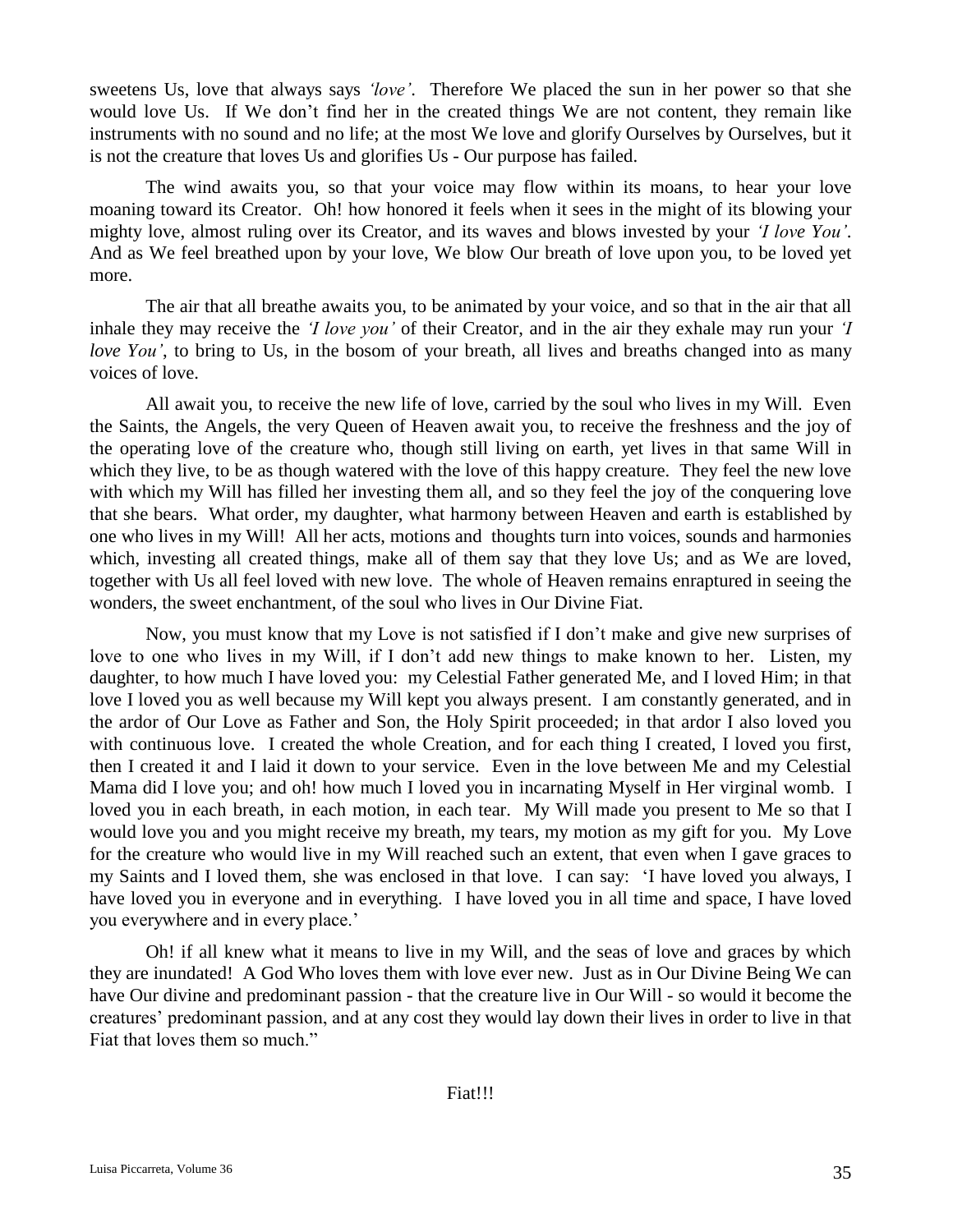sweetens Us, love that always says *'love'*. Therefore We placed the sun in her power so that she would love Us. If We don't find her in the created things We are not content, they remain like instruments with no sound and no life; at the most We love and glorify Ourselves by Ourselves, but it is not the creature that loves Us and glorifies Us - Our purpose has failed.

The wind awaits you, so that your voice may flow within its moans, to hear your love moaning toward its Creator. Oh! how honored it feels when it sees in the might of its blowing your mighty love, almost ruling over its Creator, and its waves and blows invested by your *'I love You'*. And as We feel breathed upon by your love, We blow Our breath of love upon you, to be loved yet more.

The air that all breathe awaits you, to be animated by your voice, and so that in the air that all inhale they may receive the *'I love you'* of their Creator, and in the air they exhale may run your *'I love You'*, to bring to Us, in the bosom of your breath, all lives and breaths changed into as many voices of love.

All await you, to receive the new life of love, carried by the soul who lives in my Will. Even the Saints, the Angels, the very Queen of Heaven await you, to receive the freshness and the joy of the operating love of the creature who, though still living on earth, yet lives in that same Will in which they live, to be as though watered with the love of this happy creature. They feel the new love with which my Will has filled her investing them all, and so they feel the joy of the conquering love that she bears. What order, my daughter, what harmony between Heaven and earth is established by one who lives in my Will! All her acts, motions and thoughts turn into voices, sounds and harmonies which, investing all created things, make all of them say that they love Us; and as We are loved, together with Us all feel loved with new love. The whole of Heaven remains enraptured in seeing the wonders, the sweet enchantment, of the soul who lives in Our Divine Fiat.

Now, you must know that my Love is not satisfied if I don't make and give new surprises of love to one who lives in my Will, if I don't add new things to make known to her. Listen, my daughter, to how much I have loved you: my Celestial Father generated Me, and I loved Him; in that love I loved you as well because my Will kept you always present. I am constantly generated, and in the ardor of Our Love as Father and Son, the Holy Spirit proceeded; in that ardor I also loved you with continuous love. I created the whole Creation, and for each thing I created, I loved you first, then I created it and I laid it down to your service. Even in the love between Me and my Celestial Mama did I love you; and oh! how much I loved you in incarnating Myself in Her virginal womb. I loved you in each breath, in each motion, in each tear. My Will made you present to Me so that I would love you and you might receive my breath, my tears, my motion as my gift for you. My Love for the creature who would live in my Will reached such an extent, that even when I gave graces to my Saints and I loved them, she was enclosed in that love. I can say: 'I have loved you always, I have loved you in everyone and in everything. I have loved you in all time and space, I have loved you everywhere and in every place.'

Oh! if all knew what it means to live in my Will, and the seas of love and graces by which they are inundated! A God Who loves them with love ever new. Just as in Our Divine Being We can have Our divine and predominant passion - that the creature live in Our Will - so would it become the creatures' predominant passion, and at any cost they would lay down their lives in order to live in that Fiat that loves them so much."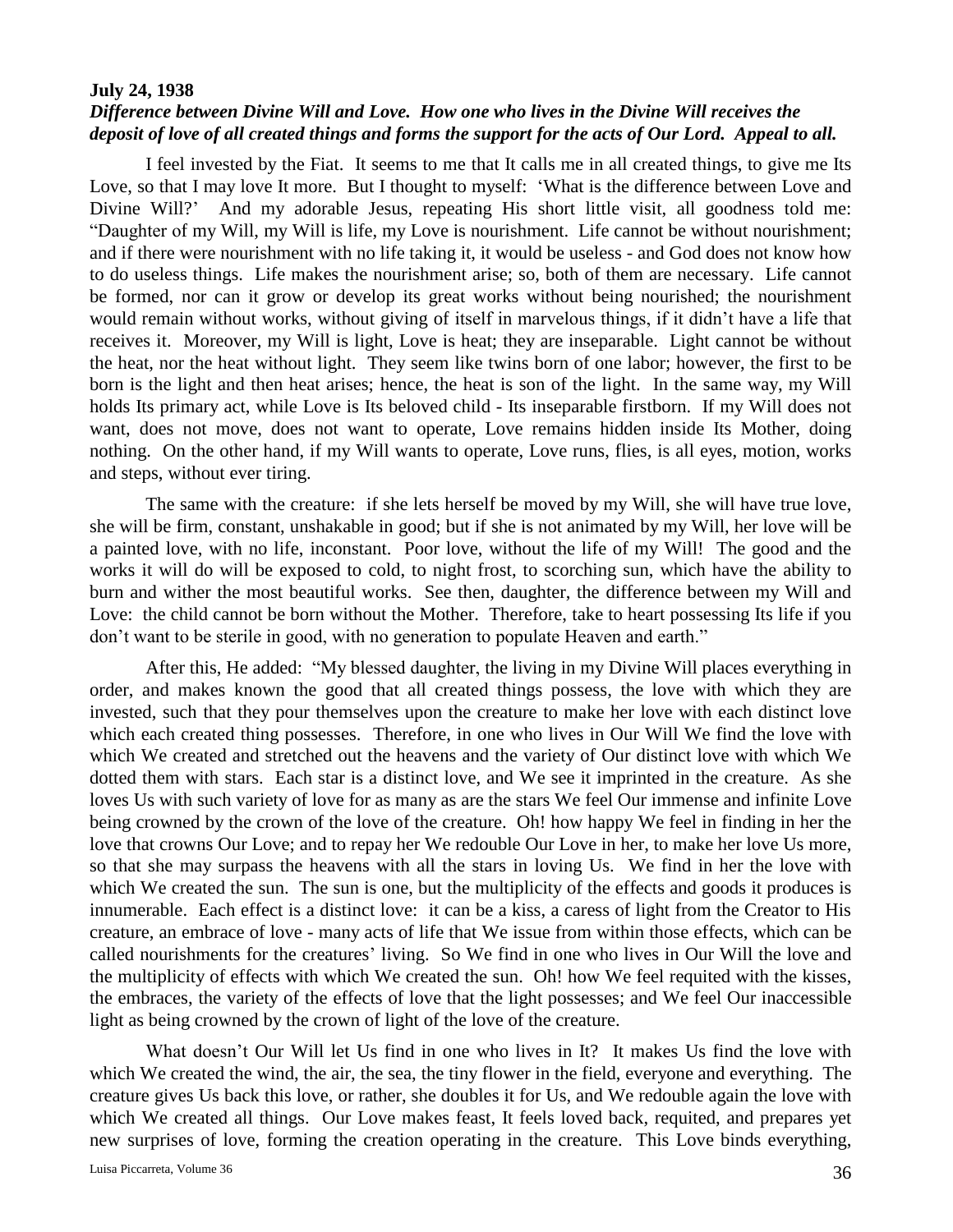### **July 24, 1938**

# *Difference between Divine Will and Love. How one who lives in the Divine Will receives the deposit of love of all created things and forms the support for the acts of Our Lord. Appeal to all.*

I feel invested by the Fiat. It seems to me that It calls me in all created things, to give me Its Love, so that I may love It more. But I thought to myself: 'What is the difference between Love and Divine Will?' And my adorable Jesus, repeating His short little visit, all goodness told me: "Daughter of my Will, my Will is life, my Love is nourishment. Life cannot be without nourishment; and if there were nourishment with no life taking it, it would be useless - and God does not know how to do useless things. Life makes the nourishment arise; so, both of them are necessary. Life cannot be formed, nor can it grow or develop its great works without being nourished; the nourishment would remain without works, without giving of itself in marvelous things, if it didn't have a life that receives it. Moreover, my Will is light, Love is heat; they are inseparable. Light cannot be without the heat, nor the heat without light. They seem like twins born of one labor; however, the first to be born is the light and then heat arises; hence, the heat is son of the light. In the same way, my Will holds Its primary act, while Love is Its beloved child - Its inseparable firstborn. If my Will does not want, does not move, does not want to operate, Love remains hidden inside Its Mother, doing nothing. On the other hand, if my Will wants to operate, Love runs, flies, is all eyes, motion, works and steps, without ever tiring.

The same with the creature: if she lets herself be moved by my Will, she will have true love, she will be firm, constant, unshakable in good; but if she is not animated by my Will, her love will be a painted love, with no life, inconstant. Poor love, without the life of my Will! The good and the works it will do will be exposed to cold, to night frost, to scorching sun, which have the ability to burn and wither the most beautiful works. See then, daughter, the difference between my Will and Love: the child cannot be born without the Mother. Therefore, take to heart possessing Its life if you don't want to be sterile in good, with no generation to populate Heaven and earth."

After this, He added: "My blessed daughter, the living in my Divine Will places everything in order, and makes known the good that all created things possess, the love with which they are invested, such that they pour themselves upon the creature to make her love with each distinct love which each created thing possesses. Therefore, in one who lives in Our Will We find the love with which We created and stretched out the heavens and the variety of Our distinct love with which We dotted them with stars. Each star is a distinct love, and We see it imprinted in the creature. As she loves Us with such variety of love for as many as are the stars We feel Our immense and infinite Love being crowned by the crown of the love of the creature. Oh! how happy We feel in finding in her the love that crowns Our Love; and to repay her We redouble Our Love in her, to make her love Us more, so that she may surpass the heavens with all the stars in loving Us. We find in her the love with which We created the sun. The sun is one, but the multiplicity of the effects and goods it produces is innumerable. Each effect is a distinct love: it can be a kiss, a caress of light from the Creator to His creature, an embrace of love - many acts of life that We issue from within those effects, which can be called nourishments for the creatures' living. So We find in one who lives in Our Will the love and the multiplicity of effects with which We created the sun. Oh! how We feel requited with the kisses, the embraces, the variety of the effects of love that the light possesses; and We feel Our inaccessible light as being crowned by the crown of light of the love of the creature.

What doesn't Our Will let Us find in one who lives in It? It makes Us find the love with which We created the wind, the air, the sea, the tiny flower in the field, everyone and everything. The creature gives Us back this love, or rather, she doubles it for Us, and We redouble again the love with which We created all things. Our Love makes feast, It feels loved back, requited, and prepares yet new surprises of love, forming the creation operating in the creature. This Love binds everything,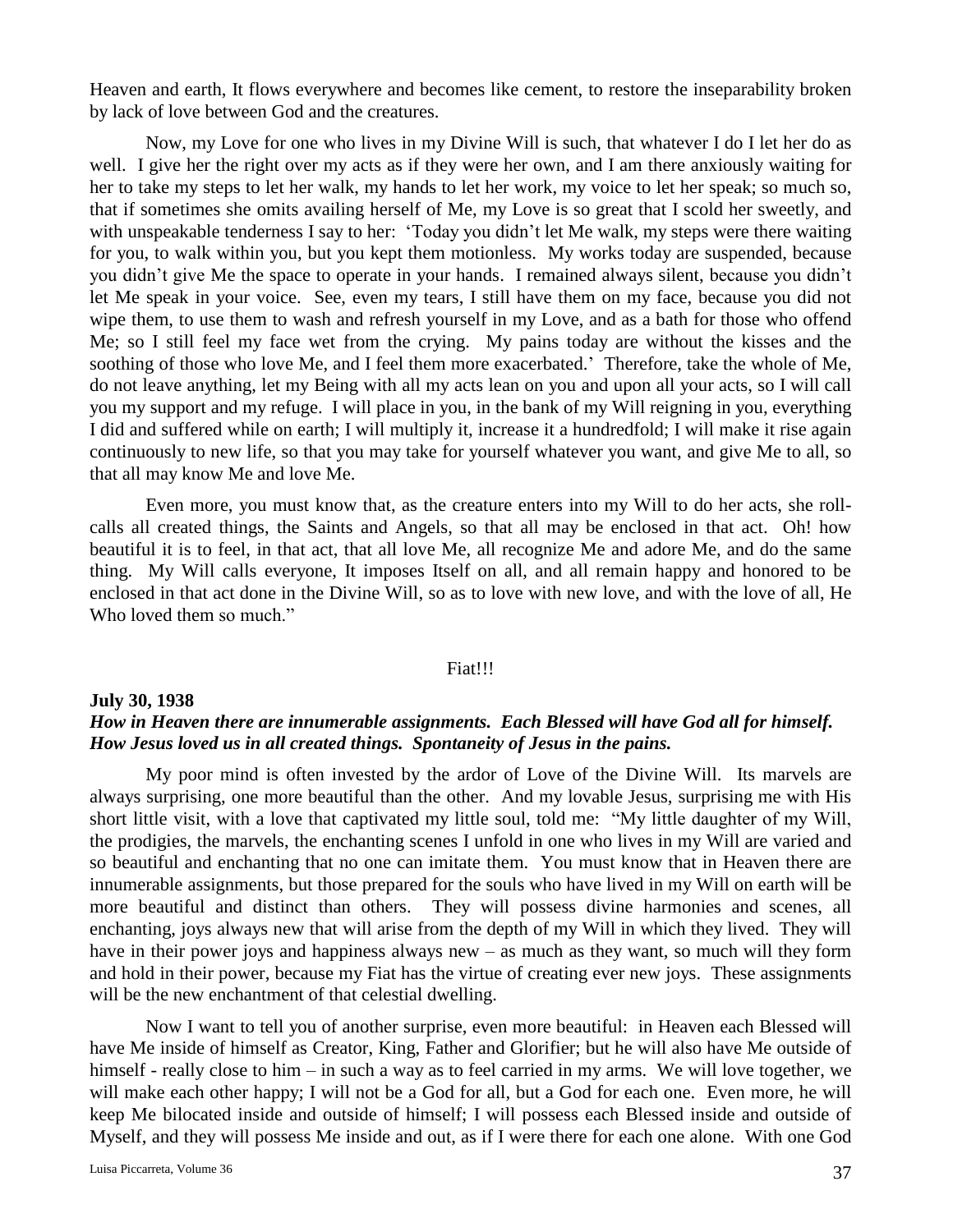Heaven and earth, It flows everywhere and becomes like cement, to restore the inseparability broken by lack of love between God and the creatures.

Now, my Love for one who lives in my Divine Will is such, that whatever I do I let her do as well. I give her the right over my acts as if they were her own, and I am there anxiously waiting for her to take my steps to let her walk, my hands to let her work, my voice to let her speak; so much so, that if sometimes she omits availing herself of Me, my Love is so great that I scold her sweetly, and with unspeakable tenderness I say to her: 'Today you didn't let Me walk, my steps were there waiting for you, to walk within you, but you kept them motionless. My works today are suspended, because you didn't give Me the space to operate in your hands. I remained always silent, because you didn't let Me speak in your voice. See, even my tears, I still have them on my face, because you did not wipe them, to use them to wash and refresh yourself in my Love, and as a bath for those who offend Me; so I still feel my face wet from the crying. My pains today are without the kisses and the soothing of those who love Me, and I feel them more exacerbated.' Therefore, take the whole of Me, do not leave anything, let my Being with all my acts lean on you and upon all your acts, so I will call you my support and my refuge. I will place in you, in the bank of my Will reigning in you, everything I did and suffered while on earth; I will multiply it, increase it a hundredfold; I will make it rise again continuously to new life, so that you may take for yourself whatever you want, and give Me to all, so that all may know Me and love Me.

Even more, you must know that, as the creature enters into my Will to do her acts, she rollcalls all created things, the Saints and Angels, so that all may be enclosed in that act. Oh! how beautiful it is to feel, in that act, that all love Me, all recognize Me and adore Me, and do the same thing. My Will calls everyone, It imposes Itself on all, and all remain happy and honored to be enclosed in that act done in the Divine Will, so as to love with new love, and with the love of all, He Who loved them so much."

### Fiat!!!

## **July 30, 1938** *How in Heaven there are innumerable assignments. Each Blessed will have God all for himself. How Jesus loved us in all created things. Spontaneity of Jesus in the pains.*

My poor mind is often invested by the ardor of Love of the Divine Will. Its marvels are always surprising, one more beautiful than the other. And my lovable Jesus, surprising me with His short little visit, with a love that captivated my little soul, told me: "My little daughter of my Will, the prodigies, the marvels, the enchanting scenes I unfold in one who lives in my Will are varied and so beautiful and enchanting that no one can imitate them. You must know that in Heaven there are innumerable assignments, but those prepared for the souls who have lived in my Will on earth will be more beautiful and distinct than others. They will possess divine harmonies and scenes, all enchanting, joys always new that will arise from the depth of my Will in which they lived. They will have in their power joys and happiness always new – as much as they want, so much will they form and hold in their power, because my Fiat has the virtue of creating ever new joys. These assignments will be the new enchantment of that celestial dwelling.

Now I want to tell you of another surprise, even more beautiful: in Heaven each Blessed will have Me inside of himself as Creator, King, Father and Glorifier; but he will also have Me outside of himself - really close to him – in such a way as to feel carried in my arms. We will love together, we will make each other happy; I will not be a God for all, but a God for each one. Even more, he will keep Me bilocated inside and outside of himself; I will possess each Blessed inside and outside of Myself, and they will possess Me inside and out, as if I were there for each one alone. With one God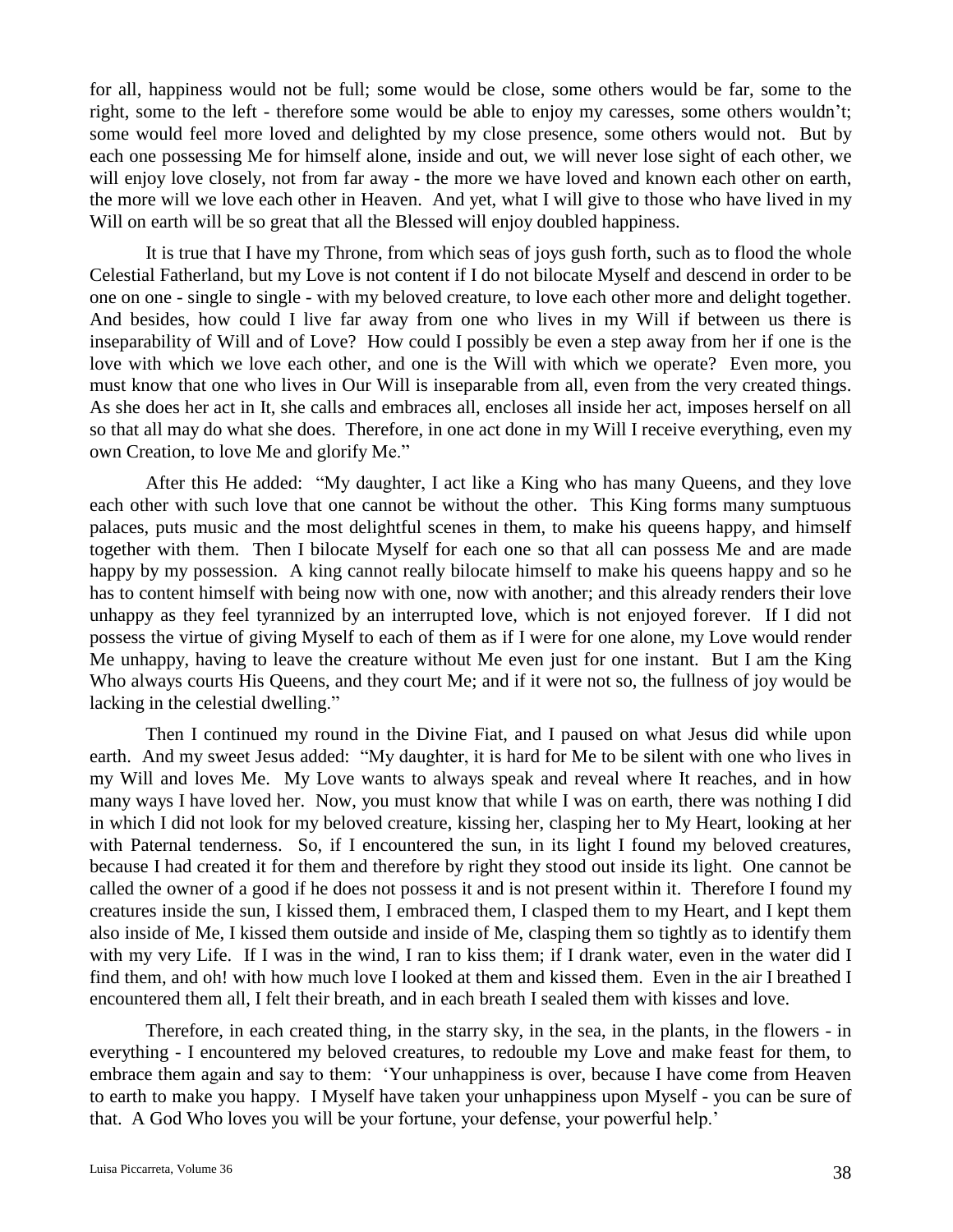for all, happiness would not be full; some would be close, some others would be far, some to the right, some to the left - therefore some would be able to enjoy my caresses, some others wouldn't; some would feel more loved and delighted by my close presence, some others would not. But by each one possessing Me for himself alone, inside and out, we will never lose sight of each other, we will enjoy love closely, not from far away - the more we have loved and known each other on earth, the more will we love each other in Heaven. And yet, what I will give to those who have lived in my Will on earth will be so great that all the Blessed will enjoy doubled happiness.

It is true that I have my Throne, from which seas of joys gush forth, such as to flood the whole Celestial Fatherland, but my Love is not content if I do not bilocate Myself and descend in order to be one on one - single to single - with my beloved creature, to love each other more and delight together. And besides, how could I live far away from one who lives in my Will if between us there is inseparability of Will and of Love? How could I possibly be even a step away from her if one is the love with which we love each other, and one is the Will with which we operate? Even more, you must know that one who lives in Our Will is inseparable from all, even from the very created things. As she does her act in It, she calls and embraces all, encloses all inside her act, imposes herself on all so that all may do what she does. Therefore, in one act done in my Will I receive everything, even my own Creation, to love Me and glorify Me."

After this He added: "My daughter, I act like a King who has many Queens, and they love each other with such love that one cannot be without the other. This King forms many sumptuous palaces, puts music and the most delightful scenes in them, to make his queens happy, and himself together with them. Then I bilocate Myself for each one so that all can possess Me and are made happy by my possession. A king cannot really bilocate himself to make his queens happy and so he has to content himself with being now with one, now with another; and this already renders their love unhappy as they feel tyrannized by an interrupted love, which is not enjoyed forever. If I did not possess the virtue of giving Myself to each of them as if I were for one alone, my Love would render Me unhappy, having to leave the creature without Me even just for one instant. But I am the King Who always courts His Queens, and they court Me; and if it were not so, the fullness of joy would be lacking in the celestial dwelling."

Then I continued my round in the Divine Fiat, and I paused on what Jesus did while upon earth. And my sweet Jesus added: "My daughter, it is hard for Me to be silent with one who lives in my Will and loves Me. My Love wants to always speak and reveal where It reaches, and in how many ways I have loved her. Now, you must know that while I was on earth, there was nothing I did in which I did not look for my beloved creature, kissing her, clasping her to My Heart, looking at her with Paternal tenderness. So, if I encountered the sun, in its light I found my beloved creatures, because I had created it for them and therefore by right they stood out inside its light. One cannot be called the owner of a good if he does not possess it and is not present within it. Therefore I found my creatures inside the sun, I kissed them, I embraced them, I clasped them to my Heart, and I kept them also inside of Me, I kissed them outside and inside of Me, clasping them so tightly as to identify them with my very Life. If I was in the wind, I ran to kiss them; if I drank water, even in the water did I find them, and oh! with how much love I looked at them and kissed them. Even in the air I breathed I encountered them all, I felt their breath, and in each breath I sealed them with kisses and love.

Therefore, in each created thing, in the starry sky, in the sea, in the plants, in the flowers - in everything - I encountered my beloved creatures, to redouble my Love and make feast for them, to embrace them again and say to them: 'Your unhappiness is over, because I have come from Heaven to earth to make you happy. I Myself have taken your unhappiness upon Myself - you can be sure of that. A God Who loves you will be your fortune, your defense, your powerful help.'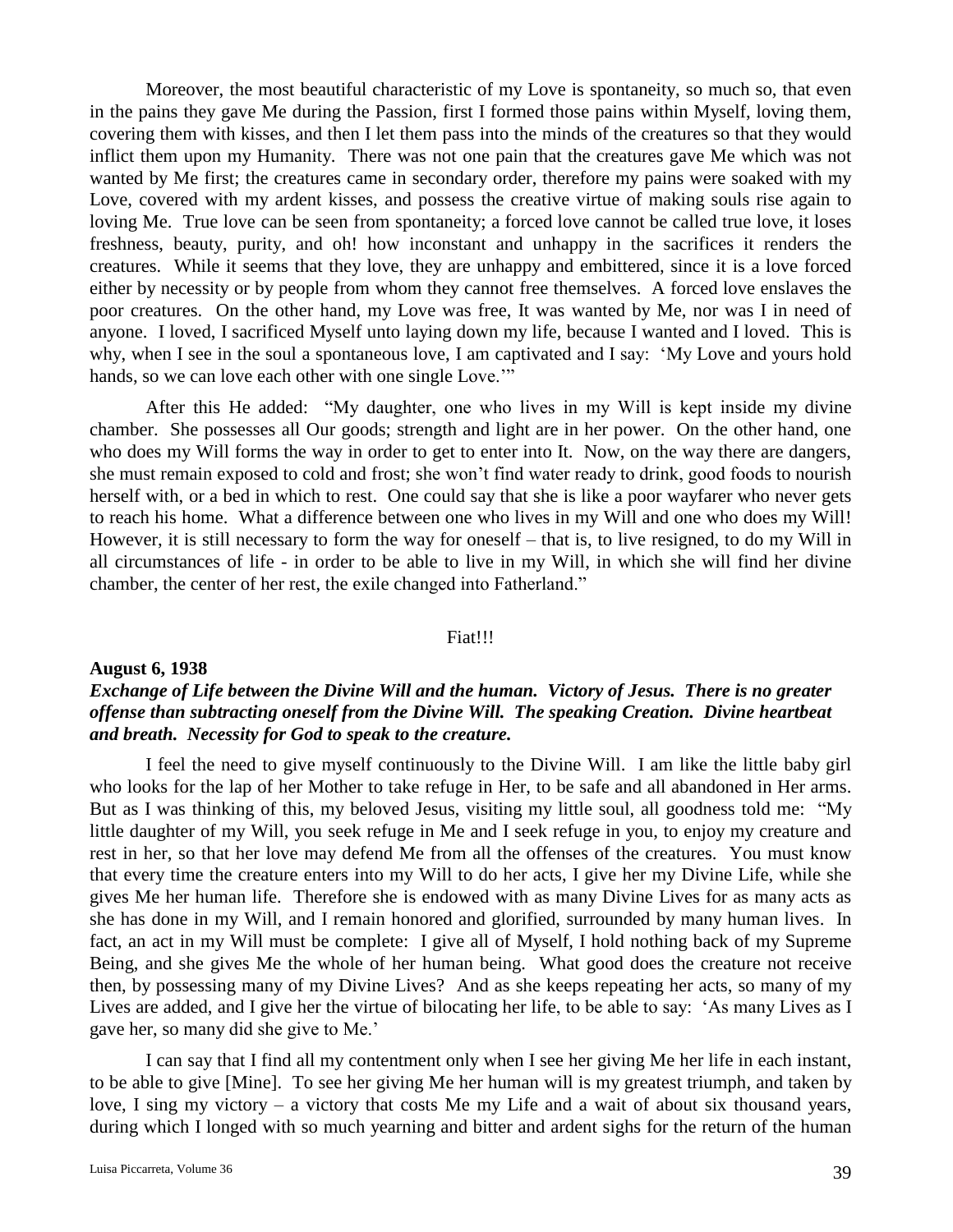Moreover, the most beautiful characteristic of my Love is spontaneity, so much so, that even in the pains they gave Me during the Passion, first I formed those pains within Myself, loving them, covering them with kisses, and then I let them pass into the minds of the creatures so that they would inflict them upon my Humanity. There was not one pain that the creatures gave Me which was not wanted by Me first; the creatures came in secondary order, therefore my pains were soaked with my Love, covered with my ardent kisses, and possess the creative virtue of making souls rise again to loving Me. True love can be seen from spontaneity; a forced love cannot be called true love, it loses freshness, beauty, purity, and oh! how inconstant and unhappy in the sacrifices it renders the creatures. While it seems that they love, they are unhappy and embittered, since it is a love forced either by necessity or by people from whom they cannot free themselves. A forced love enslaves the poor creatures. On the other hand, my Love was free, It was wanted by Me, nor was I in need of anyone. I loved, I sacrificed Myself unto laying down my life, because I wanted and I loved. This is why, when I see in the soul a spontaneous love, I am captivated and I say: 'My Love and yours hold hands, so we can love each other with one single Love."

After this He added: "My daughter, one who lives in my Will is kept inside my divine chamber. She possesses all Our goods; strength and light are in her power. On the other hand, one who does my Will forms the way in order to get to enter into It. Now, on the way there are dangers, she must remain exposed to cold and frost; she won't find water ready to drink, good foods to nourish herself with, or a bed in which to rest. One could say that she is like a poor wayfarer who never gets to reach his home. What a difference between one who lives in my Will and one who does my Will! However, it is still necessary to form the way for oneself – that is, to live resigned, to do my Will in all circumstances of life - in order to be able to live in my Will, in which she will find her divine chamber, the center of her rest, the exile changed into Fatherland."

## Fiat!!!

## **August 6, 1938**

# *Exchange of Life between the Divine Will and the human. Victory of Jesus. There is no greater offense than subtracting oneself from the Divine Will. The speaking Creation. Divine heartbeat and breath. Necessity for God to speak to the creature.*

I feel the need to give myself continuously to the Divine Will. I am like the little baby girl who looks for the lap of her Mother to take refuge in Her, to be safe and all abandoned in Her arms. But as I was thinking of this, my beloved Jesus, visiting my little soul, all goodness told me: "My little daughter of my Will, you seek refuge in Me and I seek refuge in you, to enjoy my creature and rest in her, so that her love may defend Me from all the offenses of the creatures. You must know that every time the creature enters into my Will to do her acts, I give her my Divine Life, while she gives Me her human life. Therefore she is endowed with as many Divine Lives for as many acts as she has done in my Will, and I remain honored and glorified, surrounded by many human lives. In fact, an act in my Will must be complete: I give all of Myself, I hold nothing back of my Supreme Being, and she gives Me the whole of her human being. What good does the creature not receive then, by possessing many of my Divine Lives? And as she keeps repeating her acts, so many of my Lives are added, and I give her the virtue of bilocating her life, to be able to say: 'As many Lives as I gave her, so many did she give to Me.'

I can say that I find all my contentment only when I see her giving Me her life in each instant, to be able to give [Mine]. To see her giving Me her human will is my greatest triumph, and taken by love, I sing my victory – a victory that costs Me my Life and a wait of about six thousand years, during which I longed with so much yearning and bitter and ardent sighs for the return of the human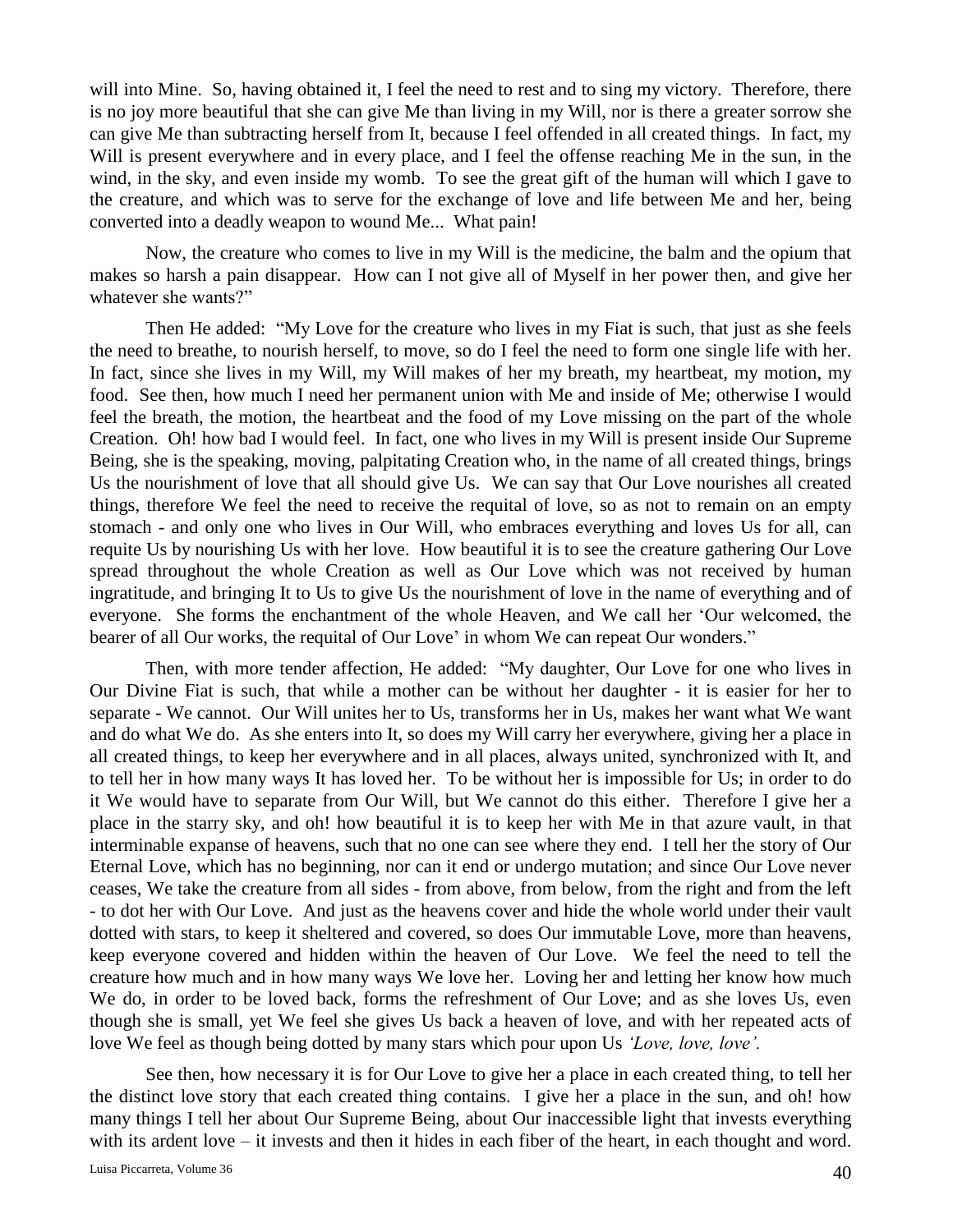will into Mine. So, having obtained it, I feel the need to rest and to sing my victory. Therefore, there is no joy more beautiful that she can give Me than living in my Will, nor is there a greater sorrow she can give Me than subtracting herself from It, because I feel offended in all created things. In fact, my Will is present everywhere and in every place, and I feel the offense reaching Me in the sun, in the wind, in the sky, and even inside my womb. To see the great gift of the human will which I gave to the creature, and which was to serve for the exchange of love and life between Me and her, being converted into a deadly weapon to wound Me... What pain!

Now, the creature who comes to live in my Will is the medicine, the balm and the opium that makes so harsh a pain disappear. How can I not give all of Myself in her power then, and give her whatever she wants?"

Then He added: "My Love for the creature who lives in my Fiat is such, that just as she feels the need to breathe, to nourish herself, to move, so do I feel the need to form one single life with her. In fact, since she lives in my Will, my Will makes of her my breath, my heartbeat, my motion, my food. See then, how much I need her permanent union with Me and inside of Me; otherwise I would feel the breath, the motion, the heartbeat and the food of my Love missing on the part of the whole Creation. Oh! how bad I would feel. In fact, one who lives in my Will is present inside Our Supreme Being, she is the speaking, moving, palpitating Creation who, in the name of all created things, brings Us the nourishment of love that all should give Us. We can say that Our Love nourishes all created things, therefore We feel the need to receive the requital of love, so as not to remain on an empty stomach - and only one who lives in Our Will, who embraces everything and loves Us for all, can requite Us by nourishing Us with her love. How beautiful it is to see the creature gathering Our Love spread throughout the whole Creation as well as Our Love which was not received by human ingratitude, and bringing It to Us to give Us the nourishment of love in the name of everything and of everyone. She forms the enchantment of the whole Heaven, and We call her 'Our welcomed, the bearer of all Our works, the requital of Our Love' in whom We can repeat Our wonders."

Then, with more tender affection, He added: "My daughter, Our Love for one who lives in Our Divine Fiat is such, that while a mother can be without her daughter - it is easier for her to separate - We cannot. Our Will unites her to Us, transforms her in Us, makes her want what We want and do what We do. As she enters into It, so does my Will carry her everywhere, giving her a place in all created things, to keep her everywhere and in all places, always united, synchronized with It, and to tell her in how many ways It has loved her. To be without her is impossible for Us; in order to do it We would have to separate from Our Will, but We cannot do this either. Therefore I give her a place in the starry sky, and oh! how beautiful it is to keep her with Me in that azure vault, in that interminable expanse of heavens, such that no one can see where they end. I tell her the story of Our Eternal Love, which has no beginning, nor can it end or undergo mutation; and since Our Love never ceases, We take the creature from all sides - from above, from below, from the right and from the left - to dot her with Our Love. And just as the heavens cover and hide the whole world under their vault dotted with stars, to keep it sheltered and covered, so does Our immutable Love, more than heavens, keep everyone covered and hidden within the heaven of Our Love. We feel the need to tell the creature how much and in how many ways We love her. Loving her and letting her know how much We do, in order to be loved back, forms the refreshment of Our Love; and as she loves Us, even though she is small, yet We feel she gives Us back a heaven of love, and with her repeated acts of love We feel as though being dotted by many stars which pour upon Us *'Love, love, love'.*

See then, how necessary it is for Our Love to give her a place in each created thing, to tell her the distinct love story that each created thing contains. I give her a place in the sun, and oh! how many things I tell her about Our Supreme Being, about Our inaccessible light that invests everything with its ardent love – it invests and then it hides in each fiber of the heart, in each thought and word.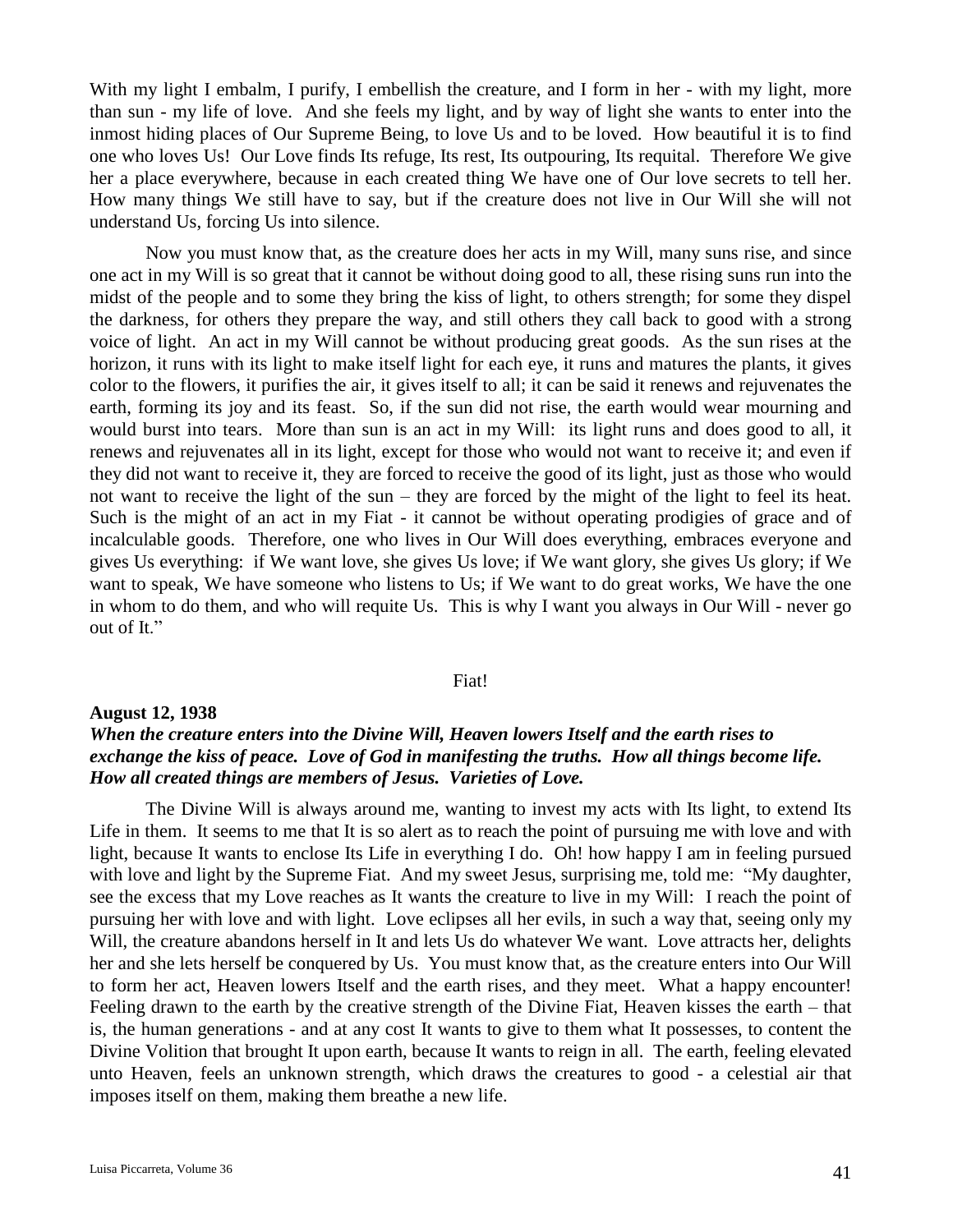With my light I embalm, I purify, I embellish the creature, and I form in her - with my light, more than sun - my life of love. And she feels my light, and by way of light she wants to enter into the inmost hiding places of Our Supreme Being, to love Us and to be loved. How beautiful it is to find one who loves Us! Our Love finds Its refuge, Its rest, Its outpouring, Its requital. Therefore We give her a place everywhere, because in each created thing We have one of Our love secrets to tell her. How many things We still have to say, but if the creature does not live in Our Will she will not understand Us, forcing Us into silence.

Now you must know that, as the creature does her acts in my Will, many suns rise, and since one act in my Will is so great that it cannot be without doing good to all, these rising suns run into the midst of the people and to some they bring the kiss of light, to others strength; for some they dispel the darkness, for others they prepare the way, and still others they call back to good with a strong voice of light. An act in my Will cannot be without producing great goods. As the sun rises at the horizon, it runs with its light to make itself light for each eye, it runs and matures the plants, it gives color to the flowers, it purifies the air, it gives itself to all; it can be said it renews and rejuvenates the earth, forming its joy and its feast. So, if the sun did not rise, the earth would wear mourning and would burst into tears. More than sun is an act in my Will: its light runs and does good to all, it renews and rejuvenates all in its light, except for those who would not want to receive it; and even if they did not want to receive it, they are forced to receive the good of its light, just as those who would not want to receive the light of the sun – they are forced by the might of the light to feel its heat. Such is the might of an act in my Fiat - it cannot be without operating prodigies of grace and of incalculable goods. Therefore, one who lives in Our Will does everything, embraces everyone and gives Us everything: if We want love, she gives Us love; if We want glory, she gives Us glory; if We want to speak, We have someone who listens to Us; if We want to do great works, We have the one in whom to do them, and who will requite Us. This is why I want you always in Our Will - never go out of It."

### Fiat!

## **August 12, 1938**

# *When the creature enters into the Divine Will, Heaven lowers Itself and the earth rises to exchange the kiss of peace. Love of God in manifesting the truths. How all things become life. How all created things are members of Jesus. Varieties of Love.*

The Divine Will is always around me, wanting to invest my acts with Its light, to extend Its Life in them. It seems to me that It is so alert as to reach the point of pursuing me with love and with light, because It wants to enclose Its Life in everything I do. Oh! how happy I am in feeling pursued with love and light by the Supreme Fiat. And my sweet Jesus, surprising me, told me: "My daughter, see the excess that my Love reaches as It wants the creature to live in my Will: I reach the point of pursuing her with love and with light. Love eclipses all her evils, in such a way that, seeing only my Will, the creature abandons herself in It and lets Us do whatever We want. Love attracts her, delights her and she lets herself be conquered by Us. You must know that, as the creature enters into Our Will to form her act, Heaven lowers Itself and the earth rises, and they meet. What a happy encounter! Feeling drawn to the earth by the creative strength of the Divine Fiat, Heaven kisses the earth – that is, the human generations - and at any cost It wants to give to them what It possesses, to content the Divine Volition that brought It upon earth, because It wants to reign in all. The earth, feeling elevated unto Heaven, feels an unknown strength, which draws the creatures to good - a celestial air that imposes itself on them, making them breathe a new life.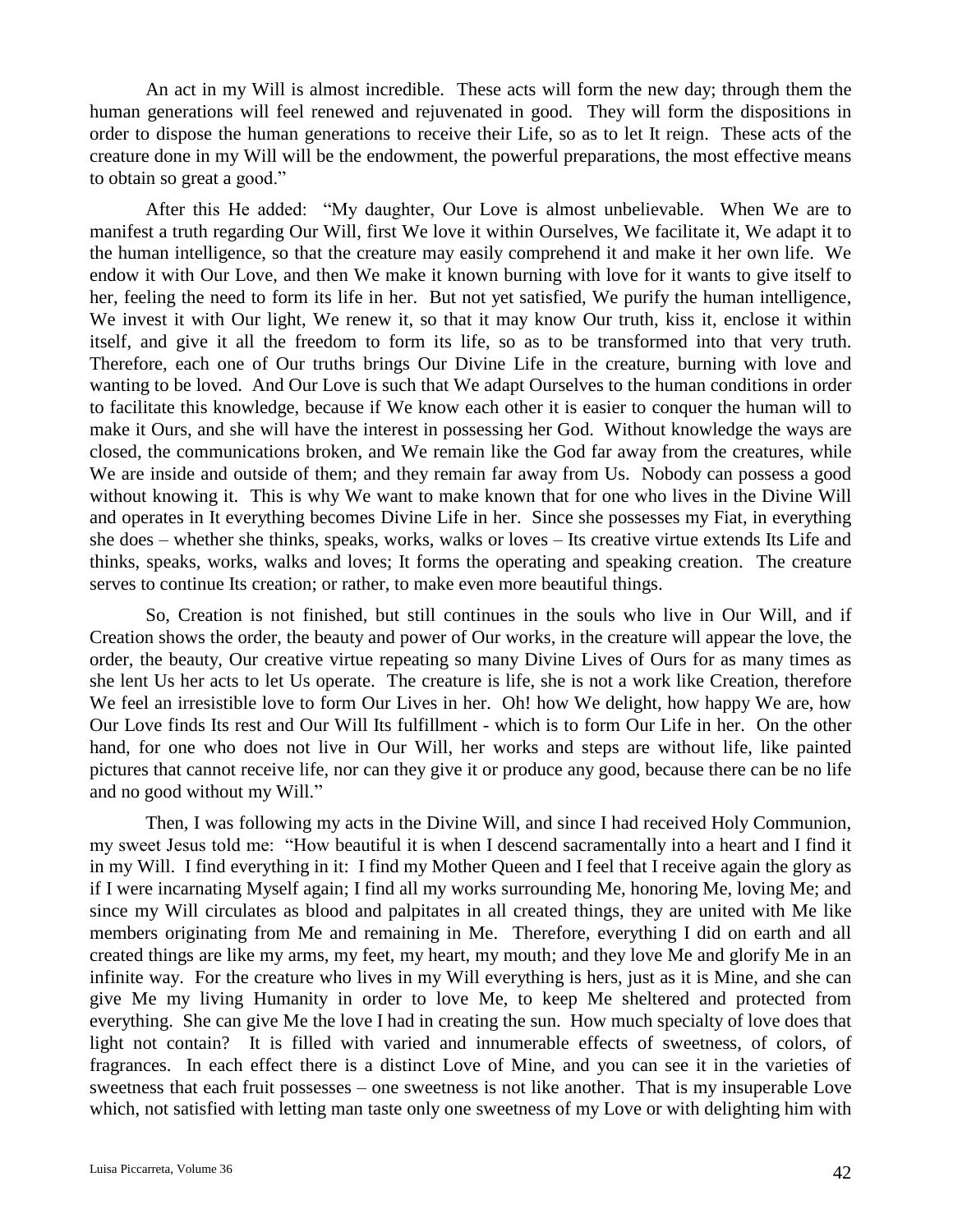An act in my Will is almost incredible. These acts will form the new day; through them the human generations will feel renewed and rejuvenated in good. They will form the dispositions in order to dispose the human generations to receive their Life, so as to let It reign. These acts of the creature done in my Will will be the endowment, the powerful preparations, the most effective means to obtain so great a good."

After this He added: "My daughter, Our Love is almost unbelievable. When We are to manifest a truth regarding Our Will, first We love it within Ourselves, We facilitate it, We adapt it to the human intelligence, so that the creature may easily comprehend it and make it her own life. We endow it with Our Love, and then We make it known burning with love for it wants to give itself to her, feeling the need to form its life in her. But not yet satisfied, We purify the human intelligence, We invest it with Our light, We renew it, so that it may know Our truth, kiss it, enclose it within itself, and give it all the freedom to form its life, so as to be transformed into that very truth. Therefore, each one of Our truths brings Our Divine Life in the creature, burning with love and wanting to be loved. And Our Love is such that We adapt Ourselves to the human conditions in order to facilitate this knowledge, because if We know each other it is easier to conquer the human will to make it Ours, and she will have the interest in possessing her God. Without knowledge the ways are closed, the communications broken, and We remain like the God far away from the creatures, while We are inside and outside of them; and they remain far away from Us. Nobody can possess a good without knowing it. This is why We want to make known that for one who lives in the Divine Will and operates in It everything becomes Divine Life in her. Since she possesses my Fiat, in everything she does – whether she thinks, speaks, works, walks or loves – Its creative virtue extends Its Life and thinks, speaks, works, walks and loves; It forms the operating and speaking creation. The creature serves to continue Its creation; or rather, to make even more beautiful things.

So, Creation is not finished, but still continues in the souls who live in Our Will, and if Creation shows the order, the beauty and power of Our works, in the creature will appear the love, the order, the beauty, Our creative virtue repeating so many Divine Lives of Ours for as many times as she lent Us her acts to let Us operate. The creature is life, she is not a work like Creation, therefore We feel an irresistible love to form Our Lives in her. Oh! how We delight, how happy We are, how Our Love finds Its rest and Our Will Its fulfillment - which is to form Our Life in her. On the other hand, for one who does not live in Our Will, her works and steps are without life, like painted pictures that cannot receive life, nor can they give it or produce any good, because there can be no life and no good without my Will."

Then, I was following my acts in the Divine Will, and since I had received Holy Communion, my sweet Jesus told me: "How beautiful it is when I descend sacramentally into a heart and I find it in my Will. I find everything in it: I find my Mother Queen and I feel that I receive again the glory as if I were incarnating Myself again; I find all my works surrounding Me, honoring Me, loving Me; and since my Will circulates as blood and palpitates in all created things, they are united with Me like members originating from Me and remaining in Me. Therefore, everything I did on earth and all created things are like my arms, my feet, my heart, my mouth; and they love Me and glorify Me in an infinite way. For the creature who lives in my Will everything is hers, just as it is Mine, and she can give Me my living Humanity in order to love Me, to keep Me sheltered and protected from everything. She can give Me the love I had in creating the sun. How much specialty of love does that light not contain? It is filled with varied and innumerable effects of sweetness, of colors, of fragrances. In each effect there is a distinct Love of Mine, and you can see it in the varieties of sweetness that each fruit possesses – one sweetness is not like another. That is my insuperable Love which, not satisfied with letting man taste only one sweetness of my Love or with delighting him with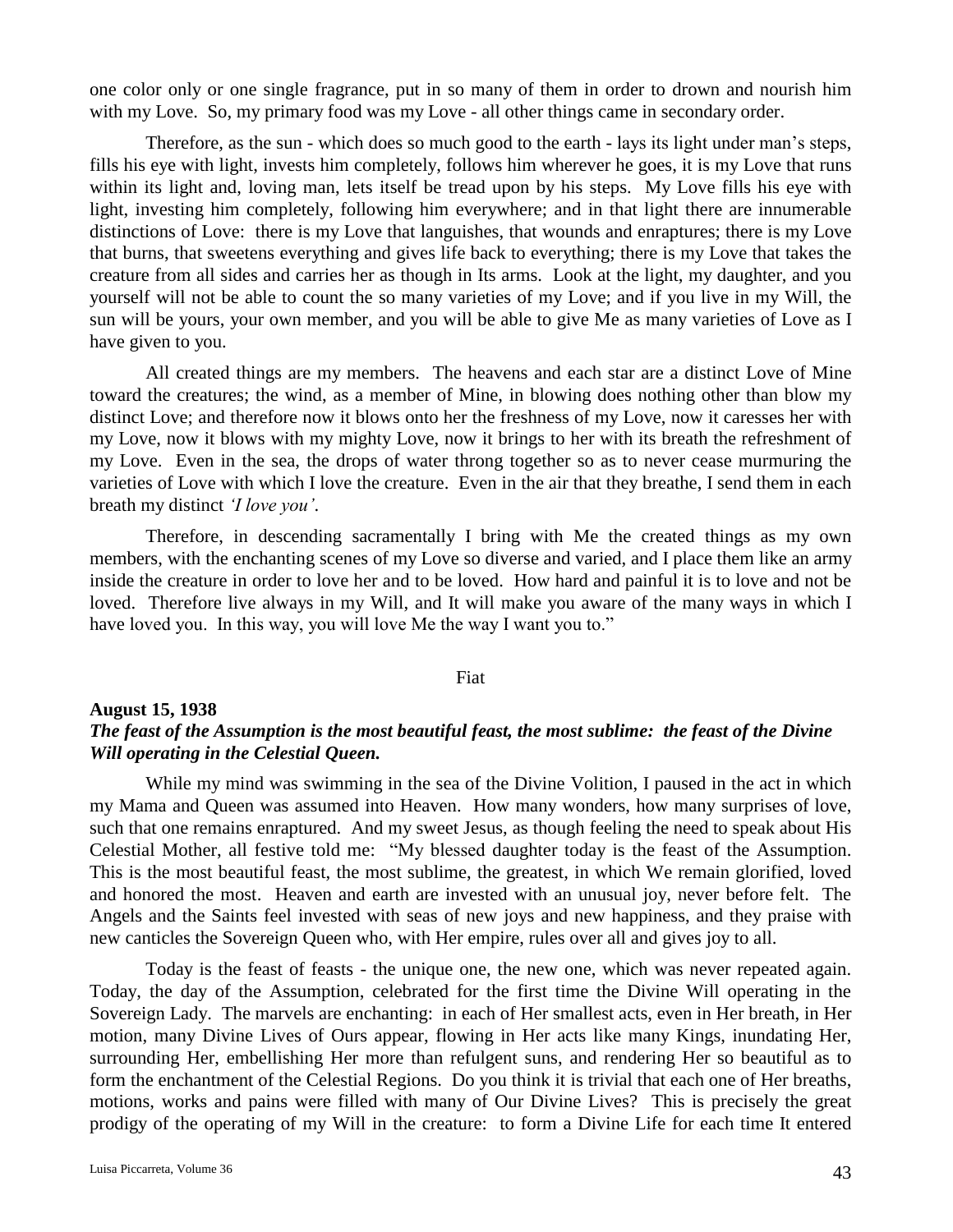one color only or one single fragrance, put in so many of them in order to drown and nourish him with my Love. So, my primary food was my Love - all other things came in secondary order.

Therefore, as the sun - which does so much good to the earth - lays its light under man's steps, fills his eye with light, invests him completely, follows him wherever he goes, it is my Love that runs within its light and, loving man, lets itself be tread upon by his steps. My Love fills his eye with light, investing him completely, following him everywhere; and in that light there are innumerable distinctions of Love: there is my Love that languishes, that wounds and enraptures; there is my Love that burns, that sweetens everything and gives life back to everything; there is my Love that takes the creature from all sides and carries her as though in Its arms. Look at the light, my daughter, and you yourself will not be able to count the so many varieties of my Love; and if you live in my Will, the sun will be yours, your own member, and you will be able to give Me as many varieties of Love as I have given to you.

All created things are my members. The heavens and each star are a distinct Love of Mine toward the creatures; the wind, as a member of Mine, in blowing does nothing other than blow my distinct Love; and therefore now it blows onto her the freshness of my Love, now it caresses her with my Love, now it blows with my mighty Love, now it brings to her with its breath the refreshment of my Love. Even in the sea, the drops of water throng together so as to never cease murmuring the varieties of Love with which I love the creature. Even in the air that they breathe, I send them in each breath my distinct *'I love you'*.

Therefore, in descending sacramentally I bring with Me the created things as my own members, with the enchanting scenes of my Love so diverse and varied, and I place them like an army inside the creature in order to love her and to be loved. How hard and painful it is to love and not be loved. Therefore live always in my Will, and It will make you aware of the many ways in which I have loved you. In this way, you will love Me the way I want you to."

## Fiat

# **August 15, 1938** *The feast of the Assumption is the most beautiful feast, the most sublime: the feast of the Divine Will operating in the Celestial Queen.*

While my mind was swimming in the sea of the Divine Volition, I paused in the act in which my Mama and Queen was assumed into Heaven. How many wonders, how many surprises of love, such that one remains enraptured. And my sweet Jesus, as though feeling the need to speak about His Celestial Mother, all festive told me: "My blessed daughter today is the feast of the Assumption. This is the most beautiful feast, the most sublime, the greatest, in which We remain glorified, loved and honored the most. Heaven and earth are invested with an unusual joy, never before felt. The Angels and the Saints feel invested with seas of new joys and new happiness, and they praise with new canticles the Sovereign Queen who, with Her empire, rules over all and gives joy to all.

Today is the feast of feasts - the unique one, the new one, which was never repeated again. Today, the day of the Assumption, celebrated for the first time the Divine Will operating in the Sovereign Lady. The marvels are enchanting: in each of Her smallest acts, even in Her breath, in Her motion, many Divine Lives of Ours appear, flowing in Her acts like many Kings, inundating Her, surrounding Her, embellishing Her more than refulgent suns, and rendering Her so beautiful as to form the enchantment of the Celestial Regions. Do you think it is trivial that each one of Her breaths, motions, works and pains were filled with many of Our Divine Lives? This is precisely the great prodigy of the operating of my Will in the creature: to form a Divine Life for each time It entered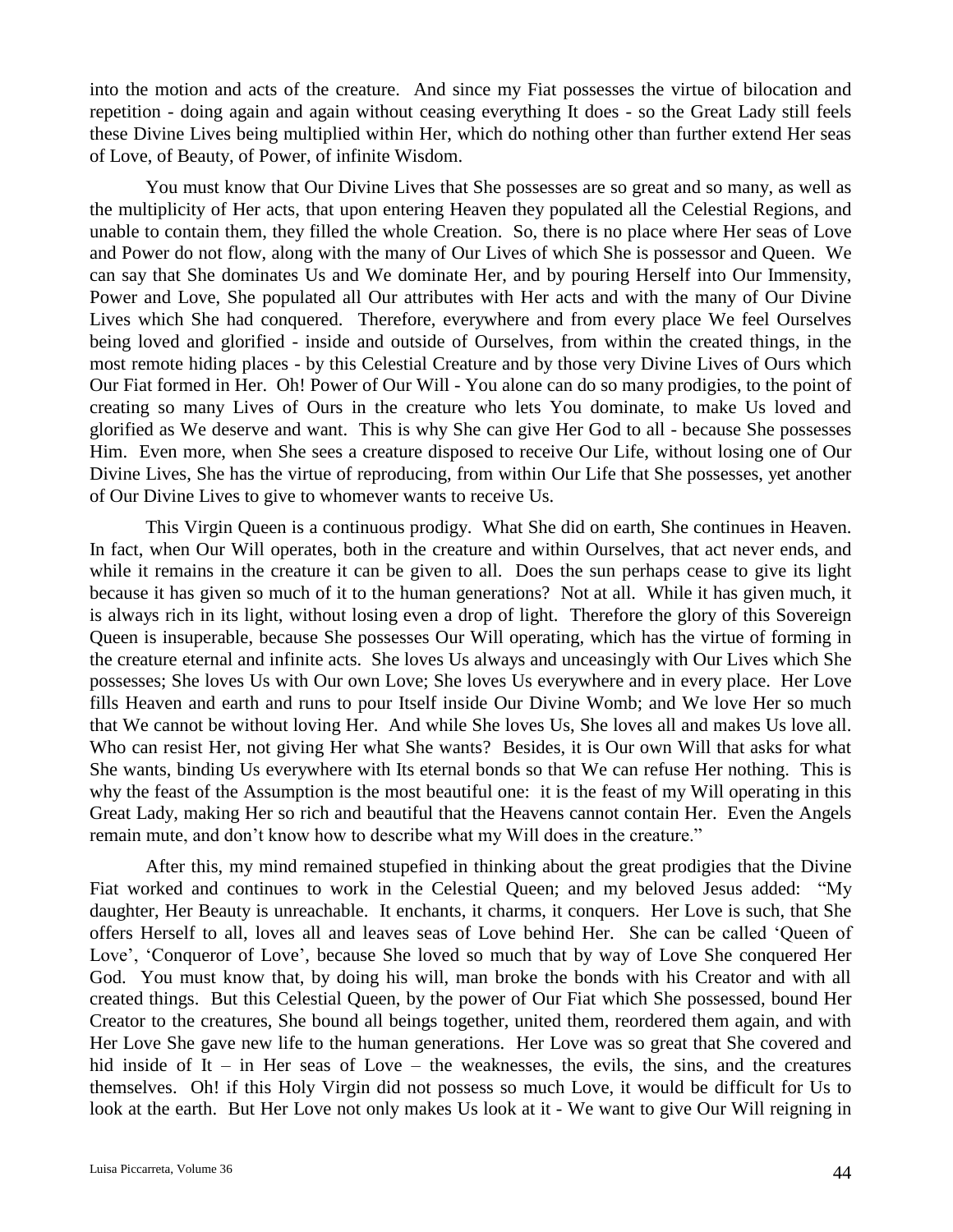into the motion and acts of the creature. And since my Fiat possesses the virtue of bilocation and repetition - doing again and again without ceasing everything It does - so the Great Lady still feels these Divine Lives being multiplied within Her, which do nothing other than further extend Her seas of Love, of Beauty, of Power, of infinite Wisdom.

You must know that Our Divine Lives that She possesses are so great and so many, as well as the multiplicity of Her acts, that upon entering Heaven they populated all the Celestial Regions, and unable to contain them, they filled the whole Creation. So, there is no place where Her seas of Love and Power do not flow, along with the many of Our Lives of which She is possessor and Queen. We can say that She dominates Us and We dominate Her, and by pouring Herself into Our Immensity, Power and Love, She populated all Our attributes with Her acts and with the many of Our Divine Lives which She had conquered. Therefore, everywhere and from every place We feel Ourselves being loved and glorified - inside and outside of Ourselves, from within the created things, in the most remote hiding places - by this Celestial Creature and by those very Divine Lives of Ours which Our Fiat formed in Her. Oh! Power of Our Will - You alone can do so many prodigies, to the point of creating so many Lives of Ours in the creature who lets You dominate, to make Us loved and glorified as We deserve and want. This is why She can give Her God to all - because She possesses Him. Even more, when She sees a creature disposed to receive Our Life, without losing one of Our Divine Lives, She has the virtue of reproducing, from within Our Life that She possesses, yet another of Our Divine Lives to give to whomever wants to receive Us.

This Virgin Queen is a continuous prodigy. What She did on earth, She continues in Heaven. In fact, when Our Will operates, both in the creature and within Ourselves, that act never ends, and while it remains in the creature it can be given to all. Does the sun perhaps cease to give its light because it has given so much of it to the human generations? Not at all. While it has given much, it is always rich in its light, without losing even a drop of light. Therefore the glory of this Sovereign Queen is insuperable, because She possesses Our Will operating, which has the virtue of forming in the creature eternal and infinite acts. She loves Us always and unceasingly with Our Lives which She possesses; She loves Us with Our own Love; She loves Us everywhere and in every place. Her Love fills Heaven and earth and runs to pour Itself inside Our Divine Womb; and We love Her so much that We cannot be without loving Her. And while She loves Us, She loves all and makes Us love all. Who can resist Her, not giving Her what She wants? Besides, it is Our own Will that asks for what She wants, binding Us everywhere with Its eternal bonds so that We can refuse Her nothing. This is why the feast of the Assumption is the most beautiful one: it is the feast of my Will operating in this Great Lady, making Her so rich and beautiful that the Heavens cannot contain Her. Even the Angels remain mute, and don't know how to describe what my Will does in the creature."

After this, my mind remained stupefied in thinking about the great prodigies that the Divine Fiat worked and continues to work in the Celestial Queen; and my beloved Jesus added: "My daughter, Her Beauty is unreachable. It enchants, it charms, it conquers. Her Love is such, that She offers Herself to all, loves all and leaves seas of Love behind Her. She can be called 'Queen of Love', 'Conqueror of Love', because She loved so much that by way of Love She conquered Her God. You must know that, by doing his will, man broke the bonds with his Creator and with all created things. But this Celestial Queen, by the power of Our Fiat which She possessed, bound Her Creator to the creatures, She bound all beings together, united them, reordered them again, and with Her Love She gave new life to the human generations. Her Love was so great that She covered and hid inside of It – in Her seas of Love – the weaknesses, the evils, the sins, and the creatures themselves. Oh! if this Holy Virgin did not possess so much Love, it would be difficult for Us to look at the earth. But Her Love not only makes Us look at it - We want to give Our Will reigning in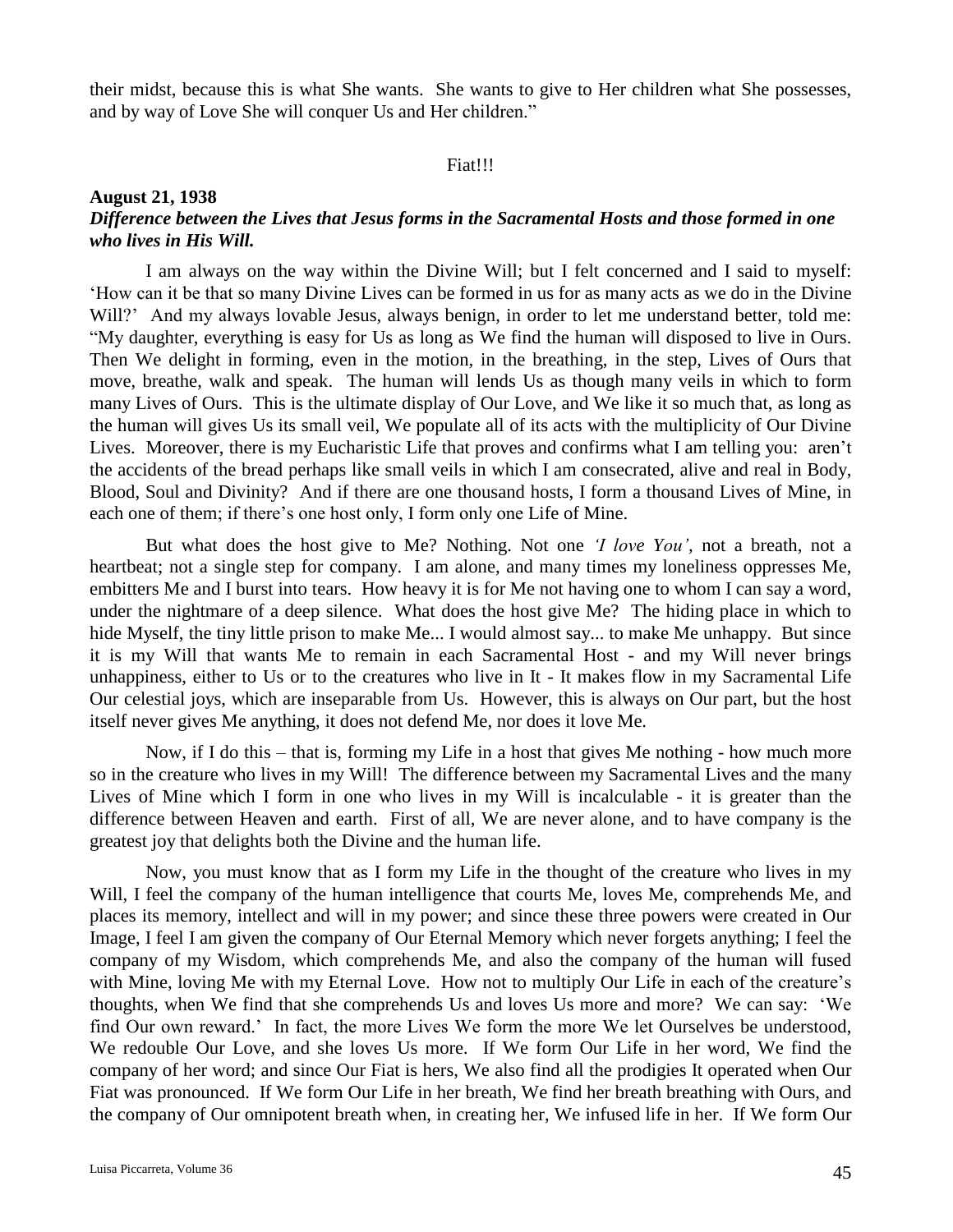their midst, because this is what She wants. She wants to give to Her children what She possesses, and by way of Love She will conquer Us and Her children."

## Fiat!!!

## **August 21, 1938** *Difference between the Lives that Jesus forms in the Sacramental Hosts and those formed in one who lives in His Will.*

I am always on the way within the Divine Will; but I felt concerned and I said to myself: 'How can it be that so many Divine Lives can be formed in us for as many acts as we do in the Divine Will?' And my always lovable Jesus, always benign, in order to let me understand better, told me: "My daughter, everything is easy for Us as long as We find the human will disposed to live in Ours. Then We delight in forming, even in the motion, in the breathing, in the step, Lives of Ours that move, breathe, walk and speak. The human will lends Us as though many veils in which to form many Lives of Ours. This is the ultimate display of Our Love, and We like it so much that, as long as the human will gives Us its small veil, We populate all of its acts with the multiplicity of Our Divine Lives. Moreover, there is my Eucharistic Life that proves and confirms what I am telling you: aren't the accidents of the bread perhaps like small veils in which I am consecrated, alive and real in Body, Blood, Soul and Divinity? And if there are one thousand hosts, I form a thousand Lives of Mine, in each one of them; if there's one host only, I form only one Life of Mine.

But what does the host give to Me? Nothing. Not one *'I love You',* not a breath, not a heartbeat; not a single step for company. I am alone, and many times my loneliness oppresses Me, embitters Me and I burst into tears. How heavy it is for Me not having one to whom I can say a word, under the nightmare of a deep silence. What does the host give Me? The hiding place in which to hide Myself, the tiny little prison to make Me... I would almost say... to make Me unhappy. But since it is my Will that wants Me to remain in each Sacramental Host - and my Will never brings unhappiness, either to Us or to the creatures who live in It - It makes flow in my Sacramental Life Our celestial joys, which are inseparable from Us. However, this is always on Our part, but the host itself never gives Me anything, it does not defend Me, nor does it love Me.

Now, if I do this – that is, forming my Life in a host that gives Me nothing - how much more so in the creature who lives in my Will! The difference between my Sacramental Lives and the many Lives of Mine which I form in one who lives in my Will is incalculable - it is greater than the difference between Heaven and earth. First of all, We are never alone, and to have company is the greatest joy that delights both the Divine and the human life.

Now, you must know that as I form my Life in the thought of the creature who lives in my Will, I feel the company of the human intelligence that courts Me, loves Me, comprehends Me, and places its memory, intellect and will in my power; and since these three powers were created in Our Image, I feel I am given the company of Our Eternal Memory which never forgets anything; I feel the company of my Wisdom, which comprehends Me, and also the company of the human will fused with Mine, loving Me with my Eternal Love. How not to multiply Our Life in each of the creature's thoughts, when We find that she comprehends Us and loves Us more and more? We can say: 'We find Our own reward.' In fact, the more Lives We form the more We let Ourselves be understood, We redouble Our Love, and she loves Us more. If We form Our Life in her word, We find the company of her word; and since Our Fiat is hers, We also find all the prodigies It operated when Our Fiat was pronounced. If We form Our Life in her breath, We find her breath breathing with Ours, and the company of Our omnipotent breath when, in creating her, We infused life in her. If We form Our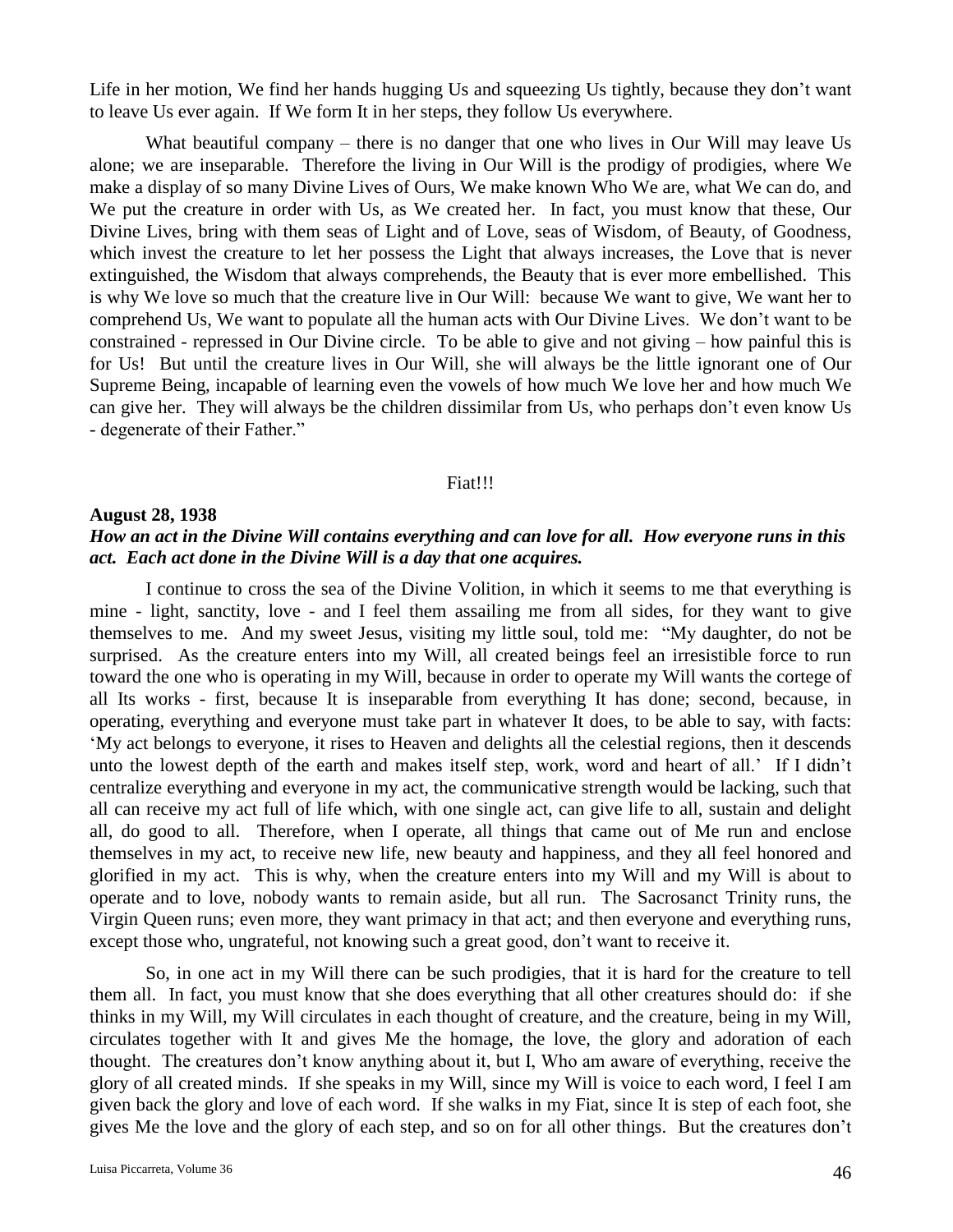Life in her motion, We find her hands hugging Us and squeezing Us tightly, because they don't want to leave Us ever again. If We form It in her steps, they follow Us everywhere.

What beautiful company – there is no danger that one who lives in Our Will may leave Us alone; we are inseparable. Therefore the living in Our Will is the prodigy of prodigies, where We make a display of so many Divine Lives of Ours, We make known Who We are, what We can do, and We put the creature in order with Us, as We created her. In fact, you must know that these, Our Divine Lives, bring with them seas of Light and of Love, seas of Wisdom, of Beauty, of Goodness, which invest the creature to let her possess the Light that always increases, the Love that is never extinguished, the Wisdom that always comprehends, the Beauty that is ever more embellished. This is why We love so much that the creature live in Our Will: because We want to give, We want her to comprehend Us, We want to populate all the human acts with Our Divine Lives. We don't want to be constrained - repressed in Our Divine circle. To be able to give and not giving – how painful this is for Us! But until the creature lives in Our Will, she will always be the little ignorant one of Our Supreme Being, incapable of learning even the vowels of how much We love her and how much We can give her. They will always be the children dissimilar from Us, who perhaps don't even know Us - degenerate of their Father."

#### Fiat!!!

### **August 28, 1938**

# *How an act in the Divine Will contains everything and can love for all. How everyone runs in this act. Each act done in the Divine Will is a day that one acquires.*

I continue to cross the sea of the Divine Volition, in which it seems to me that everything is mine - light, sanctity, love - and I feel them assailing me from all sides, for they want to give themselves to me. And my sweet Jesus, visiting my little soul, told me: "My daughter, do not be surprised. As the creature enters into my Will, all created beings feel an irresistible force to run toward the one who is operating in my Will, because in order to operate my Will wants the cortege of all Its works - first, because It is inseparable from everything It has done; second, because, in operating, everything and everyone must take part in whatever It does, to be able to say, with facts: 'My act belongs to everyone, it rises to Heaven and delights all the celestial regions, then it descends unto the lowest depth of the earth and makes itself step, work, word and heart of all.' If I didn't centralize everything and everyone in my act, the communicative strength would be lacking, such that all can receive my act full of life which, with one single act, can give life to all, sustain and delight all, do good to all. Therefore, when I operate, all things that came out of Me run and enclose themselves in my act, to receive new life, new beauty and happiness, and they all feel honored and glorified in my act. This is why, when the creature enters into my Will and my Will is about to operate and to love, nobody wants to remain aside, but all run. The Sacrosanct Trinity runs, the Virgin Queen runs; even more, they want primacy in that act; and then everyone and everything runs, except those who, ungrateful, not knowing such a great good, don't want to receive it.

So, in one act in my Will there can be such prodigies, that it is hard for the creature to tell them all. In fact, you must know that she does everything that all other creatures should do: if she thinks in my Will, my Will circulates in each thought of creature, and the creature, being in my Will, circulates together with It and gives Me the homage, the love, the glory and adoration of each thought. The creatures don't know anything about it, but I, Who am aware of everything, receive the glory of all created minds. If she speaks in my Will, since my Will is voice to each word, I feel I am given back the glory and love of each word. If she walks in my Fiat, since It is step of each foot, she gives Me the love and the glory of each step, and so on for all other things. But the creatures don't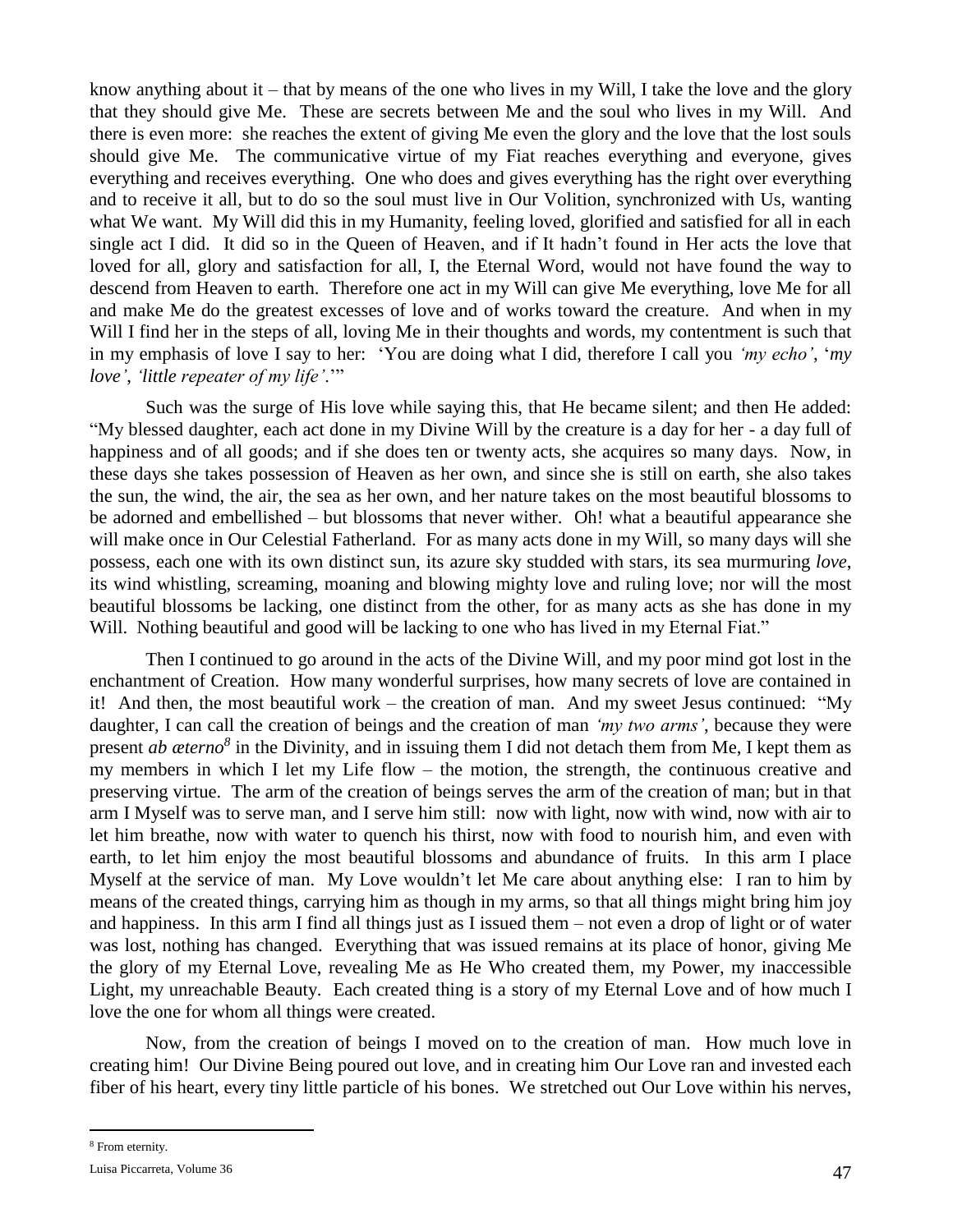know anything about it – that by means of the one who lives in my Will, I take the love and the glory that they should give Me. These are secrets between Me and the soul who lives in my Will. And there is even more: she reaches the extent of giving Me even the glory and the love that the lost souls should give Me. The communicative virtue of my Fiat reaches everything and everyone, gives everything and receives everything. One who does and gives everything has the right over everything and to receive it all, but to do so the soul must live in Our Volition, synchronized with Us, wanting what We want. My Will did this in my Humanity, feeling loved, glorified and satisfied for all in each single act I did. It did so in the Queen of Heaven, and if It hadn't found in Her acts the love that loved for all, glory and satisfaction for all, I, the Eternal Word, would not have found the way to descend from Heaven to earth. Therefore one act in my Will can give Me everything, love Me for all and make Me do the greatest excesses of love and of works toward the creature. And when in my Will I find her in the steps of all, loving Me in their thoughts and words, my contentment is such that in my emphasis of love I say to her: 'You are doing what I did, therefore I call you *'my echo'*, '*my love'*, *'little repeater of my life'*.'"

Such was the surge of His love while saying this, that He became silent; and then He added: "My blessed daughter, each act done in my Divine Will by the creature is a day for her - a day full of happiness and of all goods; and if she does ten or twenty acts, she acquires so many days. Now, in these days she takes possession of Heaven as her own, and since she is still on earth, she also takes the sun, the wind, the air, the sea as her own, and her nature takes on the most beautiful blossoms to be adorned and embellished – but blossoms that never wither. Oh! what a beautiful appearance she will make once in Our Celestial Fatherland. For as many acts done in my Will, so many days will she possess, each one with its own distinct sun, its azure sky studded with stars, its sea murmuring *love*, its wind whistling, screaming, moaning and blowing mighty love and ruling love; nor will the most beautiful blossoms be lacking, one distinct from the other, for as many acts as she has done in my Will. Nothing beautiful and good will be lacking to one who has lived in my Eternal Fiat."

Then I continued to go around in the acts of the Divine Will, and my poor mind got lost in the enchantment of Creation. How many wonderful surprises, how many secrets of love are contained in it! And then, the most beautiful work – the creation of man. And my sweet Jesus continued: "My daughter, I can call the creation of beings and the creation of man *'my two arms'*, because they were present *ab æterno<sup>8</sup>* in the Divinity, and in issuing them I did not detach them from Me, I kept them as my members in which I let my Life flow – the motion, the strength, the continuous creative and preserving virtue. The arm of the creation of beings serves the arm of the creation of man; but in that arm I Myself was to serve man, and I serve him still: now with light, now with wind, now with air to let him breathe, now with water to quench his thirst, now with food to nourish him, and even with earth, to let him enjoy the most beautiful blossoms and abundance of fruits. In this arm I place Myself at the service of man. My Love wouldn't let Me care about anything else: I ran to him by means of the created things, carrying him as though in my arms, so that all things might bring him joy and happiness. In this arm I find all things just as I issued them – not even a drop of light or of water was lost, nothing has changed. Everything that was issued remains at its place of honor, giving Me the glory of my Eternal Love, revealing Me as He Who created them, my Power, my inaccessible Light, my unreachable Beauty. Each created thing is a story of my Eternal Love and of how much I love the one for whom all things were created.

Now, from the creation of beings I moved on to the creation of man. How much love in creating him! Our Divine Being poured out love, and in creating him Our Love ran and invested each fiber of his heart, every tiny little particle of his bones. We stretched out Our Love within his nerves,

 $\overline{a}$ 

<sup>8</sup> From eternity.

Luisa Piccarreta, Volume 36 47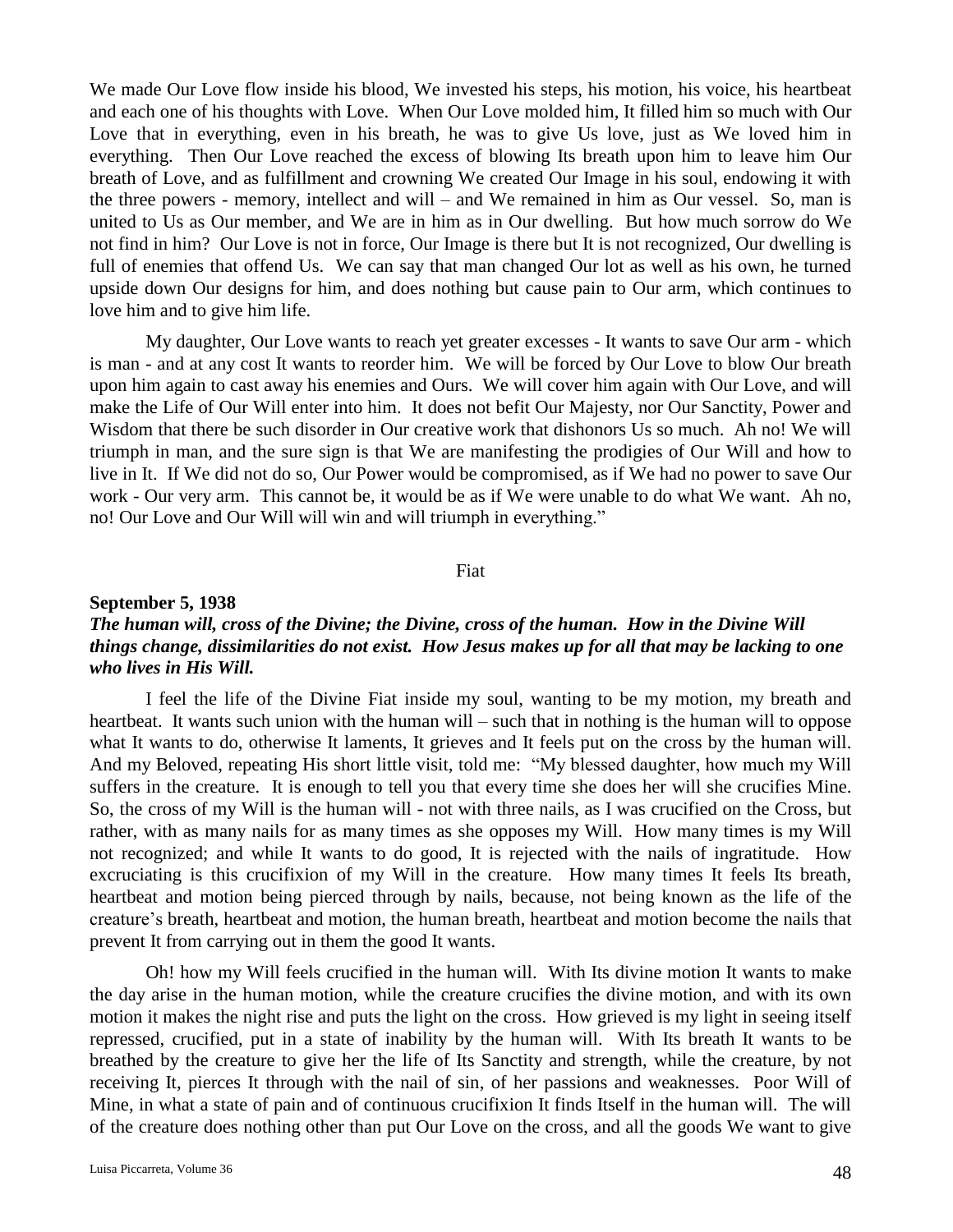We made Our Love flow inside his blood, We invested his steps, his motion, his voice, his heartbeat and each one of his thoughts with Love. When Our Love molded him, It filled him so much with Our Love that in everything, even in his breath, he was to give Us love, just as We loved him in everything. Then Our Love reached the excess of blowing Its breath upon him to leave him Our breath of Love, and as fulfillment and crowning We created Our Image in his soul, endowing it with the three powers - memory, intellect and will – and We remained in him as Our vessel. So, man is united to Us as Our member, and We are in him as in Our dwelling. But how much sorrow do We not find in him? Our Love is not in force, Our Image is there but It is not recognized, Our dwelling is full of enemies that offend Us. We can say that man changed Our lot as well as his own, he turned upside down Our designs for him, and does nothing but cause pain to Our arm, which continues to love him and to give him life.

My daughter, Our Love wants to reach yet greater excesses - It wants to save Our arm - which is man - and at any cost It wants to reorder him. We will be forced by Our Love to blow Our breath upon him again to cast away his enemies and Ours. We will cover him again with Our Love, and will make the Life of Our Will enter into him. It does not befit Our Majesty, nor Our Sanctity, Power and Wisdom that there be such disorder in Our creative work that dishonors Us so much. Ah no! We will triumph in man, and the sure sign is that We are manifesting the prodigies of Our Will and how to live in It. If We did not do so, Our Power would be compromised, as if We had no power to save Our work - Our very arm. This cannot be, it would be as if We were unable to do what We want. Ah no, no! Our Love and Our Will will win and will triumph in everything."

#### Fiat

## **September 5, 1938**

# *The human will, cross of the Divine; the Divine, cross of the human. How in the Divine Will things change, dissimilarities do not exist. How Jesus makes up for all that may be lacking to one who lives in His Will.*

I feel the life of the Divine Fiat inside my soul, wanting to be my motion, my breath and heartbeat. It wants such union with the human will – such that in nothing is the human will to oppose what It wants to do, otherwise It laments, It grieves and It feels put on the cross by the human will. And my Beloved, repeating His short little visit, told me: "My blessed daughter, how much my Will suffers in the creature. It is enough to tell you that every time she does her will she crucifies Mine. So, the cross of my Will is the human will - not with three nails, as I was crucified on the Cross, but rather, with as many nails for as many times as she opposes my Will. How many times is my Will not recognized; and while It wants to do good, It is rejected with the nails of ingratitude. How excruciating is this crucifixion of my Will in the creature. How many times It feels Its breath, heartbeat and motion being pierced through by nails, because, not being known as the life of the creature's breath, heartbeat and motion, the human breath, heartbeat and motion become the nails that prevent It from carrying out in them the good It wants.

Oh! how my Will feels crucified in the human will. With Its divine motion It wants to make the day arise in the human motion, while the creature crucifies the divine motion, and with its own motion it makes the night rise and puts the light on the cross. How grieved is my light in seeing itself repressed, crucified, put in a state of inability by the human will. With Its breath It wants to be breathed by the creature to give her the life of Its Sanctity and strength, while the creature, by not receiving It, pierces It through with the nail of sin, of her passions and weaknesses. Poor Will of Mine, in what a state of pain and of continuous crucifixion It finds Itself in the human will. The will of the creature does nothing other than put Our Love on the cross, and all the goods We want to give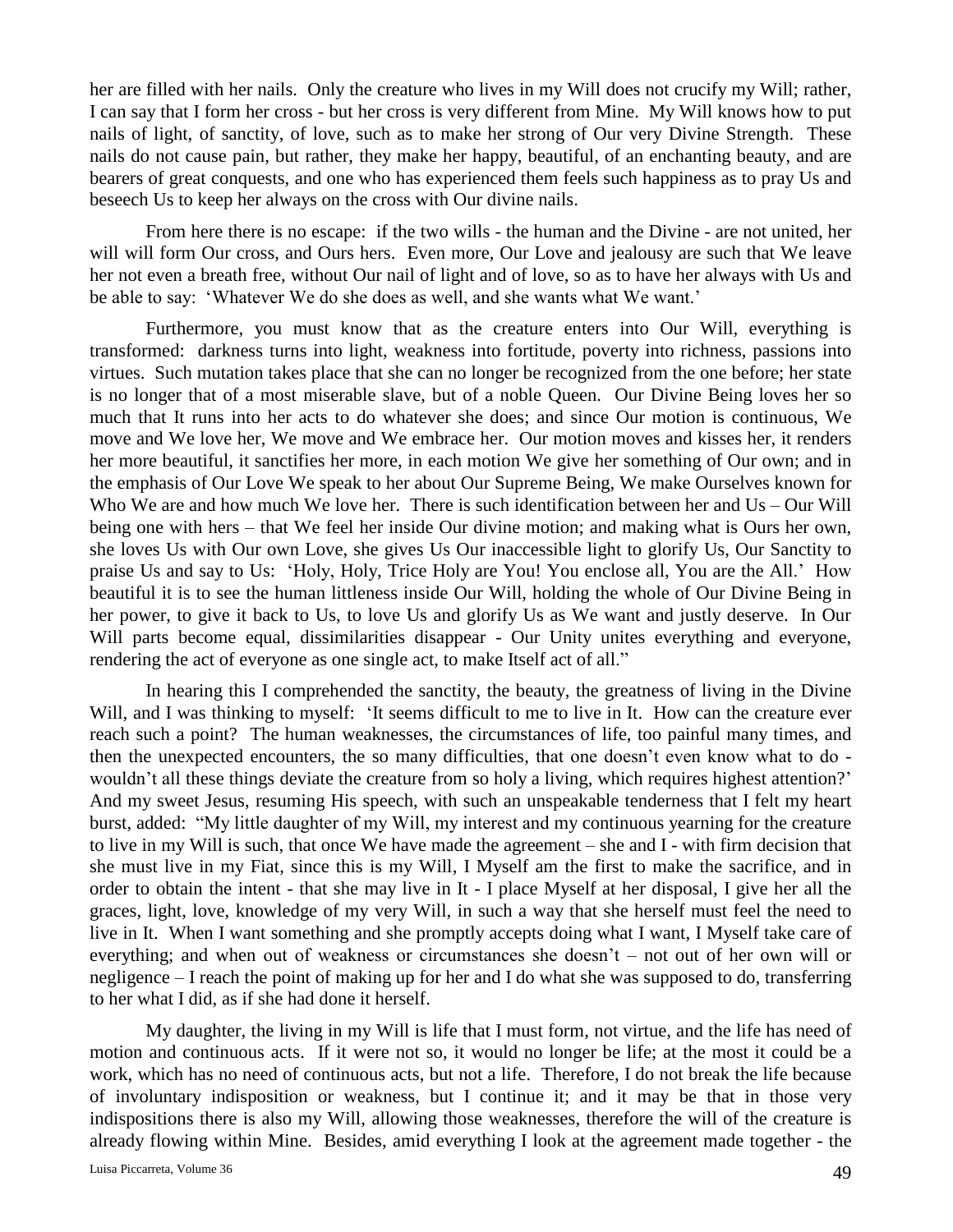her are filled with her nails. Only the creature who lives in my Will does not crucify my Will; rather, I can say that I form her cross - but her cross is very different from Mine. My Will knows how to put nails of light, of sanctity, of love, such as to make her strong of Our very Divine Strength. These nails do not cause pain, but rather, they make her happy, beautiful, of an enchanting beauty, and are bearers of great conquests, and one who has experienced them feels such happiness as to pray Us and beseech Us to keep her always on the cross with Our divine nails.

From here there is no escape: if the two wills - the human and the Divine - are not united, her will will form Our cross, and Ours hers. Even more, Our Love and jealousy are such that We leave her not even a breath free, without Our nail of light and of love, so as to have her always with Us and be able to say: 'Whatever We do she does as well, and she wants what We want.'

Furthermore, you must know that as the creature enters into Our Will, everything is transformed: darkness turns into light, weakness into fortitude, poverty into richness, passions into virtues. Such mutation takes place that she can no longer be recognized from the one before; her state is no longer that of a most miserable slave, but of a noble Queen. Our Divine Being loves her so much that It runs into her acts to do whatever she does; and since Our motion is continuous, We move and We love her, We move and We embrace her. Our motion moves and kisses her, it renders her more beautiful, it sanctifies her more, in each motion We give her something of Our own; and in the emphasis of Our Love We speak to her about Our Supreme Being, We make Ourselves known for Who We are and how much We love her. There is such identification between her and Us – Our Will being one with hers – that We feel her inside Our divine motion; and making what is Ours her own, she loves Us with Our own Love, she gives Us Our inaccessible light to glorify Us, Our Sanctity to praise Us and say to Us: 'Holy, Holy, Trice Holy are You! You enclose all, You are the All.' How beautiful it is to see the human littleness inside Our Will, holding the whole of Our Divine Being in her power, to give it back to Us, to love Us and glorify Us as We want and justly deserve. In Our Will parts become equal, dissimilarities disappear - Our Unity unites everything and everyone, rendering the act of everyone as one single act, to make Itself act of all."

In hearing this I comprehended the sanctity, the beauty, the greatness of living in the Divine Will, and I was thinking to myself: 'It seems difficult to me to live in It. How can the creature ever reach such a point? The human weaknesses, the circumstances of life, too painful many times, and then the unexpected encounters, the so many difficulties, that one doesn't even know what to do wouldn't all these things deviate the creature from so holy a living, which requires highest attention?' And my sweet Jesus, resuming His speech, with such an unspeakable tenderness that I felt my heart burst, added: "My little daughter of my Will, my interest and my continuous yearning for the creature to live in my Will is such, that once We have made the agreement – she and I - with firm decision that she must live in my Fiat, since this is my Will, I Myself am the first to make the sacrifice, and in order to obtain the intent - that she may live in It - I place Myself at her disposal, I give her all the graces, light, love, knowledge of my very Will, in such a way that she herself must feel the need to live in It. When I want something and she promptly accepts doing what I want, I Myself take care of everything; and when out of weakness or circumstances she doesn't – not out of her own will or negligence – I reach the point of making up for her and I do what she was supposed to do, transferring to her what I did, as if she had done it herself.

My daughter, the living in my Will is life that I must form, not virtue, and the life has need of motion and continuous acts. If it were not so, it would no longer be life; at the most it could be a work, which has no need of continuous acts, but not a life. Therefore, I do not break the life because of involuntary indisposition or weakness, but I continue it; and it may be that in those very indispositions there is also my Will, allowing those weaknesses, therefore the will of the creature is already flowing within Mine. Besides, amid everything I look at the agreement made together - the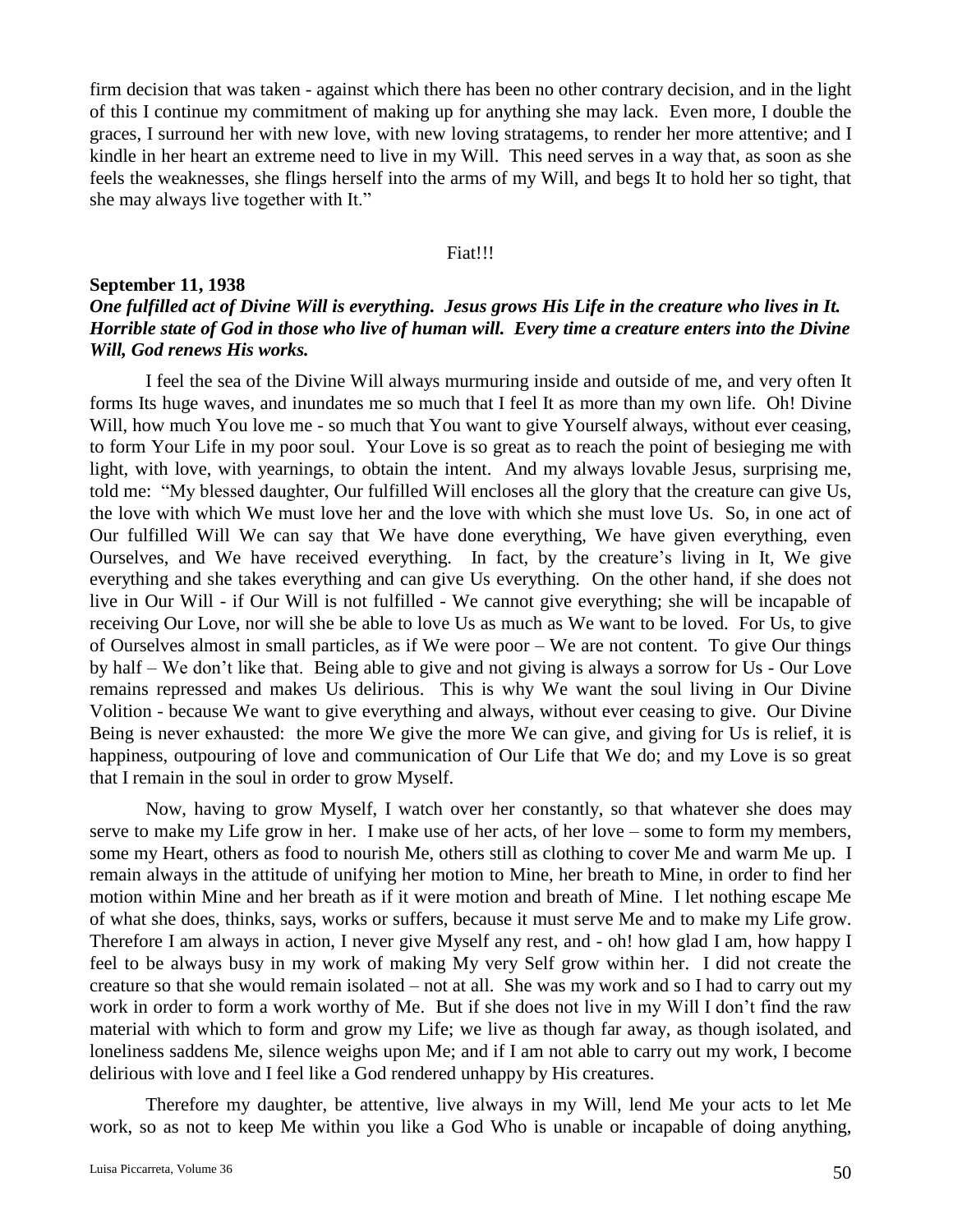firm decision that was taken - against which there has been no other contrary decision, and in the light of this I continue my commitment of making up for anything she may lack. Even more, I double the graces, I surround her with new love, with new loving stratagems, to render her more attentive; and I kindle in her heart an extreme need to live in my Will. This need serves in a way that, as soon as she feels the weaknesses, she flings herself into the arms of my Will, and begs It to hold her so tight, that she may always live together with It."

#### Fiat!!!

# **September 11, 1938** *One fulfilled act of Divine Will is everything. Jesus grows His Life in the creature who lives in It. Horrible state of God in those who live of human will. Every time a creature enters into the Divine Will, God renews His works.*

I feel the sea of the Divine Will always murmuring inside and outside of me, and very often It forms Its huge waves, and inundates me so much that I feel It as more than my own life. Oh! Divine Will, how much You love me - so much that You want to give Yourself always, without ever ceasing, to form Your Life in my poor soul. Your Love is so great as to reach the point of besieging me with light, with love, with yearnings, to obtain the intent. And my always lovable Jesus, surprising me, told me: "My blessed daughter, Our fulfilled Will encloses all the glory that the creature can give Us, the love with which We must love her and the love with which she must love Us. So, in one act of Our fulfilled Will We can say that We have done everything, We have given everything, even Ourselves, and We have received everything. In fact, by the creature's living in It, We give everything and she takes everything and can give Us everything. On the other hand, if she does not live in Our Will - if Our Will is not fulfilled - We cannot give everything; she will be incapable of receiving Our Love, nor will she be able to love Us as much as We want to be loved. For Us, to give of Ourselves almost in small particles, as if We were poor – We are not content. To give Our things by half – We don't like that. Being able to give and not giving is always a sorrow for Us - Our Love remains repressed and makes Us delirious. This is why We want the soul living in Our Divine Volition - because We want to give everything and always, without ever ceasing to give. Our Divine Being is never exhausted: the more We give the more We can give, and giving for Us is relief, it is happiness, outpouring of love and communication of Our Life that We do; and my Love is so great that I remain in the soul in order to grow Myself.

Now, having to grow Myself, I watch over her constantly, so that whatever she does may serve to make my Life grow in her. I make use of her acts, of her love – some to form my members, some my Heart, others as food to nourish Me, others still as clothing to cover Me and warm Me up. I remain always in the attitude of unifying her motion to Mine, her breath to Mine, in order to find her motion within Mine and her breath as if it were motion and breath of Mine. I let nothing escape Me of what she does, thinks, says, works or suffers, because it must serve Me and to make my Life grow. Therefore I am always in action, I never give Myself any rest, and - oh! how glad I am, how happy I feel to be always busy in my work of making My very Self grow within her. I did not create the creature so that she would remain isolated – not at all. She was my work and so I had to carry out my work in order to form a work worthy of Me. But if she does not live in my Will I don't find the raw material with which to form and grow my Life; we live as though far away, as though isolated, and loneliness saddens Me, silence weighs upon Me; and if I am not able to carry out my work, I become delirious with love and I feel like a God rendered unhappy by His creatures.

Therefore my daughter, be attentive, live always in my Will, lend Me your acts to let Me work, so as not to keep Me within you like a God Who is unable or incapable of doing anything,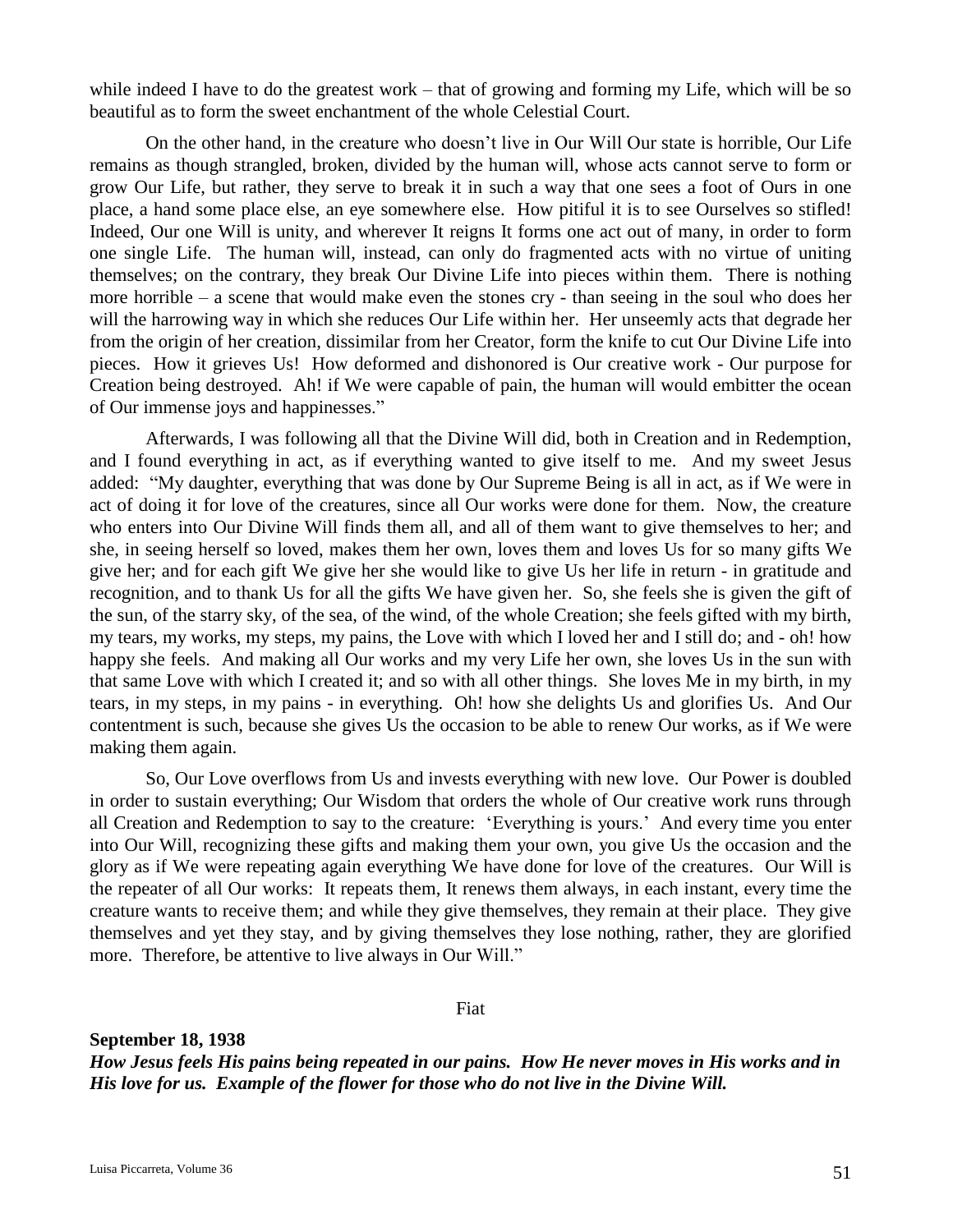while indeed I have to do the greatest work – that of growing and forming my Life, which will be so beautiful as to form the sweet enchantment of the whole Celestial Court.

On the other hand, in the creature who doesn't live in Our Will Our state is horrible, Our Life remains as though strangled, broken, divided by the human will, whose acts cannot serve to form or grow Our Life, but rather, they serve to break it in such a way that one sees a foot of Ours in one place, a hand some place else, an eye somewhere else. How pitiful it is to see Ourselves so stifled! Indeed, Our one Will is unity, and wherever It reigns It forms one act out of many, in order to form one single Life. The human will, instead, can only do fragmented acts with no virtue of uniting themselves; on the contrary, they break Our Divine Life into pieces within them. There is nothing more horrible – a scene that would make even the stones cry - than seeing in the soul who does her will the harrowing way in which she reduces Our Life within her. Her unseemly acts that degrade her from the origin of her creation, dissimilar from her Creator, form the knife to cut Our Divine Life into pieces. How it grieves Us! How deformed and dishonored is Our creative work - Our purpose for Creation being destroyed. Ah! if We were capable of pain, the human will would embitter the ocean of Our immense joys and happinesses."

Afterwards, I was following all that the Divine Will did, both in Creation and in Redemption, and I found everything in act, as if everything wanted to give itself to me. And my sweet Jesus added: "My daughter, everything that was done by Our Supreme Being is all in act, as if We were in act of doing it for love of the creatures, since all Our works were done for them. Now, the creature who enters into Our Divine Will finds them all, and all of them want to give themselves to her; and she, in seeing herself so loved, makes them her own, loves them and loves Us for so many gifts We give her; and for each gift We give her she would like to give Us her life in return - in gratitude and recognition, and to thank Us for all the gifts We have given her. So, she feels she is given the gift of the sun, of the starry sky, of the sea, of the wind, of the whole Creation; she feels gifted with my birth, my tears, my works, my steps, my pains, the Love with which I loved her and I still do; and - oh! how happy she feels. And making all Our works and my very Life her own, she loves Us in the sun with that same Love with which I created it; and so with all other things. She loves Me in my birth, in my tears, in my steps, in my pains - in everything. Oh! how she delights Us and glorifies Us. And Our contentment is such, because she gives Us the occasion to be able to renew Our works, as if We were making them again.

So, Our Love overflows from Us and invests everything with new love. Our Power is doubled in order to sustain everything; Our Wisdom that orders the whole of Our creative work runs through all Creation and Redemption to say to the creature: 'Everything is yours.' And every time you enter into Our Will, recognizing these gifts and making them your own, you give Us the occasion and the glory as if We were repeating again everything We have done for love of the creatures. Our Will is the repeater of all Our works: It repeats them, It renews them always, in each instant, every time the creature wants to receive them; and while they give themselves, they remain at their place. They give themselves and yet they stay, and by giving themselves they lose nothing, rather, they are glorified more. Therefore, be attentive to live always in Our Will."

Fiat

**September 18, 1938** *How Jesus feels His pains being repeated in our pains. How He never moves in His works and in His love for us. Example of the flower for those who do not live in the Divine Will.*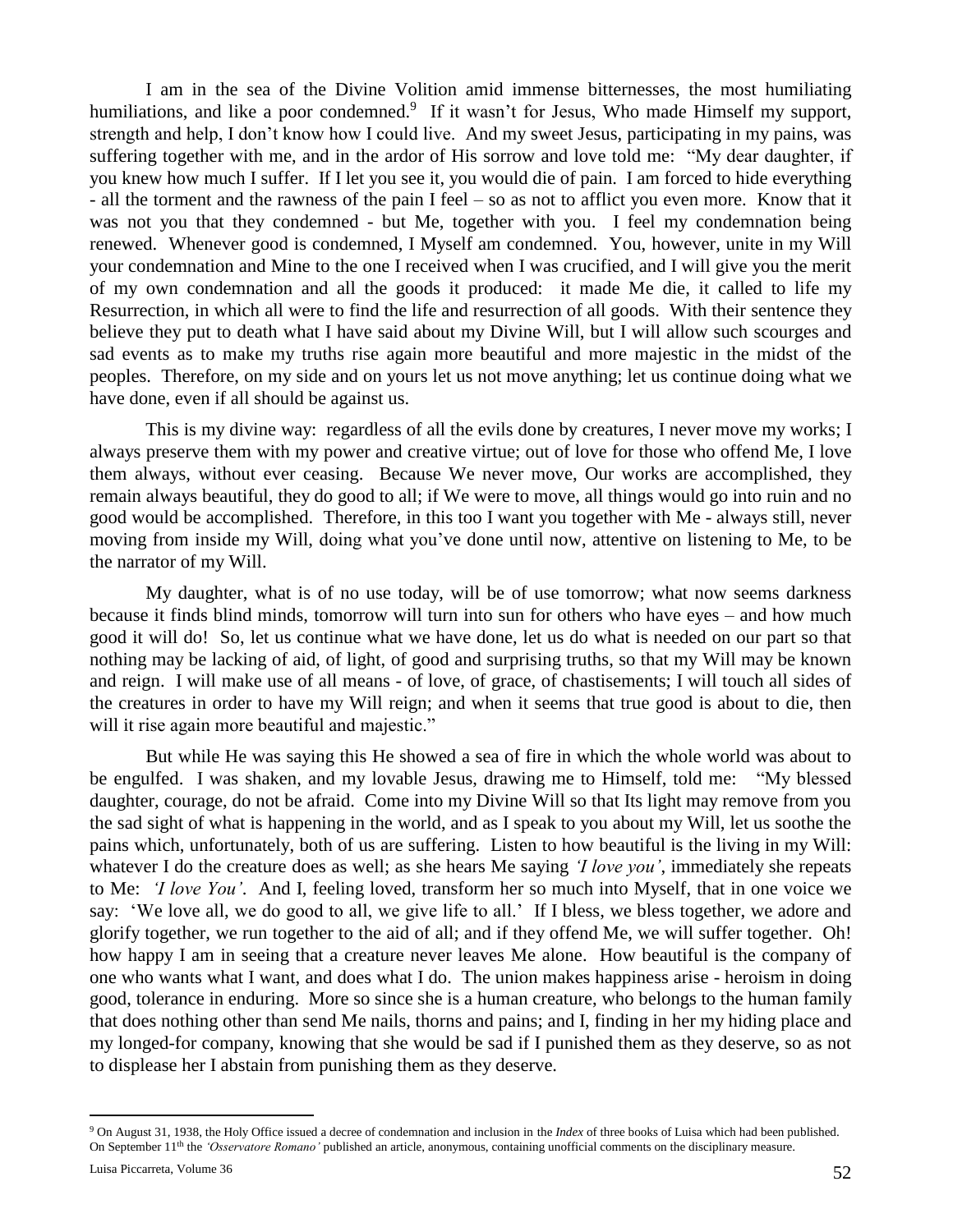I am in the sea of the Divine Volition amid immense bitternesses, the most humiliating humiliations, and like a poor condemned.<sup>9</sup> If it wasn't for Jesus, Who made Himself my support, strength and help, I don't know how I could live. And my sweet Jesus, participating in my pains, was suffering together with me, and in the ardor of His sorrow and love told me: "My dear daughter, if you knew how much I suffer. If I let you see it, you would die of pain. I am forced to hide everything - all the torment and the rawness of the pain I feel – so as not to afflict you even more. Know that it was not you that they condemned - but Me, together with you. I feel my condemnation being renewed. Whenever good is condemned, I Myself am condemned. You, however, unite in my Will your condemnation and Mine to the one I received when I was crucified, and I will give you the merit of my own condemnation and all the goods it produced: it made Me die, it called to life my Resurrection, in which all were to find the life and resurrection of all goods. With their sentence they believe they put to death what I have said about my Divine Will, but I will allow such scourges and sad events as to make my truths rise again more beautiful and more majestic in the midst of the peoples. Therefore, on my side and on yours let us not move anything; let us continue doing what we have done, even if all should be against us.

This is my divine way: regardless of all the evils done by creatures, I never move my works; I always preserve them with my power and creative virtue; out of love for those who offend Me, I love them always, without ever ceasing. Because We never move, Our works are accomplished, they remain always beautiful, they do good to all; if We were to move, all things would go into ruin and no good would be accomplished. Therefore, in this too I want you together with Me - always still, never moving from inside my Will, doing what you've done until now, attentive on listening to Me, to be the narrator of my Will.

My daughter, what is of no use today, will be of use tomorrow; what now seems darkness because it finds blind minds, tomorrow will turn into sun for others who have eyes – and how much good it will do! So, let us continue what we have done, let us do what is needed on our part so that nothing may be lacking of aid, of light, of good and surprising truths, so that my Will may be known and reign. I will make use of all means - of love, of grace, of chastisements; I will touch all sides of the creatures in order to have my Will reign; and when it seems that true good is about to die, then will it rise again more beautiful and majestic."

But while He was saying this He showed a sea of fire in which the whole world was about to be engulfed. I was shaken, and my lovable Jesus, drawing me to Himself, told me: "My blessed daughter, courage, do not be afraid. Come into my Divine Will so that Its light may remove from you the sad sight of what is happening in the world, and as I speak to you about my Will, let us soothe the pains which, unfortunately, both of us are suffering. Listen to how beautiful is the living in my Will: whatever I do the creature does as well; as she hears Me saying *'I love you'*, immediately she repeats to Me: *'I love You'*. And I, feeling loved, transform her so much into Myself, that in one voice we say: 'We love all, we do good to all, we give life to all.' If I bless, we bless together, we adore and glorify together, we run together to the aid of all; and if they offend Me, we will suffer together. Oh! how happy I am in seeing that a creature never leaves Me alone. How beautiful is the company of one who wants what I want, and does what I do. The union makes happiness arise - heroism in doing good, tolerance in enduring. More so since she is a human creature, who belongs to the human family that does nothing other than send Me nails, thorns and pains; and I, finding in her my hiding place and my longed-for company, knowing that she would be sad if I punished them as they deserve, so as not to displease her I abstain from punishing them as they deserve.

 $\overline{a}$ 

<sup>9</sup> On August 31, 1938, the Holy Office issued a decree of condemnation and inclusion in the *Index* of three books of Luisa which had been published. On September 11<sup>th</sup> the *'Osservatore Romano'* published an article, anonymous, containing unofficial comments on the disciplinary measure.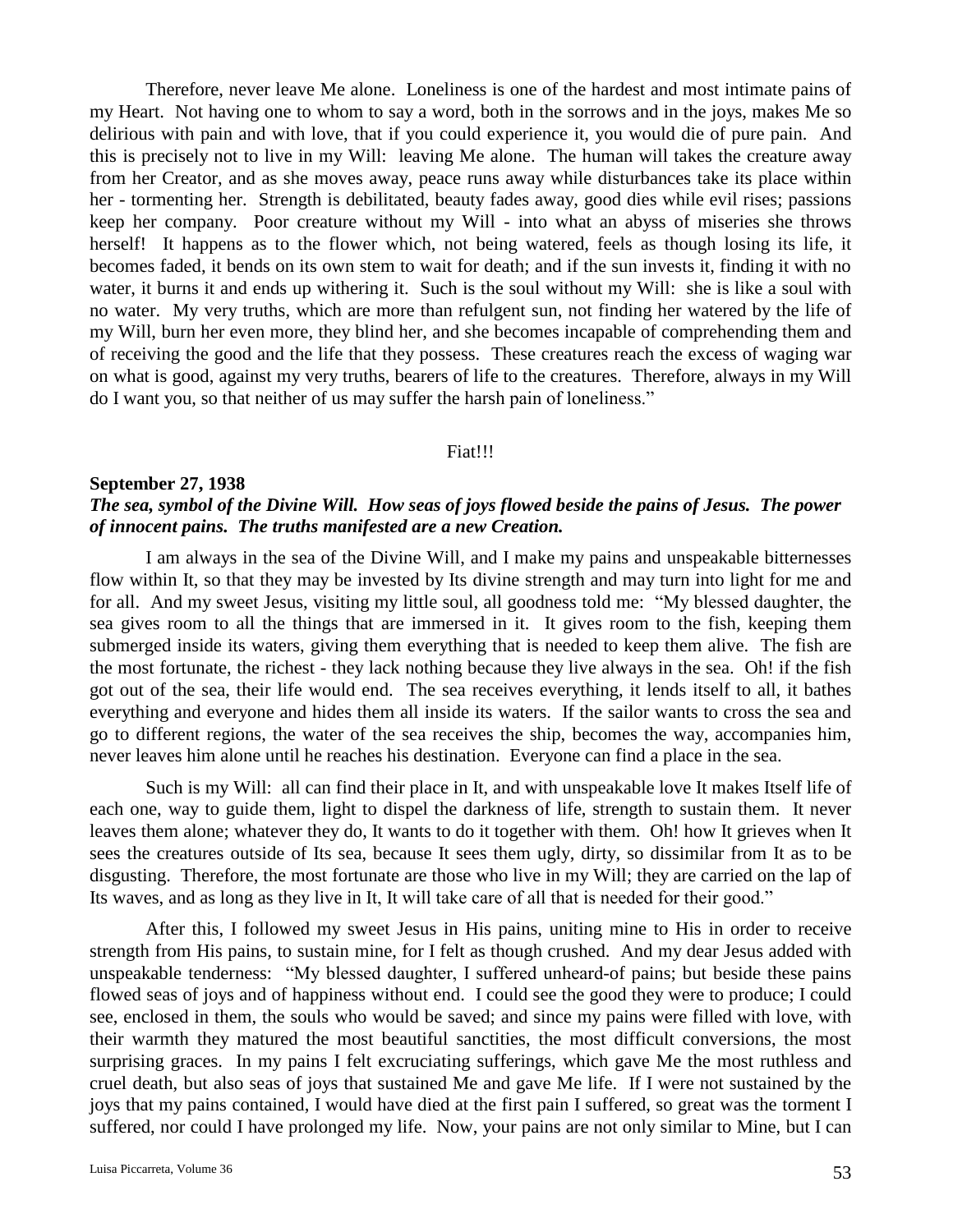Therefore, never leave Me alone. Loneliness is one of the hardest and most intimate pains of my Heart. Not having one to whom to say a word, both in the sorrows and in the joys, makes Me so delirious with pain and with love, that if you could experience it, you would die of pure pain. And this is precisely not to live in my Will: leaving Me alone. The human will takes the creature away from her Creator, and as she moves away, peace runs away while disturbances take its place within her - tormenting her. Strength is debilitated, beauty fades away, good dies while evil rises; passions keep her company. Poor creature without my Will - into what an abyss of miseries she throws herself! It happens as to the flower which, not being watered, feels as though losing its life, it becomes faded, it bends on its own stem to wait for death; and if the sun invests it, finding it with no water, it burns it and ends up withering it. Such is the soul without my Will: she is like a soul with no water. My very truths, which are more than refulgent sun, not finding her watered by the life of my Will, burn her even more, they blind her, and she becomes incapable of comprehending them and of receiving the good and the life that they possess. These creatures reach the excess of waging war on what is good, against my very truths, bearers of life to the creatures. Therefore, always in my Will do I want you, so that neither of us may suffer the harsh pain of loneliness."

#### Fiat!!!

#### **September 27, 1938**

# *The sea, symbol of the Divine Will. How seas of joys flowed beside the pains of Jesus. The power of innocent pains. The truths manifested are a new Creation.*

I am always in the sea of the Divine Will, and I make my pains and unspeakable bitternesses flow within It, so that they may be invested by Its divine strength and may turn into light for me and for all. And my sweet Jesus, visiting my little soul, all goodness told me: "My blessed daughter, the sea gives room to all the things that are immersed in it. It gives room to the fish, keeping them submerged inside its waters, giving them everything that is needed to keep them alive. The fish are the most fortunate, the richest - they lack nothing because they live always in the sea. Oh! if the fish got out of the sea, their life would end. The sea receives everything, it lends itself to all, it bathes everything and everyone and hides them all inside its waters. If the sailor wants to cross the sea and go to different regions, the water of the sea receives the ship, becomes the way, accompanies him, never leaves him alone until he reaches his destination. Everyone can find a place in the sea.

Such is my Will: all can find their place in It, and with unspeakable love It makes Itself life of each one, way to guide them, light to dispel the darkness of life, strength to sustain them. It never leaves them alone; whatever they do, It wants to do it together with them. Oh! how It grieves when It sees the creatures outside of Its sea, because It sees them ugly, dirty, so dissimilar from It as to be disgusting. Therefore, the most fortunate are those who live in my Will; they are carried on the lap of Its waves, and as long as they live in It, It will take care of all that is needed for their good."

After this, I followed my sweet Jesus in His pains, uniting mine to His in order to receive strength from His pains, to sustain mine, for I felt as though crushed. And my dear Jesus added with unspeakable tenderness: "My blessed daughter, I suffered unheard-of pains; but beside these pains flowed seas of joys and of happiness without end. I could see the good they were to produce; I could see, enclosed in them, the souls who would be saved; and since my pains were filled with love, with their warmth they matured the most beautiful sanctities, the most difficult conversions, the most surprising graces. In my pains I felt excruciating sufferings, which gave Me the most ruthless and cruel death, but also seas of joys that sustained Me and gave Me life. If I were not sustained by the joys that my pains contained, I would have died at the first pain I suffered, so great was the torment I suffered, nor could I have prolonged my life. Now, your pains are not only similar to Mine, but I can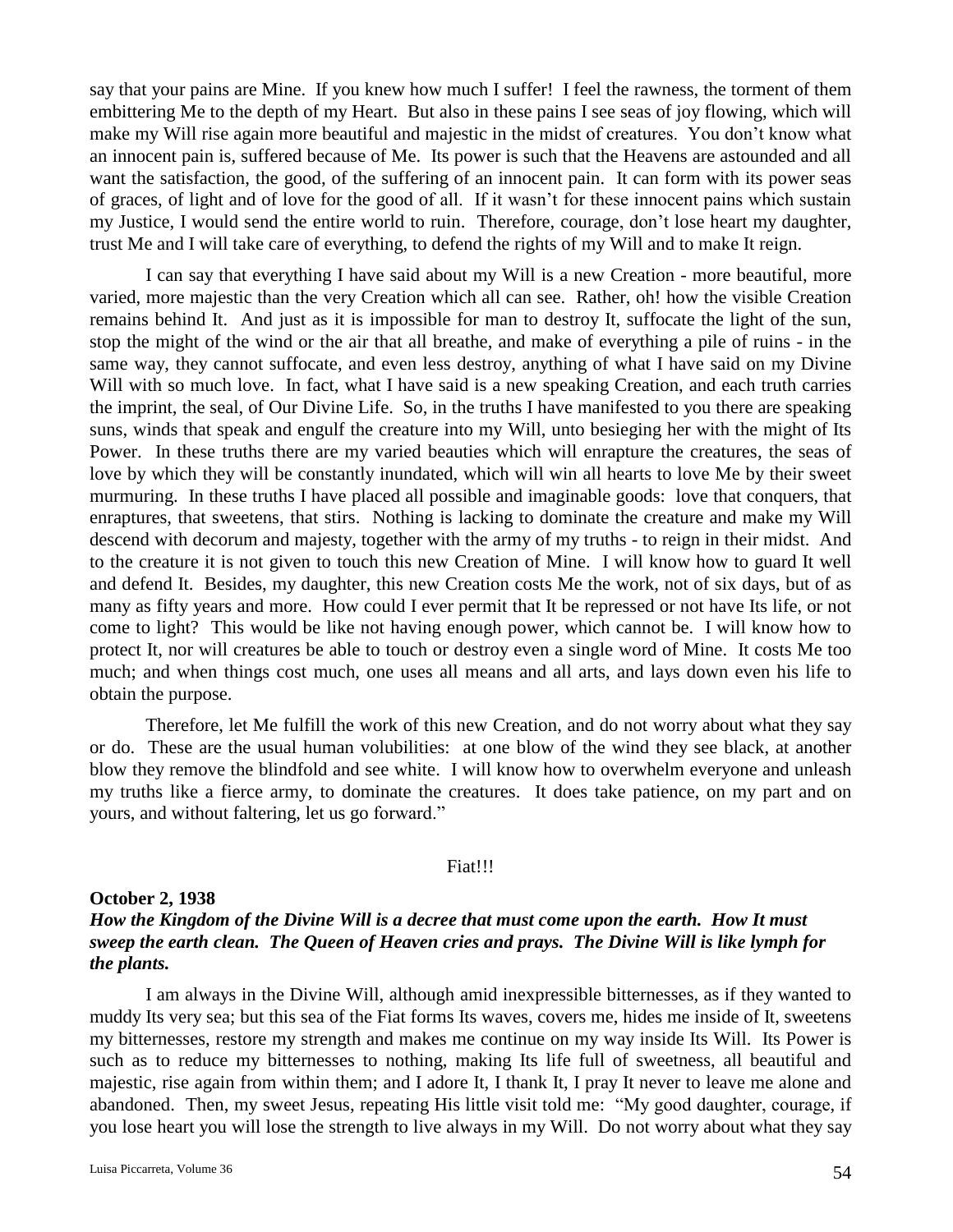say that your pains are Mine. If you knew how much I suffer! I feel the rawness, the torment of them embittering Me to the depth of my Heart. But also in these pains I see seas of joy flowing, which will make my Will rise again more beautiful and majestic in the midst of creatures. You don't know what an innocent pain is, suffered because of Me. Its power is such that the Heavens are astounded and all want the satisfaction, the good, of the suffering of an innocent pain. It can form with its power seas of graces, of light and of love for the good of all. If it wasn't for these innocent pains which sustain my Justice, I would send the entire world to ruin. Therefore, courage, don't lose heart my daughter, trust Me and I will take care of everything, to defend the rights of my Will and to make It reign.

I can say that everything I have said about my Will is a new Creation - more beautiful, more varied, more majestic than the very Creation which all can see. Rather, oh! how the visible Creation remains behind It. And just as it is impossible for man to destroy It, suffocate the light of the sun, stop the might of the wind or the air that all breathe, and make of everything a pile of ruins - in the same way, they cannot suffocate, and even less destroy, anything of what I have said on my Divine Will with so much love. In fact, what I have said is a new speaking Creation, and each truth carries the imprint, the seal, of Our Divine Life. So, in the truths I have manifested to you there are speaking suns, winds that speak and engulf the creature into my Will, unto besieging her with the might of Its Power. In these truths there are my varied beauties which will enrapture the creatures, the seas of love by which they will be constantly inundated, which will win all hearts to love Me by their sweet murmuring. In these truths I have placed all possible and imaginable goods: love that conquers, that enraptures, that sweetens, that stirs. Nothing is lacking to dominate the creature and make my Will descend with decorum and majesty, together with the army of my truths - to reign in their midst. And to the creature it is not given to touch this new Creation of Mine. I will know how to guard It well and defend It. Besides, my daughter, this new Creation costs Me the work, not of six days, but of as many as fifty years and more. How could I ever permit that It be repressed or not have Its life, or not come to light? This would be like not having enough power, which cannot be. I will know how to protect It, nor will creatures be able to touch or destroy even a single word of Mine. It costs Me too much; and when things cost much, one uses all means and all arts, and lays down even his life to obtain the purpose.

Therefore, let Me fulfill the work of this new Creation, and do not worry about what they say or do. These are the usual human volubilities: at one blow of the wind they see black, at another blow they remove the blindfold and see white. I will know how to overwhelm everyone and unleash my truths like a fierce army, to dominate the creatures. It does take patience, on my part and on yours, and without faltering, let us go forward."

#### Fiat!!!

### **October 2, 1938**

## *How the Kingdom of the Divine Will is a decree that must come upon the earth. How It must sweep the earth clean. The Queen of Heaven cries and prays. The Divine Will is like lymph for the plants.*

I am always in the Divine Will, although amid inexpressible bitternesses, as if they wanted to muddy Its very sea; but this sea of the Fiat forms Its waves, covers me, hides me inside of It, sweetens my bitternesses, restore my strength and makes me continue on my way inside Its Will. Its Power is such as to reduce my bitternesses to nothing, making Its life full of sweetness, all beautiful and majestic, rise again from within them; and I adore It, I thank It, I pray It never to leave me alone and abandoned. Then, my sweet Jesus, repeating His little visit told me: "My good daughter, courage, if you lose heart you will lose the strength to live always in my Will. Do not worry about what they say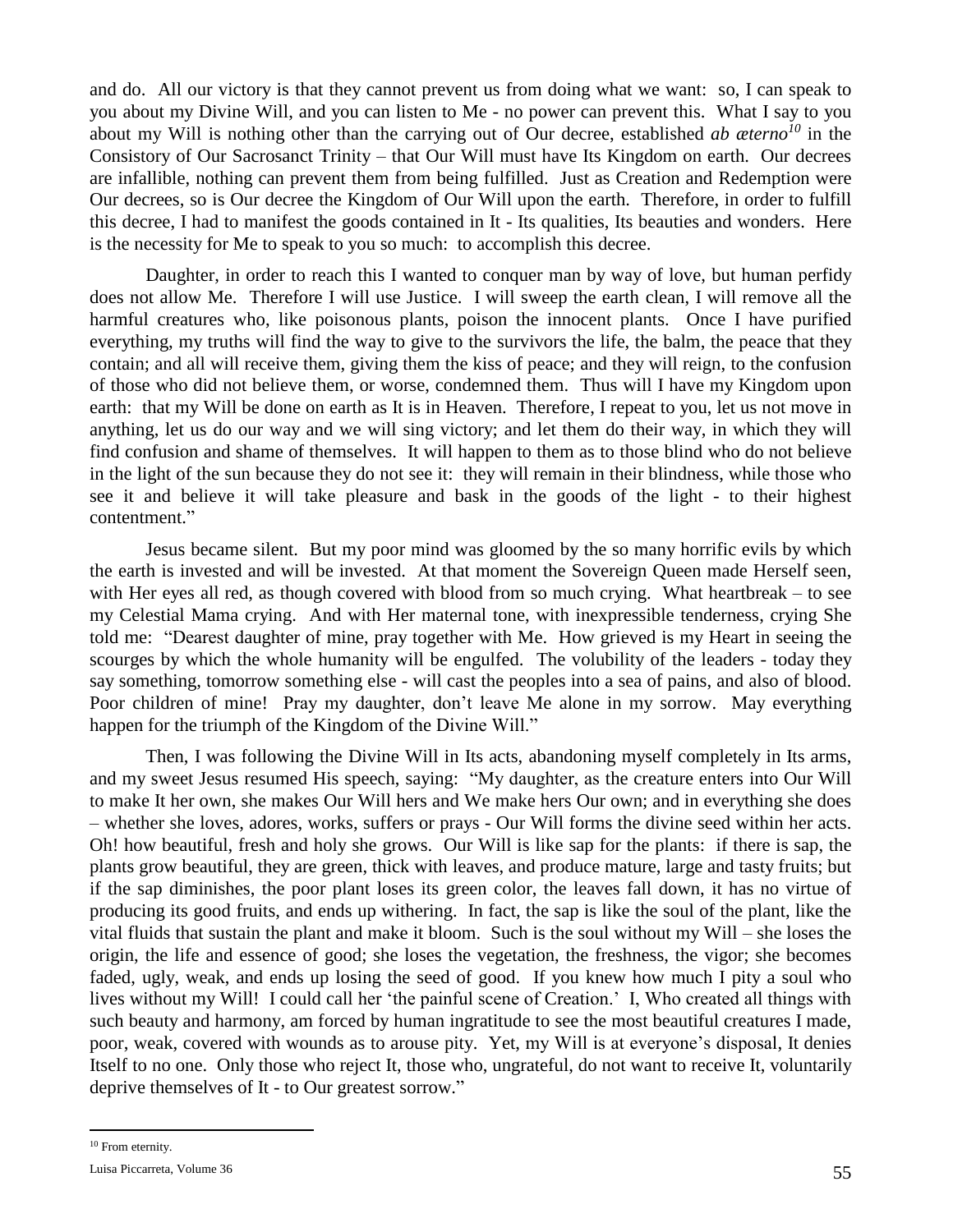and do. All our victory is that they cannot prevent us from doing what we want: so, I can speak to you about my Divine Will, and you can listen to Me - no power can prevent this. What I say to you about my Will is nothing other than the carrying out of Our decree, established *ab æterno<sup>10</sup>* in the Consistory of Our Sacrosanct Trinity – that Our Will must have Its Kingdom on earth. Our decrees are infallible, nothing can prevent them from being fulfilled. Just as Creation and Redemption were Our decrees, so is Our decree the Kingdom of Our Will upon the earth. Therefore, in order to fulfill this decree, I had to manifest the goods contained in It - Its qualities, Its beauties and wonders. Here is the necessity for Me to speak to you so much: to accomplish this decree.

Daughter, in order to reach this I wanted to conquer man by way of love, but human perfidy does not allow Me. Therefore I will use Justice. I will sweep the earth clean, I will remove all the harmful creatures who, like poisonous plants, poison the innocent plants. Once I have purified everything, my truths will find the way to give to the survivors the life, the balm, the peace that they contain; and all will receive them, giving them the kiss of peace; and they will reign, to the confusion of those who did not believe them, or worse, condemned them. Thus will I have my Kingdom upon earth: that my Will be done on earth as It is in Heaven. Therefore, I repeat to you, let us not move in anything, let us do our way and we will sing victory; and let them do their way, in which they will find confusion and shame of themselves. It will happen to them as to those blind who do not believe in the light of the sun because they do not see it: they will remain in their blindness, while those who see it and believe it will take pleasure and bask in the goods of the light - to their highest contentment."

Jesus became silent. But my poor mind was gloomed by the so many horrific evils by which the earth is invested and will be invested. At that moment the Sovereign Queen made Herself seen, with Her eyes all red, as though covered with blood from so much crying. What heartbreak – to see my Celestial Mama crying. And with Her maternal tone, with inexpressible tenderness, crying She told me: "Dearest daughter of mine, pray together with Me. How grieved is my Heart in seeing the scourges by which the whole humanity will be engulfed. The volubility of the leaders - today they say something, tomorrow something else - will cast the peoples into a sea of pains, and also of blood. Poor children of mine! Pray my daughter, don't leave Me alone in my sorrow. May everything happen for the triumph of the Kingdom of the Divine Will."

Then, I was following the Divine Will in Its acts, abandoning myself completely in Its arms, and my sweet Jesus resumed His speech, saying: "My daughter, as the creature enters into Our Will to make It her own, she makes Our Will hers and We make hers Our own; and in everything she does – whether she loves, adores, works, suffers or prays - Our Will forms the divine seed within her acts. Oh! how beautiful, fresh and holy she grows. Our Will is like sap for the plants: if there is sap, the plants grow beautiful, they are green, thick with leaves, and produce mature, large and tasty fruits; but if the sap diminishes, the poor plant loses its green color, the leaves fall down, it has no virtue of producing its good fruits, and ends up withering. In fact, the sap is like the soul of the plant, like the vital fluids that sustain the plant and make it bloom. Such is the soul without my Will – she loses the origin, the life and essence of good; she loses the vegetation, the freshness, the vigor; she becomes faded, ugly, weak, and ends up losing the seed of good. If you knew how much I pity a soul who lives without my Will! I could call her 'the painful scene of Creation.' I, Who created all things with such beauty and harmony, am forced by human ingratitude to see the most beautiful creatures I made, poor, weak, covered with wounds as to arouse pity. Yet, my Will is at everyone's disposal, It denies Itself to no one. Only those who reject It, those who, ungrateful, do not want to receive It, voluntarily deprive themselves of It - to Our greatest sorrow."

 $\overline{a}$ 

<sup>&</sup>lt;sup>10</sup> From eternity.

Luisa Piccarreta, Volume 36 55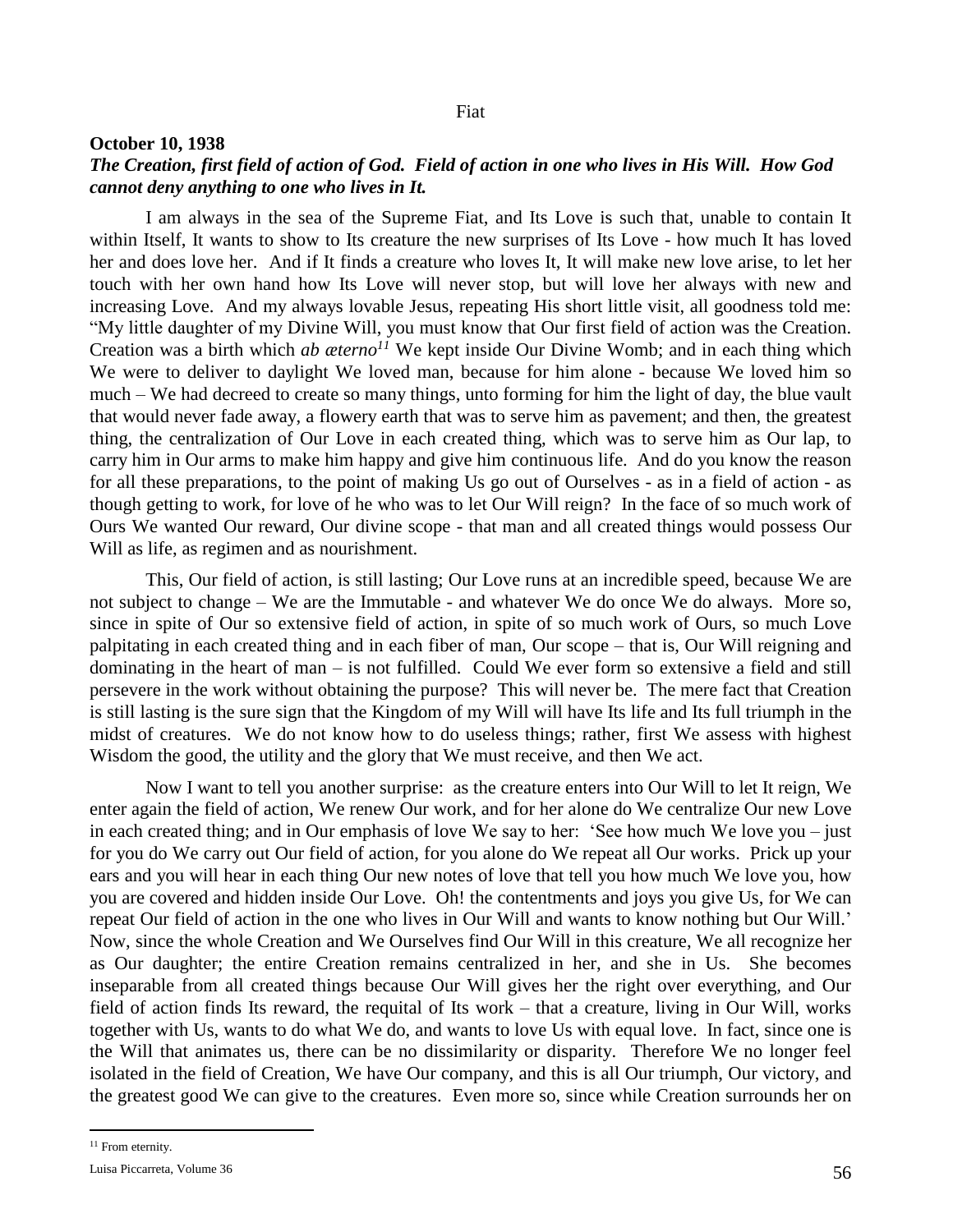## Fiat

#### **October 10, 1938**

## *The Creation, first field of action of God. Field of action in one who lives in His Will. How God cannot deny anything to one who lives in It.*

I am always in the sea of the Supreme Fiat, and Its Love is such that, unable to contain It within Itself, It wants to show to Its creature the new surprises of Its Love - how much It has loved her and does love her. And if It finds a creature who loves It, It will make new love arise, to let her touch with her own hand how Its Love will never stop, but will love her always with new and increasing Love. And my always lovable Jesus, repeating His short little visit, all goodness told me: "My little daughter of my Divine Will, you must know that Our first field of action was the Creation. Creation was a birth which *ab æterno<sup>11</sup>* We kept inside Our Divine Womb; and in each thing which We were to deliver to daylight We loved man, because for him alone - because We loved him so much – We had decreed to create so many things, unto forming for him the light of day, the blue vault that would never fade away, a flowery earth that was to serve him as pavement; and then, the greatest thing, the centralization of Our Love in each created thing, which was to serve him as Our lap, to carry him in Our arms to make him happy and give him continuous life. And do you know the reason for all these preparations, to the point of making Us go out of Ourselves - as in a field of action - as though getting to work, for love of he who was to let Our Will reign? In the face of so much work of Ours We wanted Our reward, Our divine scope - that man and all created things would possess Our Will as life, as regimen and as nourishment.

This, Our field of action, is still lasting; Our Love runs at an incredible speed, because We are not subject to change – We are the Immutable - and whatever We do once We do always. More so, since in spite of Our so extensive field of action, in spite of so much work of Ours, so much Love palpitating in each created thing and in each fiber of man, Our scope – that is, Our Will reigning and dominating in the heart of man – is not fulfilled. Could We ever form so extensive a field and still persevere in the work without obtaining the purpose? This will never be. The mere fact that Creation is still lasting is the sure sign that the Kingdom of my Will will have Its life and Its full triumph in the midst of creatures. We do not know how to do useless things; rather, first We assess with highest Wisdom the good, the utility and the glory that We must receive, and then We act.

Now I want to tell you another surprise: as the creature enters into Our Will to let It reign, We enter again the field of action, We renew Our work, and for her alone do We centralize Our new Love in each created thing; and in Our emphasis of love We say to her: 'See how much We love you – just for you do We carry out Our field of action, for you alone do We repeat all Our works. Prick up your ears and you will hear in each thing Our new notes of love that tell you how much We love you, how you are covered and hidden inside Our Love. Oh! the contentments and joys you give Us, for We can repeat Our field of action in the one who lives in Our Will and wants to know nothing but Our Will.' Now, since the whole Creation and We Ourselves find Our Will in this creature, We all recognize her as Our daughter; the entire Creation remains centralized in her, and she in Us. She becomes inseparable from all created things because Our Will gives her the right over everything, and Our field of action finds Its reward, the requital of Its work – that a creature, living in Our Will, works together with Us, wants to do what We do, and wants to love Us with equal love. In fact, since one is the Will that animates us, there can be no dissimilarity or disparity. Therefore We no longer feel isolated in the field of Creation, We have Our company, and this is all Our triumph, Our victory, and the greatest good We can give to the creatures. Even more so, since while Creation surrounds her on

 $\overline{a}$ 

<sup>&</sup>lt;sup>11</sup> From eternity.

Luisa Piccarreta, Volume 36  $56$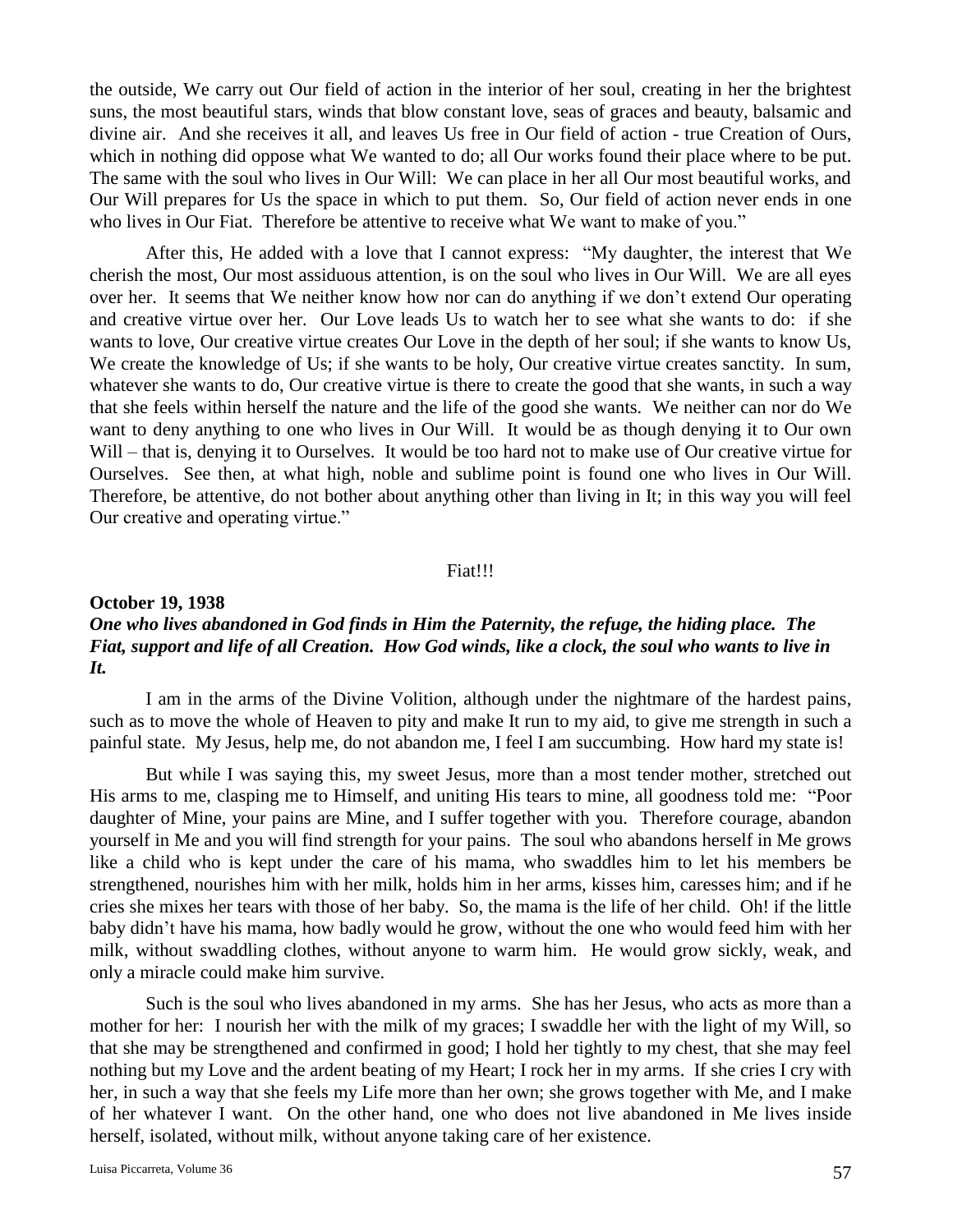the outside, We carry out Our field of action in the interior of her soul, creating in her the brightest suns, the most beautiful stars, winds that blow constant love, seas of graces and beauty, balsamic and divine air. And she receives it all, and leaves Us free in Our field of action - true Creation of Ours, which in nothing did oppose what We wanted to do; all Our works found their place where to be put. The same with the soul who lives in Our Will: We can place in her all Our most beautiful works, and Our Will prepares for Us the space in which to put them. So, Our field of action never ends in one who lives in Our Fiat. Therefore be attentive to receive what We want to make of you."

After this, He added with a love that I cannot express: "My daughter, the interest that We cherish the most, Our most assiduous attention, is on the soul who lives in Our Will. We are all eyes over her. It seems that We neither know how nor can do anything if we don't extend Our operating and creative virtue over her. Our Love leads Us to watch her to see what she wants to do: if she wants to love, Our creative virtue creates Our Love in the depth of her soul; if she wants to know Us, We create the knowledge of Us; if she wants to be holy, Our creative virtue creates sanctity. In sum, whatever she wants to do, Our creative virtue is there to create the good that she wants, in such a way that she feels within herself the nature and the life of the good she wants. We neither can nor do We want to deny anything to one who lives in Our Will. It would be as though denying it to Our own Will – that is, denying it to Ourselves. It would be too hard not to make use of Our creative virtue for Ourselves. See then, at what high, noble and sublime point is found one who lives in Our Will. Therefore, be attentive, do not bother about anything other than living in It; in this way you will feel Our creative and operating virtue."

#### Fiat!!!

## **October 19, 1938** *One who lives abandoned in God finds in Him the Paternity, the refuge, the hiding place. The Fiat, support and life of all Creation. How God winds, like a clock, the soul who wants to live in It.*

I am in the arms of the Divine Volition, although under the nightmare of the hardest pains, such as to move the whole of Heaven to pity and make It run to my aid, to give me strength in such a painful state. My Jesus, help me, do not abandon me, I feel I am succumbing. How hard my state is!

But while I was saying this, my sweet Jesus, more than a most tender mother, stretched out His arms to me, clasping me to Himself, and uniting His tears to mine, all goodness told me: "Poor daughter of Mine, your pains are Mine, and I suffer together with you. Therefore courage, abandon yourself in Me and you will find strength for your pains. The soul who abandons herself in Me grows like a child who is kept under the care of his mama, who swaddles him to let his members be strengthened, nourishes him with her milk, holds him in her arms, kisses him, caresses him; and if he cries she mixes her tears with those of her baby. So, the mama is the life of her child. Oh! if the little baby didn't have his mama, how badly would he grow, without the one who would feed him with her milk, without swaddling clothes, without anyone to warm him. He would grow sickly, weak, and only a miracle could make him survive.

Such is the soul who lives abandoned in my arms. She has her Jesus, who acts as more than a mother for her: I nourish her with the milk of my graces; I swaddle her with the light of my Will, so that she may be strengthened and confirmed in good; I hold her tightly to my chest, that she may feel nothing but my Love and the ardent beating of my Heart; I rock her in my arms. If she cries I cry with her, in such a way that she feels my Life more than her own; she grows together with Me, and I make of her whatever I want. On the other hand, one who does not live abandoned in Me lives inside herself, isolated, without milk, without anyone taking care of her existence.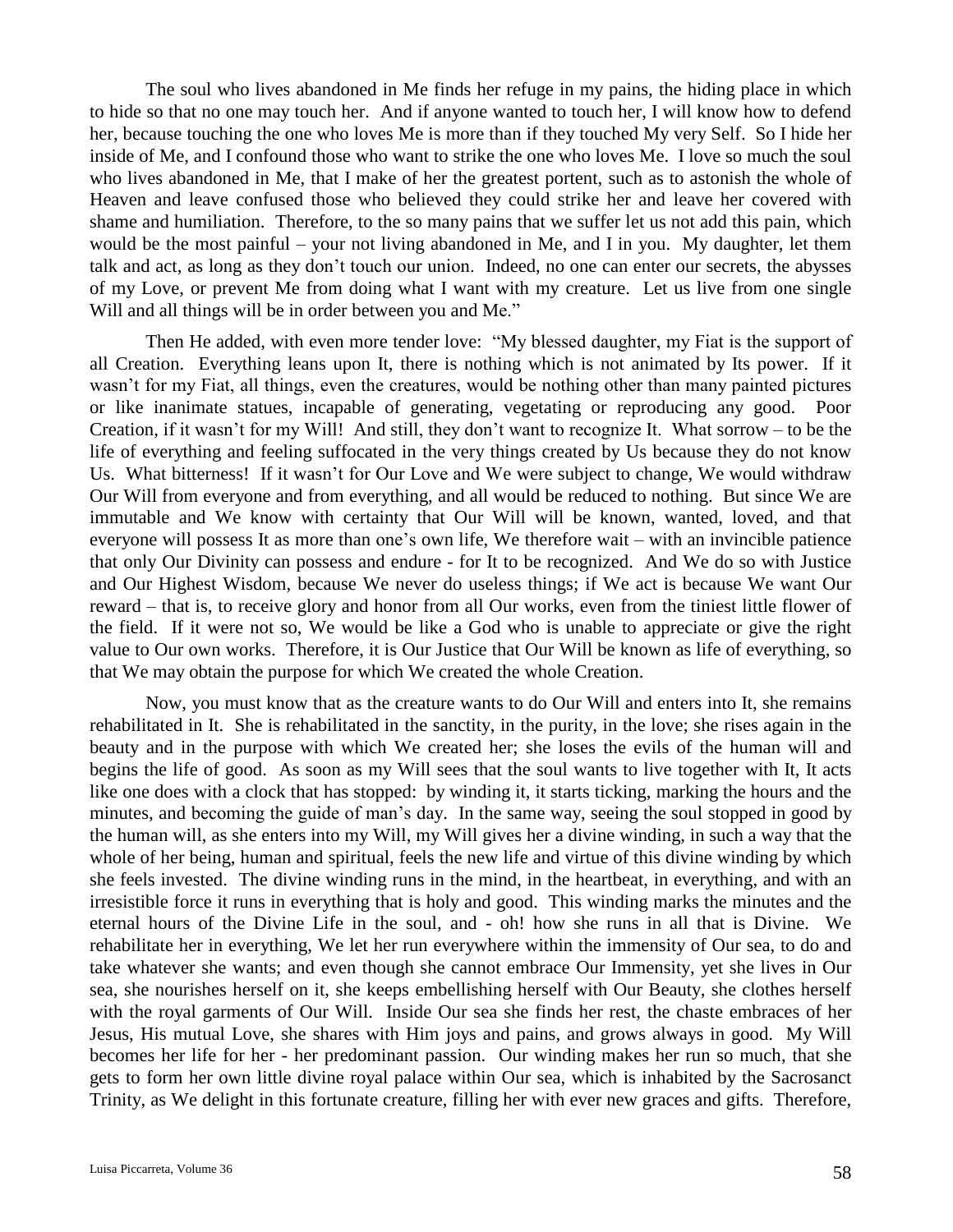The soul who lives abandoned in Me finds her refuge in my pains, the hiding place in which to hide so that no one may touch her. And if anyone wanted to touch her, I will know how to defend her, because touching the one who loves Me is more than if they touched My very Self. So I hide her inside of Me, and I confound those who want to strike the one who loves Me. I love so much the soul who lives abandoned in Me, that I make of her the greatest portent, such as to astonish the whole of Heaven and leave confused those who believed they could strike her and leave her covered with shame and humiliation. Therefore, to the so many pains that we suffer let us not add this pain, which would be the most painful – your not living abandoned in Me, and I in you. My daughter, let them talk and act, as long as they don't touch our union. Indeed, no one can enter our secrets, the abysses of my Love, or prevent Me from doing what I want with my creature. Let us live from one single Will and all things will be in order between you and Me."

Then He added, with even more tender love: "My blessed daughter, my Fiat is the support of all Creation. Everything leans upon It, there is nothing which is not animated by Its power. If it wasn't for my Fiat, all things, even the creatures, would be nothing other than many painted pictures or like inanimate statues, incapable of generating, vegetating or reproducing any good. Poor Creation, if it wasn't for my Will! And still, they don't want to recognize It. What sorrow – to be the life of everything and feeling suffocated in the very things created by Us because they do not know Us. What bitterness! If it wasn't for Our Love and We were subject to change, We would withdraw Our Will from everyone and from everything, and all would be reduced to nothing. But since We are immutable and We know with certainty that Our Will will be known, wanted, loved, and that everyone will possess It as more than one's own life, We therefore wait – with an invincible patience that only Our Divinity can possess and endure - for It to be recognized. And We do so with Justice and Our Highest Wisdom, because We never do useless things; if We act is because We want Our reward – that is, to receive glory and honor from all Our works, even from the tiniest little flower of the field. If it were not so, We would be like a God who is unable to appreciate or give the right value to Our own works. Therefore, it is Our Justice that Our Will be known as life of everything, so that We may obtain the purpose for which We created the whole Creation.

Now, you must know that as the creature wants to do Our Will and enters into It, she remains rehabilitated in It. She is rehabilitated in the sanctity, in the purity, in the love; she rises again in the beauty and in the purpose with which We created her; she loses the evils of the human will and begins the life of good. As soon as my Will sees that the soul wants to live together with It, It acts like one does with a clock that has stopped: by winding it, it starts ticking, marking the hours and the minutes, and becoming the guide of man's day. In the same way, seeing the soul stopped in good by the human will, as she enters into my Will, my Will gives her a divine winding, in such a way that the whole of her being, human and spiritual, feels the new life and virtue of this divine winding by which she feels invested. The divine winding runs in the mind, in the heartbeat, in everything, and with an irresistible force it runs in everything that is holy and good. This winding marks the minutes and the eternal hours of the Divine Life in the soul, and - oh! how she runs in all that is Divine. We rehabilitate her in everything, We let her run everywhere within the immensity of Our sea, to do and take whatever she wants; and even though she cannot embrace Our Immensity, yet she lives in Our sea, she nourishes herself on it, she keeps embellishing herself with Our Beauty, she clothes herself with the royal garments of Our Will. Inside Our sea she finds her rest, the chaste embraces of her Jesus, His mutual Love, she shares with Him joys and pains, and grows always in good. My Will becomes her life for her - her predominant passion. Our winding makes her run so much, that she gets to form her own little divine royal palace within Our sea, which is inhabited by the Sacrosanct Trinity, as We delight in this fortunate creature, filling her with ever new graces and gifts. Therefore,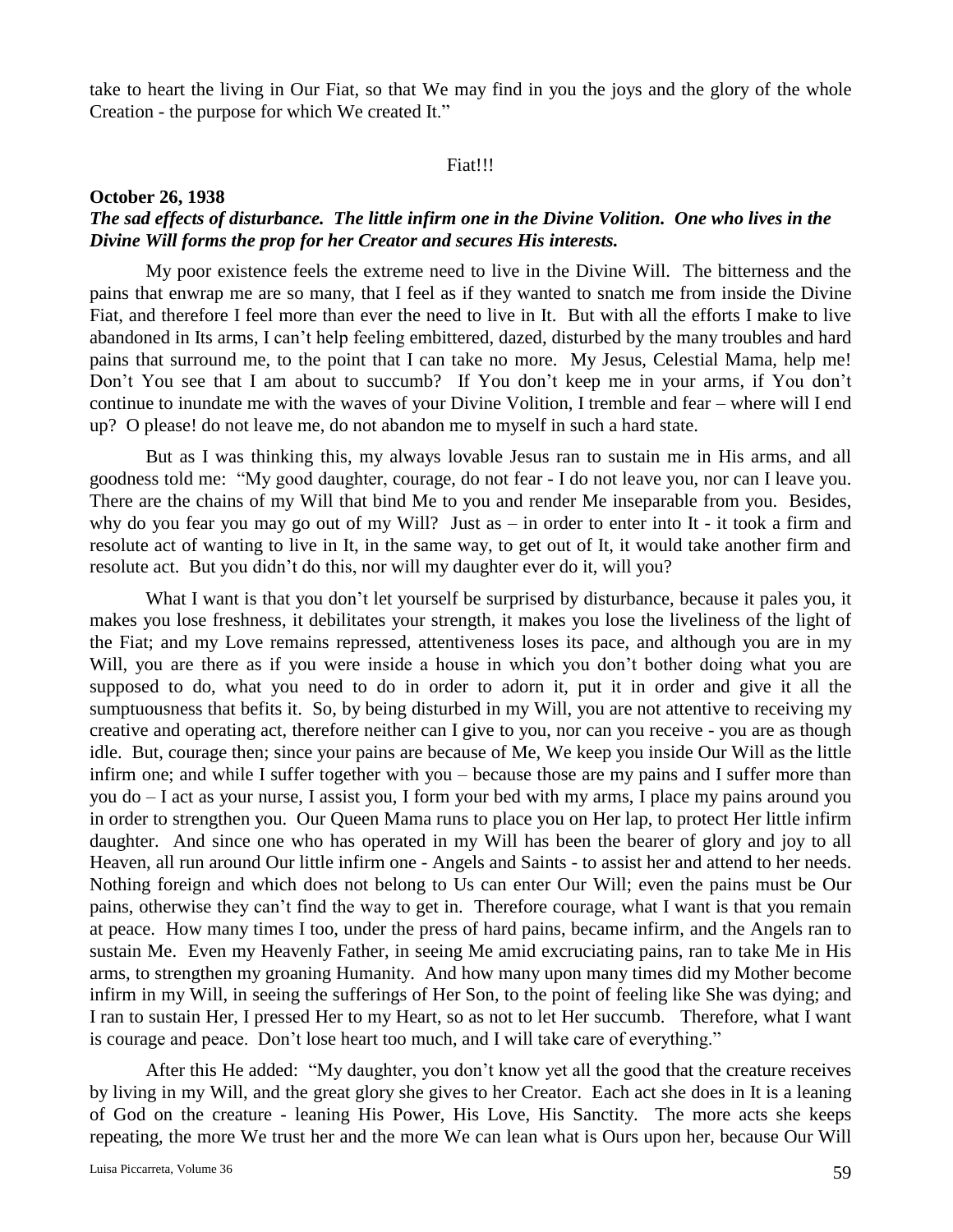take to heart the living in Our Fiat, so that We may find in you the joys and the glory of the whole Creation - the purpose for which We created It."

## Fiat!!!

### **October 26, 1938**

## *The sad effects of disturbance. The little infirm one in the Divine Volition. One who lives in the Divine Will forms the prop for her Creator and secures His interests.*

My poor existence feels the extreme need to live in the Divine Will. The bitterness and the pains that enwrap me are so many, that I feel as if they wanted to snatch me from inside the Divine Fiat, and therefore I feel more than ever the need to live in It. But with all the efforts I make to live abandoned in Its arms, I can't help feeling embittered, dazed, disturbed by the many troubles and hard pains that surround me, to the point that I can take no more. My Jesus, Celestial Mama, help me! Don't You see that I am about to succumb? If You don't keep me in your arms, if You don't continue to inundate me with the waves of your Divine Volition, I tremble and fear – where will I end up? O please! do not leave me, do not abandon me to myself in such a hard state.

But as I was thinking this, my always lovable Jesus ran to sustain me in His arms, and all goodness told me: "My good daughter, courage, do not fear - I do not leave you, nor can I leave you. There are the chains of my Will that bind Me to you and render Me inseparable from you. Besides, why do you fear you may go out of my Will? Just as – in order to enter into It - it took a firm and resolute act of wanting to live in It, in the same way, to get out of It, it would take another firm and resolute act. But you didn't do this, nor will my daughter ever do it, will you?

What I want is that you don't let yourself be surprised by disturbance, because it pales you, it makes you lose freshness, it debilitates your strength, it makes you lose the liveliness of the light of the Fiat; and my Love remains repressed, attentiveness loses its pace, and although you are in my Will, you are there as if you were inside a house in which you don't bother doing what you are supposed to do, what you need to do in order to adorn it, put it in order and give it all the sumptuousness that befits it. So, by being disturbed in my Will, you are not attentive to receiving my creative and operating act, therefore neither can I give to you, nor can you receive - you are as though idle. But, courage then; since your pains are because of Me, We keep you inside Our Will as the little infirm one; and while I suffer together with you – because those are my pains and I suffer more than you do – I act as your nurse, I assist you, I form your bed with my arms, I place my pains around you in order to strengthen you. Our Queen Mama runs to place you on Her lap, to protect Her little infirm daughter. And since one who has operated in my Will has been the bearer of glory and joy to all Heaven, all run around Our little infirm one - Angels and Saints - to assist her and attend to her needs. Nothing foreign and which does not belong to Us can enter Our Will; even the pains must be Our pains, otherwise they can't find the way to get in. Therefore courage, what I want is that you remain at peace. How many times I too, under the press of hard pains, became infirm, and the Angels ran to sustain Me. Even my Heavenly Father, in seeing Me amid excruciating pains, ran to take Me in His arms, to strengthen my groaning Humanity. And how many upon many times did my Mother become infirm in my Will, in seeing the sufferings of Her Son, to the point of feeling like She was dying; and I ran to sustain Her, I pressed Her to my Heart, so as not to let Her succumb. Therefore, what I want is courage and peace. Don't lose heart too much, and I will take care of everything."

After this He added: "My daughter, you don't know yet all the good that the creature receives by living in my Will, and the great glory she gives to her Creator. Each act she does in It is a leaning of God on the creature - leaning His Power, His Love, His Sanctity. The more acts she keeps repeating, the more We trust her and the more We can lean what is Ours upon her, because Our Will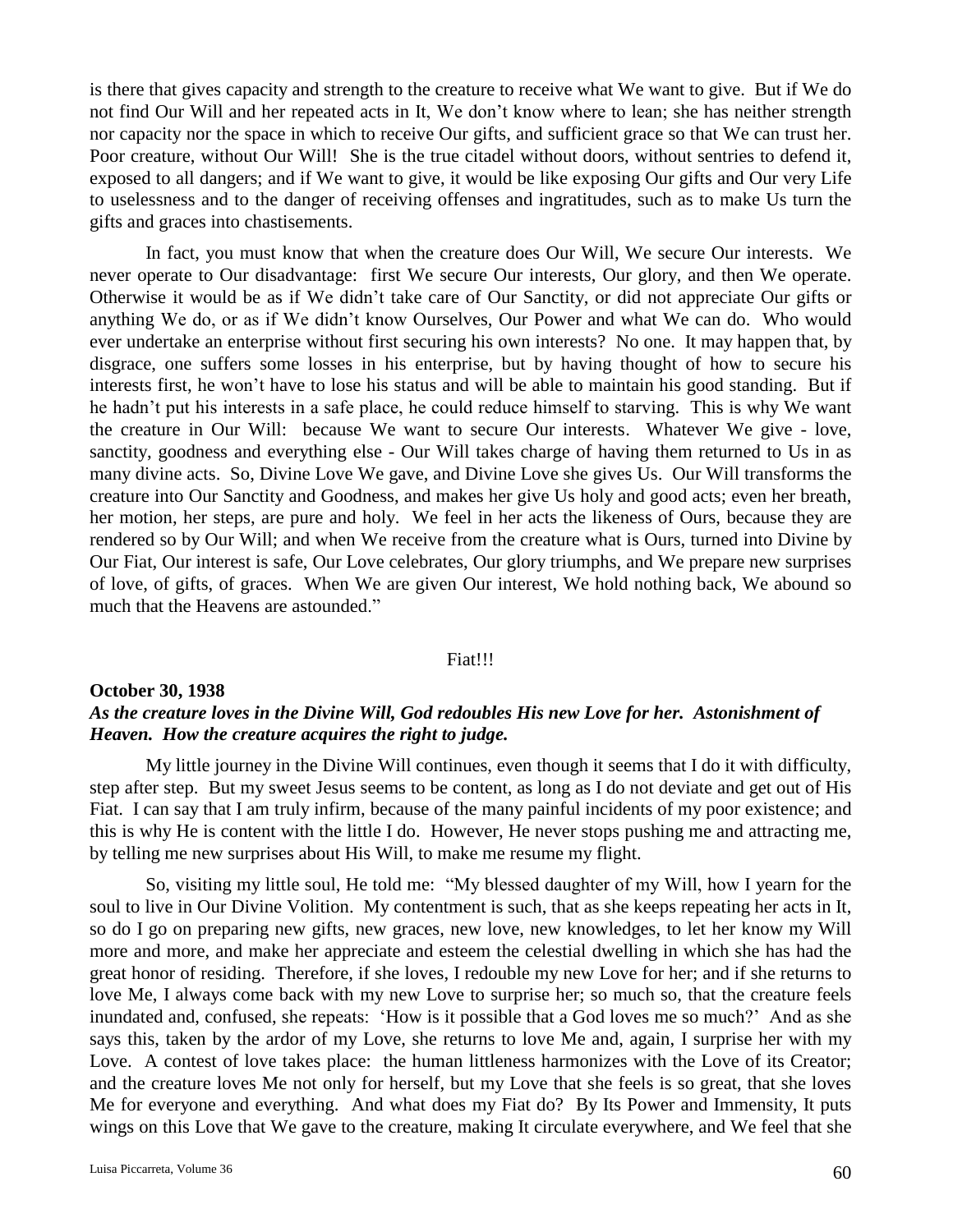is there that gives capacity and strength to the creature to receive what We want to give. But if We do not find Our Will and her repeated acts in It, We don't know where to lean; she has neither strength nor capacity nor the space in which to receive Our gifts, and sufficient grace so that We can trust her. Poor creature, without Our Will! She is the true citadel without doors, without sentries to defend it, exposed to all dangers; and if We want to give, it would be like exposing Our gifts and Our very Life to uselessness and to the danger of receiving offenses and ingratitudes, such as to make Us turn the gifts and graces into chastisements.

In fact, you must know that when the creature does Our Will, We secure Our interests. We never operate to Our disadvantage: first We secure Our interests, Our glory, and then We operate. Otherwise it would be as if We didn't take care of Our Sanctity, or did not appreciate Our gifts or anything We do, or as if We didn't know Ourselves, Our Power and what We can do. Who would ever undertake an enterprise without first securing his own interests? No one. It may happen that, by disgrace, one suffers some losses in his enterprise, but by having thought of how to secure his interests first, he won't have to lose his status and will be able to maintain his good standing. But if he hadn't put his interests in a safe place, he could reduce himself to starving. This is why We want the creature in Our Will: because We want to secure Our interests. Whatever We give - love, sanctity, goodness and everything else - Our Will takes charge of having them returned to Us in as many divine acts. So, Divine Love We gave, and Divine Love she gives Us. Our Will transforms the creature into Our Sanctity and Goodness, and makes her give Us holy and good acts; even her breath, her motion, her steps, are pure and holy. We feel in her acts the likeness of Ours, because they are rendered so by Our Will; and when We receive from the creature what is Ours, turned into Divine by Our Fiat, Our interest is safe, Our Love celebrates, Our glory triumphs, and We prepare new surprises of love, of gifts, of graces. When We are given Our interest, We hold nothing back, We abound so much that the Heavens are astounded."

## Fiat!!!

## **October 30, 1938** *As the creature loves in the Divine Will, God redoubles His new Love for her. Astonishment of Heaven. How the creature acquires the right to judge.*

My little journey in the Divine Will continues, even though it seems that I do it with difficulty, step after step. But my sweet Jesus seems to be content, as long as I do not deviate and get out of His Fiat. I can say that I am truly infirm, because of the many painful incidents of my poor existence; and this is why He is content with the little I do. However, He never stops pushing me and attracting me, by telling me new surprises about His Will, to make me resume my flight.

So, visiting my little soul, He told me: "My blessed daughter of my Will, how I yearn for the soul to live in Our Divine Volition. My contentment is such, that as she keeps repeating her acts in It, so do I go on preparing new gifts, new graces, new love, new knowledges, to let her know my Will more and more, and make her appreciate and esteem the celestial dwelling in which she has had the great honor of residing. Therefore, if she loves, I redouble my new Love for her; and if she returns to love Me, I always come back with my new Love to surprise her; so much so, that the creature feels inundated and, confused, she repeats: 'How is it possible that a God loves me so much?' And as she says this, taken by the ardor of my Love, she returns to love Me and, again, I surprise her with my Love. A contest of love takes place: the human littleness harmonizes with the Love of its Creator; and the creature loves Me not only for herself, but my Love that she feels is so great, that she loves Me for everyone and everything. And what does my Fiat do? By Its Power and Immensity, It puts wings on this Love that We gave to the creature, making It circulate everywhere, and We feel that she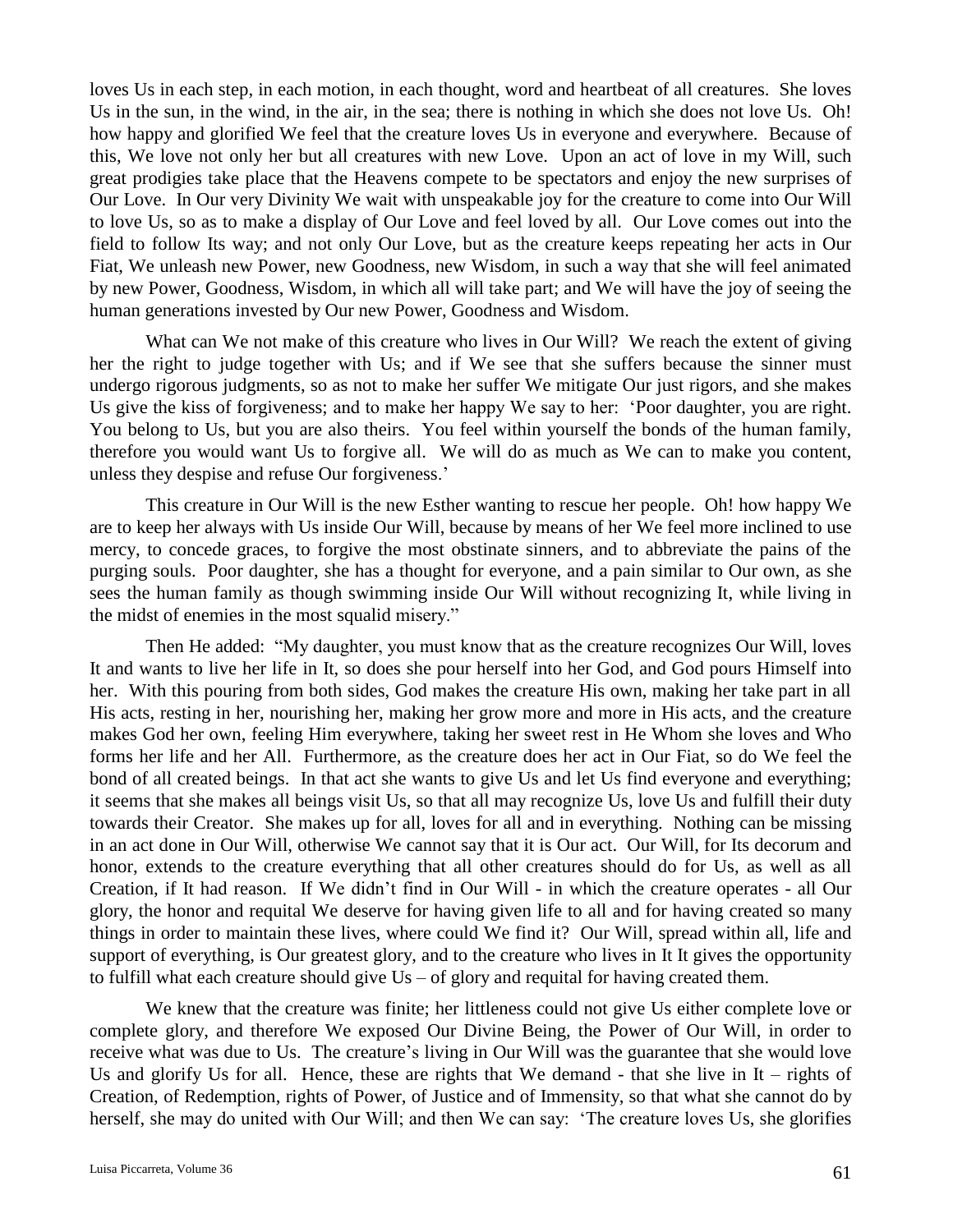loves Us in each step, in each motion, in each thought, word and heartbeat of all creatures. She loves Us in the sun, in the wind, in the air, in the sea; there is nothing in which she does not love Us. Oh! how happy and glorified We feel that the creature loves Us in everyone and everywhere. Because of this, We love not only her but all creatures with new Love. Upon an act of love in my Will, such great prodigies take place that the Heavens compete to be spectators and enjoy the new surprises of Our Love. In Our very Divinity We wait with unspeakable joy for the creature to come into Our Will to love Us, so as to make a display of Our Love and feel loved by all. Our Love comes out into the field to follow Its way; and not only Our Love, but as the creature keeps repeating her acts in Our Fiat, We unleash new Power, new Goodness, new Wisdom, in such a way that she will feel animated by new Power, Goodness, Wisdom, in which all will take part; and We will have the joy of seeing the human generations invested by Our new Power, Goodness and Wisdom.

What can We not make of this creature who lives in Our Will? We reach the extent of giving her the right to judge together with Us; and if We see that she suffers because the sinner must undergo rigorous judgments, so as not to make her suffer We mitigate Our just rigors, and she makes Us give the kiss of forgiveness; and to make her happy We say to her: 'Poor daughter, you are right. You belong to Us, but you are also theirs. You feel within yourself the bonds of the human family, therefore you would want Us to forgive all. We will do as much as We can to make you content, unless they despise and refuse Our forgiveness.'

This creature in Our Will is the new Esther wanting to rescue her people. Oh! how happy We are to keep her always with Us inside Our Will, because by means of her We feel more inclined to use mercy, to concede graces, to forgive the most obstinate sinners, and to abbreviate the pains of the purging souls. Poor daughter, she has a thought for everyone, and a pain similar to Our own, as she sees the human family as though swimming inside Our Will without recognizing It, while living in the midst of enemies in the most squalid misery."

Then He added: "My daughter, you must know that as the creature recognizes Our Will, loves It and wants to live her life in It, so does she pour herself into her God, and God pours Himself into her. With this pouring from both sides, God makes the creature His own, making her take part in all His acts, resting in her, nourishing her, making her grow more and more in His acts, and the creature makes God her own, feeling Him everywhere, taking her sweet rest in He Whom she loves and Who forms her life and her All. Furthermore, as the creature does her act in Our Fiat, so do We feel the bond of all created beings. In that act she wants to give Us and let Us find everyone and everything; it seems that she makes all beings visit Us, so that all may recognize Us, love Us and fulfill their duty towards their Creator. She makes up for all, loves for all and in everything. Nothing can be missing in an act done in Our Will, otherwise We cannot say that it is Our act. Our Will, for Its decorum and honor, extends to the creature everything that all other creatures should do for Us, as well as all Creation, if It had reason. If We didn't find in Our Will - in which the creature operates - all Our glory, the honor and requital We deserve for having given life to all and for having created so many things in order to maintain these lives, where could We find it? Our Will, spread within all, life and support of everything, is Our greatest glory, and to the creature who lives in It It gives the opportunity to fulfill what each creature should give  $Us - of$  glory and requital for having created them.

We knew that the creature was finite; her littleness could not give Us either complete love or complete glory, and therefore We exposed Our Divine Being, the Power of Our Will, in order to receive what was due to Us. The creature's living in Our Will was the guarantee that she would love Us and glorify Us for all. Hence, these are rights that We demand - that she live in  $It - rights of$ Creation, of Redemption, rights of Power, of Justice and of Immensity, so that what she cannot do by herself, she may do united with Our Will; and then We can say: 'The creature loves Us, she glorifies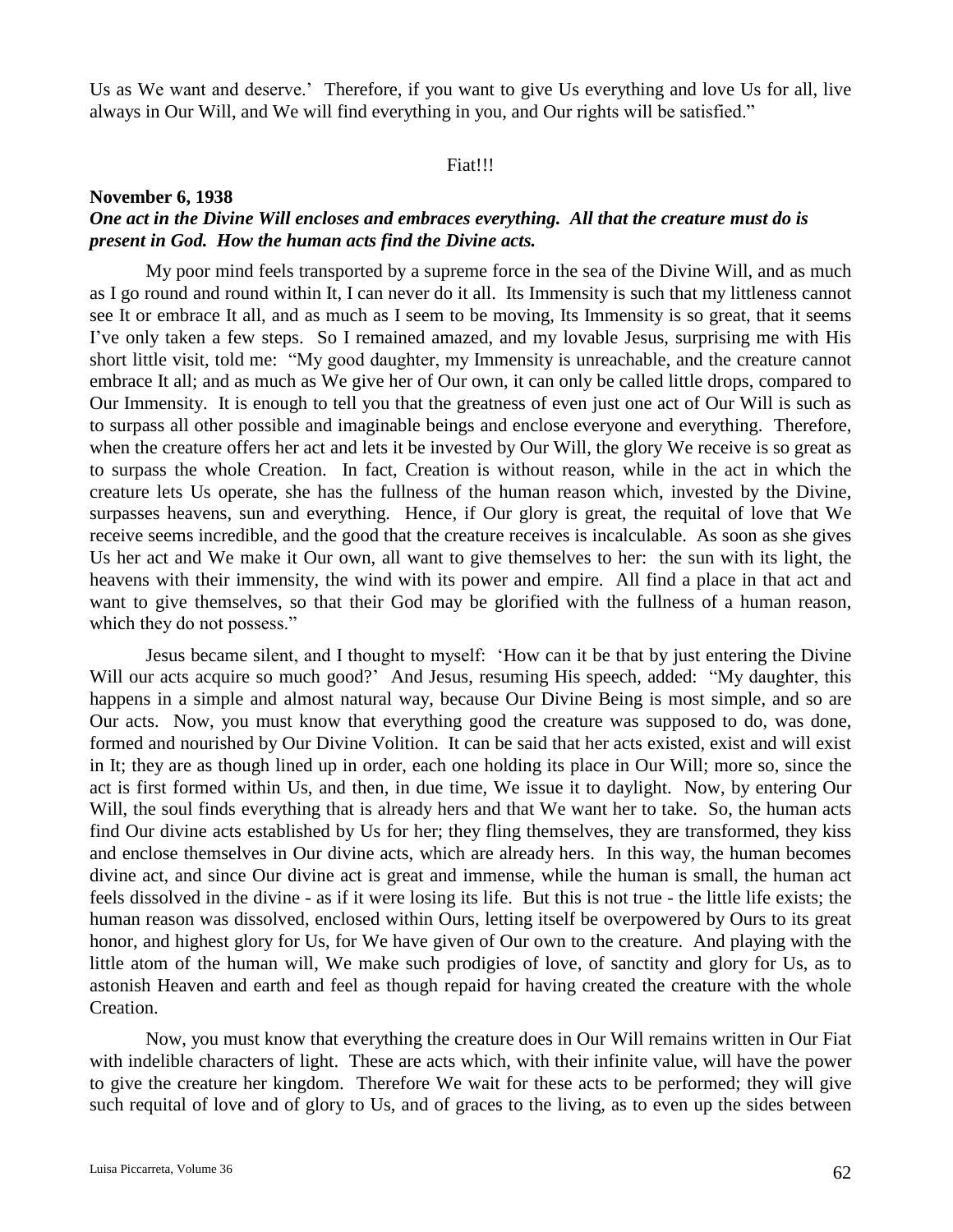Us as We want and deserve.' Therefore, if you want to give Us everything and love Us for all, live always in Our Will, and We will find everything in you, and Our rights will be satisfied."

## Fiat!!!

## **November 6, 1938**

# *One act in the Divine Will encloses and embraces everything. All that the creature must do is present in God. How the human acts find the Divine acts.*

My poor mind feels transported by a supreme force in the sea of the Divine Will, and as much as I go round and round within It, I can never do it all. Its Immensity is such that my littleness cannot see It or embrace It all, and as much as I seem to be moving, Its Immensity is so great, that it seems I've only taken a few steps. So I remained amazed, and my lovable Jesus, surprising me with His short little visit, told me: "My good daughter, my Immensity is unreachable, and the creature cannot embrace It all; and as much as We give her of Our own, it can only be called little drops, compared to Our Immensity. It is enough to tell you that the greatness of even just one act of Our Will is such as to surpass all other possible and imaginable beings and enclose everyone and everything. Therefore, when the creature offers her act and lets it be invested by Our Will, the glory We receive is so great as to surpass the whole Creation. In fact, Creation is without reason, while in the act in which the creature lets Us operate, she has the fullness of the human reason which, invested by the Divine, surpasses heavens, sun and everything. Hence, if Our glory is great, the requital of love that We receive seems incredible, and the good that the creature receives is incalculable. As soon as she gives Us her act and We make it Our own, all want to give themselves to her: the sun with its light, the heavens with their immensity, the wind with its power and empire. All find a place in that act and want to give themselves, so that their God may be glorified with the fullness of a human reason, which they do not possess."

Jesus became silent, and I thought to myself: 'How can it be that by just entering the Divine Will our acts acquire so much good?' And Jesus, resuming His speech, added: "My daughter, this happens in a simple and almost natural way, because Our Divine Being is most simple, and so are Our acts. Now, you must know that everything good the creature was supposed to do, was done, formed and nourished by Our Divine Volition. It can be said that her acts existed, exist and will exist in It; they are as though lined up in order, each one holding its place in Our Will; more so, since the act is first formed within Us, and then, in due time, We issue it to daylight. Now, by entering Our Will, the soul finds everything that is already hers and that We want her to take. So, the human acts find Our divine acts established by Us for her; they fling themselves, they are transformed, they kiss and enclose themselves in Our divine acts, which are already hers. In this way, the human becomes divine act, and since Our divine act is great and immense, while the human is small, the human act feels dissolved in the divine - as if it were losing its life. But this is not true - the little life exists; the human reason was dissolved, enclosed within Ours, letting itself be overpowered by Ours to its great honor, and highest glory for Us, for We have given of Our own to the creature. And playing with the little atom of the human will, We make such prodigies of love, of sanctity and glory for Us, as to astonish Heaven and earth and feel as though repaid for having created the creature with the whole Creation.

Now, you must know that everything the creature does in Our Will remains written in Our Fiat with indelible characters of light. These are acts which, with their infinite value, will have the power to give the creature her kingdom. Therefore We wait for these acts to be performed; they will give such requital of love and of glory to Us, and of graces to the living, as to even up the sides between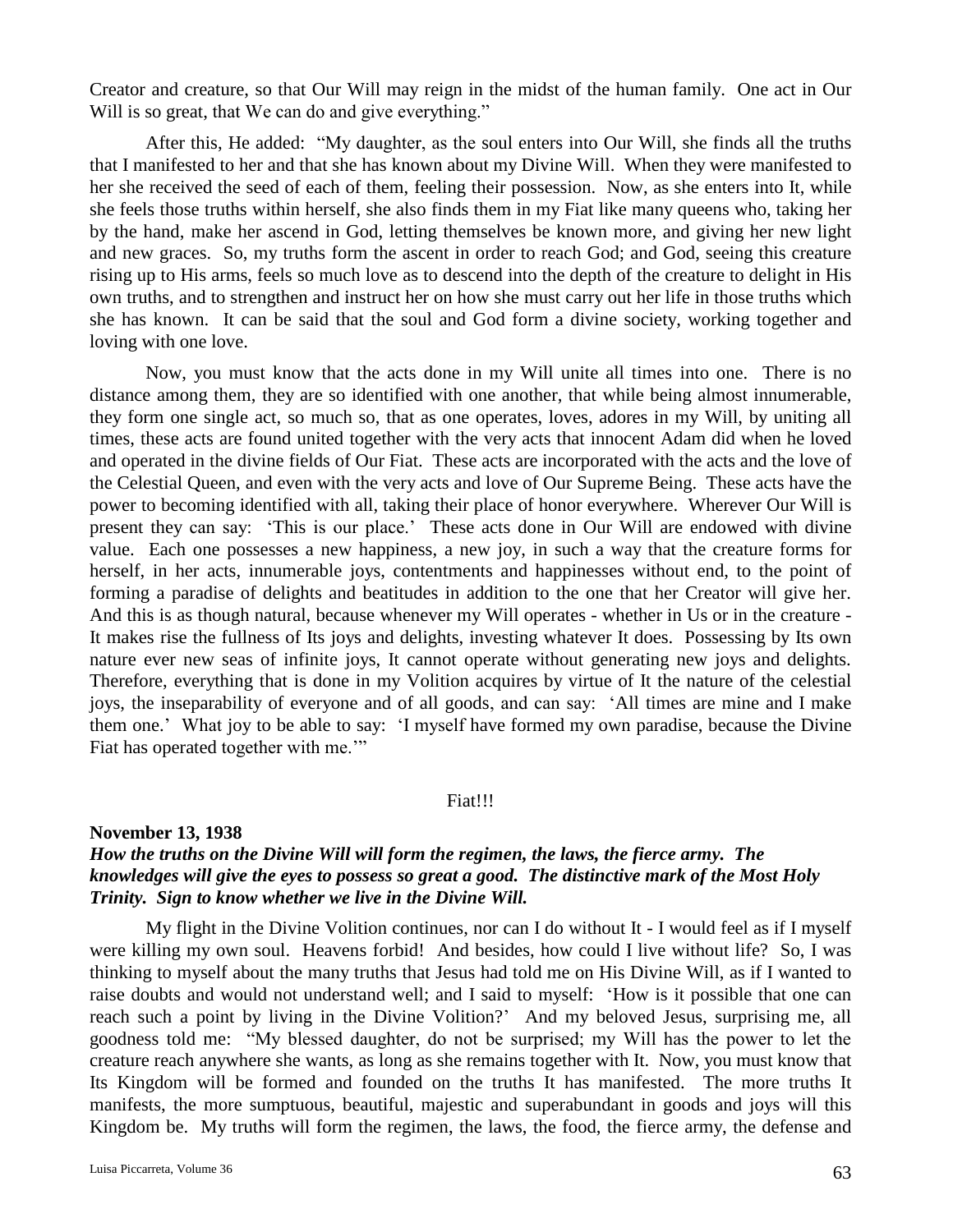Creator and creature, so that Our Will may reign in the midst of the human family. One act in Our Will is so great, that We can do and give everything."

After this, He added: "My daughter, as the soul enters into Our Will, she finds all the truths that I manifested to her and that she has known about my Divine Will. When they were manifested to her she received the seed of each of them, feeling their possession. Now, as she enters into It, while she feels those truths within herself, she also finds them in my Fiat like many queens who, taking her by the hand, make her ascend in God, letting themselves be known more, and giving her new light and new graces. So, my truths form the ascent in order to reach God; and God, seeing this creature rising up to His arms, feels so much love as to descend into the depth of the creature to delight in His own truths, and to strengthen and instruct her on how she must carry out her life in those truths which she has known. It can be said that the soul and God form a divine society, working together and loving with one love.

Now, you must know that the acts done in my Will unite all times into one. There is no distance among them, they are so identified with one another, that while being almost innumerable, they form one single act, so much so, that as one operates, loves, adores in my Will, by uniting all times, these acts are found united together with the very acts that innocent Adam did when he loved and operated in the divine fields of Our Fiat. These acts are incorporated with the acts and the love of the Celestial Queen, and even with the very acts and love of Our Supreme Being. These acts have the power to becoming identified with all, taking their place of honor everywhere. Wherever Our Will is present they can say: 'This is our place.' These acts done in Our Will are endowed with divine value. Each one possesses a new happiness, a new joy, in such a way that the creature forms for herself, in her acts, innumerable joys, contentments and happinesses without end, to the point of forming a paradise of delights and beatitudes in addition to the one that her Creator will give her. And this is as though natural, because whenever my Will operates - whether in Us or in the creature - It makes rise the fullness of Its joys and delights, investing whatever It does. Possessing by Its own nature ever new seas of infinite joys, It cannot operate without generating new joys and delights. Therefore, everything that is done in my Volition acquires by virtue of It the nature of the celestial joys, the inseparability of everyone and of all goods, and can say: 'All times are mine and I make them one.' What joy to be able to say: 'I myself have formed my own paradise, because the Divine Fiat has operated together with me."

### Fiat!!!

## **November 13, 1938**

# *How the truths on the Divine Will will form the regimen, the laws, the fierce army. The knowledges will give the eyes to possess so great a good. The distinctive mark of the Most Holy Trinity. Sign to know whether we live in the Divine Will.*

My flight in the Divine Volition continues, nor can I do without It - I would feel as if I myself were killing my own soul. Heavens forbid! And besides, how could I live without life? So, I was thinking to myself about the many truths that Jesus had told me on His Divine Will, as if I wanted to raise doubts and would not understand well; and I said to myself: 'How is it possible that one can reach such a point by living in the Divine Volition?' And my beloved Jesus, surprising me, all goodness told me: "My blessed daughter, do not be surprised; my Will has the power to let the creature reach anywhere she wants, as long as she remains together with It. Now, you must know that Its Kingdom will be formed and founded on the truths It has manifested. The more truths It manifests, the more sumptuous, beautiful, majestic and superabundant in goods and joys will this Kingdom be. My truths will form the regimen, the laws, the food, the fierce army, the defense and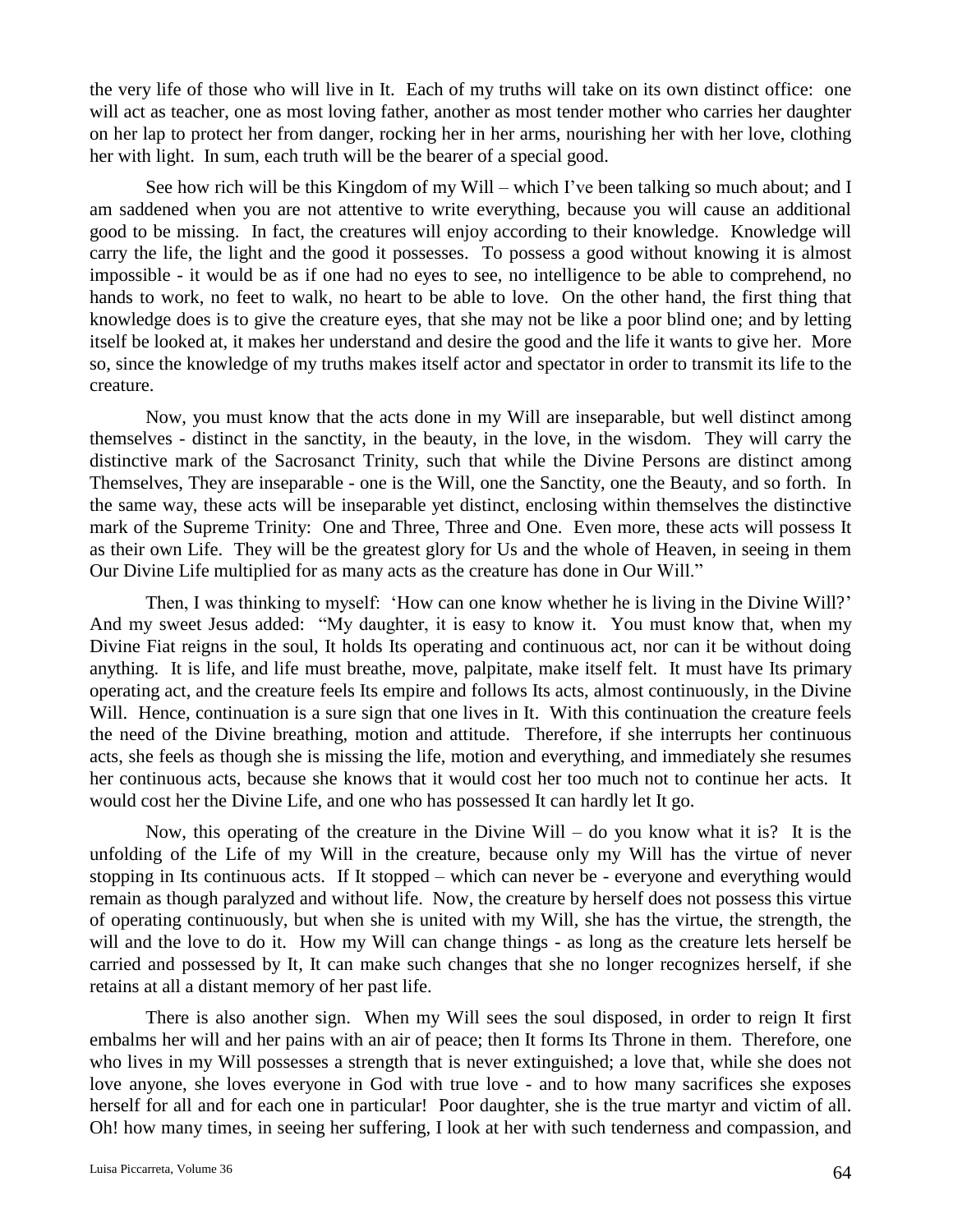the very life of those who will live in It. Each of my truths will take on its own distinct office: one will act as teacher, one as most loving father, another as most tender mother who carries her daughter on her lap to protect her from danger, rocking her in her arms, nourishing her with her love, clothing her with light. In sum, each truth will be the bearer of a special good.

See how rich will be this Kingdom of my Will – which I've been talking so much about; and I am saddened when you are not attentive to write everything, because you will cause an additional good to be missing. In fact, the creatures will enjoy according to their knowledge. Knowledge will carry the life, the light and the good it possesses. To possess a good without knowing it is almost impossible - it would be as if one had no eyes to see, no intelligence to be able to comprehend, no hands to work, no feet to walk, no heart to be able to love. On the other hand, the first thing that knowledge does is to give the creature eyes, that she may not be like a poor blind one; and by letting itself be looked at, it makes her understand and desire the good and the life it wants to give her. More so, since the knowledge of my truths makes itself actor and spectator in order to transmit its life to the creature.

Now, you must know that the acts done in my Will are inseparable, but well distinct among themselves - distinct in the sanctity, in the beauty, in the love, in the wisdom. They will carry the distinctive mark of the Sacrosanct Trinity, such that while the Divine Persons are distinct among Themselves, They are inseparable - one is the Will, one the Sanctity, one the Beauty, and so forth. In the same way, these acts will be inseparable yet distinct, enclosing within themselves the distinctive mark of the Supreme Trinity: One and Three, Three and One. Even more, these acts will possess It as their own Life. They will be the greatest glory for Us and the whole of Heaven, in seeing in them Our Divine Life multiplied for as many acts as the creature has done in Our Will."

Then, I was thinking to myself: 'How can one know whether he is living in the Divine Will?' And my sweet Jesus added: "My daughter, it is easy to know it. You must know that, when my Divine Fiat reigns in the soul, It holds Its operating and continuous act, nor can it be without doing anything. It is life, and life must breathe, move, palpitate, make itself felt. It must have Its primary operating act, and the creature feels Its empire and follows Its acts, almost continuously, in the Divine Will. Hence, continuation is a sure sign that one lives in It. With this continuation the creature feels the need of the Divine breathing, motion and attitude. Therefore, if she interrupts her continuous acts, she feels as though she is missing the life, motion and everything, and immediately she resumes her continuous acts, because she knows that it would cost her too much not to continue her acts. It would cost her the Divine Life, and one who has possessed It can hardly let It go.

Now, this operating of the creature in the Divine Will – do you know what it is? It is the unfolding of the Life of my Will in the creature, because only my Will has the virtue of never stopping in Its continuous acts. If It stopped – which can never be - everyone and everything would remain as though paralyzed and without life. Now, the creature by herself does not possess this virtue of operating continuously, but when she is united with my Will, she has the virtue, the strength, the will and the love to do it. How my Will can change things - as long as the creature lets herself be carried and possessed by It, It can make such changes that she no longer recognizes herself, if she retains at all a distant memory of her past life.

There is also another sign. When my Will sees the soul disposed, in order to reign It first embalms her will and her pains with an air of peace; then It forms Its Throne in them. Therefore, one who lives in my Will possesses a strength that is never extinguished; a love that, while she does not love anyone, she loves everyone in God with true love - and to how many sacrifices she exposes herself for all and for each one in particular! Poor daughter, she is the true martyr and victim of all. Oh! how many times, in seeing her suffering, I look at her with such tenderness and compassion, and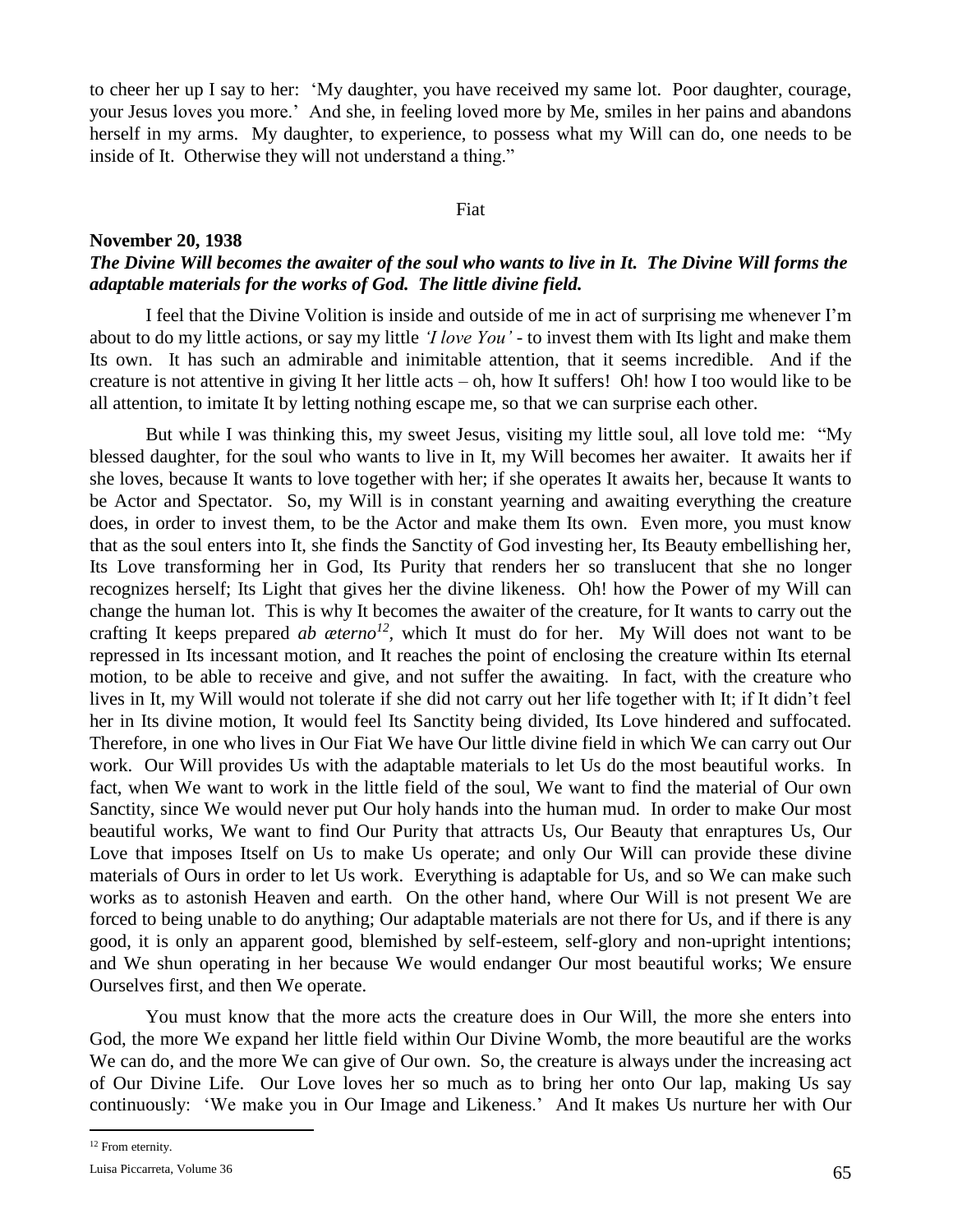to cheer her up I say to her: 'My daughter, you have received my same lot. Poor daughter, courage, your Jesus loves you more.' And she, in feeling loved more by Me, smiles in her pains and abandons herself in my arms. My daughter, to experience, to possess what my Will can do, one needs to be inside of It. Otherwise they will not understand a thing."

## Fiat

## **November 20, 1938** *The Divine Will becomes the awaiter of the soul who wants to live in It. The Divine Will forms the adaptable materials for the works of God. The little divine field.*

I feel that the Divine Volition is inside and outside of me in act of surprising me whenever I'm about to do my little actions, or say my little *'I love You'* - to invest them with Its light and make them Its own. It has such an admirable and inimitable attention, that it seems incredible. And if the creature is not attentive in giving It her little acts – oh, how It suffers! Oh! how I too would like to be all attention, to imitate It by letting nothing escape me, so that we can surprise each other.

But while I was thinking this, my sweet Jesus, visiting my little soul, all love told me: "My blessed daughter, for the soul who wants to live in It, my Will becomes her awaiter. It awaits her if she loves, because It wants to love together with her; if she operates It awaits her, because It wants to be Actor and Spectator. So, my Will is in constant yearning and awaiting everything the creature does, in order to invest them, to be the Actor and make them Its own. Even more, you must know that as the soul enters into It, she finds the Sanctity of God investing her, Its Beauty embellishing her, Its Love transforming her in God, Its Purity that renders her so translucent that she no longer recognizes herself; Its Light that gives her the divine likeness. Oh! how the Power of my Will can change the human lot. This is why It becomes the awaiter of the creature, for It wants to carry out the crafting It keeps prepared *ab aeterno<sup>12</sup>*, which It must do for her. My Will does not want to be repressed in Its incessant motion, and It reaches the point of enclosing the creature within Its eternal motion, to be able to receive and give, and not suffer the awaiting. In fact, with the creature who lives in It, my Will would not tolerate if she did not carry out her life together with It; if It didn't feel her in Its divine motion, It would feel Its Sanctity being divided, Its Love hindered and suffocated. Therefore, in one who lives in Our Fiat We have Our little divine field in which We can carry out Our work. Our Will provides Us with the adaptable materials to let Us do the most beautiful works. In fact, when We want to work in the little field of the soul, We want to find the material of Our own Sanctity, since We would never put Our holy hands into the human mud. In order to make Our most beautiful works, We want to find Our Purity that attracts Us, Our Beauty that enraptures Us, Our Love that imposes Itself on Us to make Us operate; and only Our Will can provide these divine materials of Ours in order to let Us work. Everything is adaptable for Us, and so We can make such works as to astonish Heaven and earth. On the other hand, where Our Will is not present We are forced to being unable to do anything; Our adaptable materials are not there for Us, and if there is any good, it is only an apparent good, blemished by self-esteem, self-glory and non-upright intentions; and We shun operating in her because We would endanger Our most beautiful works; We ensure Ourselves first, and then We operate.

You must know that the more acts the creature does in Our Will, the more she enters into God, the more We expand her little field within Our Divine Womb, the more beautiful are the works We can do, and the more We can give of Our own. So, the creature is always under the increasing act of Our Divine Life. Our Love loves her so much as to bring her onto Our lap, making Us say continuously: 'We make you in Our Image and Likeness.' And It makes Us nurture her with Our

 $\overline{a}$ 

<sup>12</sup> From eternity.

Luisa Piccarreta, Volume 36  $65$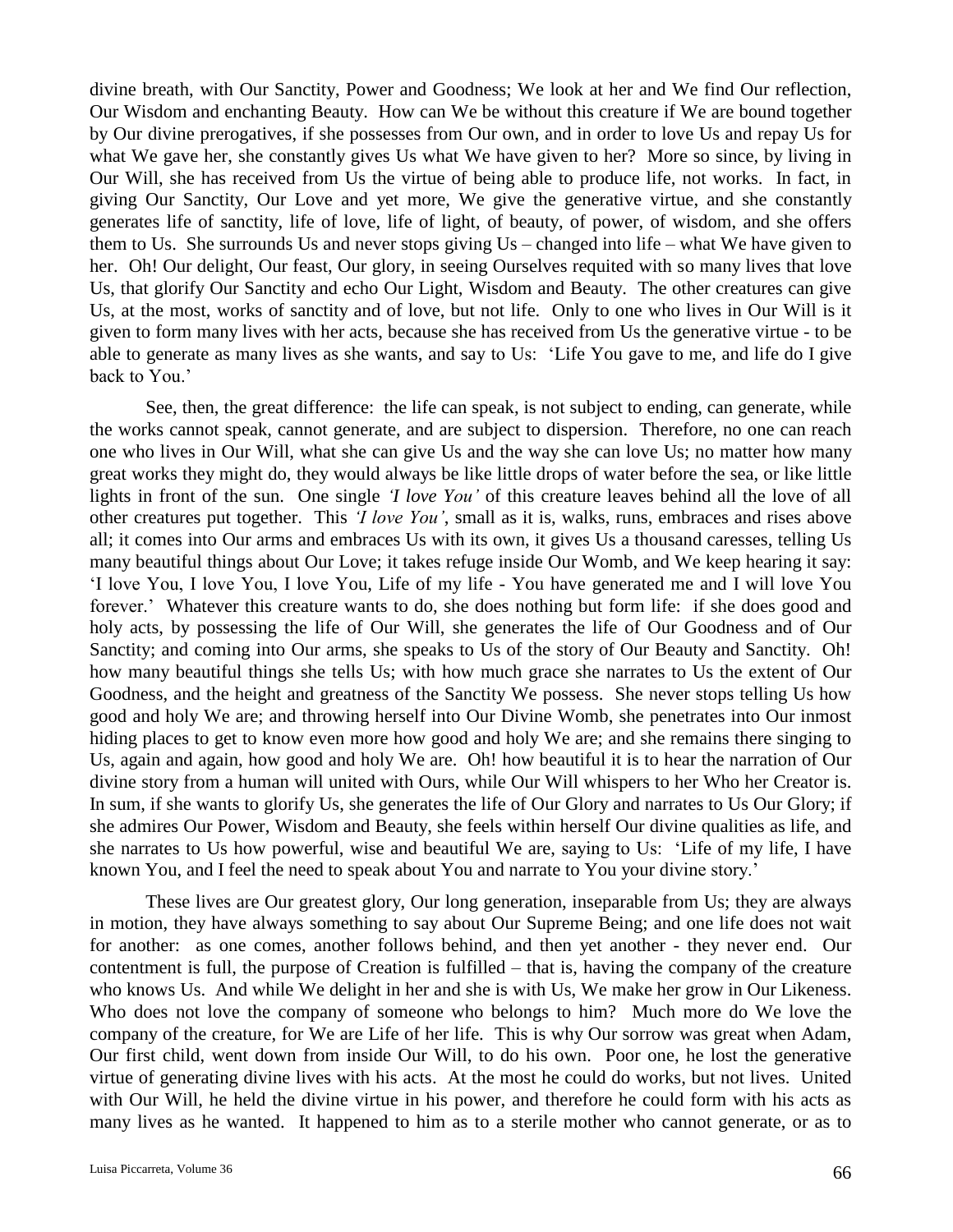divine breath, with Our Sanctity, Power and Goodness; We look at her and We find Our reflection, Our Wisdom and enchanting Beauty. How can We be without this creature if We are bound together by Our divine prerogatives, if she possesses from Our own, and in order to love Us and repay Us for what We gave her, she constantly gives Us what We have given to her? More so since, by living in Our Will, she has received from Us the virtue of being able to produce life, not works. In fact, in giving Our Sanctity, Our Love and yet more, We give the generative virtue, and she constantly generates life of sanctity, life of love, life of light, of beauty, of power, of wisdom, and she offers them to Us. She surrounds Us and never stops giving Us – changed into life – what We have given to her. Oh! Our delight, Our feast, Our glory, in seeing Ourselves requited with so many lives that love Us, that glorify Our Sanctity and echo Our Light, Wisdom and Beauty. The other creatures can give Us, at the most, works of sanctity and of love, but not life. Only to one who lives in Our Will is it given to form many lives with her acts, because she has received from Us the generative virtue - to be able to generate as many lives as she wants, and say to Us: 'Life You gave to me, and life do I give back to You.'

See, then, the great difference: the life can speak, is not subject to ending, can generate, while the works cannot speak, cannot generate, and are subject to dispersion. Therefore, no one can reach one who lives in Our Will, what she can give Us and the way she can love Us; no matter how many great works they might do, they would always be like little drops of water before the sea, or like little lights in front of the sun. One single *'I love You'* of this creature leaves behind all the love of all other creatures put together. This *'I love You'*, small as it is, walks, runs, embraces and rises above all; it comes into Our arms and embraces Us with its own, it gives Us a thousand caresses, telling Us many beautiful things about Our Love; it takes refuge inside Our Womb, and We keep hearing it say: 'I love You, I love You, I love You, Life of my life - You have generated me and I will love You forever.' Whatever this creature wants to do, she does nothing but form life: if she does good and holy acts, by possessing the life of Our Will, she generates the life of Our Goodness and of Our Sanctity; and coming into Our arms, she speaks to Us of the story of Our Beauty and Sanctity. Oh! how many beautiful things she tells Us; with how much grace she narrates to Us the extent of Our Goodness, and the height and greatness of the Sanctity We possess. She never stops telling Us how good and holy We are; and throwing herself into Our Divine Womb, she penetrates into Our inmost hiding places to get to know even more how good and holy We are; and she remains there singing to Us, again and again, how good and holy We are. Oh! how beautiful it is to hear the narration of Our divine story from a human will united with Ours, while Our Will whispers to her Who her Creator is. In sum, if she wants to glorify Us, she generates the life of Our Glory and narrates to Us Our Glory; if she admires Our Power, Wisdom and Beauty, she feels within herself Our divine qualities as life, and she narrates to Us how powerful, wise and beautiful We are, saying to Us: 'Life of my life, I have known You, and I feel the need to speak about You and narrate to You your divine story.'

These lives are Our greatest glory, Our long generation, inseparable from Us; they are always in motion, they have always something to say about Our Supreme Being; and one life does not wait for another: as one comes, another follows behind, and then yet another - they never end. Our contentment is full, the purpose of Creation is fulfilled – that is, having the company of the creature who knows Us. And while We delight in her and she is with Us, We make her grow in Our Likeness. Who does not love the company of someone who belongs to him? Much more do We love the company of the creature, for We are Life of her life. This is why Our sorrow was great when Adam, Our first child, went down from inside Our Will, to do his own. Poor one, he lost the generative virtue of generating divine lives with his acts. At the most he could do works, but not lives. United with Our Will, he held the divine virtue in his power, and therefore he could form with his acts as many lives as he wanted. It happened to him as to a sterile mother who cannot generate, or as to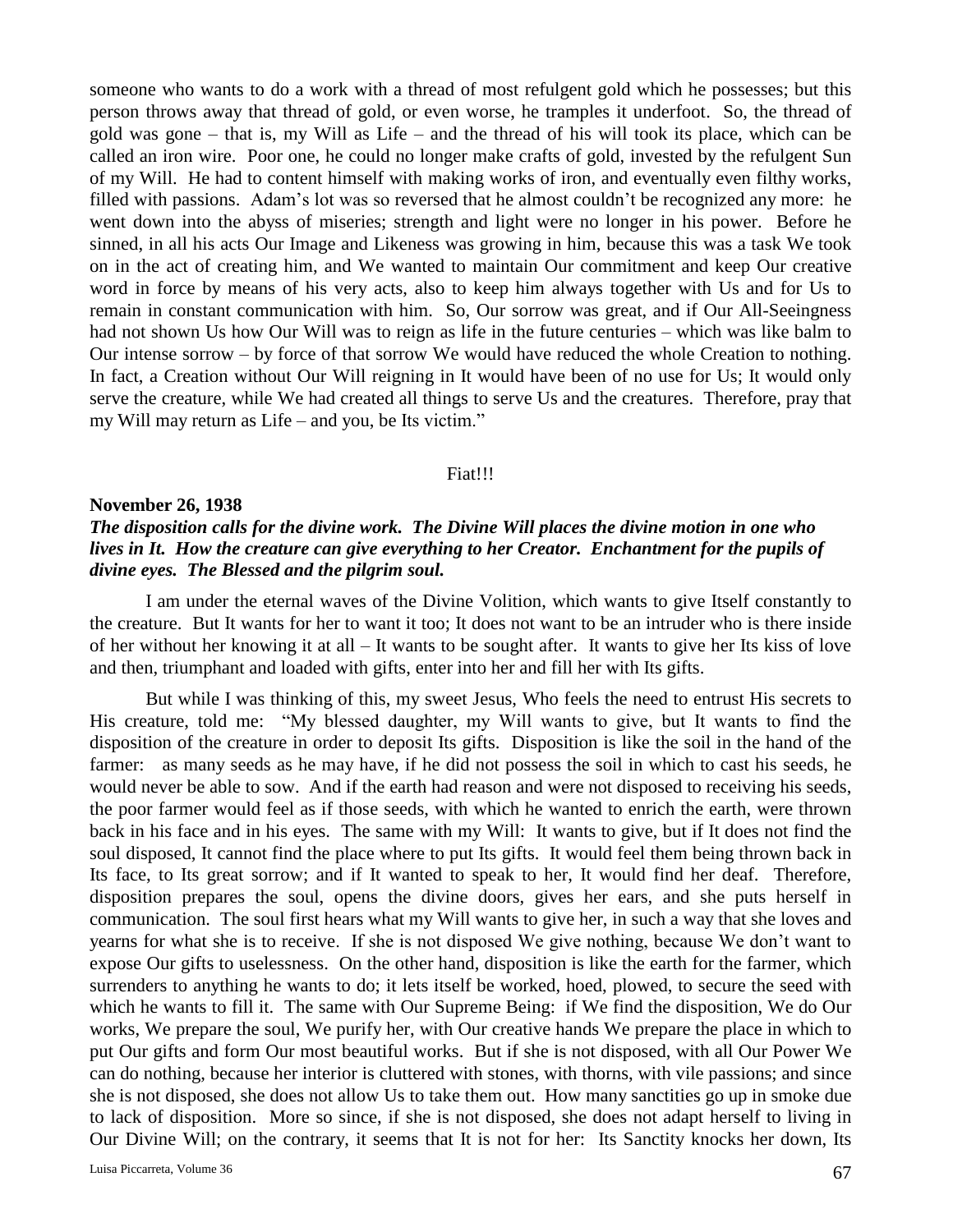someone who wants to do a work with a thread of most refulgent gold which he possesses; but this person throws away that thread of gold, or even worse, he tramples it underfoot. So, the thread of gold was gone – that is, my Will as Life – and the thread of his will took its place, which can be called an iron wire. Poor one, he could no longer make crafts of gold, invested by the refulgent Sun of my Will. He had to content himself with making works of iron, and eventually even filthy works, filled with passions. Adam's lot was so reversed that he almost couldn't be recognized any more: he went down into the abyss of miseries; strength and light were no longer in his power. Before he sinned, in all his acts Our Image and Likeness was growing in him, because this was a task We took on in the act of creating him, and We wanted to maintain Our commitment and keep Our creative word in force by means of his very acts, also to keep him always together with Us and for Us to remain in constant communication with him. So, Our sorrow was great, and if Our All-Seeingness had not shown Us how Our Will was to reign as life in the future centuries – which was like balm to Our intense sorrow – by force of that sorrow We would have reduced the whole Creation to nothing. In fact, a Creation without Our Will reigning in It would have been of no use for Us; It would only serve the creature, while We had created all things to serve Us and the creatures. Therefore, pray that my Will may return as Life – and you, be Its victim."

#### Fiat!!!

## **November 26, 1938**

# *The disposition calls for the divine work. The Divine Will places the divine motion in one who lives in It. How the creature can give everything to her Creator. Enchantment for the pupils of divine eyes. The Blessed and the pilgrim soul.*

I am under the eternal waves of the Divine Volition, which wants to give Itself constantly to the creature. But It wants for her to want it too; It does not want to be an intruder who is there inside of her without her knowing it at all – It wants to be sought after. It wants to give her Its kiss of love and then, triumphant and loaded with gifts, enter into her and fill her with Its gifts.

But while I was thinking of this, my sweet Jesus, Who feels the need to entrust His secrets to His creature, told me: "My blessed daughter, my Will wants to give, but It wants to find the disposition of the creature in order to deposit Its gifts. Disposition is like the soil in the hand of the farmer: as many seeds as he may have, if he did not possess the soil in which to cast his seeds, he would never be able to sow. And if the earth had reason and were not disposed to receiving his seeds, the poor farmer would feel as if those seeds, with which he wanted to enrich the earth, were thrown back in his face and in his eyes. The same with my Will: It wants to give, but if It does not find the soul disposed, It cannot find the place where to put Its gifts. It would feel them being thrown back in Its face, to Its great sorrow; and if It wanted to speak to her, It would find her deaf. Therefore, disposition prepares the soul, opens the divine doors, gives her ears, and she puts herself in communication. The soul first hears what my Will wants to give her, in such a way that she loves and yearns for what she is to receive. If she is not disposed We give nothing, because We don't want to expose Our gifts to uselessness. On the other hand, disposition is like the earth for the farmer, which surrenders to anything he wants to do; it lets itself be worked, hoed, plowed, to secure the seed with which he wants to fill it. The same with Our Supreme Being: if We find the disposition, We do Our works, We prepare the soul, We purify her, with Our creative hands We prepare the place in which to put Our gifts and form Our most beautiful works. But if she is not disposed, with all Our Power We can do nothing, because her interior is cluttered with stones, with thorns, with vile passions; and since she is not disposed, she does not allow Us to take them out. How many sanctities go up in smoke due to lack of disposition. More so since, if she is not disposed, she does not adapt herself to living in Our Divine Will; on the contrary, it seems that It is not for her: Its Sanctity knocks her down, Its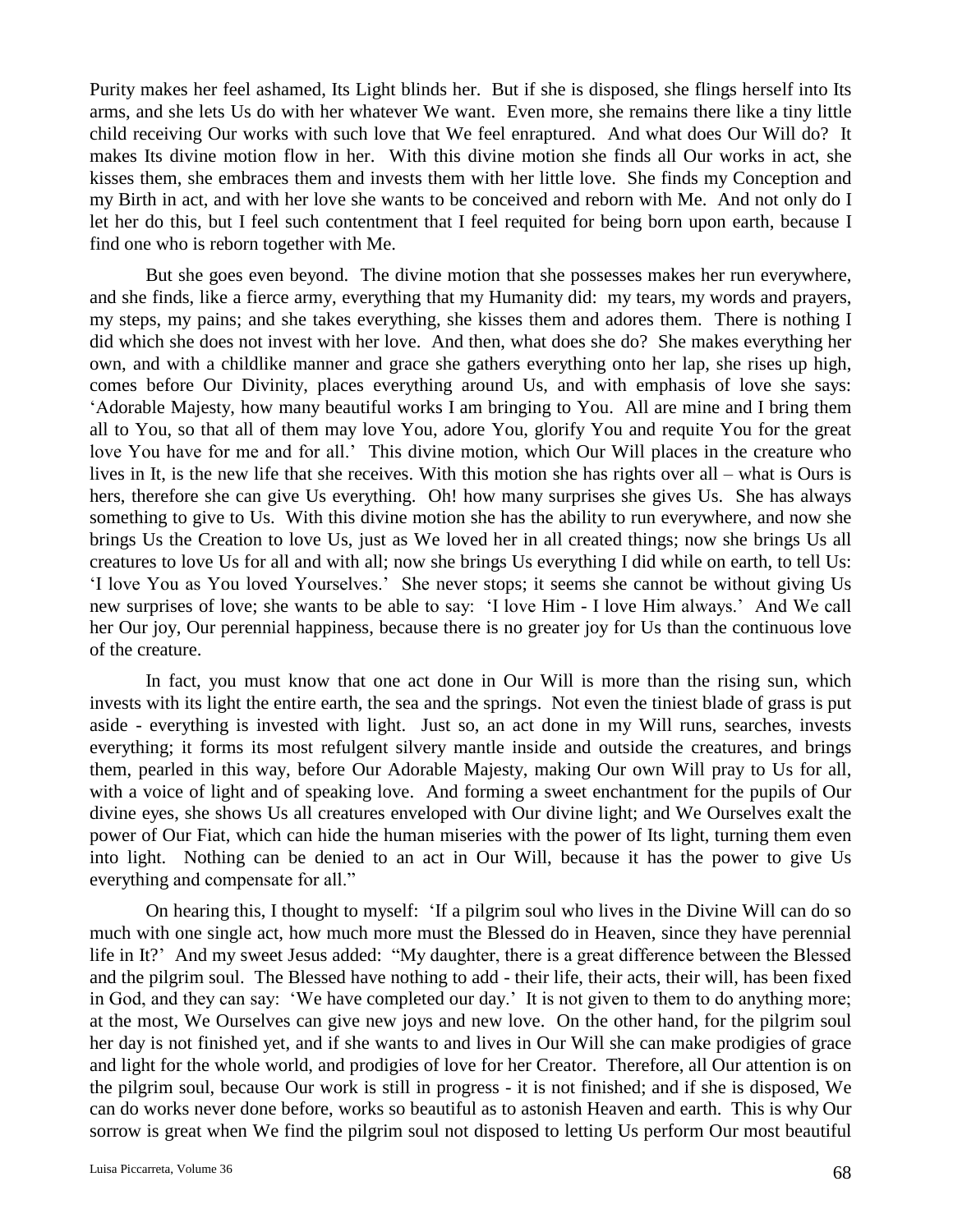Purity makes her feel ashamed, Its Light blinds her. But if she is disposed, she flings herself into Its arms, and she lets Us do with her whatever We want. Even more, she remains there like a tiny little child receiving Our works with such love that We feel enraptured. And what does Our Will do? It makes Its divine motion flow in her. With this divine motion she finds all Our works in act, she kisses them, she embraces them and invests them with her little love. She finds my Conception and my Birth in act, and with her love she wants to be conceived and reborn with Me. And not only do I let her do this, but I feel such contentment that I feel requited for being born upon earth, because I find one who is reborn together with Me.

But she goes even beyond. The divine motion that she possesses makes her run everywhere, and she finds, like a fierce army, everything that my Humanity did: my tears, my words and prayers, my steps, my pains; and she takes everything, she kisses them and adores them. There is nothing I did which she does not invest with her love. And then, what does she do? She makes everything her own, and with a childlike manner and grace she gathers everything onto her lap, she rises up high, comes before Our Divinity, places everything around Us, and with emphasis of love she says: 'Adorable Majesty, how many beautiful works I am bringing to You. All are mine and I bring them all to You, so that all of them may love You, adore You, glorify You and requite You for the great love You have for me and for all.' This divine motion, which Our Will places in the creature who lives in It, is the new life that she receives. With this motion she has rights over all – what is Ours is hers, therefore she can give Us everything. Oh! how many surprises she gives Us. She has always something to give to Us. With this divine motion she has the ability to run everywhere, and now she brings Us the Creation to love Us, just as We loved her in all created things; now she brings Us all creatures to love Us for all and with all; now she brings Us everything I did while on earth, to tell Us: 'I love You as You loved Yourselves.' She never stops; it seems she cannot be without giving Us new surprises of love; she wants to be able to say: 'I love Him - I love Him always.' And We call her Our joy, Our perennial happiness, because there is no greater joy for Us than the continuous love of the creature.

In fact, you must know that one act done in Our Will is more than the rising sun, which invests with its light the entire earth, the sea and the springs. Not even the tiniest blade of grass is put aside - everything is invested with light. Just so, an act done in my Will runs, searches, invests everything; it forms its most refulgent silvery mantle inside and outside the creatures, and brings them, pearled in this way, before Our Adorable Majesty, making Our own Will pray to Us for all, with a voice of light and of speaking love. And forming a sweet enchantment for the pupils of Our divine eyes, she shows Us all creatures enveloped with Our divine light; and We Ourselves exalt the power of Our Fiat, which can hide the human miseries with the power of Its light, turning them even into light. Nothing can be denied to an act in Our Will, because it has the power to give Us everything and compensate for all."

On hearing this, I thought to myself: 'If a pilgrim soul who lives in the Divine Will can do so much with one single act, how much more must the Blessed do in Heaven, since they have perennial life in It?' And my sweet Jesus added: "My daughter, there is a great difference between the Blessed and the pilgrim soul. The Blessed have nothing to add - their life, their acts, their will, has been fixed in God, and they can say: 'We have completed our day.' It is not given to them to do anything more; at the most, We Ourselves can give new joys and new love. On the other hand, for the pilgrim soul her day is not finished yet, and if she wants to and lives in Our Will she can make prodigies of grace and light for the whole world, and prodigies of love for her Creator. Therefore, all Our attention is on the pilgrim soul, because Our work is still in progress - it is not finished; and if she is disposed, We can do works never done before, works so beautiful as to astonish Heaven and earth. This is why Our sorrow is great when We find the pilgrim soul not disposed to letting Us perform Our most beautiful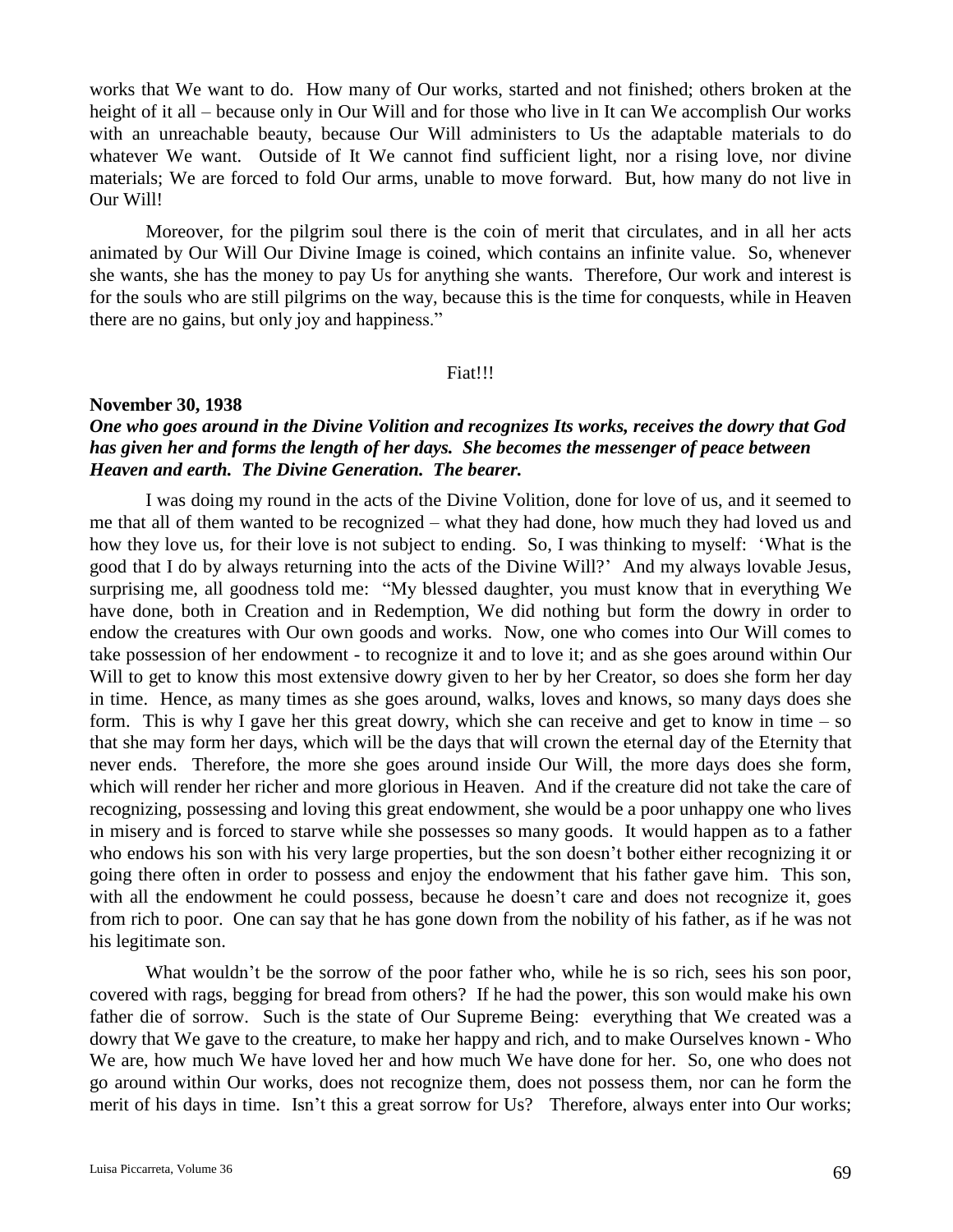works that We want to do. How many of Our works, started and not finished; others broken at the height of it all – because only in Our Will and for those who live in It can We accomplish Our works with an unreachable beauty, because Our Will administers to Us the adaptable materials to do whatever We want. Outside of It We cannot find sufficient light, nor a rising love, nor divine materials; We are forced to fold Our arms, unable to move forward. But, how many do not live in Our Will!

Moreover, for the pilgrim soul there is the coin of merit that circulates, and in all her acts animated by Our Will Our Divine Image is coined, which contains an infinite value. So, whenever she wants, she has the money to pay Us for anything she wants. Therefore, Our work and interest is for the souls who are still pilgrims on the way, because this is the time for conquests, while in Heaven there are no gains, but only joy and happiness."

#### Fiat!!!

#### **November 30, 1938**

# *One who goes around in the Divine Volition and recognizes Its works, receives the dowry that God has given her and forms the length of her days. She becomes the messenger of peace between Heaven and earth. The Divine Generation. The bearer.*

I was doing my round in the acts of the Divine Volition, done for love of us, and it seemed to me that all of them wanted to be recognized – what they had done, how much they had loved us and how they love us, for their love is not subject to ending. So, I was thinking to myself: 'What is the good that I do by always returning into the acts of the Divine Will?' And my always lovable Jesus, surprising me, all goodness told me: "My blessed daughter, you must know that in everything We have done, both in Creation and in Redemption, We did nothing but form the dowry in order to endow the creatures with Our own goods and works. Now, one who comes into Our Will comes to take possession of her endowment - to recognize it and to love it; and as she goes around within Our Will to get to know this most extensive dowry given to her by her Creator, so does she form her day in time. Hence, as many times as she goes around, walks, loves and knows, so many days does she form. This is why I gave her this great dowry, which she can receive and get to know in time – so that she may form her days, which will be the days that will crown the eternal day of the Eternity that never ends. Therefore, the more she goes around inside Our Will, the more days does she form, which will render her richer and more glorious in Heaven. And if the creature did not take the care of recognizing, possessing and loving this great endowment, she would be a poor unhappy one who lives in misery and is forced to starve while she possesses so many goods. It would happen as to a father who endows his son with his very large properties, but the son doesn't bother either recognizing it or going there often in order to possess and enjoy the endowment that his father gave him. This son, with all the endowment he could possess, because he doesn't care and does not recognize it, goes from rich to poor. One can say that he has gone down from the nobility of his father, as if he was not his legitimate son.

What wouldn't be the sorrow of the poor father who, while he is so rich, sees his son poor, covered with rags, begging for bread from others? If he had the power, this son would make his own father die of sorrow. Such is the state of Our Supreme Being: everything that We created was a dowry that We gave to the creature, to make her happy and rich, and to make Ourselves known - Who We are, how much We have loved her and how much We have done for her. So, one who does not go around within Our works, does not recognize them, does not possess them, nor can he form the merit of his days in time. Isn't this a great sorrow for Us? Therefore, always enter into Our works;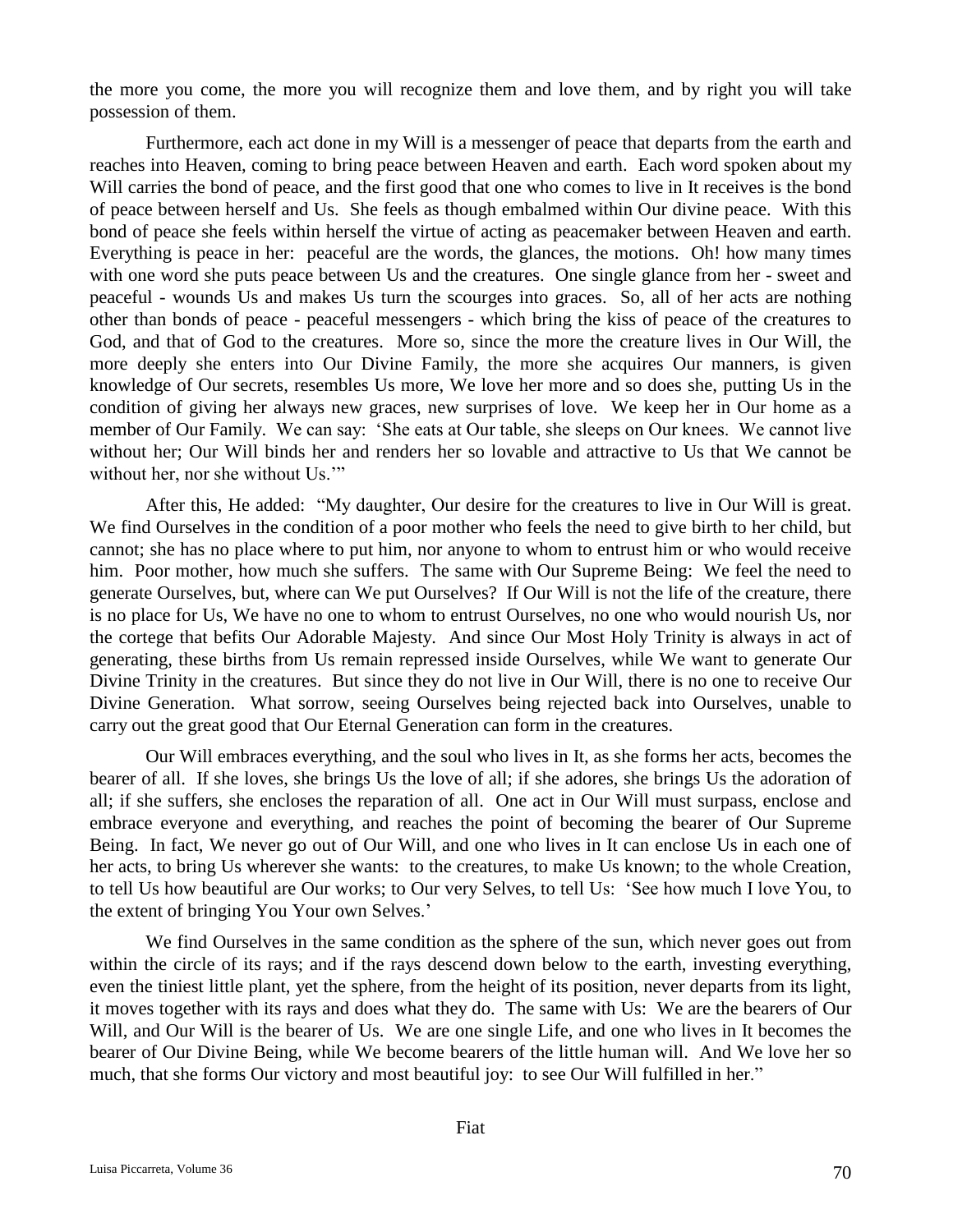the more you come, the more you will recognize them and love them, and by right you will take possession of them.

Furthermore, each act done in my Will is a messenger of peace that departs from the earth and reaches into Heaven, coming to bring peace between Heaven and earth. Each word spoken about my Will carries the bond of peace, and the first good that one who comes to live in It receives is the bond of peace between herself and Us. She feels as though embalmed within Our divine peace. With this bond of peace she feels within herself the virtue of acting as peacemaker between Heaven and earth. Everything is peace in her: peaceful are the words, the glances, the motions. Oh! how many times with one word she puts peace between Us and the creatures. One single glance from her - sweet and peaceful - wounds Us and makes Us turn the scourges into graces. So, all of her acts are nothing other than bonds of peace - peaceful messengers - which bring the kiss of peace of the creatures to God, and that of God to the creatures. More so, since the more the creature lives in Our Will, the more deeply she enters into Our Divine Family, the more she acquires Our manners, is given knowledge of Our secrets, resembles Us more, We love her more and so does she, putting Us in the condition of giving her always new graces, new surprises of love. We keep her in Our home as a member of Our Family. We can say: 'She eats at Our table, she sleeps on Our knees. We cannot live without her; Our Will binds her and renders her so lovable and attractive to Us that We cannot be without her, nor she without Us."

After this, He added: "My daughter, Our desire for the creatures to live in Our Will is great. We find Ourselves in the condition of a poor mother who feels the need to give birth to her child, but cannot; she has no place where to put him, nor anyone to whom to entrust him or who would receive him. Poor mother, how much she suffers. The same with Our Supreme Being: We feel the need to generate Ourselves, but, where can We put Ourselves? If Our Will is not the life of the creature, there is no place for Us, We have no one to whom to entrust Ourselves, no one who would nourish Us, nor the cortege that befits Our Adorable Majesty. And since Our Most Holy Trinity is always in act of generating, these births from Us remain repressed inside Ourselves, while We want to generate Our Divine Trinity in the creatures. But since they do not live in Our Will, there is no one to receive Our Divine Generation. What sorrow, seeing Ourselves being rejected back into Ourselves, unable to carry out the great good that Our Eternal Generation can form in the creatures.

Our Will embraces everything, and the soul who lives in It, as she forms her acts, becomes the bearer of all. If she loves, she brings Us the love of all; if she adores, she brings Us the adoration of all; if she suffers, she encloses the reparation of all. One act in Our Will must surpass, enclose and embrace everyone and everything, and reaches the point of becoming the bearer of Our Supreme Being. In fact, We never go out of Our Will, and one who lives in It can enclose Us in each one of her acts, to bring Us wherever she wants: to the creatures, to make Us known; to the whole Creation, to tell Us how beautiful are Our works; to Our very Selves, to tell Us: 'See how much I love You, to the extent of bringing You Your own Selves.'

We find Ourselves in the same condition as the sphere of the sun, which never goes out from within the circle of its rays; and if the rays descend down below to the earth, investing everything, even the tiniest little plant, yet the sphere, from the height of its position, never departs from its light, it moves together with its rays and does what they do. The same with Us: We are the bearers of Our Will, and Our Will is the bearer of Us. We are one single Life, and one who lives in It becomes the bearer of Our Divine Being, while We become bearers of the little human will. And We love her so much, that she forms Our victory and most beautiful joy: to see Our Will fulfilled in her."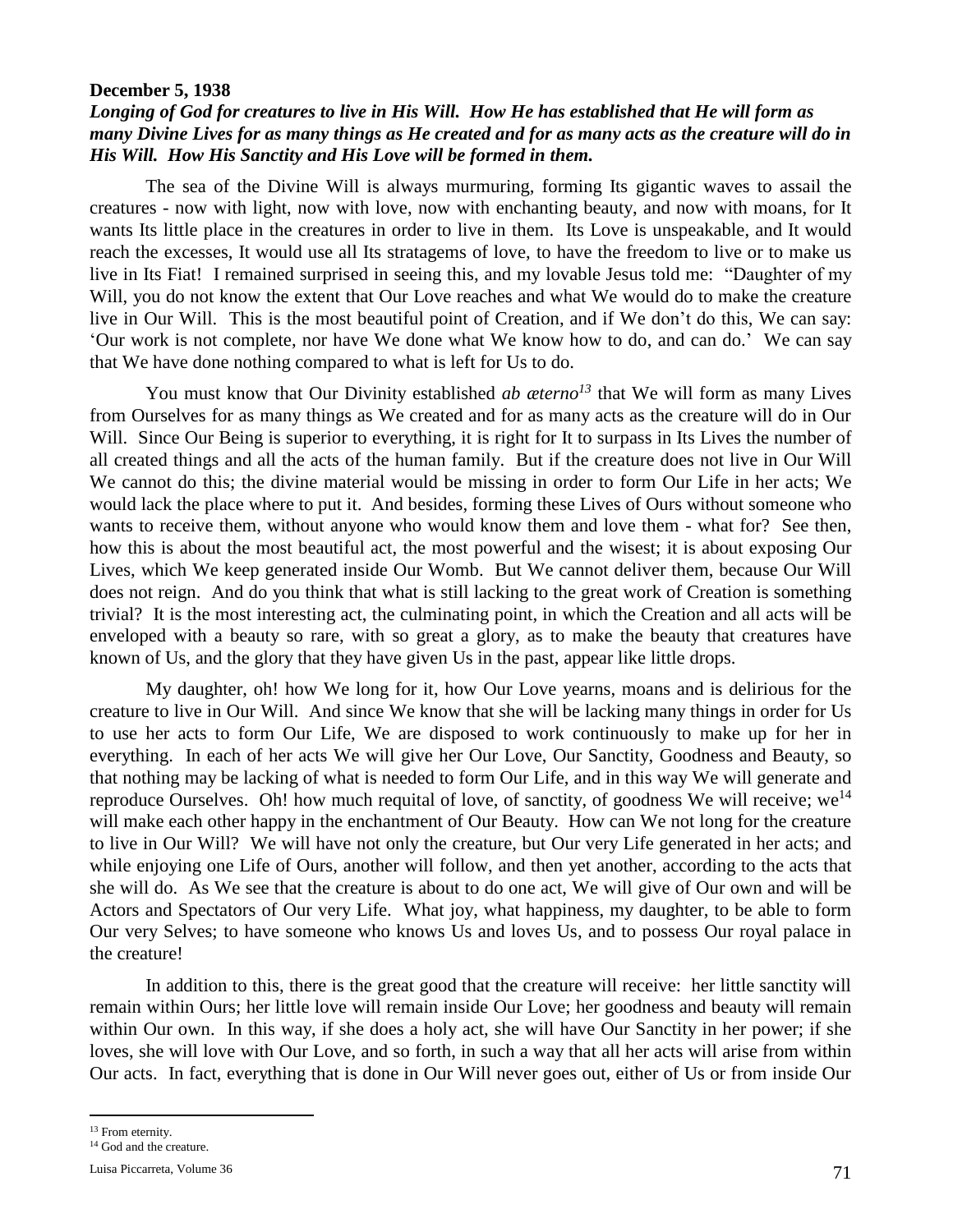## **December 5, 1938**

# *Longing of God for creatures to live in His Will. How He has established that He will form as many Divine Lives for as many things as He created and for as many acts as the creature will do in His Will. How His Sanctity and His Love will be formed in them.*

The sea of the Divine Will is always murmuring, forming Its gigantic waves to assail the creatures - now with light, now with love, now with enchanting beauty, and now with moans, for It wants Its little place in the creatures in order to live in them. Its Love is unspeakable, and It would reach the excesses, It would use all Its stratagems of love, to have the freedom to live or to make us live in Its Fiat! I remained surprised in seeing this, and my lovable Jesus told me: "Daughter of my Will, you do not know the extent that Our Love reaches and what We would do to make the creature live in Our Will. This is the most beautiful point of Creation, and if We don't do this, We can say: 'Our work is not complete, nor have We done what We know how to do, and can do.' We can say that We have done nothing compared to what is left for Us to do.

You must know that Our Divinity established *ab æterno<sup>13</sup>* that We will form as many Lives from Ourselves for as many things as We created and for as many acts as the creature will do in Our Will. Since Our Being is superior to everything, it is right for It to surpass in Its Lives the number of all created things and all the acts of the human family. But if the creature does not live in Our Will We cannot do this; the divine material would be missing in order to form Our Life in her acts; We would lack the place where to put it. And besides, forming these Lives of Ours without someone who wants to receive them, without anyone who would know them and love them - what for? See then, how this is about the most beautiful act, the most powerful and the wisest; it is about exposing Our Lives, which We keep generated inside Our Womb. But We cannot deliver them, because Our Will does not reign. And do you think that what is still lacking to the great work of Creation is something trivial? It is the most interesting act, the culminating point, in which the Creation and all acts will be enveloped with a beauty so rare, with so great a glory, as to make the beauty that creatures have known of Us, and the glory that they have given Us in the past, appear like little drops.

My daughter, oh! how We long for it, how Our Love yearns, moans and is delirious for the creature to live in Our Will. And since We know that she will be lacking many things in order for Us to use her acts to form Our Life, We are disposed to work continuously to make up for her in everything. In each of her acts We will give her Our Love, Our Sanctity, Goodness and Beauty, so that nothing may be lacking of what is needed to form Our Life, and in this way We will generate and reproduce Ourselves. Oh! how much requital of love, of sanctity, of goodness We will receive; we<sup>14</sup> will make each other happy in the enchantment of Our Beauty. How can We not long for the creature to live in Our Will? We will have not only the creature, but Our very Life generated in her acts; and while enjoying one Life of Ours, another will follow, and then yet another, according to the acts that she will do. As We see that the creature is about to do one act, We will give of Our own and will be Actors and Spectators of Our very Life. What joy, what happiness, my daughter, to be able to form Our very Selves; to have someone who knows Us and loves Us, and to possess Our royal palace in the creature!

In addition to this, there is the great good that the creature will receive: her little sanctity will remain within Ours; her little love will remain inside Our Love; her goodness and beauty will remain within Our own. In this way, if she does a holy act, she will have Our Sanctity in her power; if she loves, she will love with Our Love, and so forth, in such a way that all her acts will arise from within Our acts. In fact, everything that is done in Our Will never goes out, either of Us or from inside Our

 $\overline{a}$ 

<sup>13</sup> From eternity.

<sup>&</sup>lt;sup>14</sup> God and the creature.

Luisa Piccarreta, Volume 36  $71$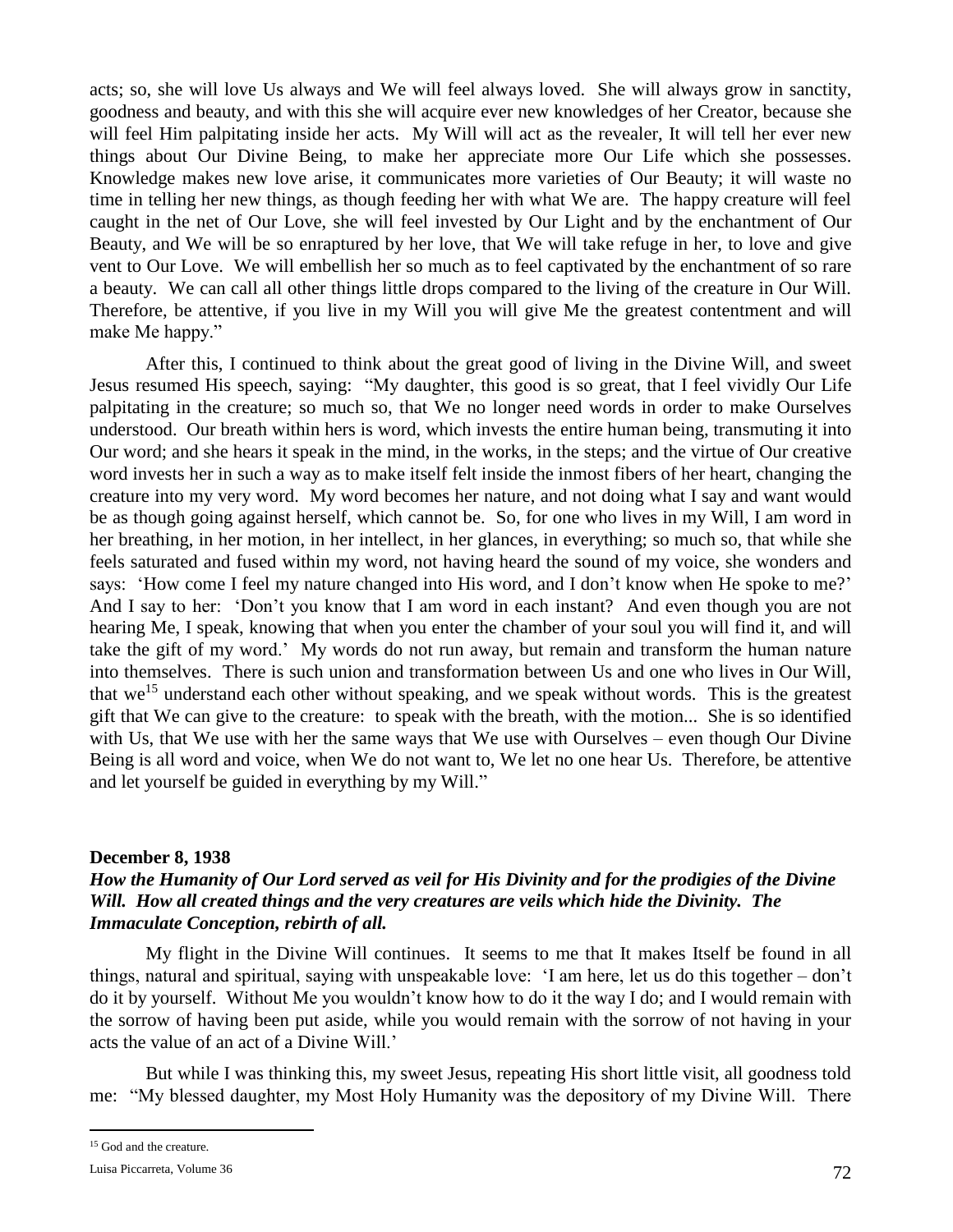acts; so, she will love Us always and We will feel always loved. She will always grow in sanctity, goodness and beauty, and with this she will acquire ever new knowledges of her Creator, because she will feel Him palpitating inside her acts. My Will will act as the revealer, It will tell her ever new things about Our Divine Being, to make her appreciate more Our Life which she possesses. Knowledge makes new love arise, it communicates more varieties of Our Beauty; it will waste no time in telling her new things, as though feeding her with what We are. The happy creature will feel caught in the net of Our Love, she will feel invested by Our Light and by the enchantment of Our Beauty, and We will be so enraptured by her love, that We will take refuge in her, to love and give vent to Our Love. We will embellish her so much as to feel captivated by the enchantment of so rare a beauty. We can call all other things little drops compared to the living of the creature in Our Will. Therefore, be attentive, if you live in my Will you will give Me the greatest contentment and will make Me happy."

After this, I continued to think about the great good of living in the Divine Will, and sweet Jesus resumed His speech, saying: "My daughter, this good is so great, that I feel vividly Our Life palpitating in the creature; so much so, that We no longer need words in order to make Ourselves understood. Our breath within hers is word, which invests the entire human being, transmuting it into Our word; and she hears it speak in the mind, in the works, in the steps; and the virtue of Our creative word invests her in such a way as to make itself felt inside the inmost fibers of her heart, changing the creature into my very word. My word becomes her nature, and not doing what I say and want would be as though going against herself, which cannot be. So, for one who lives in my Will, I am word in her breathing, in her motion, in her intellect, in her glances, in everything; so much so, that while she feels saturated and fused within my word, not having heard the sound of my voice, she wonders and says: 'How come I feel my nature changed into His word, and I don't know when He spoke to me?' And I say to her: 'Don't you know that I am word in each instant? And even though you are not hearing Me, I speak, knowing that when you enter the chamber of your soul you will find it, and will take the gift of my word.' My words do not run away, but remain and transform the human nature into themselves. There is such union and transformation between Us and one who lives in Our Will, that we<sup>15</sup> understand each other without speaking, and we speak without words. This is the greatest gift that We can give to the creature: to speak with the breath, with the motion... She is so identified with Us, that We use with her the same ways that We use with Ourselves – even though Our Divine Being is all word and voice, when We do not want to, We let no one hear Us. Therefore, be attentive and let yourself be guided in everything by my Will."

## **December 8, 1938**

# *How the Humanity of Our Lord served as veil for His Divinity and for the prodigies of the Divine Will. How all created things and the very creatures are veils which hide the Divinity. The Immaculate Conception, rebirth of all.*

My flight in the Divine Will continues. It seems to me that It makes Itself be found in all things, natural and spiritual, saying with unspeakable love: 'I am here, let us do this together – don't do it by yourself. Without Me you wouldn't know how to do it the way I do; and I would remain with the sorrow of having been put aside, while you would remain with the sorrow of not having in your acts the value of an act of a Divine Will.'

But while I was thinking this, my sweet Jesus, repeating His short little visit, all goodness told me: "My blessed daughter, my Most Holy Humanity was the depository of my Divine Will. There

 $\overline{a}$ 

<sup>&</sup>lt;sup>15</sup> God and the creature.

Luisa Piccarreta, Volume 36 72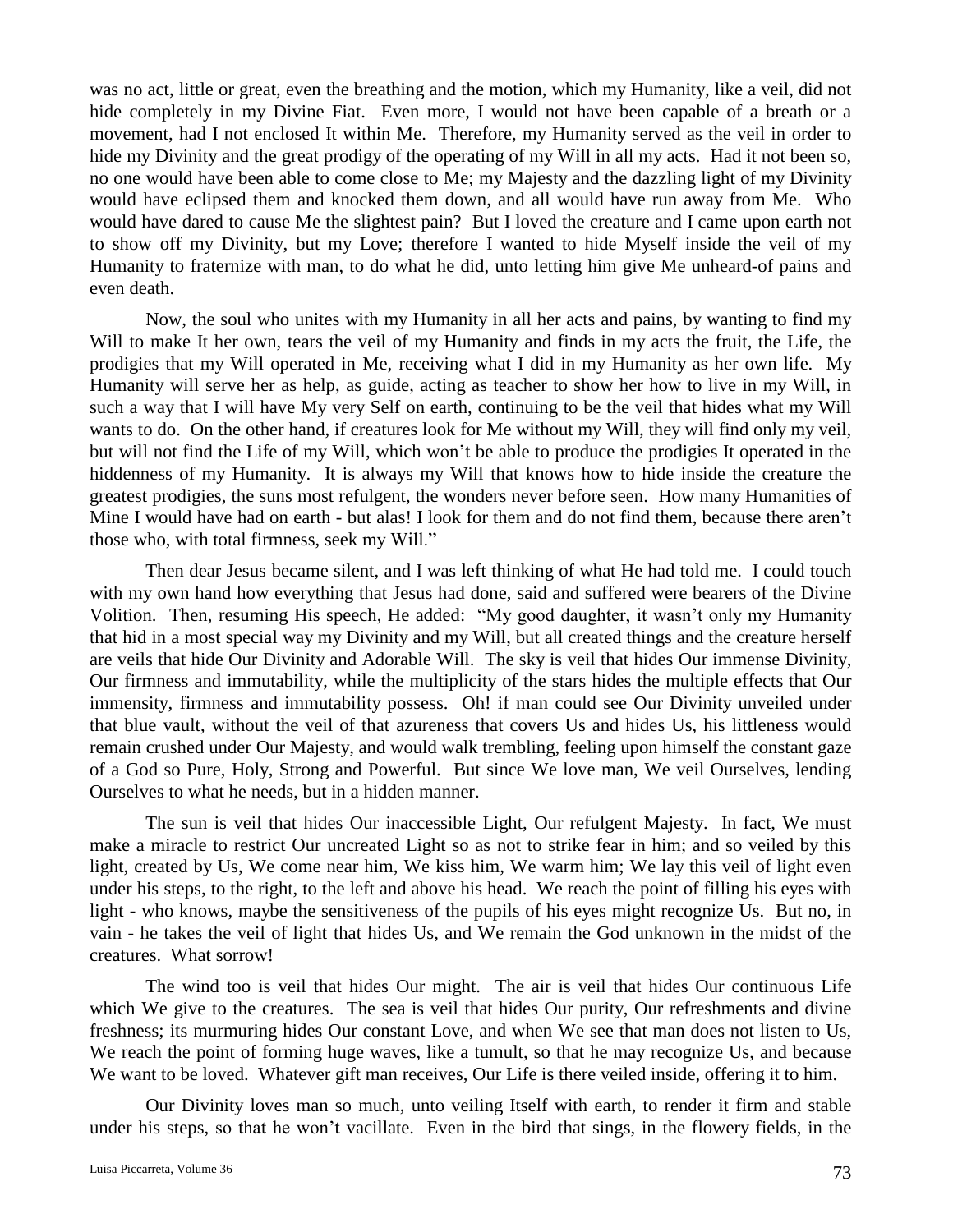was no act, little or great, even the breathing and the motion, which my Humanity, like a veil, did not hide completely in my Divine Fiat. Even more, I would not have been capable of a breath or a movement, had I not enclosed It within Me. Therefore, my Humanity served as the veil in order to hide my Divinity and the great prodigy of the operating of my Will in all my acts. Had it not been so, no one would have been able to come close to Me; my Majesty and the dazzling light of my Divinity would have eclipsed them and knocked them down, and all would have run away from Me. Who would have dared to cause Me the slightest pain? But I loved the creature and I came upon earth not to show off my Divinity, but my Love; therefore I wanted to hide Myself inside the veil of my Humanity to fraternize with man, to do what he did, unto letting him give Me unheard-of pains and even death.

Now, the soul who unites with my Humanity in all her acts and pains, by wanting to find my Will to make It her own, tears the veil of my Humanity and finds in my acts the fruit, the Life, the prodigies that my Will operated in Me, receiving what I did in my Humanity as her own life. My Humanity will serve her as help, as guide, acting as teacher to show her how to live in my Will, in such a way that I will have My very Self on earth, continuing to be the veil that hides what my Will wants to do. On the other hand, if creatures look for Me without my Will, they will find only my veil, but will not find the Life of my Will, which won't be able to produce the prodigies It operated in the hiddenness of my Humanity. It is always my Will that knows how to hide inside the creature the greatest prodigies, the suns most refulgent, the wonders never before seen. How many Humanities of Mine I would have had on earth - but alas! I look for them and do not find them, because there aren't those who, with total firmness, seek my Will."

Then dear Jesus became silent, and I was left thinking of what He had told me. I could touch with my own hand how everything that Jesus had done, said and suffered were bearers of the Divine Volition. Then, resuming His speech, He added: "My good daughter, it wasn't only my Humanity that hid in a most special way my Divinity and my Will, but all created things and the creature herself are veils that hide Our Divinity and Adorable Will. The sky is veil that hides Our immense Divinity, Our firmness and immutability, while the multiplicity of the stars hides the multiple effects that Our immensity, firmness and immutability possess. Oh! if man could see Our Divinity unveiled under that blue vault, without the veil of that azureness that covers Us and hides Us, his littleness would remain crushed under Our Majesty, and would walk trembling, feeling upon himself the constant gaze of a God so Pure, Holy, Strong and Powerful. But since We love man, We veil Ourselves, lending Ourselves to what he needs, but in a hidden manner.

The sun is veil that hides Our inaccessible Light, Our refulgent Majesty. In fact, We must make a miracle to restrict Our uncreated Light so as not to strike fear in him; and so veiled by this light, created by Us, We come near him, We kiss him, We warm him; We lay this veil of light even under his steps, to the right, to the left and above his head. We reach the point of filling his eyes with light - who knows, maybe the sensitiveness of the pupils of his eyes might recognize Us. But no, in vain - he takes the veil of light that hides Us, and We remain the God unknown in the midst of the creatures. What sorrow!

The wind too is veil that hides Our might. The air is veil that hides Our continuous Life which We give to the creatures. The sea is veil that hides Our purity, Our refreshments and divine freshness; its murmuring hides Our constant Love, and when We see that man does not listen to Us, We reach the point of forming huge waves, like a tumult, so that he may recognize Us, and because We want to be loved. Whatever gift man receives, Our Life is there veiled inside, offering it to him.

Our Divinity loves man so much, unto veiling Itself with earth, to render it firm and stable under his steps, so that he won't vacillate. Even in the bird that sings, in the flowery fields, in the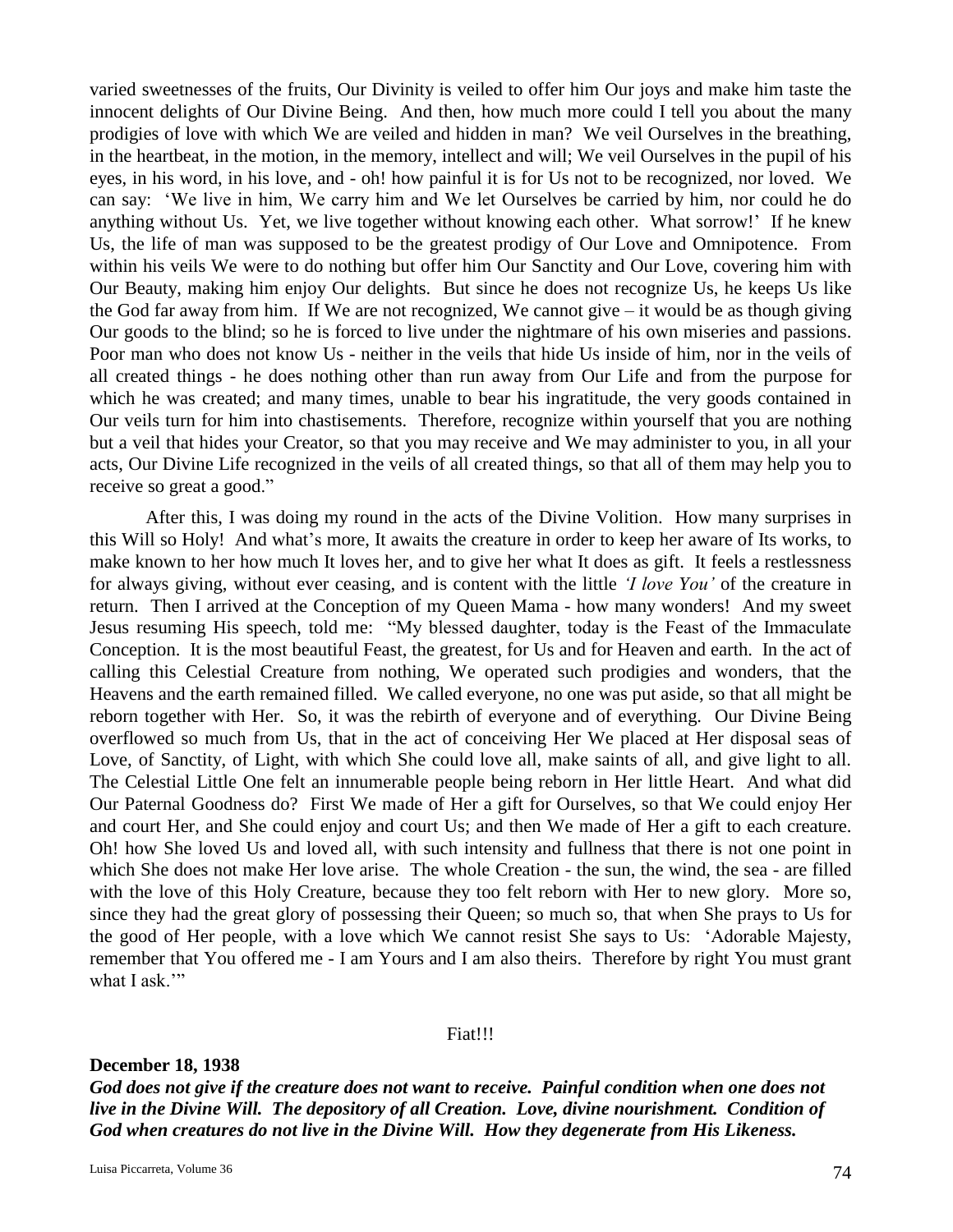varied sweetnesses of the fruits, Our Divinity is veiled to offer him Our joys and make him taste the innocent delights of Our Divine Being. And then, how much more could I tell you about the many prodigies of love with which We are veiled and hidden in man? We veil Ourselves in the breathing, in the heartbeat, in the motion, in the memory, intellect and will; We veil Ourselves in the pupil of his eyes, in his word, in his love, and - oh! how painful it is for Us not to be recognized, nor loved. We can say: 'We live in him, We carry him and We let Ourselves be carried by him, nor could he do anything without Us. Yet, we live together without knowing each other. What sorrow!' If he knew Us, the life of man was supposed to be the greatest prodigy of Our Love and Omnipotence. From within his veils We were to do nothing but offer him Our Sanctity and Our Love, covering him with Our Beauty, making him enjoy Our delights. But since he does not recognize Us, he keeps Us like the God far away from him. If We are not recognized, We cannot give  $-i$  would be as though giving Our goods to the blind; so he is forced to live under the nightmare of his own miseries and passions. Poor man who does not know Us - neither in the veils that hide Us inside of him, nor in the veils of all created things - he does nothing other than run away from Our Life and from the purpose for which he was created; and many times, unable to bear his ingratitude, the very goods contained in Our veils turn for him into chastisements. Therefore, recognize within yourself that you are nothing but a veil that hides your Creator, so that you may receive and We may administer to you, in all your acts, Our Divine Life recognized in the veils of all created things, so that all of them may help you to receive so great a good."

After this, I was doing my round in the acts of the Divine Volition. How many surprises in this Will so Holy! And what's more, It awaits the creature in order to keep her aware of Its works, to make known to her how much It loves her, and to give her what It does as gift. It feels a restlessness for always giving, without ever ceasing, and is content with the little *'I love You'* of the creature in return. Then I arrived at the Conception of my Queen Mama - how many wonders! And my sweet Jesus resuming His speech, told me: "My blessed daughter, today is the Feast of the Immaculate Conception. It is the most beautiful Feast, the greatest, for Us and for Heaven and earth. In the act of calling this Celestial Creature from nothing, We operated such prodigies and wonders, that the Heavens and the earth remained filled. We called everyone, no one was put aside, so that all might be reborn together with Her. So, it was the rebirth of everyone and of everything. Our Divine Being overflowed so much from Us, that in the act of conceiving Her We placed at Her disposal seas of Love, of Sanctity, of Light, with which She could love all, make saints of all, and give light to all. The Celestial Little One felt an innumerable people being reborn in Her little Heart. And what did Our Paternal Goodness do? First We made of Her a gift for Ourselves, so that We could enjoy Her and court Her, and She could enjoy and court Us; and then We made of Her a gift to each creature. Oh! how She loved Us and loved all, with such intensity and fullness that there is not one point in which She does not make Her love arise. The whole Creation - the sun, the wind, the sea - are filled with the love of this Holy Creature, because they too felt reborn with Her to new glory. More so, since they had the great glory of possessing their Queen; so much so, that when She prays to Us for the good of Her people, with a love which We cannot resist She says to Us: 'Adorable Majesty, remember that You offered me - I am Yours and I am also theirs. Therefore by right You must grant what I ask."

### Fiat!!!

### **December 18, 1938**

*God does not give if the creature does not want to receive. Painful condition when one does not live in the Divine Will. The depository of all Creation. Love, divine nourishment. Condition of God when creatures do not live in the Divine Will. How they degenerate from His Likeness.*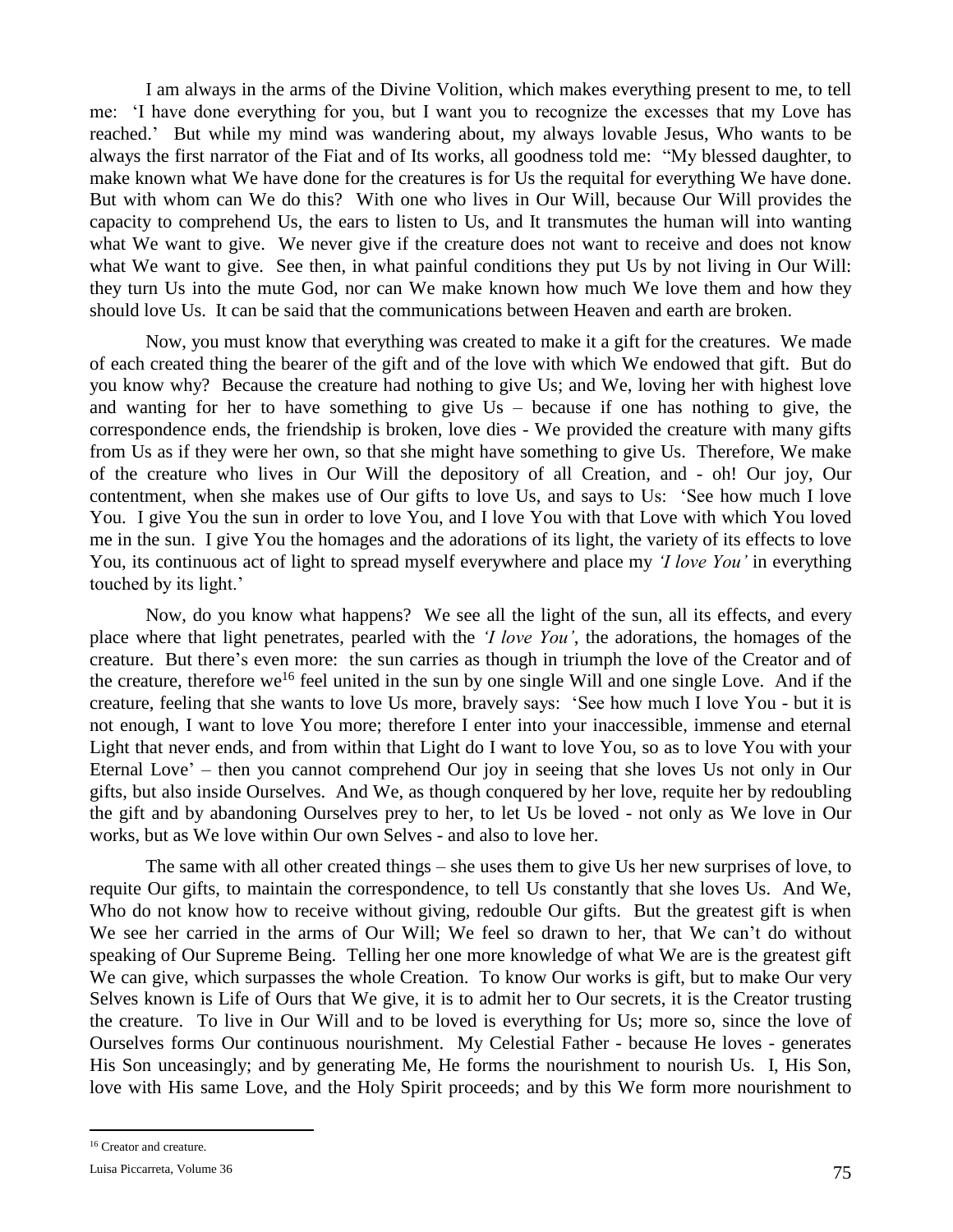I am always in the arms of the Divine Volition, which makes everything present to me, to tell me: 'I have done everything for you, but I want you to recognize the excesses that my Love has reached.' But while my mind was wandering about, my always lovable Jesus, Who wants to be always the first narrator of the Fiat and of Its works, all goodness told me: "My blessed daughter, to make known what We have done for the creatures is for Us the requital for everything We have done. But with whom can We do this? With one who lives in Our Will, because Our Will provides the capacity to comprehend Us, the ears to listen to Us, and It transmutes the human will into wanting what We want to give. We never give if the creature does not want to receive and does not know what We want to give. See then, in what painful conditions they put Us by not living in Our Will: they turn Us into the mute God, nor can We make known how much We love them and how they should love Us. It can be said that the communications between Heaven and earth are broken.

Now, you must know that everything was created to make it a gift for the creatures. We made of each created thing the bearer of the gift and of the love with which We endowed that gift. But do you know why? Because the creature had nothing to give Us; and We, loving her with highest love and wanting for her to have something to give Us – because if one has nothing to give, the correspondence ends, the friendship is broken, love dies - We provided the creature with many gifts from Us as if they were her own, so that she might have something to give Us. Therefore, We make of the creature who lives in Our Will the depository of all Creation, and - oh! Our joy, Our contentment, when she makes use of Our gifts to love Us, and says to Us: 'See how much I love You. I give You the sun in order to love You, and I love You with that Love with which You loved me in the sun. I give You the homages and the adorations of its light, the variety of its effects to love You, its continuous act of light to spread myself everywhere and place my *'I love You'* in everything touched by its light.'

Now, do you know what happens? We see all the light of the sun, all its effects, and every place where that light penetrates, pearled with the *'I love You'*, the adorations, the homages of the creature. But there's even more: the sun carries as though in triumph the love of the Creator and of the creature, therefore we<sup>16</sup> feel united in the sun by one single Will and one single Love. And if the creature, feeling that she wants to love Us more, bravely says: 'See how much I love You - but it is not enough, I want to love You more; therefore I enter into your inaccessible, immense and eternal Light that never ends, and from within that Light do I want to love You, so as to love You with your Eternal Love' – then you cannot comprehend Our joy in seeing that she loves Us not only in Our gifts, but also inside Ourselves. And We, as though conquered by her love, requite her by redoubling the gift and by abandoning Ourselves prey to her, to let Us be loved - not only as We love in Our works, but as We love within Our own Selves - and also to love her.

The same with all other created things – she uses them to give Us her new surprises of love, to requite Our gifts, to maintain the correspondence, to tell Us constantly that she loves Us. And We, Who do not know how to receive without giving, redouble Our gifts. But the greatest gift is when We see her carried in the arms of Our Will; We feel so drawn to her, that We can't do without speaking of Our Supreme Being. Telling her one more knowledge of what We are is the greatest gift We can give, which surpasses the whole Creation. To know Our works is gift, but to make Our very Selves known is Life of Ours that We give, it is to admit her to Our secrets, it is the Creator trusting the creature. To live in Our Will and to be loved is everything for Us; more so, since the love of Ourselves forms Our continuous nourishment. My Celestial Father - because He loves - generates His Son unceasingly; and by generating Me, He forms the nourishment to nourish Us. I, His Son, love with His same Love, and the Holy Spirit proceeds; and by this We form more nourishment to

 $\overline{a}$ 

<sup>&</sup>lt;sup>16</sup> Creator and creature.

Luisa Piccarreta, Volume 36 75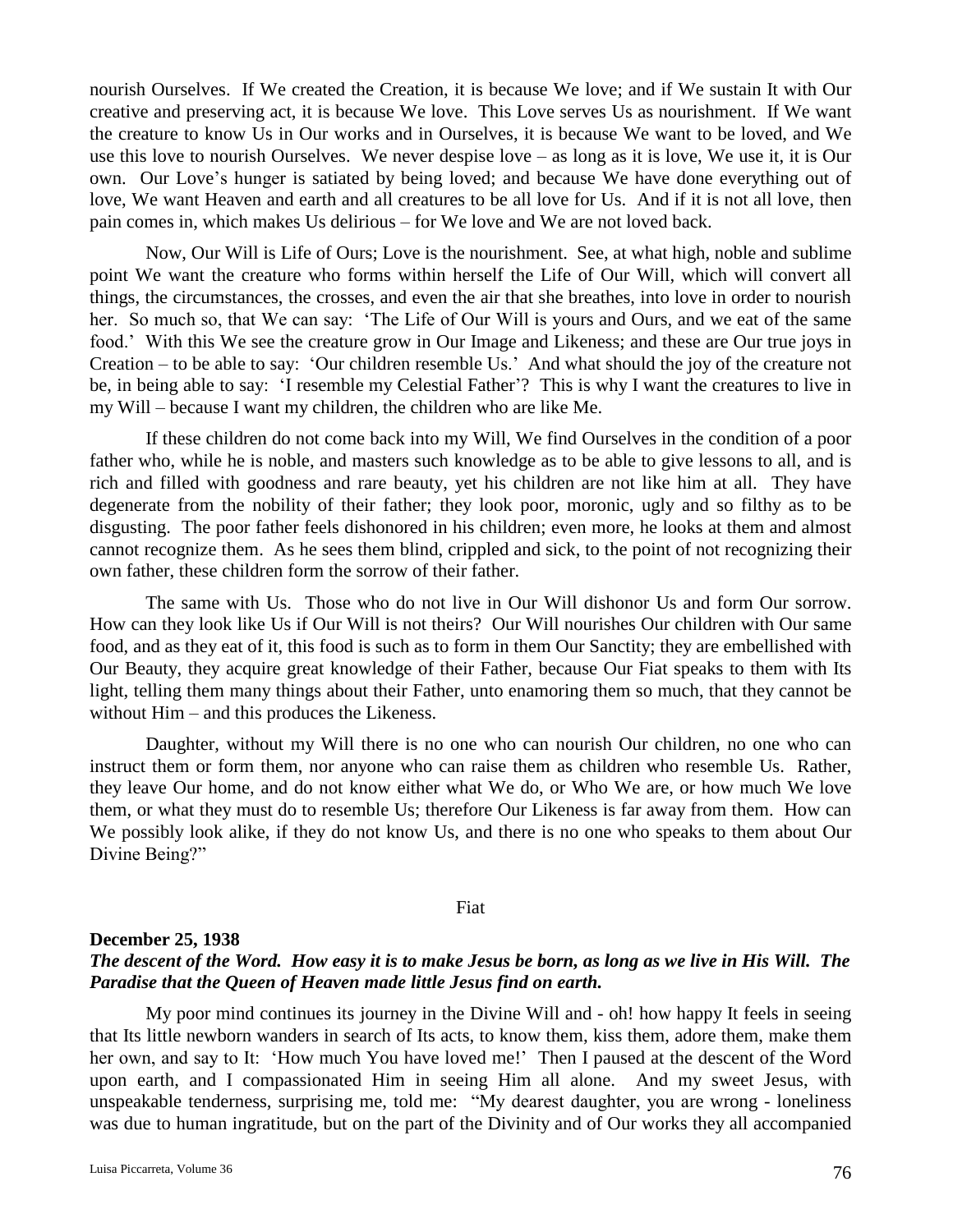nourish Ourselves. If We created the Creation, it is because We love; and if We sustain It with Our creative and preserving act, it is because We love. This Love serves Us as nourishment. If We want the creature to know Us in Our works and in Ourselves, it is because We want to be loved, and We use this love to nourish Ourselves. We never despise love – as long as it is love, We use it, it is Our own. Our Love's hunger is satiated by being loved; and because We have done everything out of love, We want Heaven and earth and all creatures to be all love for Us. And if it is not all love, then pain comes in, which makes Us delirious – for We love and We are not loved back.

Now, Our Will is Life of Ours; Love is the nourishment. See, at what high, noble and sublime point We want the creature who forms within herself the Life of Our Will, which will convert all things, the circumstances, the crosses, and even the air that she breathes, into love in order to nourish her. So much so, that We can say: 'The Life of Our Will is yours and Ours, and we eat of the same food.' With this We see the creature grow in Our Image and Likeness; and these are Our true joys in Creation – to be able to say: 'Our children resemble Us.' And what should the joy of the creature not be, in being able to say: 'I resemble my Celestial Father'? This is why I want the creatures to live in my Will – because I want my children, the children who are like Me.

If these children do not come back into my Will, We find Ourselves in the condition of a poor father who, while he is noble, and masters such knowledge as to be able to give lessons to all, and is rich and filled with goodness and rare beauty, yet his children are not like him at all. They have degenerate from the nobility of their father; they look poor, moronic, ugly and so filthy as to be disgusting. The poor father feels dishonored in his children; even more, he looks at them and almost cannot recognize them. As he sees them blind, crippled and sick, to the point of not recognizing their own father, these children form the sorrow of their father.

The same with Us. Those who do not live in Our Will dishonor Us and form Our sorrow. How can they look like Us if Our Will is not theirs? Our Will nourishes Our children with Our same food, and as they eat of it, this food is such as to form in them Our Sanctity; they are embellished with Our Beauty, they acquire great knowledge of their Father, because Our Fiat speaks to them with Its light, telling them many things about their Father, unto enamoring them so much, that they cannot be without Him – and this produces the Likeness.

Daughter, without my Will there is no one who can nourish Our children, no one who can instruct them or form them, nor anyone who can raise them as children who resemble Us. Rather, they leave Our home, and do not know either what We do, or Who We are, or how much We love them, or what they must do to resemble Us; therefore Our Likeness is far away from them. How can We possibly look alike, if they do not know Us, and there is no one who speaks to them about Our Divine Being?"

#### Fiat

### **December 25, 1938**

## *The descent of the Word. How easy it is to make Jesus be born, as long as we live in His Will. The Paradise that the Queen of Heaven made little Jesus find on earth.*

My poor mind continues its journey in the Divine Will and - oh! how happy It feels in seeing that Its little newborn wanders in search of Its acts, to know them, kiss them, adore them, make them her own, and say to It: 'How much You have loved me!' Then I paused at the descent of the Word upon earth, and I compassionated Him in seeing Him all alone. And my sweet Jesus, with unspeakable tenderness, surprising me, told me: "My dearest daughter, you are wrong - loneliness was due to human ingratitude, but on the part of the Divinity and of Our works they all accompanied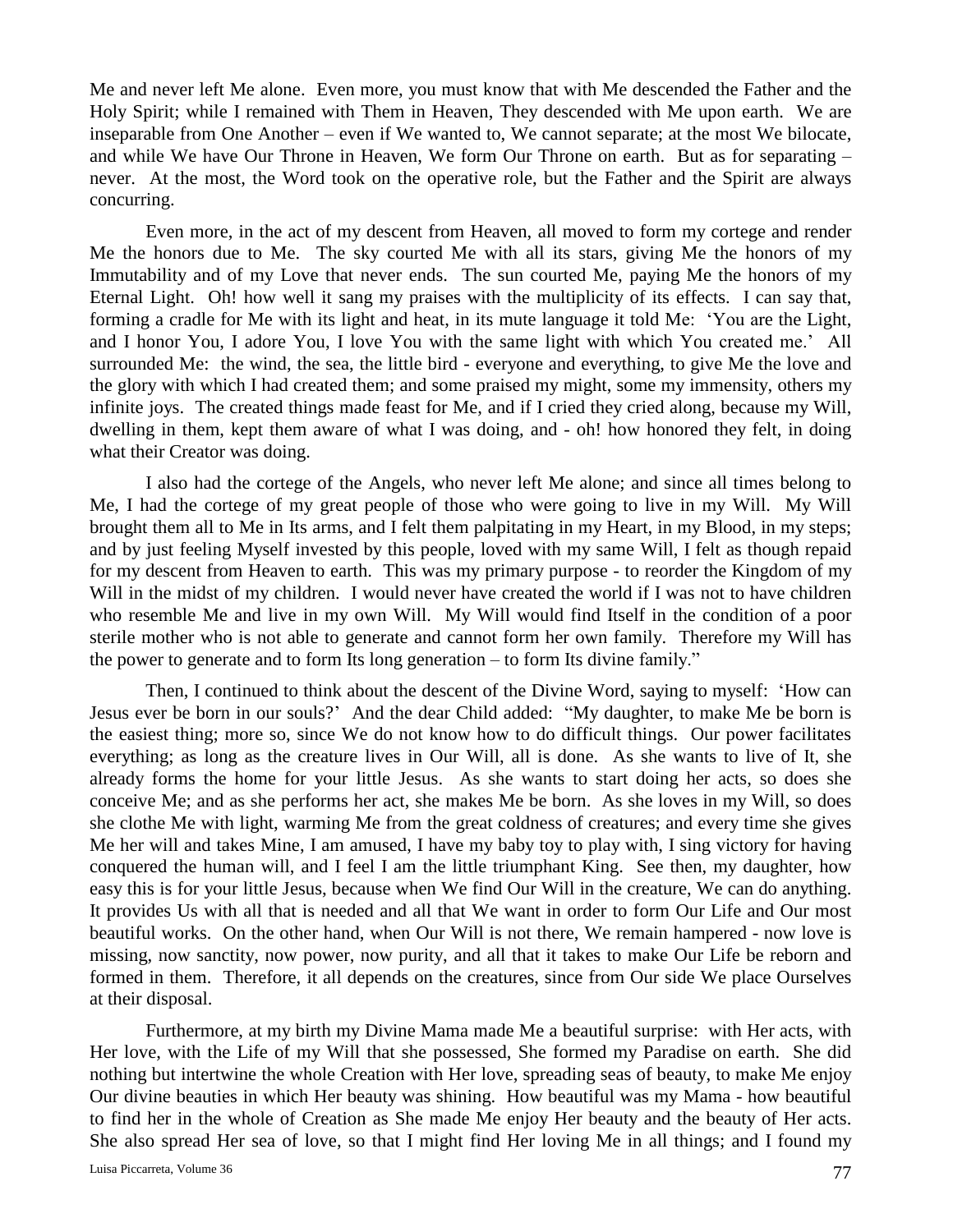Me and never left Me alone. Even more, you must know that with Me descended the Father and the Holy Spirit; while I remained with Them in Heaven, They descended with Me upon earth. We are inseparable from One Another – even if We wanted to, We cannot separate; at the most We bilocate, and while We have Our Throne in Heaven, We form Our Throne on earth. But as for separating – never. At the most, the Word took on the operative role, but the Father and the Spirit are always concurring.

Even more, in the act of my descent from Heaven, all moved to form my cortege and render Me the honors due to Me. The sky courted Me with all its stars, giving Me the honors of my Immutability and of my Love that never ends. The sun courted Me, paying Me the honors of my Eternal Light. Oh! how well it sang my praises with the multiplicity of its effects. I can say that, forming a cradle for Me with its light and heat, in its mute language it told Me: 'You are the Light, and I honor You, I adore You, I love You with the same light with which You created me.' All surrounded Me: the wind, the sea, the little bird - everyone and everything, to give Me the love and the glory with which I had created them; and some praised my might, some my immensity, others my infinite joys. The created things made feast for Me, and if I cried they cried along, because my Will, dwelling in them, kept them aware of what I was doing, and - oh! how honored they felt, in doing what their Creator was doing.

I also had the cortege of the Angels, who never left Me alone; and since all times belong to Me, I had the cortege of my great people of those who were going to live in my Will. My Will brought them all to Me in Its arms, and I felt them palpitating in my Heart, in my Blood, in my steps; and by just feeling Myself invested by this people, loved with my same Will, I felt as though repaid for my descent from Heaven to earth. This was my primary purpose - to reorder the Kingdom of my Will in the midst of my children. I would never have created the world if I was not to have children who resemble Me and live in my own Will. My Will would find Itself in the condition of a poor sterile mother who is not able to generate and cannot form her own family. Therefore my Will has the power to generate and to form Its long generation – to form Its divine family."

Then, I continued to think about the descent of the Divine Word, saying to myself: 'How can Jesus ever be born in our souls?' And the dear Child added: "My daughter, to make Me be born is the easiest thing; more so, since We do not know how to do difficult things. Our power facilitates everything; as long as the creature lives in Our Will, all is done. As she wants to live of It, she already forms the home for your little Jesus. As she wants to start doing her acts, so does she conceive Me; and as she performs her act, she makes Me be born. As she loves in my Will, so does she clothe Me with light, warming Me from the great coldness of creatures; and every time she gives Me her will and takes Mine, I am amused, I have my baby toy to play with, I sing victory for having conquered the human will, and I feel I am the little triumphant King. See then, my daughter, how easy this is for your little Jesus, because when We find Our Will in the creature, We can do anything. It provides Us with all that is needed and all that We want in order to form Our Life and Our most beautiful works. On the other hand, when Our Will is not there, We remain hampered - now love is missing, now sanctity, now power, now purity, and all that it takes to make Our Life be reborn and formed in them. Therefore, it all depends on the creatures, since from Our side We place Ourselves at their disposal.

Furthermore, at my birth my Divine Mama made Me a beautiful surprise: with Her acts, with Her love, with the Life of my Will that she possessed, She formed my Paradise on earth. She did nothing but intertwine the whole Creation with Her love, spreading seas of beauty, to make Me enjoy Our divine beauties in which Her beauty was shining. How beautiful was my Mama - how beautiful to find her in the whole of Creation as She made Me enjoy Her beauty and the beauty of Her acts. She also spread Her sea of love, so that I might find Her loving Me in all things; and I found my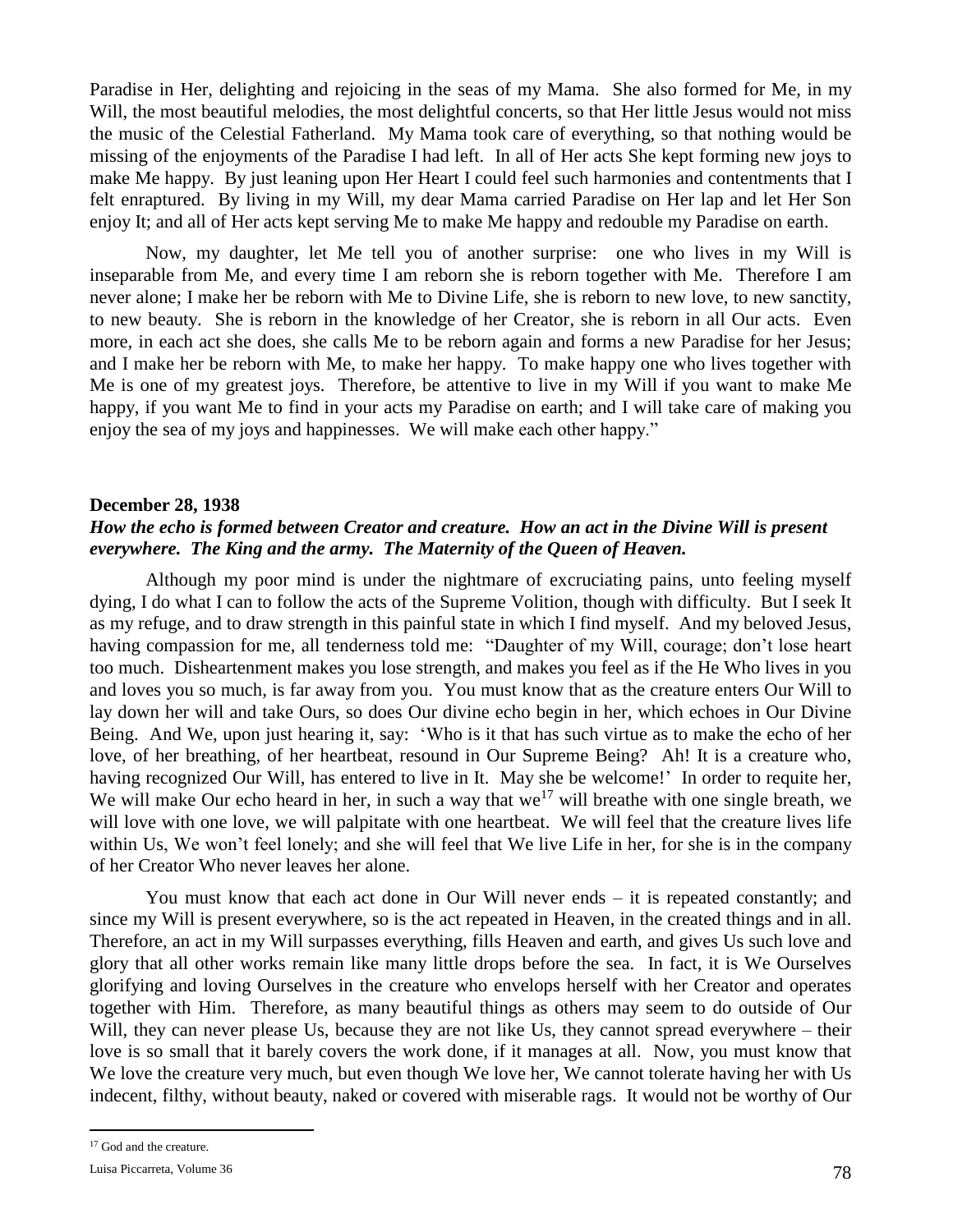Paradise in Her, delighting and rejoicing in the seas of my Mama. She also formed for Me, in my Will, the most beautiful melodies, the most delightful concerts, so that Her little Jesus would not miss the music of the Celestial Fatherland. My Mama took care of everything, so that nothing would be missing of the enjoyments of the Paradise I had left. In all of Her acts She kept forming new joys to make Me happy. By just leaning upon Her Heart I could feel such harmonies and contentments that I felt enraptured. By living in my Will, my dear Mama carried Paradise on Her lap and let Her Son enjoy It; and all of Her acts kept serving Me to make Me happy and redouble my Paradise on earth.

Now, my daughter, let Me tell you of another surprise: one who lives in my Will is inseparable from Me, and every time I am reborn she is reborn together with Me. Therefore I am never alone; I make her be reborn with Me to Divine Life, she is reborn to new love, to new sanctity, to new beauty. She is reborn in the knowledge of her Creator, she is reborn in all Our acts. Even more, in each act she does, she calls Me to be reborn again and forms a new Paradise for her Jesus; and I make her be reborn with Me, to make her happy. To make happy one who lives together with Me is one of my greatest joys. Therefore, be attentive to live in my Will if you want to make Me happy, if you want Me to find in your acts my Paradise on earth; and I will take care of making you enjoy the sea of my joys and happinesses. We will make each other happy."

### **December 28, 1938**

# *How the echo is formed between Creator and creature. How an act in the Divine Will is present everywhere. The King and the army. The Maternity of the Queen of Heaven.*

Although my poor mind is under the nightmare of excruciating pains, unto feeling myself dying, I do what I can to follow the acts of the Supreme Volition, though with difficulty. But I seek It as my refuge, and to draw strength in this painful state in which I find myself. And my beloved Jesus, having compassion for me, all tenderness told me: "Daughter of my Will, courage; don't lose heart too much. Disheartenment makes you lose strength, and makes you feel as if the He Who lives in you and loves you so much, is far away from you. You must know that as the creature enters Our Will to lay down her will and take Ours, so does Our divine echo begin in her, which echoes in Our Divine Being. And We, upon just hearing it, say: 'Who is it that has such virtue as to make the echo of her love, of her breathing, of her heartbeat, resound in Our Supreme Being? Ah! It is a creature who, having recognized Our Will, has entered to live in It. May she be welcome!' In order to requite her, We will make Our echo heard in her, in such a way that  $we^{17}$  will breathe with one single breath, we will love with one love, we will palpitate with one heartbeat. We will feel that the creature lives life within Us, We won't feel lonely; and she will feel that We live Life in her, for she is in the company of her Creator Who never leaves her alone.

You must know that each act done in Our Will never ends – it is repeated constantly; and since my Will is present everywhere, so is the act repeated in Heaven, in the created things and in all. Therefore, an act in my Will surpasses everything, fills Heaven and earth, and gives Us such love and glory that all other works remain like many little drops before the sea. In fact, it is We Ourselves glorifying and loving Ourselves in the creature who envelops herself with her Creator and operates together with Him. Therefore, as many beautiful things as others may seem to do outside of Our Will, they can never please Us, because they are not like Us, they cannot spread everywhere – their love is so small that it barely covers the work done, if it manages at all. Now, you must know that We love the creature very much, but even though We love her, We cannot tolerate having her with Us indecent, filthy, without beauty, naked or covered with miserable rags. It would not be worthy of Our

 $\overline{a}$ 

<sup>&</sup>lt;sup>17</sup> God and the creature.

Luisa Piccarreta, Volume 36 78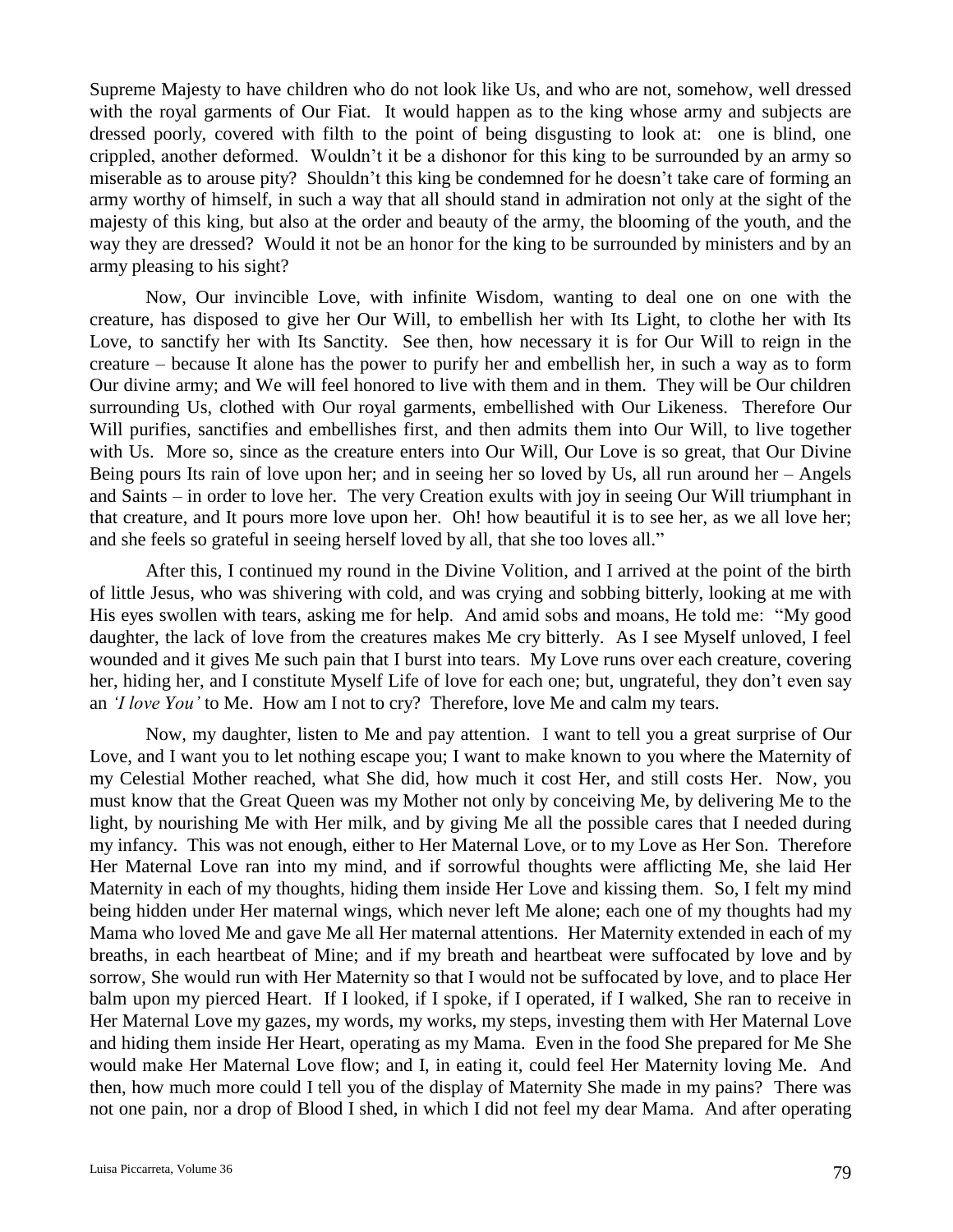Supreme Majesty to have children who do not look like Us, and who are not, somehow, well dressed with the royal garments of Our Fiat. It would happen as to the king whose army and subjects are dressed poorly, covered with filth to the point of being disgusting to look at: one is blind, one crippled, another deformed. Wouldn't it be a dishonor for this king to be surrounded by an army so miserable as to arouse pity? Shouldn't this king be condemned for he doesn't take care of forming an army worthy of himself, in such a way that all should stand in admiration not only at the sight of the majesty of this king, but also at the order and beauty of the army, the blooming of the youth, and the way they are dressed? Would it not be an honor for the king to be surrounded by ministers and by an army pleasing to his sight?

Now, Our invincible Love, with infinite Wisdom, wanting to deal one on one with the creature, has disposed to give her Our Will, to embellish her with Its Light, to clothe her with Its Love, to sanctify her with Its Sanctity. See then, how necessary it is for Our Will to reign in the creature – because It alone has the power to purify her and embellish her, in such a way as to form Our divine army; and We will feel honored to live with them and in them. They will be Our children surrounding Us, clothed with Our royal garments, embellished with Our Likeness. Therefore Our Will purifies, sanctifies and embellishes first, and then admits them into Our Will, to live together with Us. More so, since as the creature enters into Our Will, Our Love is so great, that Our Divine Being pours Its rain of love upon her; and in seeing her so loved by Us, all run around her – Angels and Saints – in order to love her. The very Creation exults with joy in seeing Our Will triumphant in that creature, and It pours more love upon her. Oh! how beautiful it is to see her, as we all love her; and she feels so grateful in seeing herself loved by all, that she too loves all."

After this, I continued my round in the Divine Volition, and I arrived at the point of the birth of little Jesus, who was shivering with cold, and was crying and sobbing bitterly, looking at me with His eyes swollen with tears, asking me for help. And amid sobs and moans, He told me: "My good daughter, the lack of love from the creatures makes Me cry bitterly. As I see Myself unloved, I feel wounded and it gives Me such pain that I burst into tears. My Love runs over each creature, covering her, hiding her, and I constitute Myself Life of love for each one; but, ungrateful, they don't even say an *'I love You'* to Me. How am I not to cry? Therefore, love Me and calm my tears.

Now, my daughter, listen to Me and pay attention. I want to tell you a great surprise of Our Love, and I want you to let nothing escape you; I want to make known to you where the Maternity of my Celestial Mother reached, what She did, how much it cost Her, and still costs Her. Now, you must know that the Great Queen was my Mother not only by conceiving Me, by delivering Me to the light, by nourishing Me with Her milk, and by giving Me all the possible cares that I needed during my infancy. This was not enough, either to Her Maternal Love, or to my Love as Her Son. Therefore Her Maternal Love ran into my mind, and if sorrowful thoughts were afflicting Me, she laid Her Maternity in each of my thoughts, hiding them inside Her Love and kissing them. So, I felt my mind being hidden under Her maternal wings, which never left Me alone; each one of my thoughts had my Mama who loved Me and gave Me all Her maternal attentions. Her Maternity extended in each of my breaths, in each heartbeat of Mine; and if my breath and heartbeat were suffocated by love and by sorrow, She would run with Her Maternity so that I would not be suffocated by love, and to place Her balm upon my pierced Heart. If I looked, if I spoke, if I operated, if I walked, She ran to receive in Her Maternal Love my gazes, my words, my works, my steps, investing them with Her Maternal Love and hiding them inside Her Heart, operating as my Mama. Even in the food She prepared for Me She would make Her Maternal Love flow; and I, in eating it, could feel Her Maternity loving Me. And then, how much more could I tell you of the display of Maternity She made in my pains? There was not one pain, nor a drop of Blood I shed, in which I did not feel my dear Mama. And after operating